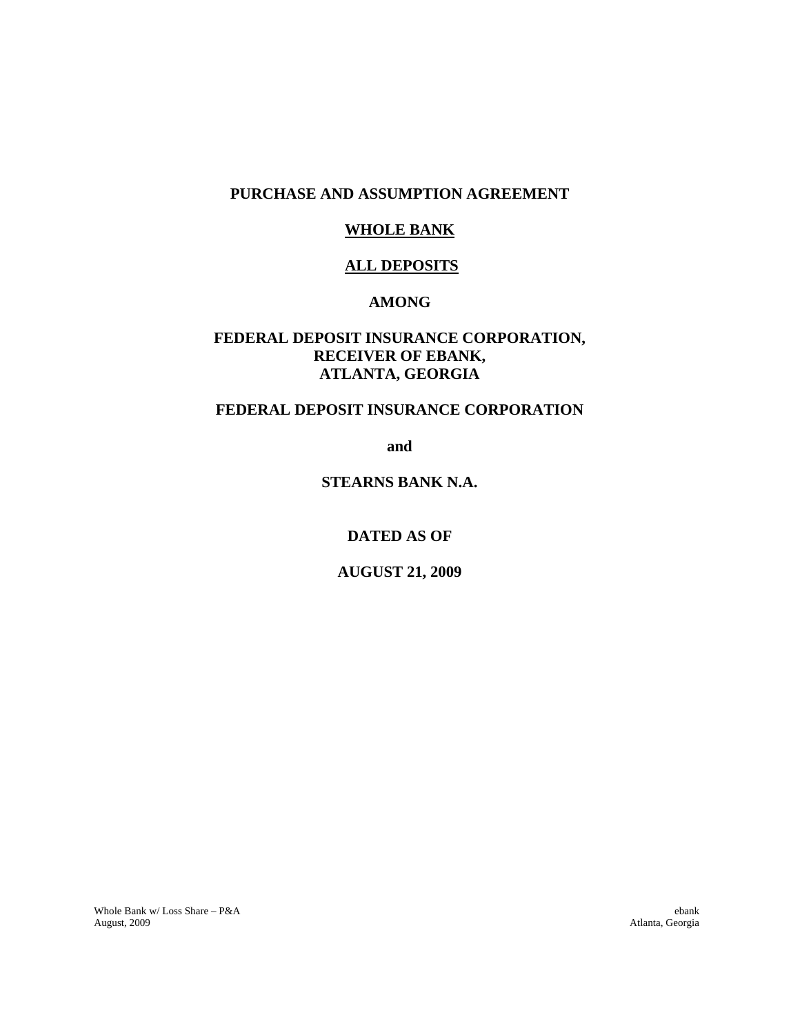#### **PURCHASE AND ASSUMPTION AGREEMENT**

#### **WHOLE BANK**

#### **ALL DEPOSITS**

#### **AMONG**

### **FEDERAL DEPOSIT INSURANCE CORPORATION, RECEIVER OF EBANK, ATLANTA, GEORGIA**

#### **FEDERAL DEPOSIT INSURANCE CORPORATION**

**and** 

 **STEARNS BANK N.A.**

**DATED AS OF**

**AUGUST 21, 2009**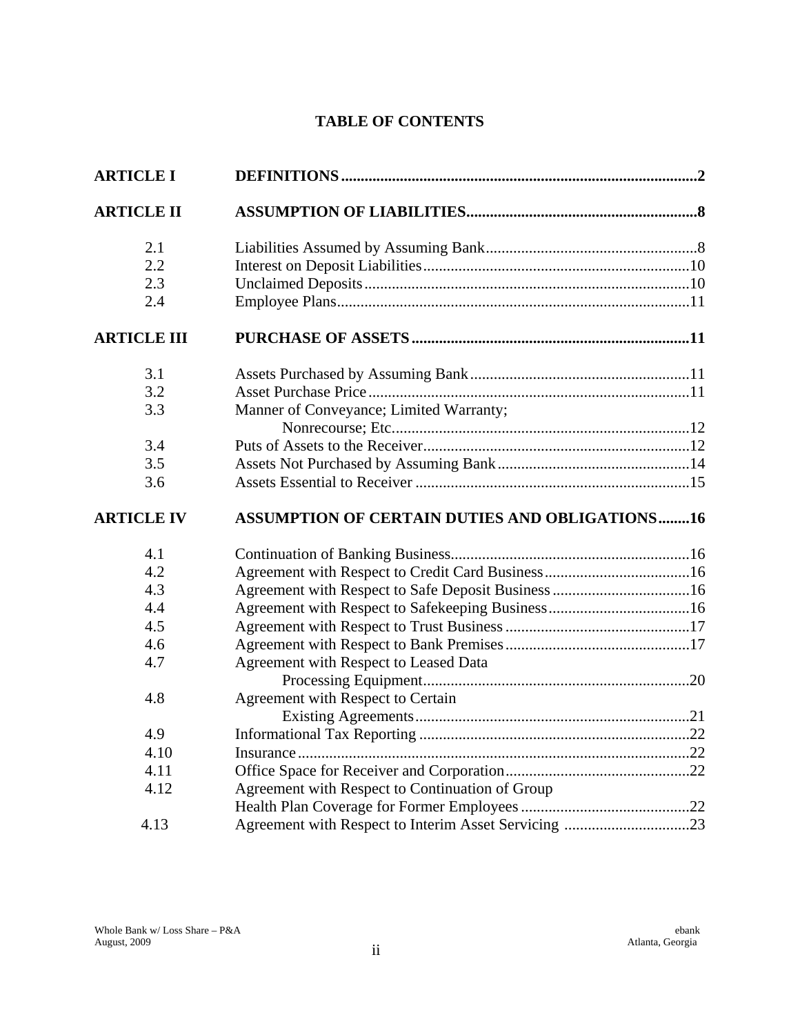## **TABLE OF CONTENTS**

| <b>ARTICLE I</b>   |                                                       |  |
|--------------------|-------------------------------------------------------|--|
| <b>ARTICLE II</b>  |                                                       |  |
| 2.1                |                                                       |  |
| 2.2                |                                                       |  |
| 2.3                |                                                       |  |
| 2.4                |                                                       |  |
| <b>ARTICLE III</b> |                                                       |  |
| 3.1                |                                                       |  |
| 3.2                |                                                       |  |
| 3.3                | Manner of Conveyance; Limited Warranty;               |  |
| 3.4                |                                                       |  |
| 3.5                |                                                       |  |
| 3.6                |                                                       |  |
| <b>ARTICLE IV</b>  | <b>ASSUMPTION OF CERTAIN DUTIES AND OBLIGATIONS16</b> |  |
| 4.1                |                                                       |  |
| 4.2                |                                                       |  |
| 4.3                |                                                       |  |
| 4.4                |                                                       |  |
| 4.5                |                                                       |  |
| 4.6                |                                                       |  |
| 4.7                | Agreement with Respect to Leased Data                 |  |
|                    |                                                       |  |
| 4.8                | Agreement with Respect to Certain                     |  |
|                    |                                                       |  |
| 4.9                |                                                       |  |
| 4.10               |                                                       |  |
| 4.11               |                                                       |  |
| 4.12               | Agreement with Respect to Continuation of Group       |  |
|                    |                                                       |  |
| 4.13               |                                                       |  |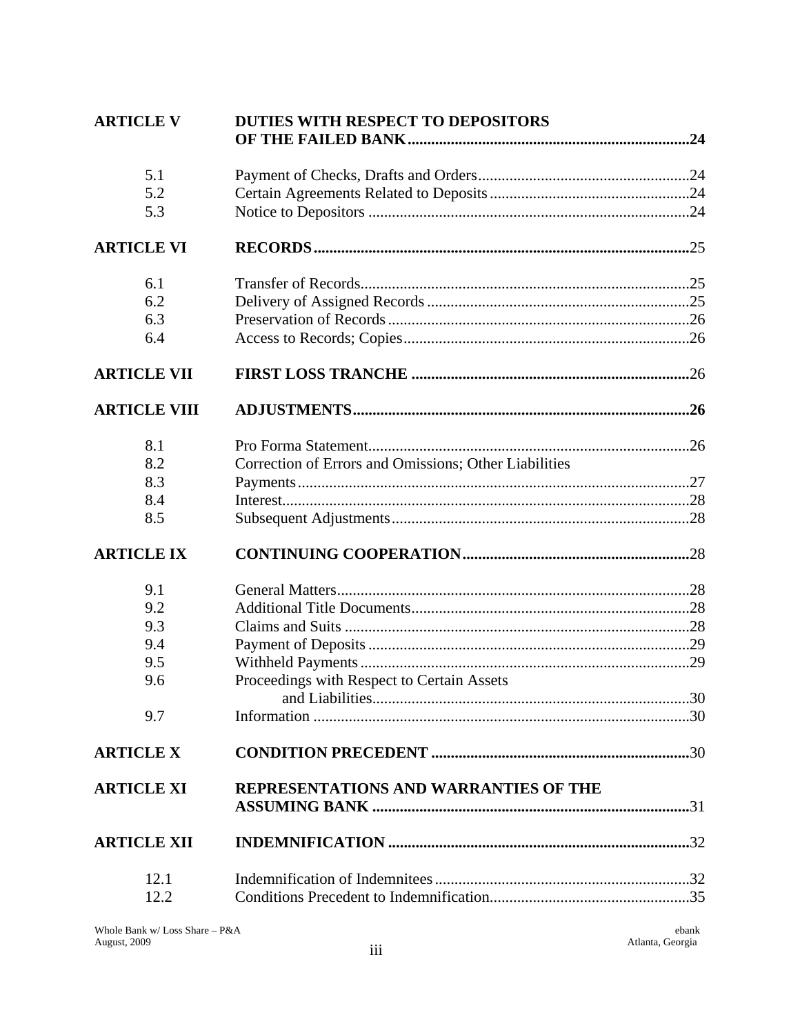| <b>ARTICLE V</b>    | <b>DUTIES WITH RESPECT TO DEPOSITORS</b>              |  |
|---------------------|-------------------------------------------------------|--|
|                     |                                                       |  |
| 5.1                 |                                                       |  |
| 5.2                 |                                                       |  |
| 5.3                 |                                                       |  |
| <b>ARTICLE VI</b>   |                                                       |  |
| 6.1                 |                                                       |  |
| 6.2                 |                                                       |  |
| 6.3                 |                                                       |  |
| 6.4                 |                                                       |  |
| <b>ARTICLE VII</b>  |                                                       |  |
| <b>ARTICLE VIII</b> |                                                       |  |
| 8.1                 |                                                       |  |
| 8.2                 | Correction of Errors and Omissions; Other Liabilities |  |
| 8.3                 |                                                       |  |
| 8.4                 |                                                       |  |
| 8.5                 |                                                       |  |
| <b>ARTICLE IX</b>   |                                                       |  |
| 9.1                 |                                                       |  |
| 9.2                 |                                                       |  |
| 9.3                 |                                                       |  |
| 9.4                 |                                                       |  |
| 9.5                 |                                                       |  |
| 9.6                 | Proceedings with Respect to Certain Assets            |  |
|                     |                                                       |  |
| 9.7                 |                                                       |  |
| <b>ARTICLE X</b>    |                                                       |  |
| <b>ARTICLE XI</b>   | REPRESENTATIONS AND WARRANTIES OF THE                 |  |
| <b>ARTICLE XII</b>  |                                                       |  |
| 12.1                |                                                       |  |
| 12.2                |                                                       |  |
|                     |                                                       |  |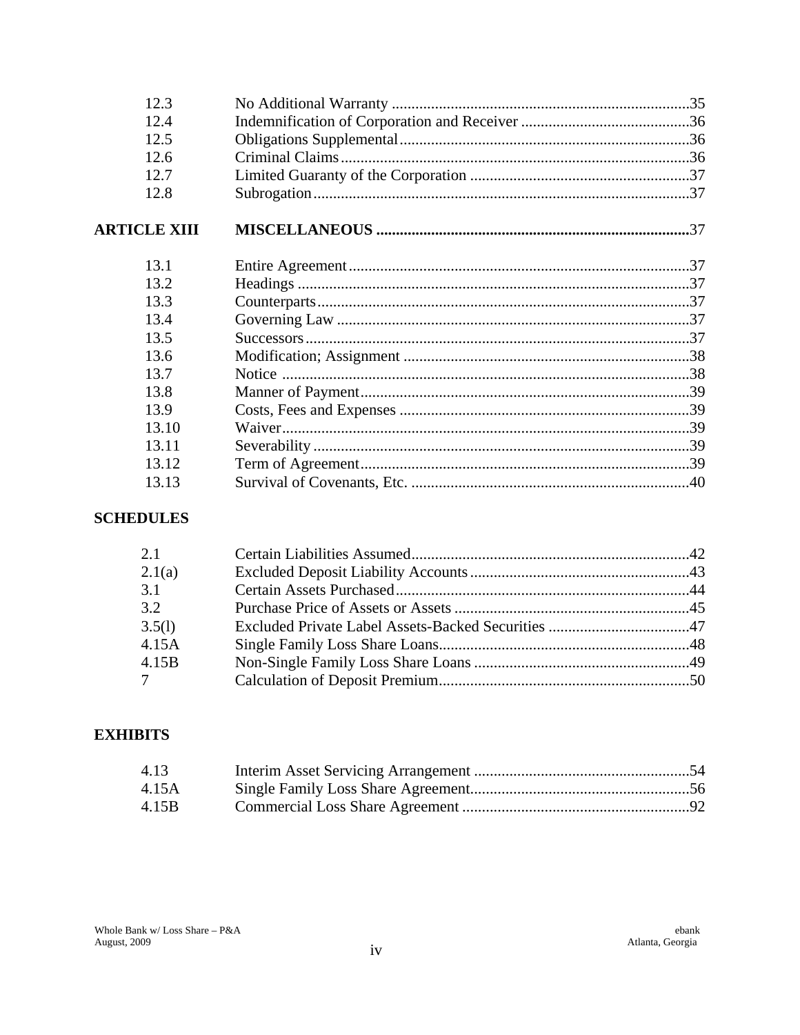# **SCHEDULES**

| 2.1    |  |
|--------|--|
| 2.1(a) |  |
| 3.1    |  |
| 3.2    |  |
| 3.5(l) |  |
| 4.15A  |  |
| 4.15B  |  |
| 7      |  |
|        |  |

## **EXHIBITS**

| 4.13  |  |
|-------|--|
| 4.15A |  |
| 4.15B |  |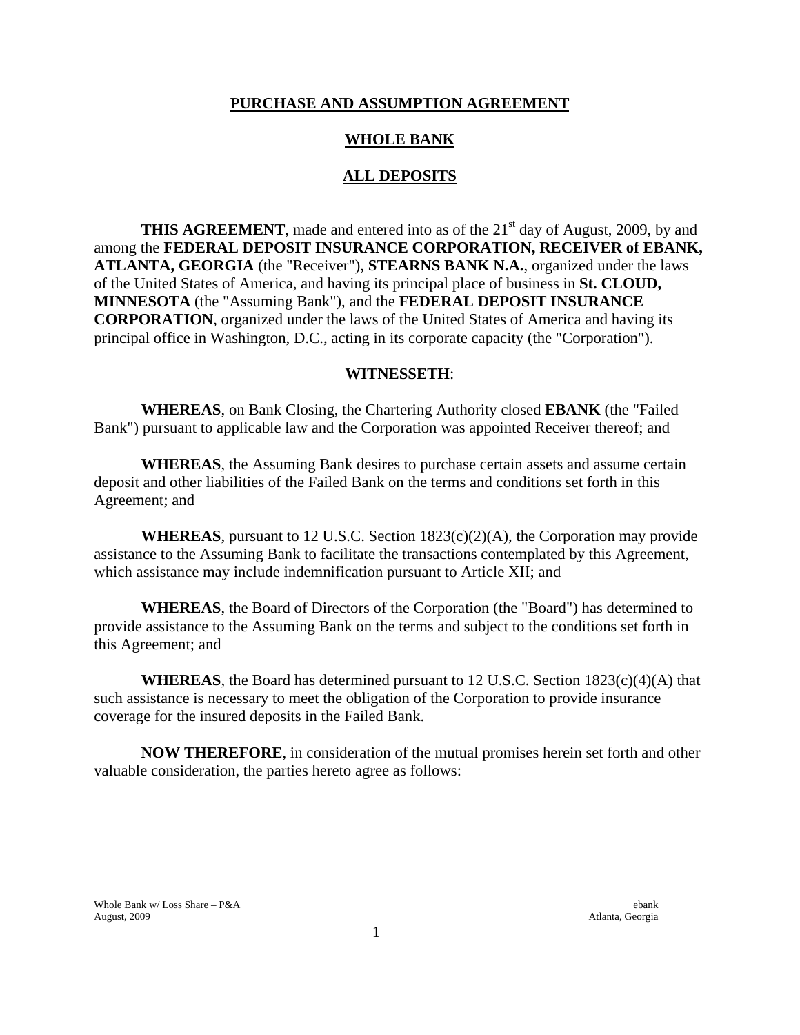#### **PURCHASE AND ASSUMPTION AGREEMENT**

#### **WHOLE BANK**

#### **ALL DEPOSITS**

**THIS AGREEMENT**, made and entered into as of the 21<sup>st</sup> day of August, 2009, by and among the **FEDERAL DEPOSIT INSURANCE CORPORATION, RECEIVER of EBANK, ATLANTA, GEORGIA** (the "Receiver"), **STEARNS BANK N.A.**, organized under the laws of the United States of America, and having its principal place of business in **St. CLOUD, MINNESOTA** (the "Assuming Bank"), and the **FEDERAL DEPOSIT INSURANCE CORPORATION**, organized under the laws of the United States of America and having its principal office in Washington, D.C., acting in its corporate capacity (the "Corporation").

#### **WITNESSETH**:

**WHEREAS**, on Bank Closing, the Chartering Authority closed **EBANK** (the "Failed Bank") pursuant to applicable law and the Corporation was appointed Receiver thereof; and

**WHEREAS**, the Assuming Bank desires to purchase certain assets and assume certain deposit and other liabilities of the Failed Bank on the terms and conditions set forth in this Agreement; and

**WHEREAS**, pursuant to 12 U.S.C. Section 1823(c)(2)(A), the Corporation may provide assistance to the Assuming Bank to facilitate the transactions contemplated by this Agreement, which assistance may include indemnification pursuant to Article XII; and

**WHEREAS**, the Board of Directors of the Corporation (the "Board") has determined to provide assistance to the Assuming Bank on the terms and subject to the conditions set forth in this Agreement; and

**WHEREAS**, the Board has determined pursuant to 12 U.S.C. Section 1823(c)(4)(A) that such assistance is necessary to meet the obligation of the Corporation to provide insurance coverage for the insured deposits in the Failed Bank.

 **NOW THEREFORE**, in consideration of the mutual promises herein set forth and other valuable consideration, the parties hereto agree as follows: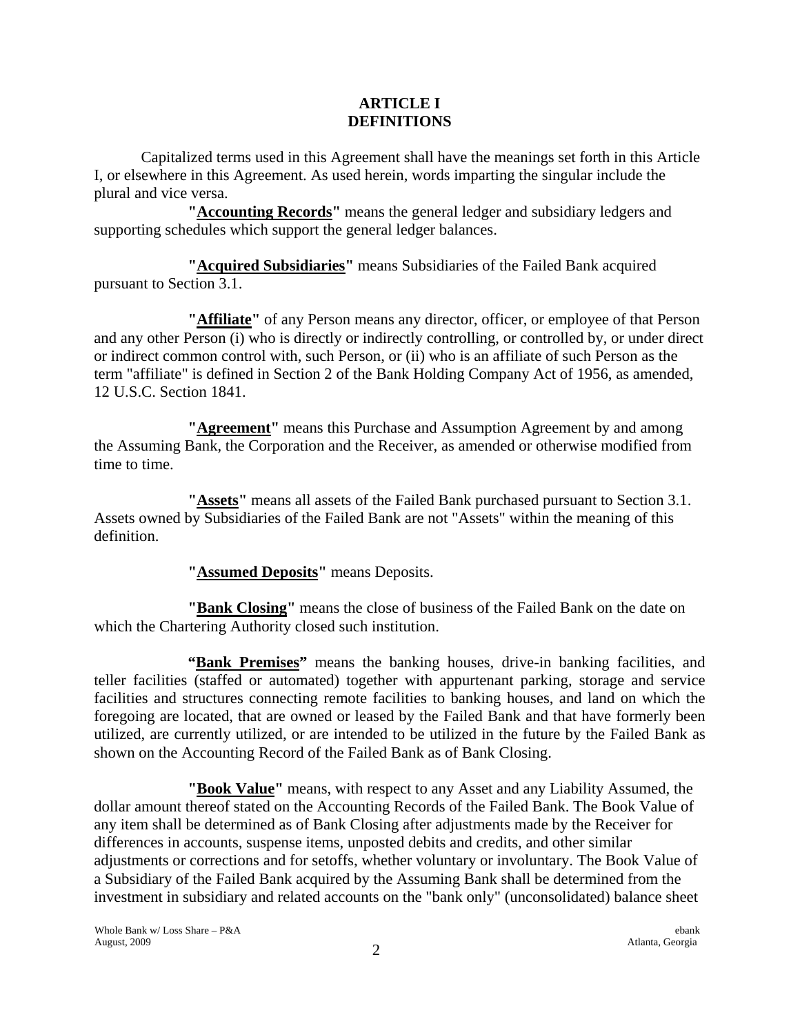#### **ARTICLE I DEFINITIONS**

<span id="page-5-1"></span><span id="page-5-0"></span>Capitalized terms used in this Agreement shall have the meanings set forth in this Article I, or elsewhere in this Agreement. As used herein, words imparting the singular include the plural and vice versa.

**"Accounting Records"** means the general ledger and subsidiary ledgers and supporting schedules which support the general ledger balances.

**"Acquired Subsidiaries"** means Subsidiaries of the Failed Bank acquired pursuant to Section 3.1.

**"Affiliate"** of any Person means any director, officer, or employee of that Person and any other Person (i) who is directly or indirectly controlling, or controlled by, or under direct or indirect common control with, such Person, or (ii) who is an affiliate of such Person as the term "affiliate" is defined in Section 2 of the Bank Holding Company Act of 1956, as amended, 12 U.S.C. Section 1841.

**"Agreement"** means this Purchase and Assumption Agreement by and among the Assuming Bank, the Corporation and the Receiver, as amended or otherwise modified from time to time.

**"Assets"** means all assets of the Failed Bank purchased pursuant to Section 3.1. Assets owned by Subsidiaries of the Failed Bank are not "Assets" within the meaning of this definition.

**"Assumed Deposits"** means Deposits.

**"Bank Closing"** means the close of business of the Failed Bank on the date on which the Chartering Authority closed such institution.

**"Bank Premises"** means the banking houses, drive-in banking facilities, and teller facilities (staffed or automated) together with appurtenant parking, storage and service facilities and structures connecting remote facilities to banking houses, and land on which the foregoing are located, that are owned or leased by the Failed Bank and that have formerly been utilized, are currently utilized, or are intended to be utilized in the future by the Failed Bank as shown on the Accounting Record of the Failed Bank as of Bank Closing.

**"Book Value"** means, with respect to any Asset and any Liability Assumed, the dollar amount thereof stated on the Accounting Records of the Failed Bank. The Book Value of any item shall be determined as of Bank Closing after adjustments made by the Receiver for differences in accounts, suspense items, unposted debits and credits, and other similar adjustments or corrections and for setoffs, whether voluntary or involuntary. The Book Value of a Subsidiary of the Failed Bank acquired by the Assuming Bank shall be determined from the investment in subsidiary and related accounts on the "bank only" (unconsolidated) balance sheet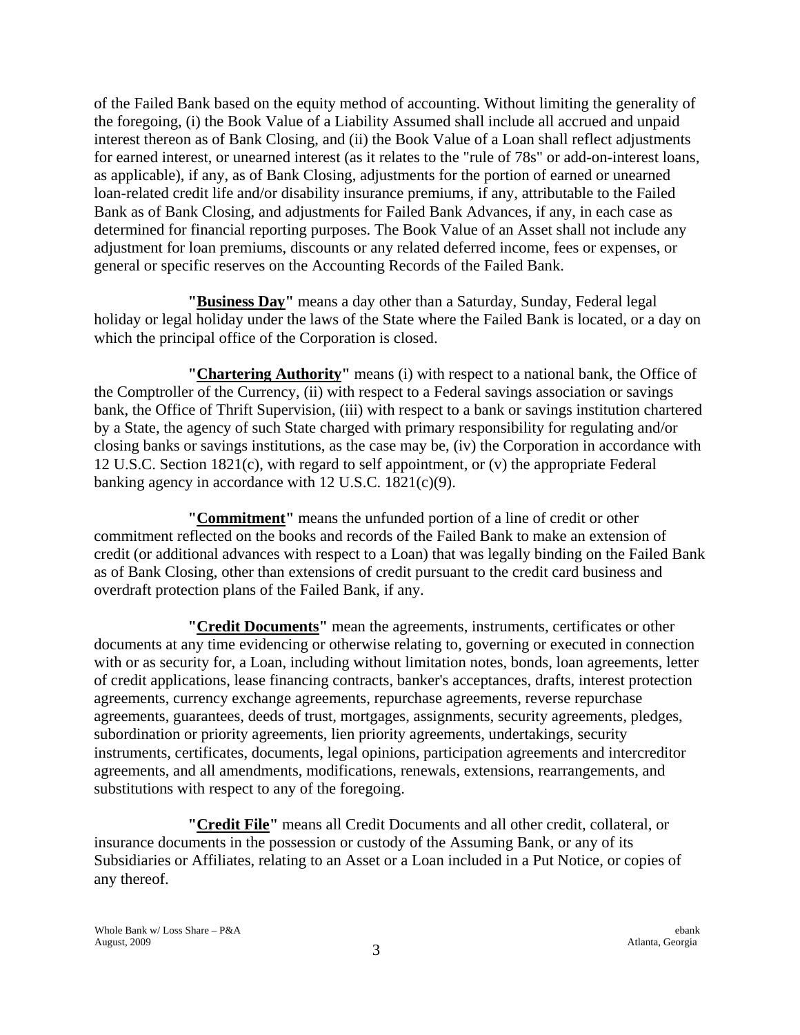of the Failed Bank based on the equity method of accounting. Without limiting the generality of the foregoing, (i) the Book Value of a Liability Assumed shall include all accrued and unpaid interest thereon as of Bank Closing, and (ii) the Book Value of a Loan shall reflect adjustments for earned interest, or unearned interest (as it relates to the "rule of 78s" or add-on-interest loans, as applicable), if any, as of Bank Closing, adjustments for the portion of earned or unearned loan-related credit life and/or disability insurance premiums, if any, attributable to the Failed Bank as of Bank Closing, and adjustments for Failed Bank Advances, if any, in each case as determined for financial reporting purposes. The Book Value of an Asset shall not include any adjustment for loan premiums, discounts or any related deferred income, fees or expenses, or general or specific reserves on the Accounting Records of the Failed Bank.

**"Business Day"** means a day other than a Saturday, Sunday, Federal legal holiday or legal holiday under the laws of the State where the Failed Bank is located, or a day on which the principal office of the Corporation is closed.

**"Chartering Authority"** means (i) with respect to a national bank, the Office of the Comptroller of the Currency, (ii) with respect to a Federal savings association or savings bank, the Office of Thrift Supervision, (iii) with respect to a bank or savings institution chartered by a State, the agency of such State charged with primary responsibility for regulating and/or closing banks or savings institutions, as the case may be, (iv) the Corporation in accordance with 12 U.S.C. Section 1821(c), with regard to self appointment, or (v) the appropriate Federal banking agency in accordance with 12 U.S.C. 1821(c)(9).

**"Commitment"** means the unfunded portion of a line of credit or other commitment reflected on the books and records of the Failed Bank to make an extension of credit (or additional advances with respect to a Loan) that was legally binding on the Failed Bank as of Bank Closing, other than extensions of credit pursuant to the credit card business and overdraft protection plans of the Failed Bank, if any.

**"Credit Documents"** mean the agreements, instruments, certificates or other documents at any time evidencing or otherwise relating to, governing or executed in connection with or as security for, a Loan, including without limitation notes, bonds, loan agreements, letter of credit applications, lease financing contracts, banker's acceptances, drafts, interest protection agreements, currency exchange agreements, repurchase agreements, reverse repurchase agreements, guarantees, deeds of trust, mortgages, assignments, security agreements, pledges, subordination or priority agreements, lien priority agreements, undertakings, security instruments, certificates, documents, legal opinions, participation agreements and intercreditor agreements, and all amendments, modifications, renewals, extensions, rearrangements, and substitutions with respect to any of the foregoing.

**"Credit File"** means all Credit Documents and all other credit, collateral, or insurance documents in the possession or custody of the Assuming Bank, or any of its Subsidiaries or Affiliates, relating to an Asset or a Loan included in a Put Notice, or copies of any thereof.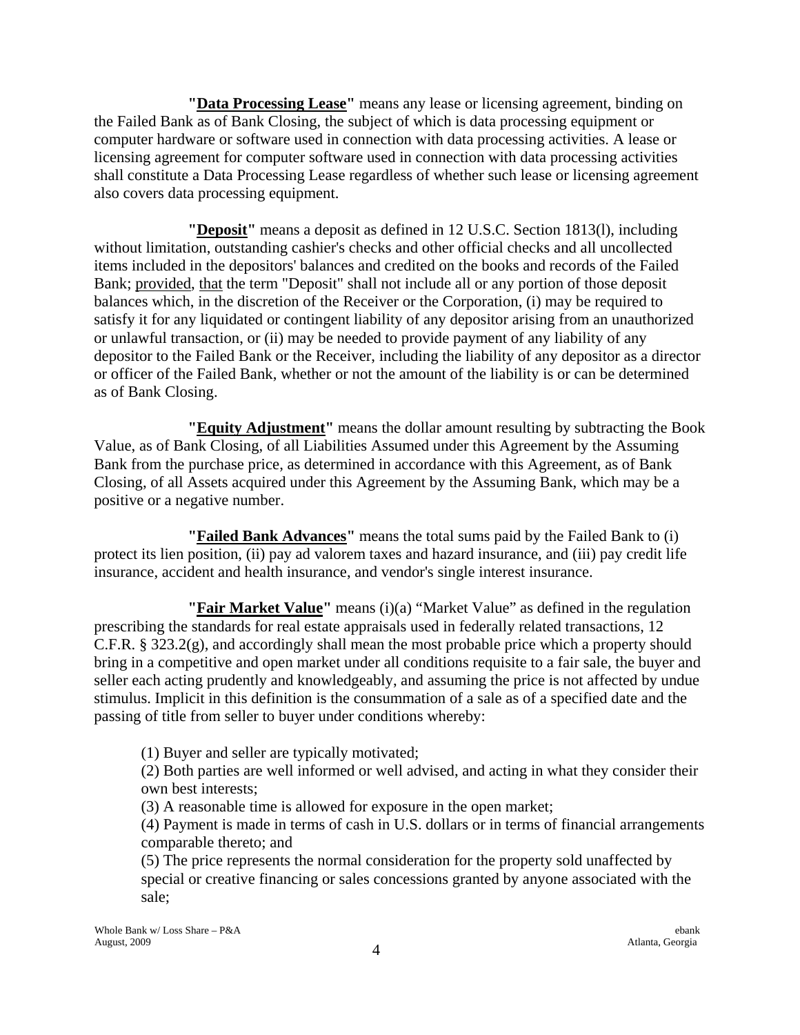**"Data Processing Lease"** means any lease or licensing agreement, binding on the Failed Bank as of Bank Closing, the subject of which is data processing equipment or computer hardware or software used in connection with data processing activities. A lease or licensing agreement for computer software used in connection with data processing activities shall constitute a Data Processing Lease regardless of whether such lease or licensing agreement also covers data processing equipment.

**"Deposit"** means a deposit as defined in 12 U.S.C. Section 1813(l), including without limitation, outstanding cashier's checks and other official checks and all uncollected items included in the depositors' balances and credited on the books and records of the Failed Bank; provided, that the term "Deposit" shall not include all or any portion of those deposit balances which, in the discretion of the Receiver or the Corporation, (i) may be required to satisfy it for any liquidated or contingent liability of any depositor arising from an unauthorized or unlawful transaction, or (ii) may be needed to provide payment of any liability of any depositor to the Failed Bank or the Receiver, including the liability of any depositor as a director or officer of the Failed Bank, whether or not the amount of the liability is or can be determined as of Bank Closing.

**"Equity Adjustment"** means the dollar amount resulting by subtracting the Book Value, as of Bank Closing, of all Liabilities Assumed under this Agreement by the Assuming Bank from the purchase price, as determined in accordance with this Agreement, as of Bank Closing, of all Assets acquired under this Agreement by the Assuming Bank, which may be a positive or a negative number.

**"Failed Bank Advances"** means the total sums paid by the Failed Bank to (i) protect its lien position, (ii) pay ad valorem taxes and hazard insurance, and (iii) pay credit life insurance, accident and health insurance, and vendor's single interest insurance.

**"Fair Market Value"** means (i)(a) "Market Value" as defined in the regulation prescribing the standards for real estate appraisals used in federally related transactions, 12 C.F.R. § 323.2(g), and accordingly shall mean the most probable price which a property should bring in a competitive and open market under all conditions requisite to a fair sale, the buyer and seller each acting prudently and knowledgeably, and assuming the price is not affected by undue stimulus. Implicit in this definition is the consummation of a sale as of a specified date and the passing of title from seller to buyer under conditions whereby:

(1) Buyer and seller are typically motivated;

(2) Both parties are well informed or well advised, and acting in what they consider their own best interests;

(3) A reasonable time is allowed for exposure in the open market;

(4) Payment is made in terms of cash in U.S. dollars or in terms of financial arrangements comparable thereto; and

(5) The price represents the normal consideration for the property sold unaffected by special or creative financing or sales concessions granted by anyone associated with the sale;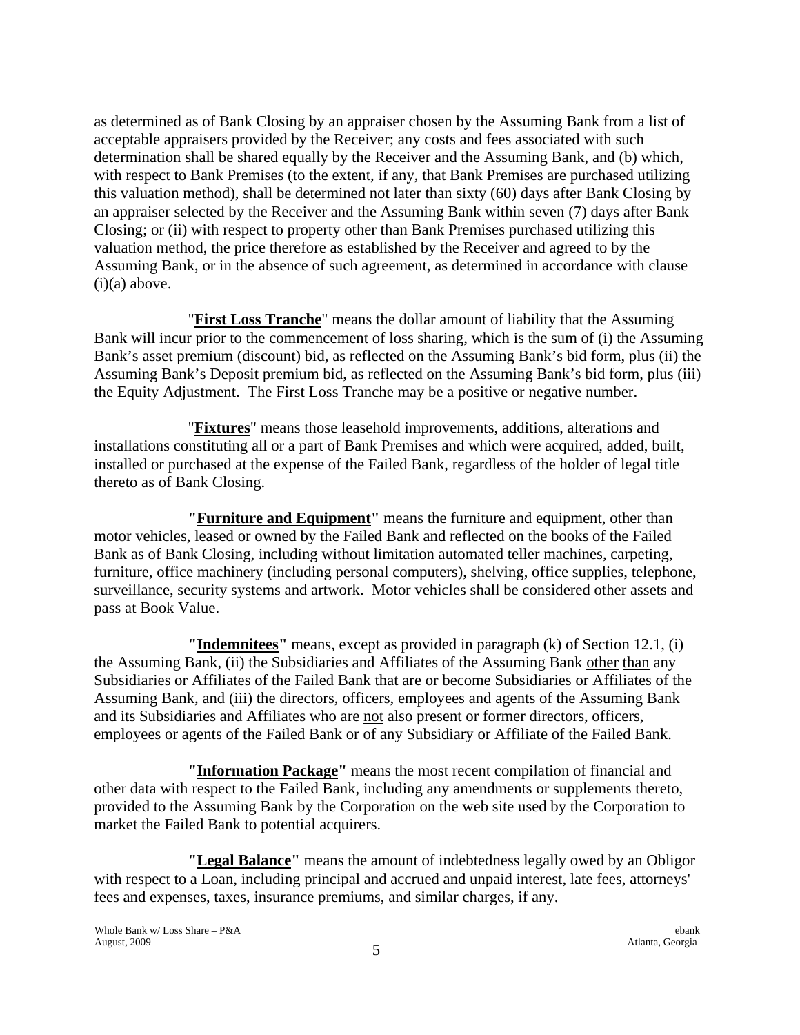as determined as of Bank Closing by an appraiser chosen by the Assuming Bank from a list of acceptable appraisers provided by the Receiver; any costs and fees associated with such determination shall be shared equally by the Receiver and the Assuming Bank, and (b) which, with respect to Bank Premises (to the extent, if any, that Bank Premises are purchased utilizing this valuation method), shall be determined not later than sixty (60) days after Bank Closing by an appraiser selected by the Receiver and the Assuming Bank within seven (7) days after Bank Closing; or (ii) with respect to property other than Bank Premises purchased utilizing this valuation method, the price therefore as established by the Receiver and agreed to by the Assuming Bank, or in the absence of such agreement, as determined in accordance with clause  $(i)(a)$  above.

"**First Loss Tranche**" means the dollar amount of liability that the Assuming Bank will incur prior to the commencement of loss sharing, which is the sum of (i) the Assuming Bank's asset premium (discount) bid, as reflected on the Assuming Bank's bid form, plus (ii) the Assuming Bank's Deposit premium bid, as reflected on the Assuming Bank's bid form, plus (iii) the Equity Adjustment. The First Loss Tranche may be a positive or negative number.

"**Fixtures**" means those leasehold improvements, additions, alterations and installations constituting all or a part of Bank Premises and which were acquired, added, built, installed or purchased at the expense of the Failed Bank, regardless of the holder of legal title thereto as of Bank Closing.

**"Furniture and Equipment"** means the furniture and equipment, other than motor vehicles, leased or owned by the Failed Bank and reflected on the books of the Failed Bank as of Bank Closing, including without limitation automated teller machines, carpeting, furniture, office machinery (including personal computers), shelving, office supplies, telephone, surveillance, security systems and artwork. Motor vehicles shall be considered other assets and pass at Book Value.

**"Indemnitees"** means, except as provided in paragraph (k) of Section 12.1, (i) the Assuming Bank, (ii) the Subsidiaries and Affiliates of the Assuming Bank other than any Subsidiaries or Affiliates of the Failed Bank that are or become Subsidiaries or Affiliates of the Assuming Bank, and (iii) the directors, officers, employees and agents of the Assuming Bank and its Subsidiaries and Affiliates who are not also present or former directors, officers, employees or agents of the Failed Bank or of any Subsidiary or Affiliate of the Failed Bank.

**"Information Package"** means the most recent compilation of financial and other data with respect to the Failed Bank, including any amendments or supplements thereto, provided to the Assuming Bank by the Corporation on the web site used by the Corporation to market the Failed Bank to potential acquirers.

**"Legal Balance"** means the amount of indebtedness legally owed by an Obligor with respect to a Loan, including principal and accrued and unpaid interest, late fees, attorneys' fees and expenses, taxes, insurance premiums, and similar charges, if any.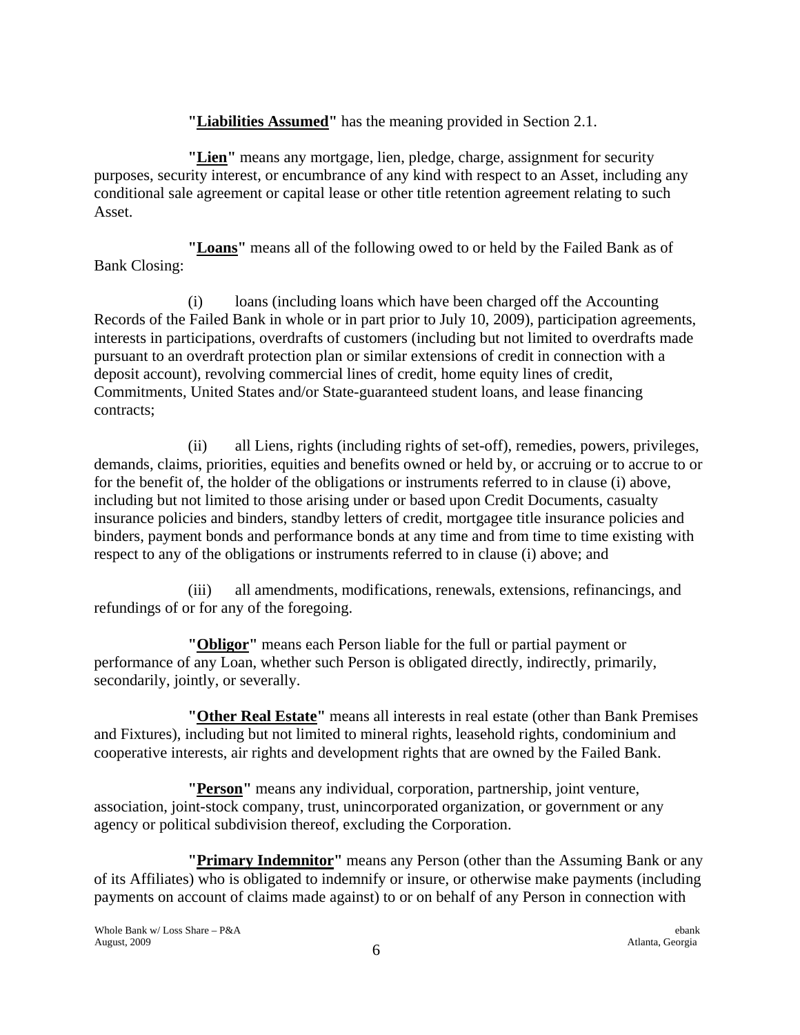**"Liabilities Assumed"** has the meaning provided in Section 2.1.

**"Lien"** means any mortgage, lien, pledge, charge, assignment for security purposes, security interest, or encumbrance of any kind with respect to an Asset, including any conditional sale agreement or capital lease or other title retention agreement relating to such Asset.

**"Loans"** means all of the following owed to or held by the Failed Bank as of Bank Closing:

(i) loans (including loans which have been charged off the Accounting Records of the Failed Bank in whole or in part prior to July 10, 2009), participation agreements, interests in participations, overdrafts of customers (including but not limited to overdrafts made pursuant to an overdraft protection plan or similar extensions of credit in connection with a deposit account), revolving commercial lines of credit, home equity lines of credit, Commitments, United States and/or State-guaranteed student loans, and lease financing contracts;

(ii) all Liens, rights (including rights of set-off), remedies, powers, privileges, demands, claims, priorities, equities and benefits owned or held by, or accruing or to accrue to or for the benefit of, the holder of the obligations or instruments referred to in clause (i) above, including but not limited to those arising under or based upon Credit Documents, casualty insurance policies and binders, standby letters of credit, mortgagee title insurance policies and binders, payment bonds and performance bonds at any time and from time to time existing with respect to any of the obligations or instruments referred to in clause (i) above; and

(iii) all amendments, modifications, renewals, extensions, refinancings, and refundings of or for any of the foregoing.

**"Obligor"** means each Person liable for the full or partial payment or performance of any Loan, whether such Person is obligated directly, indirectly, primarily, secondarily, jointly, or severally.

**"Other Real Estate"** means all interests in real estate (other than Bank Premises and Fixtures), including but not limited to mineral rights, leasehold rights, condominium and cooperative interests, air rights and development rights that are owned by the Failed Bank.

**"Person"** means any individual, corporation, partnership, joint venture, association, joint-stock company, trust, unincorporated organization, or government or any agency or political subdivision thereof, excluding the Corporation.

**"Primary Indemnitor"** means any Person (other than the Assuming Bank or any of its Affiliates) who is obligated to indemnify or insure, or otherwise make payments (including payments on account of claims made against) to or on behalf of any Person in connection with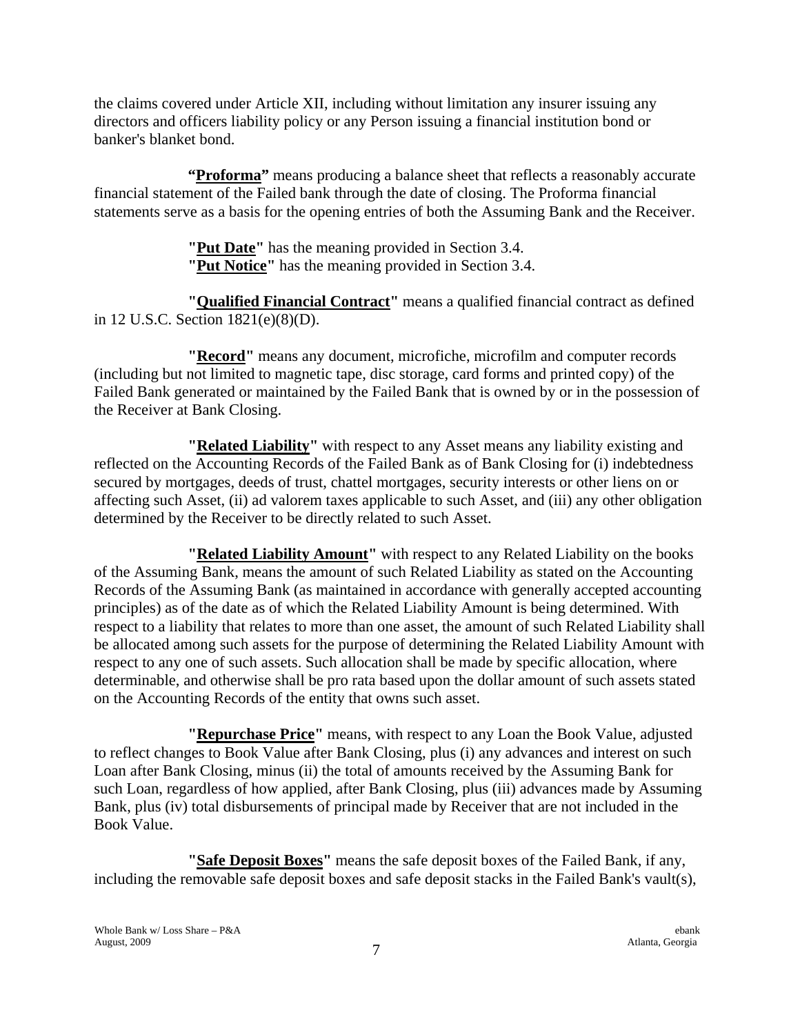<span id="page-10-0"></span>the claims covered under Article XII, including without limitation any insurer issuing any directors and officers liability policy or any Person issuing a financial institution bond or banker's blanket bond.

**"Proforma"** means producing a balance sheet that reflects a reasonably accurate financial statement of the Failed bank through the date of closing. The Proforma financial statements serve as a basis for the opening entries of both the Assuming Bank and the Receiver.

> **"Put Date"** has the meaning provided in Section 3.4. **"Put Notice"** has the meaning provided in Section 3.4.

**"Qualified Financial Contract"** means a qualified financial contract as defined in 12 U.S.C. Section 1821(e)(8)(D).

**"Record"** means any document, microfiche, microfilm and computer records (including but not limited to magnetic tape, disc storage, card forms and printed copy) of the Failed Bank generated or maintained by the Failed Bank that is owned by or in the possession of the Receiver at Bank Closing.

**"Related Liability"** with respect to any Asset means any liability existing and reflected on the Accounting Records of the Failed Bank as of Bank Closing for (i) indebtedness secured by mortgages, deeds of trust, chattel mortgages, security interests or other liens on or affecting such Asset, (ii) ad valorem taxes applicable to such Asset, and (iii) any other obligation determined by the Receiver to be directly related to such Asset.

**"Related Liability Amount"** with respect to any Related Liability on the books of the Assuming Bank, means the amount of such Related Liability as stated on the Accounting Records of the Assuming Bank (as maintained in accordance with generally accepted accounting principles) as of the date as of which the Related Liability Amount is being determined. With respect to a liability that relates to more than one asset, the amount of such Related Liability shall be allocated among such assets for the purpose of determining the Related Liability Amount with respect to any one of such assets. Such allocation shall be made by specific allocation, where determinable, and otherwise shall be pro rata based upon the dollar amount of such assets stated on the Accounting Records of the entity that owns such asset.

 **"Repurchase Price"** means, with respect to any Loan the Book Value, adjusted to reflect changes to Book Value after Bank Closing, plus (i) any advances and interest on such Loan after Bank Closing, minus (ii) the total of amounts received by the Assuming Bank for such Loan, regardless of how applied, after Bank Closing, plus (iii) advances made by Assuming Bank, plus (iv) total disbursements of principal made by Receiver that are not included in the Book Value.

**"Safe Deposit Boxes"** means the safe deposit boxes of the Failed Bank, if any, including the removable safe deposit boxes and safe deposit stacks in the Failed Bank's vault(s),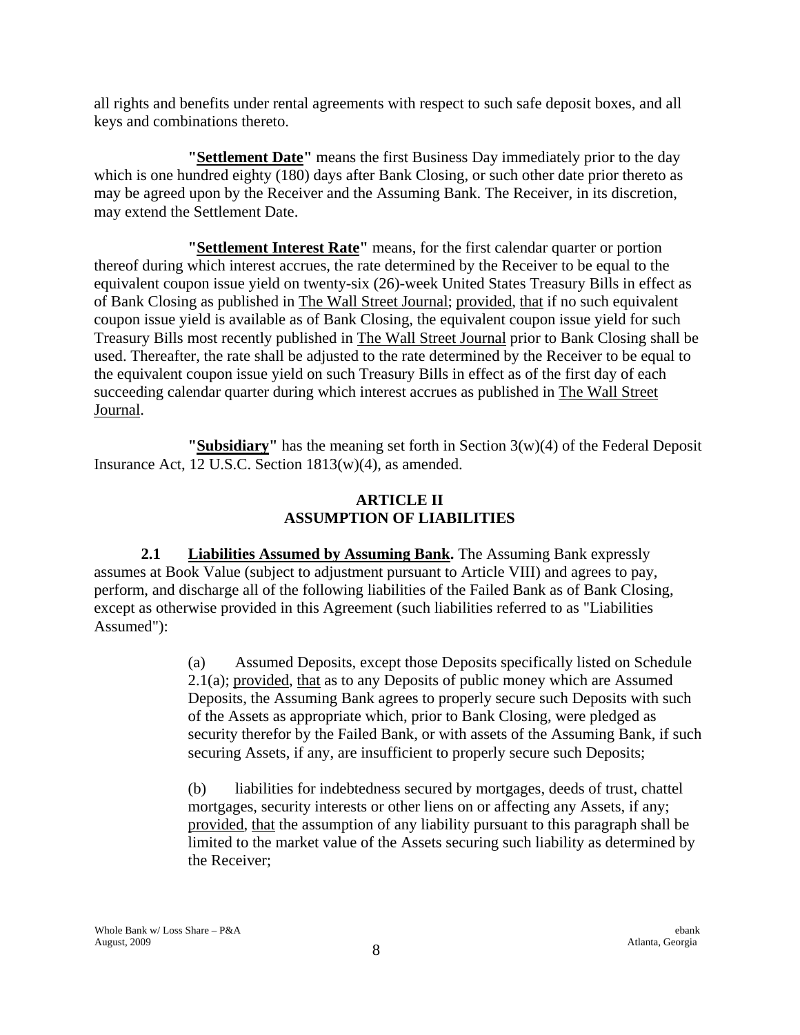all rights and benefits under rental agreements with respect to such safe deposit boxes, and all keys and combinations thereto.

**"Settlement Date"** means the first Business Day immediately prior to the day which is one hundred eighty (180) days after Bank Closing, or such other date prior thereto as may be agreed upon by the Receiver and the Assuming Bank. The Receiver, in its discretion, may extend the Settlement Date.

**"Settlement Interest Rate"** means, for the first calendar quarter or portion thereof during which interest accrues, the rate determined by the Receiver to be equal to the equivalent coupon issue yield on twenty-six (26)-week United States Treasury Bills in effect as of Bank Closing as published in The Wall Street Journal; provided, that if no such equivalent coupon issue yield is available as of Bank Closing, the equivalent coupon issue yield for such Treasury Bills most recently published in The Wall Street Journal prior to Bank Closing shall be used. Thereafter, the rate shall be adjusted to the rate determined by the Receiver to be equal to the equivalent coupon issue yield on such Treasury Bills in effect as of the first day of each succeeding calendar quarter during which interest accrues as published in The Wall Street Journal.

**"Subsidiary"** has the meaning set forth in Section 3(w)(4) of the Federal Deposit Insurance Act, 12 U.S.C. Section 1813(w)(4), as amended.

#### **ARTICLE II ASSUMPTION OF LIABILITIES**

<span id="page-11-1"></span><span id="page-11-0"></span> **2.1 Liabilities Assumed by Assuming Bank.** The Assuming Bank expressly assumes at Book Value (subject to adjustment pursuant to Article VIII) and agrees to pay, perform, and discharge all of the following liabilities of the Failed Bank as of Bank Closing, except as otherwise provided in this Agreement (such liabilities referred to as "Liabilities Assumed"):

> (a) Assumed Deposits, except those Deposits specifically listed on Schedule 2.1(a); provided, that as to any Deposits of public money which are Assumed Deposits, the Assuming Bank agrees to properly secure such Deposits with such of the Assets as appropriate which, prior to Bank Closing, were pledged as security therefor by the Failed Bank, or with assets of the Assuming Bank, if such securing Assets, if any, are insufficient to properly secure such Deposits;

(b) liabilities for indebtedness secured by mortgages, deeds of trust, chattel mortgages, security interests or other liens on or affecting any Assets, if any; provided, that the assumption of any liability pursuant to this paragraph shall be limited to the market value of the Assets securing such liability as determined by the Receiver;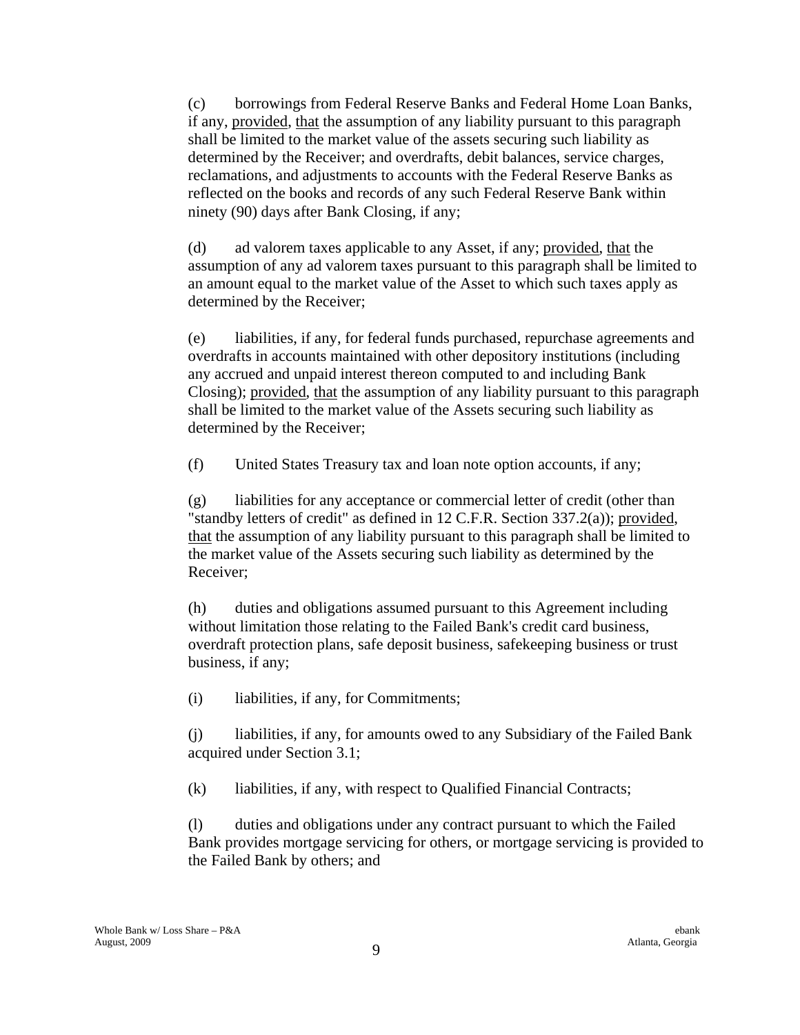(c) borrowings from Federal Reserve Banks and Federal Home Loan Banks, if any, provided, that the assumption of any liability pursuant to this paragraph shall be limited to the market value of the assets securing such liability as determined by the Receiver; and overdrafts, debit balances, service charges, reclamations, and adjustments to accounts with the Federal Reserve Banks as reflected on the books and records of any such Federal Reserve Bank within ninety (90) days after Bank Closing, if any;

(d) ad valorem taxes applicable to any Asset, if any; provided, that the assumption of any ad valorem taxes pursuant to this paragraph shall be limited to an amount equal to the market value of the Asset to which such taxes apply as determined by the Receiver;

(e) liabilities, if any, for federal funds purchased, repurchase agreements and overdrafts in accounts maintained with other depository institutions (including any accrued and unpaid interest thereon computed to and including Bank Closing); provided, that the assumption of any liability pursuant to this paragraph shall be limited to the market value of the Assets securing such liability as determined by the Receiver;

(f) United States Treasury tax and loan note option accounts, if any;

(g) liabilities for any acceptance or commercial letter of credit (other than "standby letters of credit" as defined in 12 C.F.R. Section 337.2(a)); provided, that the assumption of any liability pursuant to this paragraph shall be limited to the market value of the Assets securing such liability as determined by the Receiver;

(h) duties and obligations assumed pursuant to this Agreement including without limitation those relating to the Failed Bank's credit card business, overdraft protection plans, safe deposit business, safekeeping business or trust business, if any;

(i) liabilities, if any, for Commitments;

(j) liabilities, if any, for amounts owed to any Subsidiary of the Failed Bank acquired under Section 3.1;

(k) liabilities, if any, with respect to Qualified Financial Contracts;

(l) duties and obligations under any contract pursuant to which the Failed Bank provides mortgage servicing for others, or mortgage servicing is provided to the Failed Bank by others; and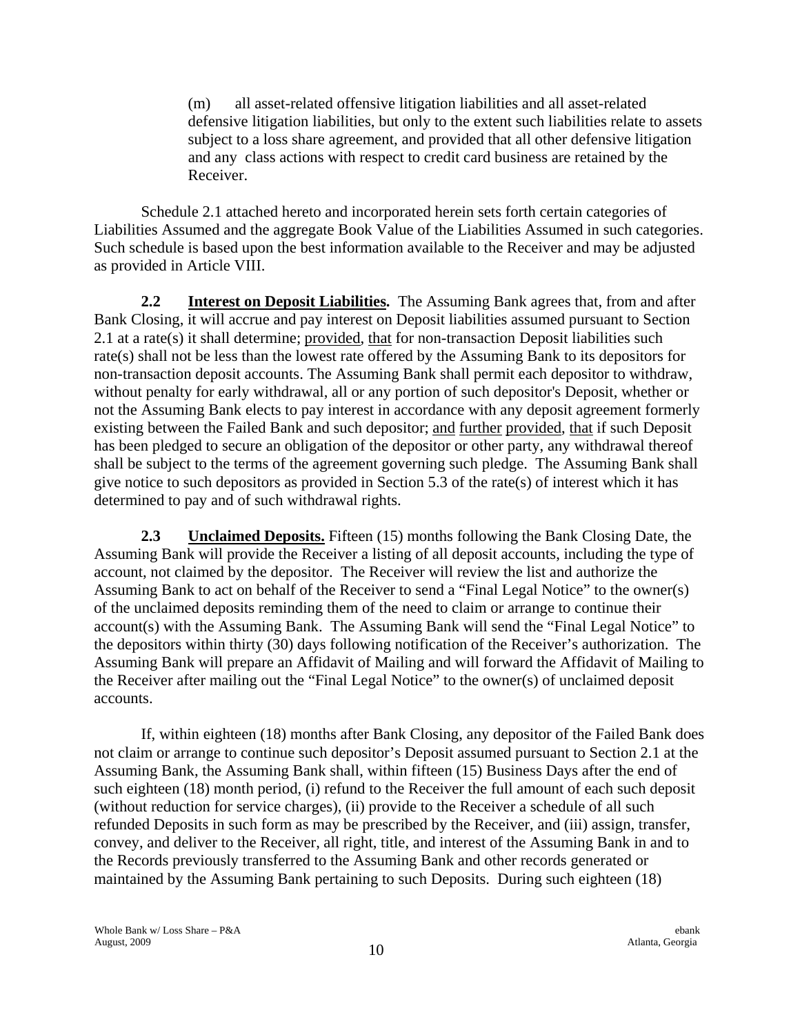(m) all asset-related offensive litigation liabilities and all asset-related defensive litigation liabilities, but only to the extent such liabilities relate to assets subject to a loss share agreement, and provided that all other defensive litigation and any class actions with respect to credit card business are retained by the Receiver.

Schedule 2.1 attached hereto and incorporated herein sets forth certain categories of Liabilities Assumed and the aggregate Book Value of the Liabilities Assumed in such categories. Such schedule is based upon the best information available to the Receiver and may be adjusted as provided in Article VIII.

<span id="page-13-0"></span>**2.2 Interest on Deposit Liabilities.** The Assuming Bank agrees that, from and after Bank Closing, it will accrue and pay interest on Deposit liabilities assumed pursuant to Section 2.1 at a rate(s) it shall determine; provided, that for non-transaction Deposit liabilities such rate(s) shall not be less than the lowest rate offered by the Assuming Bank to its depositors for non-transaction deposit accounts. The Assuming Bank shall permit each depositor to withdraw, without penalty for early withdrawal, all or any portion of such depositor's Deposit, whether or not the Assuming Bank elects to pay interest in accordance with any deposit agreement formerly existing between the Failed Bank and such depositor; and further provided, that if such Deposit has been pledged to secure an obligation of the depositor or other party, any withdrawal thereof shall be subject to the terms of the agreement governing such pledge. The Assuming Bank shall give notice to such depositors as provided in Section 5.3 of the rate(s) of interest which it has determined to pay and of such withdrawal rights.

<span id="page-13-1"></span>**2.3 Unclaimed Deposits.** Fifteen (15) months following the Bank Closing Date, the Assuming Bank will provide the Receiver a listing of all deposit accounts, including the type of account, not claimed by the depositor. The Receiver will review the list and authorize the Assuming Bank to act on behalf of the Receiver to send a "Final Legal Notice" to the owner(s) of the unclaimed deposits reminding them of the need to claim or arrange to continue their account(s) with the Assuming Bank. The Assuming Bank will send the "Final Legal Notice" to the depositors within thirty (30) days following notification of the Receiver's authorization. The Assuming Bank will prepare an Affidavit of Mailing and will forward the Affidavit of Mailing to the Receiver after mailing out the "Final Legal Notice" to the owner(s) of unclaimed deposit accounts.

If, within eighteen (18) months after Bank Closing, any depositor of the Failed Bank does not claim or arrange to continue such depositor's Deposit assumed pursuant to Section 2.1 at the Assuming Bank, the Assuming Bank shall, within fifteen (15) Business Days after the end of such eighteen (18) month period, (i) refund to the Receiver the full amount of each such deposit (without reduction for service charges), (ii) provide to the Receiver a schedule of all such refunded Deposits in such form as may be prescribed by the Receiver, and (iii) assign, transfer, convey, and deliver to the Receiver, all right, title, and interest of the Assuming Bank in and to the Records previously transferred to the Assuming Bank and other records generated or maintained by the Assuming Bank pertaining to such Deposits. During such eighteen (18)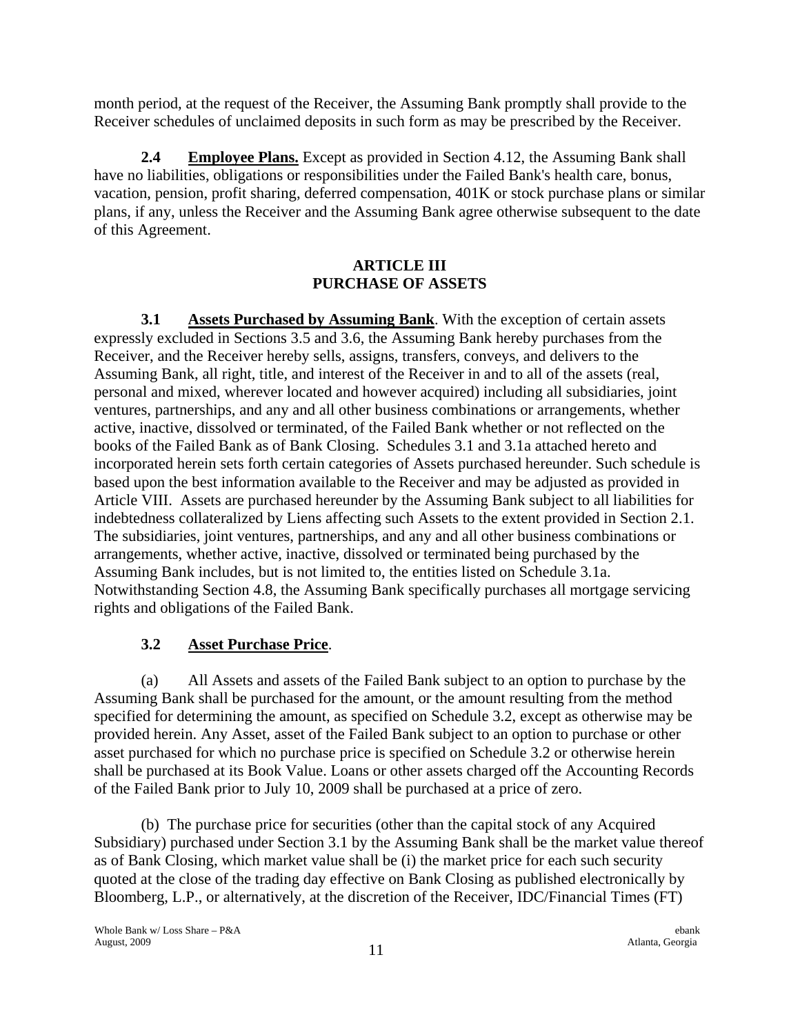month period, at the request of the Receiver, the Assuming Bank promptly shall provide to the Receiver schedules of unclaimed deposits in such form as may be prescribed by the Receiver.

<span id="page-14-0"></span>**2.4 Employee Plans.** Except as provided in Section 4.12, the Assuming Bank shall have no liabilities, obligations or responsibilities under the Failed Bank's health care, bonus, vacation, pension, profit sharing, deferred compensation, 401K or stock purchase plans or similar plans, if any, unless the Receiver and the Assuming Bank agree otherwise subsequent to the date of this Agreement.

### **ARTICLE III PURCHASE OF ASSETS**

<span id="page-14-2"></span><span id="page-14-1"></span>Assuming Bank includes, but is not limited to, the entities listed on Schedule 3.1a.  **3.1 Assets Purchased by Assuming Bank**. With the exception of certain assets expressly excluded in Sections 3.5 and 3.6, the Assuming Bank hereby purchases from the Receiver, and the Receiver hereby sells, assigns, transfers, conveys, and delivers to the Assuming Bank, all right, title, and interest of the Receiver in and to all of the assets (real, personal and mixed, wherever located and however acquired) including all subsidiaries, joint ventures, partnerships, and any and all other business combinations or arrangements, whether active, inactive, dissolved or terminated, of the Failed Bank whether or not reflected on the books of the Failed Bank as of Bank Closing. Schedules 3.1 and 3.1a attached hereto and incorporated herein sets forth certain categories of Assets purchased hereunder. Such schedule is based upon the best information available to the Receiver and may be adjusted as provided in Article VIII. Assets are purchased hereunder by the Assuming Bank subject to all liabilities for indebtedness collateralized by Liens affecting such Assets to the extent provided in Section 2.1. The subsidiaries, joint ventures, partnerships, and any and all other business combinations or arrangements, whether active, inactive, dissolved or terminated being purchased by the Notwithstanding Section 4.8, the Assuming Bank specifically purchases all mortgage servicing rights and obligations of the Failed Bank.

## **3.2 Asset Purchase Price**.

<span id="page-14-3"></span>(a) All Assets and assets of the Failed Bank subject to an option to purchase by the Assuming Bank shall be purchased for the amount, or the amount resulting from the method specified for determining the amount, as specified on Schedule 3.2, except as otherwise may be provided herein. Any Asset, asset of the Failed Bank subject to an option to purchase or other asset purchased for which no purchase price is specified on Schedule 3.2 or otherwise herein shall be purchased at its Book Value. Loans or other assets charged off the Accounting Records of the Failed Bank prior to July 10, 2009 shall be purchased at a price of zero.

(b) The purchase price for securities (other than the capital stock of any Acquired Subsidiary) purchased under Section 3.1 by the Assuming Bank shall be the market value thereof as of Bank Closing, which market value shall be (i) the market price for each such security quoted at the close of the trading day effective on Bank Closing as published electronically by Bloomberg, L.P., or alternatively, at the discretion of the Receiver, IDC/Financial Times (FT)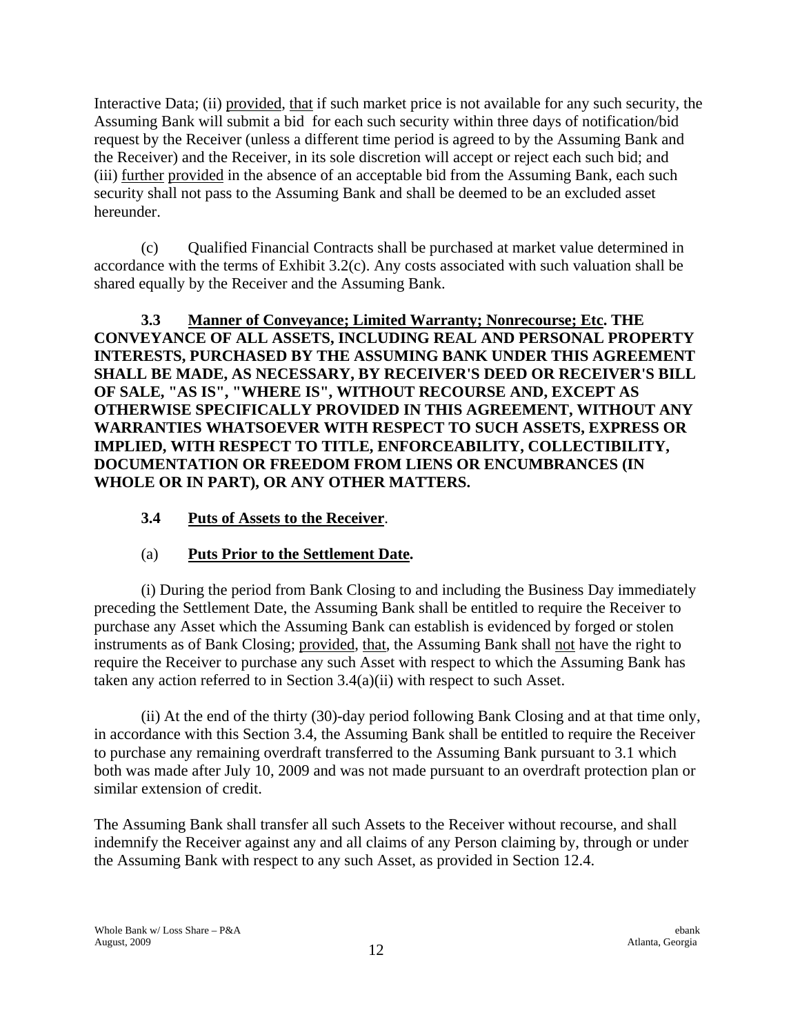Interactive Data; (ii) provided, that if such market price is not available for any such security, the Assuming Bank will submit a bid for each such security within three days of notification/bid request by the Receiver (unless a different time period is agreed to by the Assuming Bank and the Receiver) and the Receiver, in its sole discretion will accept or reject each such bid; and (iii) further provided in the absence of an acceptable bid from the Assuming Bank, each such security shall not pass to the Assuming Bank and shall be deemed to be an excluded asset hereunder.

(c) Qualified Financial Contracts shall be purchased at market value determined in accordance with the terms of Exhibit 3.2(c). Any costs associated with such valuation shall be shared equally by the Receiver and the Assuming Bank.

<span id="page-15-0"></span>**3.3 Manner of Conveyance; Limited Warranty; Nonrecourse; Etc. THE CONVEYANCE OF ALL ASSETS, INCLUDING REAL AND PERSONAL PROPERTY INTERESTS, PURCHASED BY THE ASSUMING BANK UNDER THIS AGREEMENT SHALL BE MADE, AS NECESSARY, BY RECEIVER'S DEED OR RECEIVER'S BILL OF SALE, "AS IS", "WHERE IS", WITHOUT RECOURSE AND, EXCEPT AS OTHERWISE SPECIFICALLY PROVIDED IN THIS AGREEMENT, WITHOUT ANY WARRANTIES WHATSOEVER WITH RESPECT TO SUCH ASSETS, EXPRESS OR IMPLIED, WITH RESPECT TO TITLE, ENFORCEABILITY, COLLECTIBILITY, DOCUMENTATION OR FREEDOM FROM LIENS OR ENCUMBRANCES (IN WHOLE OR IN PART), OR ANY OTHER MATTERS.** 

### **3.4 Puts of Assets to the Receiver**.

#### (a) **Puts Prior to the Settlement Date.**

<span id="page-15-1"></span>(i) During the period from Bank Closing to and including the Business Day immediately preceding the Settlement Date, the Assuming Bank shall be entitled to require the Receiver to purchase any Asset which the Assuming Bank can establish is evidenced by forged or stolen instruments as of Bank Closing; provided, that, the Assuming Bank shall not have the right to require the Receiver to purchase any such Asset with respect to which the Assuming Bank has taken any action referred to in Section 3.4(a)(ii) with respect to such Asset.

(ii) At the end of the thirty (30)-day period following Bank Closing and at that time only, in accordance with this Section 3.4, the Assuming Bank shall be entitled to require the Receiver to purchase any remaining overdraft transferred to the Assuming Bank pursuant to 3.1 which both was made after July 10, 2009 and was not made pursuant to an overdraft protection plan or similar extension of credit.

The Assuming Bank shall transfer all such Assets to the Receiver without recourse, and shall indemnify the Receiver against any and all claims of any Person claiming by, through or under the Assuming Bank with respect to any such Asset, as provided in Section 12.4.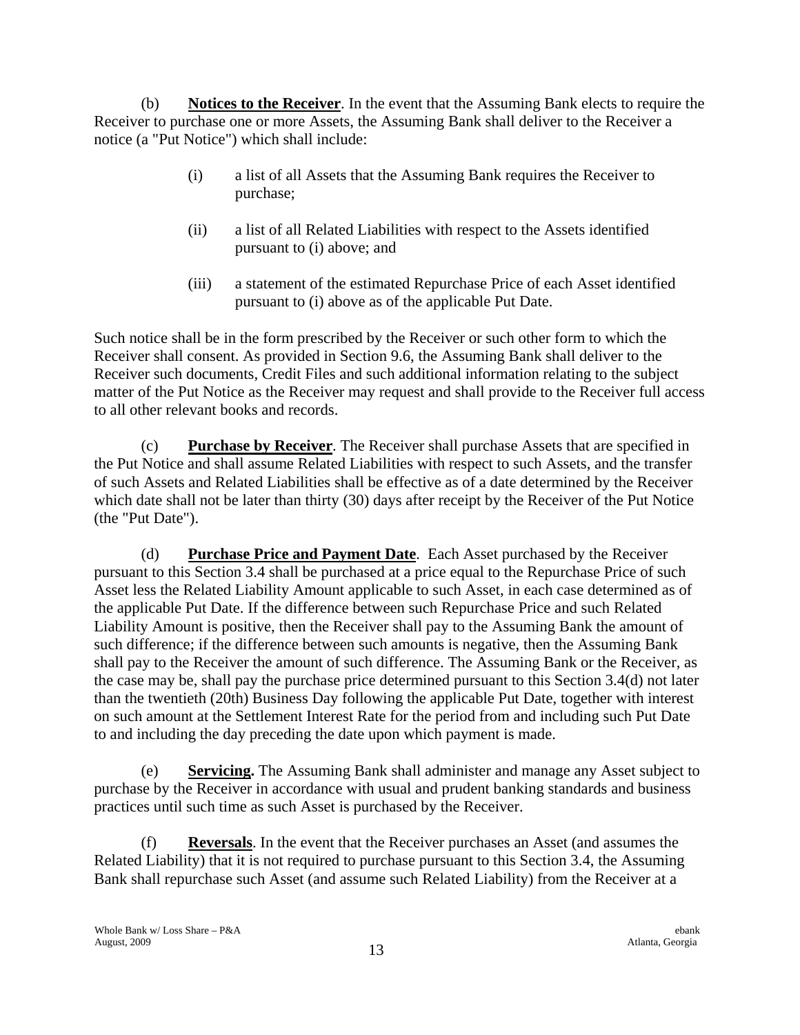(b) **Notices to the Receiver**. In the event that the Assuming Bank elects to require the Receiver to purchase one or more Assets, the Assuming Bank shall deliver to the Receiver a notice (a "Put Notice") which shall include:

- (i) a list of all Assets that the Assuming Bank requires the Receiver to purchase;
- (ii) a list of all Related Liabilities with respect to the Assets identified pursuant to (i) above; and
- (iii) a statement of the estimated Repurchase Price of each Asset identified pursuant to (i) above as of the applicable Put Date.

Such notice shall be in the form prescribed by the Receiver or such other form to which the Receiver shall consent. As provided in Section 9.6, the Assuming Bank shall deliver to the Receiver such documents, Credit Files and such additional information relating to the subject matter of the Put Notice as the Receiver may request and shall provide to the Receiver full access to all other relevant books and records.

(c) **Purchase by Receiver**. The Receiver shall purchase Assets that are specified in the Put Notice and shall assume Related Liabilities with respect to such Assets, and the transfer of such Assets and Related Liabilities shall be effective as of a date determined by the Receiver which date shall not be later than thirty (30) days after receipt by the Receiver of the Put Notice (the "Put Date").

(d) **Purchase Price and Payment Date**. Each Asset purchased by the Receiver pursuant to this Section 3.4 shall be purchased at a price equal to the Repurchase Price of such Asset less the Related Liability Amount applicable to such Asset, in each case determined as of the applicable Put Date. If the difference between such Repurchase Price and such Related Liability Amount is positive, then the Receiver shall pay to the Assuming Bank the amount of such difference; if the difference between such amounts is negative, then the Assuming Bank shall pay to the Receiver the amount of such difference. The Assuming Bank or the Receiver, as the case may be, shall pay the purchase price determined pursuant to this Section 3.4(d) not later than the twentieth (20th) Business Day following the applicable Put Date, together with interest on such amount at the Settlement Interest Rate for the period from and including such Put Date to and including the day preceding the date upon which payment is made.

(e) **Servicing.** The Assuming Bank shall administer and manage any Asset subject to purchase by the Receiver in accordance with usual and prudent banking standards and business practices until such time as such Asset is purchased by the Receiver.

(f) **Reversals**. In the event that the Receiver purchases an Asset (and assumes the Related Liability) that it is not required to purchase pursuant to this Section 3.4, the Assuming Bank shall repurchase such Asset (and assume such Related Liability) from the Receiver at a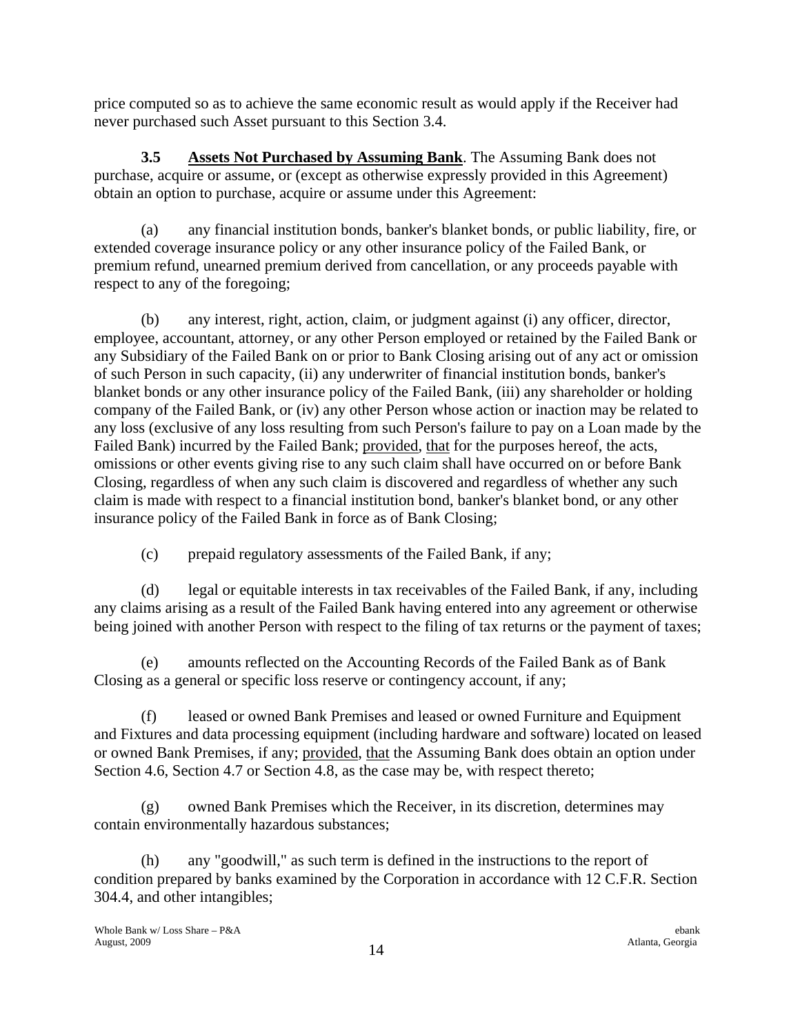price computed so as to achieve the same economic result as would apply if the Receiver had never purchased such Asset pursuant to this Section 3.4.

<span id="page-17-0"></span>**3.5 Assets Not Purchased by Assuming Bank**. The Assuming Bank does not purchase, acquire or assume, or (except as otherwise expressly provided in this Agreement) obtain an option to purchase, acquire or assume under this Agreement:

(a) any financial institution bonds, banker's blanket bonds, or public liability, fire, or extended coverage insurance policy or any other insurance policy of the Failed Bank, or premium refund, unearned premium derived from cancellation, or any proceeds payable with respect to any of the foregoing;

(b) any interest, right, action, claim, or judgment against (i) any officer, director, employee, accountant, attorney, or any other Person employed or retained by the Failed Bank or any Subsidiary of the Failed Bank on or prior to Bank Closing arising out of any act or omission of such Person in such capacity, (ii) any underwriter of financial institution bonds, banker's blanket bonds or any other insurance policy of the Failed Bank, (iii) any shareholder or holding company of the Failed Bank, or (iv) any other Person whose action or inaction may be related to any loss (exclusive of any loss resulting from such Person's failure to pay on a Loan made by the Failed Bank) incurred by the Failed Bank; provided, that for the purposes hereof, the acts, omissions or other events giving rise to any such claim shall have occurred on or before Bank Closing, regardless of when any such claim is discovered and regardless of whether any such claim is made with respect to a financial institution bond, banker's blanket bond, or any other insurance policy of the Failed Bank in force as of Bank Closing;

(c) prepaid regulatory assessments of the Failed Bank, if any;

(d) legal or equitable interests in tax receivables of the Failed Bank, if any, including any claims arising as a result of the Failed Bank having entered into any agreement or otherwise being joined with another Person with respect to the filing of tax returns or the payment of taxes;

(e) amounts reflected on the Accounting Records of the Failed Bank as of Bank Closing as a general or specific loss reserve or contingency account, if any;

(f) leased or owned Bank Premises and leased or owned Furniture and Equipment and Fixtures and data processing equipment (including hardware and software) located on leased or owned Bank Premises, if any; provided, that the Assuming Bank does obtain an option under Section 4.6, Section 4.7 or Section 4.8, as the case may be, with respect thereto;

(g) owned Bank Premises which the Receiver, in its discretion, determines may contain environmentally hazardous substances;

(h) any "goodwill," as such term is defined in the instructions to the report of condition prepared by banks examined by the Corporation in accordance with 12 C.F.R. Section 304.4, and other intangibles;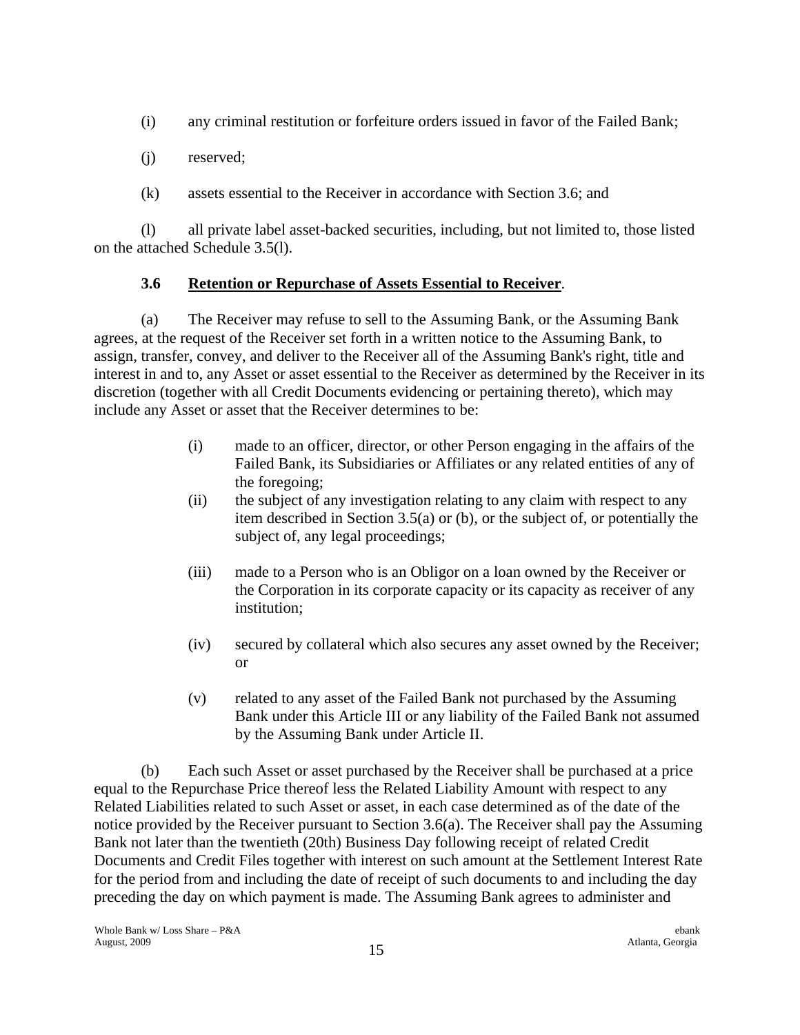- (i) any criminal restitution or forfeiture orders issued in favor of the Failed Bank;
- (j) reserved;
- (k) assets essential to the Receiver in accordance with Section 3.6; and

(l) all private label asset-backed securities, including, but not limited to, those listed on the attached Schedule 3.5(l).

## **3.6 Retention or Repurchase of Assets Essential to Receiver**.

<span id="page-18-0"></span>(a) The Receiver may refuse to sell to the Assuming Bank, or the Assuming Bank agrees, at the request of the Receiver set forth in a written notice to the Assuming Bank, to assign, transfer, convey, and deliver to the Receiver all of the Assuming Bank's right, title and interest in and to, any Asset or asset essential to the Receiver as determined by the Receiver in its discretion (together with all Credit Documents evidencing or pertaining thereto), which may include any Asset or asset that the Receiver determines to be:

- (i) made to an officer, director, or other Person engaging in the affairs of the Failed Bank, its Subsidiaries or Affiliates or any related entities of any of the foregoing;
- (ii) the subject of any investigation relating to any claim with respect to any item described in Section 3.5(a) or (b), or the subject of, or potentially the subject of, any legal proceedings;
- (iii) made to a Person who is an Obligor on a loan owned by the Receiver or the Corporation in its corporate capacity or its capacity as receiver of any institution;
- (iv) secured by collateral which also secures any asset owned by the Receiver; or
- (v) related to any asset of the Failed Bank not purchased by the Assuming Bank under this Article III or any liability of the Failed Bank not assumed by the Assuming Bank under Article II.

(b) Each such Asset or asset purchased by the Receiver shall be purchased at a price equal to the Repurchase Price thereof less the Related Liability Amount with respect to any Related Liabilities related to such Asset or asset, in each case determined as of the date of the notice provided by the Receiver pursuant to Section 3.6(a). The Receiver shall pay the Assuming Bank not later than the twentieth (20th) Business Day following receipt of related Credit Documents and Credit Files together with interest on such amount at the Settlement Interest Rate for the period from and including the date of receipt of such documents to and including the day preceding the day on which payment is made. The Assuming Bank agrees to administer and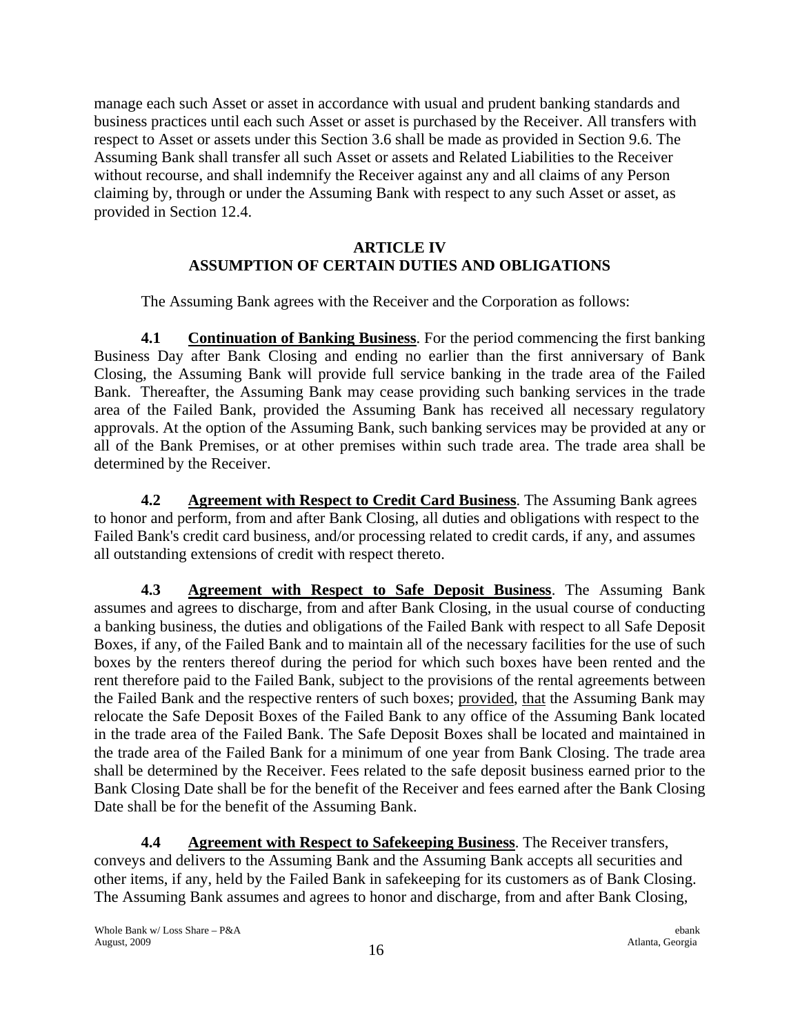<span id="page-19-2"></span>manage each such Asset or asset in accordance with usual and prudent banking standards and business practices until each such Asset or asset is purchased by the Receiver. All transfers with respect to Asset or assets under this Section 3.6 shall be made as provided in Section 9.6. The Assuming Bank shall transfer all such Asset or assets and Related Liabilities to the Receiver without recourse, and shall indemnify the Receiver against any and all claims of any Person claiming by, through or under the Assuming Bank with respect to any such Asset or asset, as provided in Section 12.4.

### **ARTICLE IV ASSUMPTION OF CERTAIN DUTIES AND OBLIGATIONS**

The Assuming Bank agrees with the Receiver and the Corporation as follows:

<span id="page-19-1"></span><span id="page-19-0"></span>**4.1** Continuation of Banking Business. For the period commencing the first banking Business Day after Bank Closing and ending no earlier than the first anniversary of Bank Closing, the Assuming Bank will provide full service banking in the trade area of the Failed Bank. Thereafter, the Assuming Bank may cease providing such banking services in the trade area of the Failed Bank, provided the Assuming Bank has received all necessary regulatory approvals. At the option of the Assuming Bank, such banking services may be provided at any or all of the Bank Premises, or at other premises within such trade area. The trade area shall be determined by the Receiver.

**4.2** Agreement with Respect to Credit Card Business. The Assuming Bank agrees to honor and perform, from and after Bank Closing, all duties and obligations with respect to the Failed Bank's credit card business, and/or processing related to credit cards, if any, and assumes all outstanding extensions of credit with respect thereto.

**4.3 Agreement with Respect to Safe Deposit Business**. The Assuming Bank assumes and agrees to discharge, from and after Bank Closing, in the usual course of conducting a banking business, the duties and obligations of the Failed Bank with respect to all Safe Deposit Boxes, if any, of the Failed Bank and to maintain all of the necessary facilities for the use of such boxes by the renters thereof during the period for which such boxes have been rented and the rent therefore paid to the Failed Bank, subject to the provisions of the rental agreements between the Failed Bank and the respective renters of such boxes; provided, that the Assuming Bank may relocate the Safe Deposit Boxes of the Failed Bank to any office of the Assuming Bank located in the trade area of the Failed Bank. The Safe Deposit Boxes shall be located and maintained in the trade area of the Failed Bank for a minimum of one year from Bank Closing. The trade area shall be determined by the Receiver. Fees related to the safe deposit business earned prior to the Bank Closing Date shall be for the benefit of the Receiver and fees earned after the Bank Closing Date shall be for the benefit of the Assuming Bank.

**4.4 Agreement with Respect to Safekeeping Business**. The Receiver transfers, conveys and delivers to the Assuming Bank and the Assuming Bank accepts all securities and other items, if any, held by the Failed Bank in safekeeping for its customers as of Bank Closing. The Assuming Bank assumes and agrees to honor and discharge, from and after Bank Closing,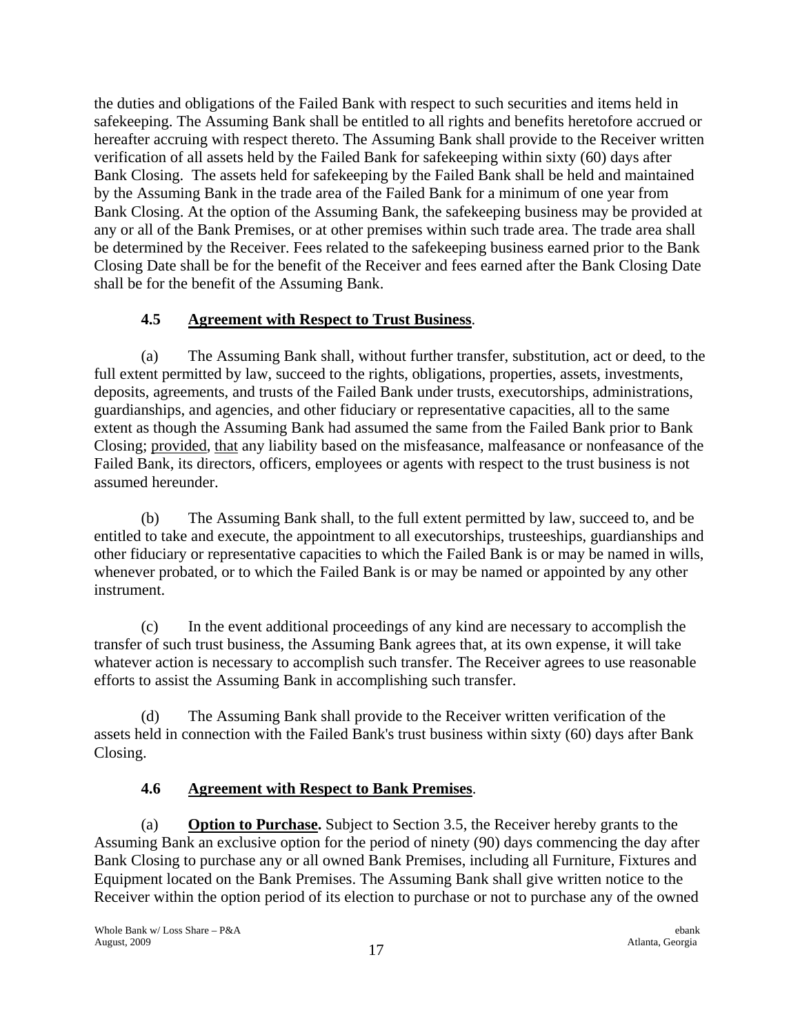the duties and obligations of the Failed Bank with respect to such securities and items held in safekeeping. The Assuming Bank shall be entitled to all rights and benefits heretofore accrued or hereafter accruing with respect thereto. The Assuming Bank shall provide to the Receiver written verification of all assets held by the Failed Bank for safekeeping within sixty (60) days after Bank Closing. The assets held for safekeeping by the Failed Bank shall be held and maintained by the Assuming Bank in the trade area of the Failed Bank for a minimum of one year from Bank Closing. At the option of the Assuming Bank, the safekeeping business may be provided at any or all of the Bank Premises, or at other premises within such trade area. The trade area shall be determined by the Receiver. Fees related to the safekeeping business earned prior to the Bank Closing Date shall be for the benefit of the Receiver and fees earned after the Bank Closing Date shall be for the benefit of the Assuming Bank.

## **4.5 Agreement with Respect to Trust Business**.

<span id="page-20-0"></span>(a) The Assuming Bank shall, without further transfer, substitution, act or deed, to the full extent permitted by law, succeed to the rights, obligations, properties, assets, investments, deposits, agreements, and trusts of the Failed Bank under trusts, executorships, administrations, guardianships, and agencies, and other fiduciary or representative capacities, all to the same extent as though the Assuming Bank had assumed the same from the Failed Bank prior to Bank Closing; provided, that any liability based on the misfeasance, malfeasance or nonfeasance of the Failed Bank, its directors, officers, employees or agents with respect to the trust business is not assumed hereunder.

(b) The Assuming Bank shall, to the full extent permitted by law, succeed to, and be entitled to take and execute, the appointment to all executorships, trusteeships, guardianships and other fiduciary or representative capacities to which the Failed Bank is or may be named in wills, whenever probated, or to which the Failed Bank is or may be named or appointed by any other instrument.

(c) In the event additional proceedings of any kind are necessary to accomplish the transfer of such trust business, the Assuming Bank agrees that, at its own expense, it will take whatever action is necessary to accomplish such transfer. The Receiver agrees to use reasonable efforts to assist the Assuming Bank in accomplishing such transfer.

(d) The Assuming Bank shall provide to the Receiver written verification of the assets held in connection with the Failed Bank's trust business within sixty (60) days after Bank Closing.

## **4.6 Agreement with Respect to Bank Premises**.

<span id="page-20-1"></span>(a) **Option to Purchase.** Subject to Section 3.5, the Receiver hereby grants to the Assuming Bank an exclusive option for the period of ninety (90) days commencing the day after Bank Closing to purchase any or all owned Bank Premises, including all Furniture, Fixtures and Equipment located on the Bank Premises. The Assuming Bank shall give written notice to the Receiver within the option period of its election to purchase or not to purchase any of the owned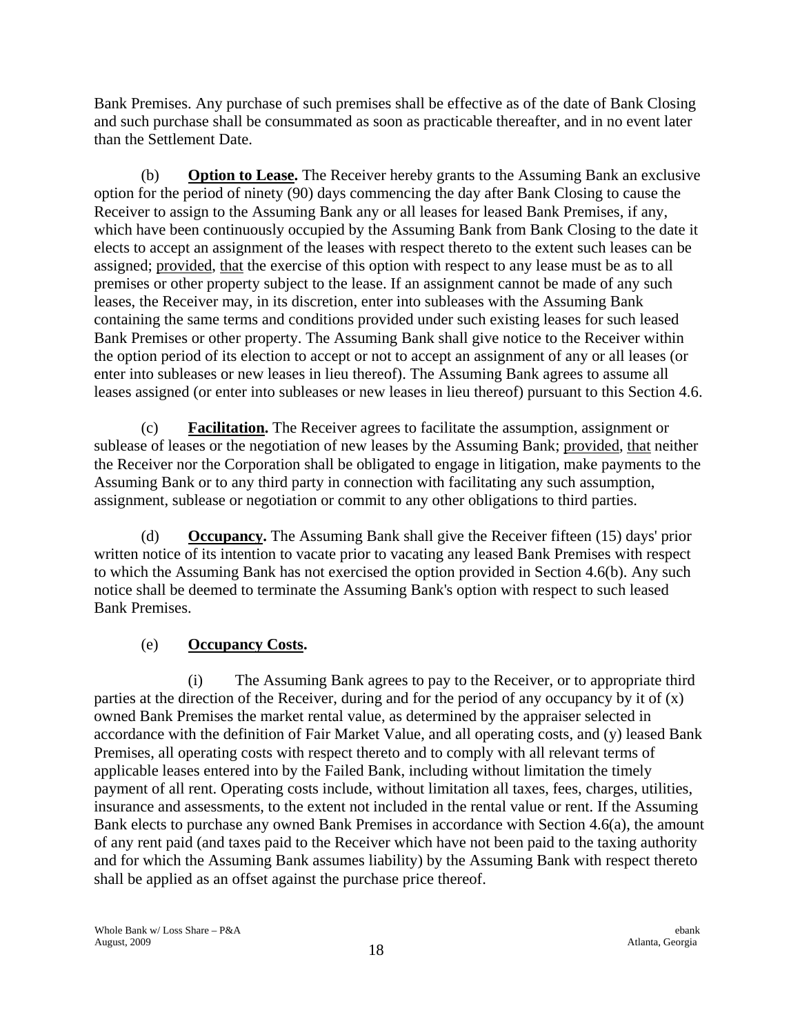Bank Premises. Any purchase of such premises shall be effective as of the date of Bank Closing and such purchase shall be consummated as soon as practicable thereafter, and in no event later than the Settlement Date.

(b) **Option to Lease.** The Receiver hereby grants to the Assuming Bank an exclusive option for the period of ninety (90) days commencing the day after Bank Closing to cause the Receiver to assign to the Assuming Bank any or all leases for leased Bank Premises, if any, which have been continuously occupied by the Assuming Bank from Bank Closing to the date it elects to accept an assignment of the leases with respect thereto to the extent such leases can be assigned; provided, that the exercise of this option with respect to any lease must be as to all premises or other property subject to the lease. If an assignment cannot be made of any such leases, the Receiver may, in its discretion, enter into subleases with the Assuming Bank containing the same terms and conditions provided under such existing leases for such leased Bank Premises or other property. The Assuming Bank shall give notice to the Receiver within the option period of its election to accept or not to accept an assignment of any or all leases (or enter into subleases or new leases in lieu thereof). The Assuming Bank agrees to assume all leases assigned (or enter into subleases or new leases in lieu thereof) pursuant to this Section 4.6.

(c) **Facilitation.** The Receiver agrees to facilitate the assumption, assignment or sublease of leases or the negotiation of new leases by the Assuming Bank; provided, that neither the Receiver nor the Corporation shall be obligated to engage in litigation, make payments to the Assuming Bank or to any third party in connection with facilitating any such assumption, assignment, sublease or negotiation or commit to any other obligations to third parties.

(d) **Occupancy.** The Assuming Bank shall give the Receiver fifteen (15) days' prior written notice of its intention to vacate prior to vacating any leased Bank Premises with respect to which the Assuming Bank has not exercised the option provided in Section 4.6(b). Any such notice shall be deemed to terminate the Assuming Bank's option with respect to such leased Bank Premises.

## (e) **Occupancy Costs.**

(i) The Assuming Bank agrees to pay to the Receiver, or to appropriate third parties at the direction of the Receiver, during and for the period of any occupancy by it of (x) owned Bank Premises the market rental value, as determined by the appraiser selected in accordance with the definition of Fair Market Value, and all operating costs, and (y) leased Bank Premises, all operating costs with respect thereto and to comply with all relevant terms of applicable leases entered into by the Failed Bank, including without limitation the timely payment of all rent. Operating costs include, without limitation all taxes, fees, charges, utilities, insurance and assessments, to the extent not included in the rental value or rent. If the Assuming Bank elects to purchase any owned Bank Premises in accordance with Section 4.6(a), the amount of any rent paid (and taxes paid to the Receiver which have not been paid to the taxing authority and for which the Assuming Bank assumes liability) by the Assuming Bank with respect thereto shall be applied as an offset against the purchase price thereof.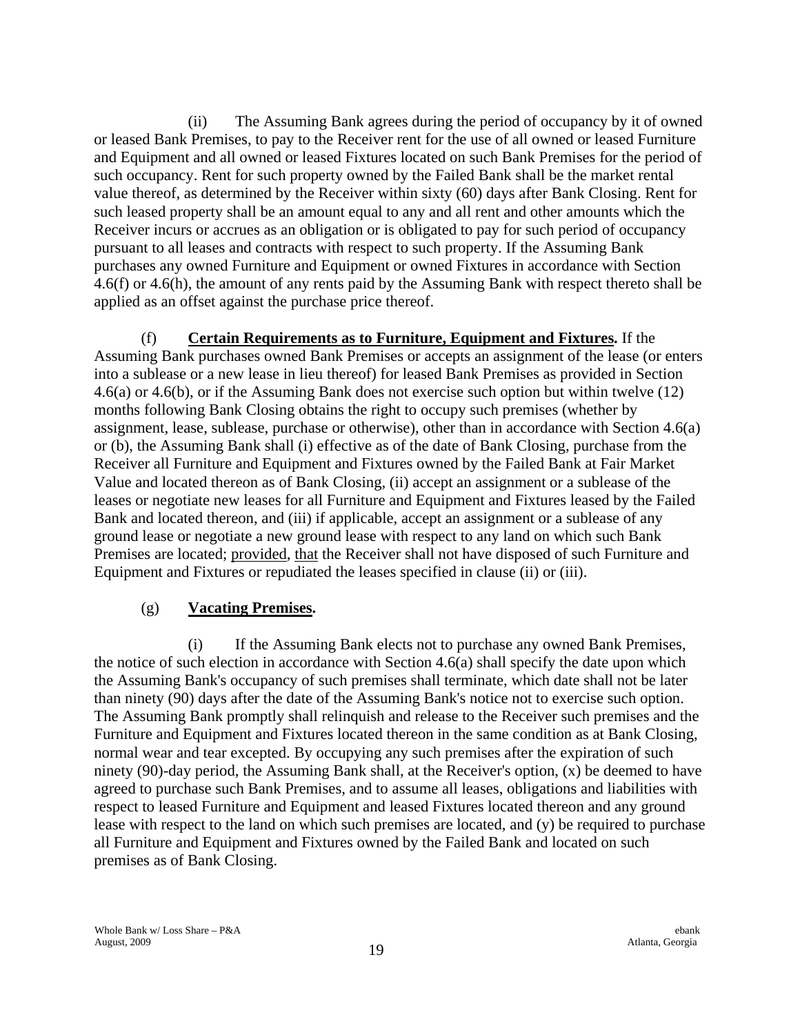(ii) The Assuming Bank agrees during the period of occupancy by it of owned or leased Bank Premises, to pay to the Receiver rent for the use of all owned or leased Furniture and Equipment and all owned or leased Fixtures located on such Bank Premises for the period of such occupancy. Rent for such property owned by the Failed Bank shall be the market rental value thereof, as determined by the Receiver within sixty (60) days after Bank Closing. Rent for such leased property shall be an amount equal to any and all rent and other amounts which the Receiver incurs or accrues as an obligation or is obligated to pay for such period of occupancy pursuant to all leases and contracts with respect to such property. If the Assuming Bank purchases any owned Furniture and Equipment or owned Fixtures in accordance with Section 4.6(f) or 4.6(h), the amount of any rents paid by the Assuming Bank with respect thereto shall be applied as an offset against the purchase price thereof.

(f) **Certain Requirements as to Furniture, Equipment and Fixtures.** If the Assuming Bank purchases owned Bank Premises or accepts an assignment of the lease (or enters into a sublease or a new lease in lieu thereof) for leased Bank Premises as provided in Section 4.6(a) or 4.6(b), or if the Assuming Bank does not exercise such option but within twelve (12) months following Bank Closing obtains the right to occupy such premises (whether by assignment, lease, sublease, purchase or otherwise), other than in accordance with Section 4.6(a) or (b), the Assuming Bank shall (i) effective as of the date of Bank Closing, purchase from the Receiver all Furniture and Equipment and Fixtures owned by the Failed Bank at Fair Market Value and located thereon as of Bank Closing, (ii) accept an assignment or a sublease of the leases or negotiate new leases for all Furniture and Equipment and Fixtures leased by the Failed Bank and located thereon, and (iii) if applicable, accept an assignment or a sublease of any ground lease or negotiate a new ground lease with respect to any land on which such Bank Premises are located; provided, that the Receiver shall not have disposed of such Furniture and Equipment and Fixtures or repudiated the leases specified in clause (ii) or (iii).

### (g) **Vacating Premises.**

(i) If the Assuming Bank elects not to purchase any owned Bank Premises, the notice of such election in accordance with Section 4.6(a) shall specify the date upon which the Assuming Bank's occupancy of such premises shall terminate, which date shall not be later than ninety (90) days after the date of the Assuming Bank's notice not to exercise such option. The Assuming Bank promptly shall relinquish and release to the Receiver such premises and the Furniture and Equipment and Fixtures located thereon in the same condition as at Bank Closing, normal wear and tear excepted. By occupying any such premises after the expiration of such ninety (90)-day period, the Assuming Bank shall, at the Receiver's option, (x) be deemed to have agreed to purchase such Bank Premises, and to assume all leases, obligations and liabilities with respect to leased Furniture and Equipment and leased Fixtures located thereon and any ground lease with respect to the land on which such premises are located, and (y) be required to purchase all Furniture and Equipment and Fixtures owned by the Failed Bank and located on such premises as of Bank Closing.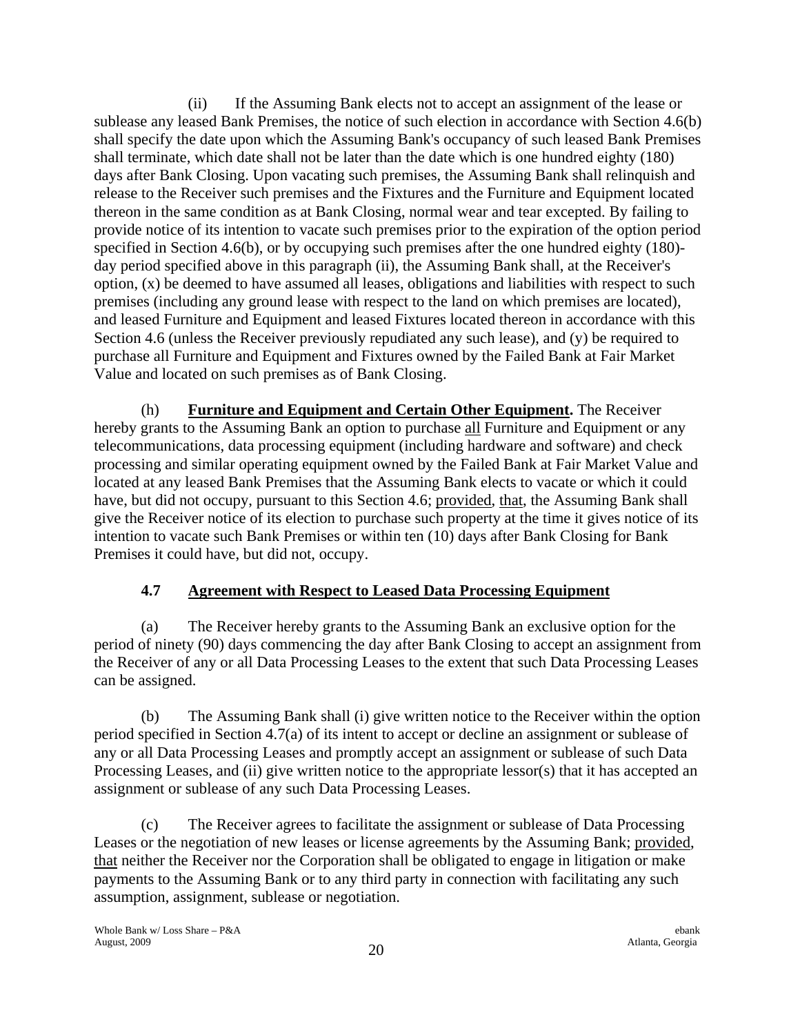(ii) If the Assuming Bank elects not to accept an assignment of the lease or sublease any leased Bank Premises, the notice of such election in accordance with Section 4.6(b) shall specify the date upon which the Assuming Bank's occupancy of such leased Bank Premises shall terminate, which date shall not be later than the date which is one hundred eighty (180) days after Bank Closing. Upon vacating such premises, the Assuming Bank shall relinquish and release to the Receiver such premises and the Fixtures and the Furniture and Equipment located thereon in the same condition as at Bank Closing, normal wear and tear excepted. By failing to provide notice of its intention to vacate such premises prior to the expiration of the option period specified in Section 4.6(b), or by occupying such premises after the one hundred eighty (180) day period specified above in this paragraph (ii), the Assuming Bank shall, at the Receiver's option, (x) be deemed to have assumed all leases, obligations and liabilities with respect to such premises (including any ground lease with respect to the land on which premises are located), and leased Furniture and Equipment and leased Fixtures located thereon in accordance with this Section 4.6 (unless the Receiver previously repudiated any such lease), and (y) be required to purchase all Furniture and Equipment and Fixtures owned by the Failed Bank at Fair Market Value and located on such premises as of Bank Closing.

(h) **Furniture and Equipment and Certain Other Equipment.** The Receiver hereby grants to the Assuming Bank an option to purchase all Furniture and Equipment or any telecommunications, data processing equipment (including hardware and software) and check processing and similar operating equipment owned by the Failed Bank at Fair Market Value and located at any leased Bank Premises that the Assuming Bank elects to vacate or which it could have, but did not occupy, pursuant to this Section 4.6; provided, that, the Assuming Bank shall give the Receiver notice of its election to purchase such property at the time it gives notice of its intention to vacate such Bank Premises or within ten (10) days after Bank Closing for Bank Premises it could have, but did not, occupy.

## **4.7 Agreement with Respect to Leased Data Processing Equipment**

<span id="page-23-0"></span>(a) The Receiver hereby grants to the Assuming Bank an exclusive option for the period of ninety (90) days commencing the day after Bank Closing to accept an assignment from the Receiver of any or all Data Processing Leases to the extent that such Data Processing Leases can be assigned.

(b) The Assuming Bank shall (i) give written notice to the Receiver within the option period specified in Section 4.7(a) of its intent to accept or decline an assignment or sublease of any or all Data Processing Leases and promptly accept an assignment or sublease of such Data Processing Leases, and (ii) give written notice to the appropriate lessor(s) that it has accepted an assignment or sublease of any such Data Processing Leases.

(c) The Receiver agrees to facilitate the assignment or sublease of Data Processing Leases or the negotiation of new leases or license agreements by the Assuming Bank; provided, that neither the Receiver nor the Corporation shall be obligated to engage in litigation or make payments to the Assuming Bank or to any third party in connection with facilitating any such assumption, assignment, sublease or negotiation.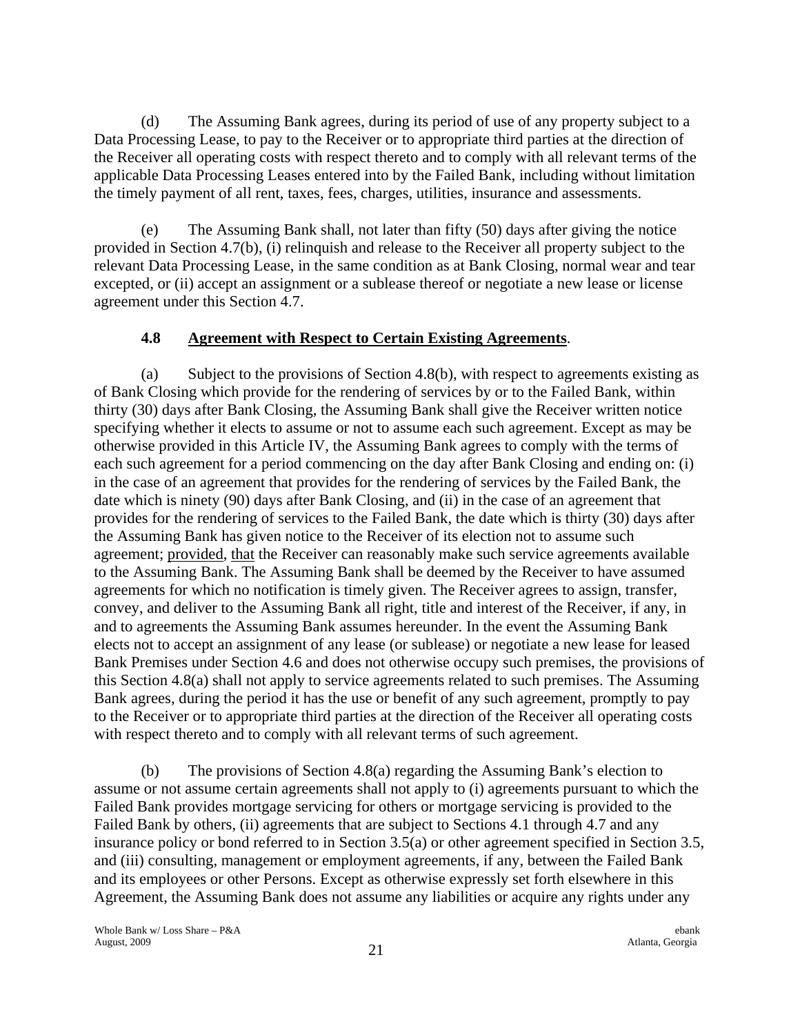(d) The Assuming Bank agrees, during its period of use of any property subject to a Data Processing Lease, to pay to the Receiver or to appropriate third parties at the direction of the Receiver all operating costs with respect thereto and to comply with all relevant terms of the applicable Data Processing Leases entered into by the Failed Bank, including without limitation the timely payment of all rent, taxes, fees, charges, utilities, insurance and assessments.

(e) The Assuming Bank shall, not later than fifty (50) days after giving the notice provided in Section 4.7(b), (i) relinquish and release to the Receiver all property subject to the relevant Data Processing Lease, in the same condition as at Bank Closing, normal wear and tear excepted, or (ii) accept an assignment or a sublease thereof or negotiate a new lease or license agreement under this Section 4.7.

### **4.8 Agreement with Respect to Certain Existing Agreements**.

<span id="page-24-0"></span>(a) Subject to the provisions of Section 4.8(b), with respect to agreements existing as of Bank Closing which provide for the rendering of services by or to the Failed Bank, within thirty (30) days after Bank Closing, the Assuming Bank shall give the Receiver written notice specifying whether it elects to assume or not to assume each such agreement. Except as may be otherwise provided in this Article IV, the Assuming Bank agrees to comply with the terms of each such agreement for a period commencing on the day after Bank Closing and ending on: (i) in the case of an agreement that provides for the rendering of services by the Failed Bank, the date which is ninety (90) days after Bank Closing, and (ii) in the case of an agreement that provides for the rendering of services to the Failed Bank, the date which is thirty (30) days after the Assuming Bank has given notice to the Receiver of its election not to assume such agreement; provided, that the Receiver can reasonably make such service agreements available to the Assuming Bank. The Assuming Bank shall be deemed by the Receiver to have assumed agreements for which no notification is timely given. The Receiver agrees to assign, transfer, convey, and deliver to the Assuming Bank all right, title and interest of the Receiver, if any, in and to agreements the Assuming Bank assumes hereunder. In the event the Assuming Bank elects not to accept an assignment of any lease (or sublease) or negotiate a new lease for leased Bank Premises under Section 4.6 and does not otherwise occupy such premises, the provisions of this Section 4.8(a) shall not apply to service agreements related to such premises. The Assuming Bank agrees, during the period it has the use or benefit of any such agreement, promptly to pay to the Receiver or to appropriate third parties at the direction of the Receiver all operating costs with respect thereto and to comply with all relevant terms of such agreement.

(b) The provisions of Section 4.8(a) regarding the Assuming Bank's election to assume or not assume certain agreements shall not apply to (i) agreements pursuant to which the Failed Bank provides mortgage servicing for others or mortgage servicing is provided to the Failed Bank by others, (ii) agreements that are subject to Sections 4.1 through 4.7 and any insurance policy or bond referred to in Section 3.5(a) or other agreement specified in Section 3.5, and (iii) consulting, management or employment agreements, if any, between the Failed Bank and its employees or other Persons. Except as otherwise expressly set forth elsewhere in this Agreement, the Assuming Bank does not assume any liabilities or acquire any rights under any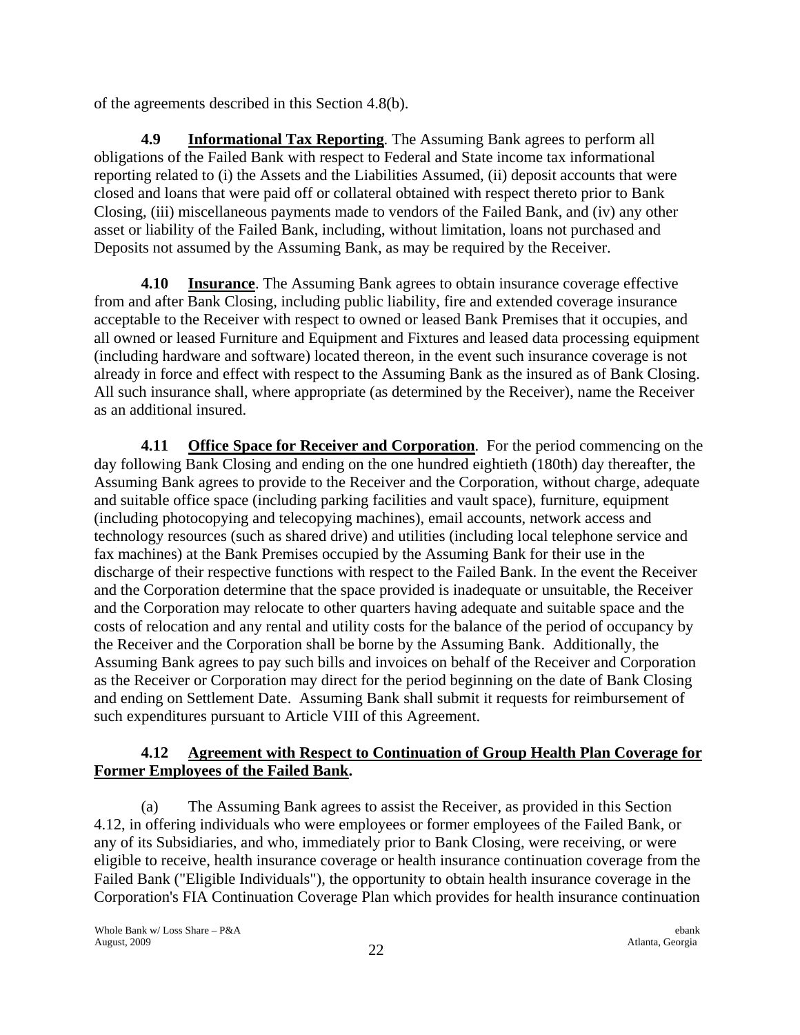of the agreements described in this Section 4.8(b).

<span id="page-25-0"></span>**4.9 Informational Tax Reporting**. The Assuming Bank agrees to perform all obligations of the Failed Bank with respect to Federal and State income tax informational reporting related to (i) the Assets and the Liabilities Assumed, (ii) deposit accounts that were closed and loans that were paid off or collateral obtained with respect thereto prior to Bank Closing, (iii) miscellaneous payments made to vendors of the Failed Bank, and (iv) any other asset or liability of the Failed Bank, including, without limitation, loans not purchased and Deposits not assumed by the Assuming Bank, as may be required by the Receiver.

<span id="page-25-1"></span>**4.10 Insurance**. The Assuming Bank agrees to obtain insurance coverage effective from and after Bank Closing, including public liability, fire and extended coverage insurance acceptable to the Receiver with respect to owned or leased Bank Premises that it occupies, and all owned or leased Furniture and Equipment and Fixtures and leased data processing equipment (including hardware and software) located thereon, in the event such insurance coverage is not already in force and effect with respect to the Assuming Bank as the insured as of Bank Closing. All such insurance shall, where appropriate (as determined by the Receiver), name the Receiver as an additional insured.

<span id="page-25-2"></span>**4.11 Office Space for Receiver and Corporation**. For the period commencing on the day following Bank Closing and ending on the one hundred eightieth (180th) day thereafter, the Assuming Bank agrees to provide to the Receiver and the Corporation, without charge, adequate and suitable office space (including parking facilities and vault space), furniture, equipment (including photocopying and telecopying machines), email accounts, network access and technology resources (such as shared drive) and utilities (including local telephone service and fax machines) at the Bank Premises occupied by the Assuming Bank for their use in the discharge of their respective functions with respect to the Failed Bank. In the event the Receiver and the Corporation determine that the space provided is inadequate or unsuitable, the Receiver and the Corporation may relocate to other quarters having adequate and suitable space and the costs of relocation and any rental and utility costs for the balance of the period of occupancy by the Receiver and the Corporation shall be borne by the Assuming Bank. Additionally, the Assuming Bank agrees to pay such bills and invoices on behalf of the Receiver and Corporation as the Receiver or Corporation may direct for the period beginning on the date of Bank Closing and ending on Settlement Date. Assuming Bank shall submit it requests for reimbursement of such expenditures pursuant to Article VIII of this Agreement.

### <span id="page-25-3"></span>**4.12 Agreement with Respect to Continuation of Group Health Plan Coverage for Former Employees of the Failed Bank.**

(a) The Assuming Bank agrees to assist the Receiver, as provided in this Section 4.12, in offering individuals who were employees or former employees of the Failed Bank, or any of its Subsidiaries, and who, immediately prior to Bank Closing, were receiving, or were eligible to receive, health insurance coverage or health insurance continuation coverage from the Failed Bank ("Eligible Individuals"), the opportunity to obtain health insurance coverage in the Corporation's FIA Continuation Coverage Plan which provides for health insurance continuation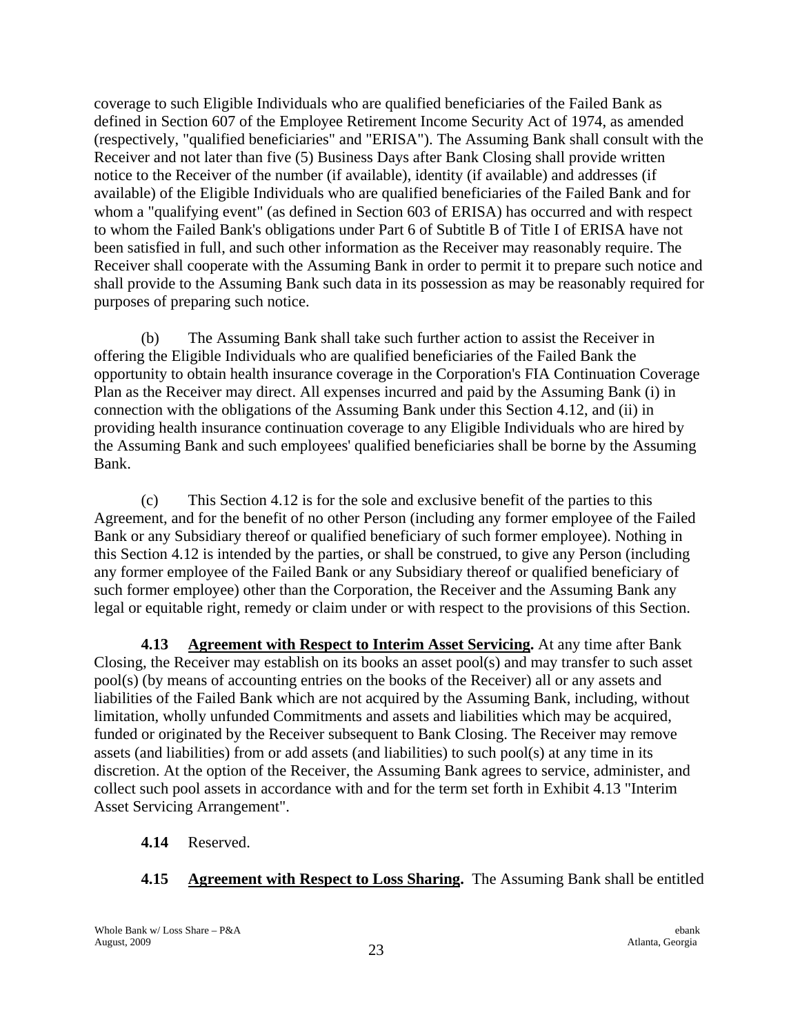coverage to such Eligible Individuals who are qualified beneficiaries of the Failed Bank as defined in Section 607 of the Employee Retirement Income Security Act of 1974, as amended (respectively, "qualified beneficiaries" and "ERISA"). The Assuming Bank shall consult with the Receiver and not later than five (5) Business Days after Bank Closing shall provide written notice to the Receiver of the number (if available), identity (if available) and addresses (if available) of the Eligible Individuals who are qualified beneficiaries of the Failed Bank and for whom a "qualifying event" (as defined in Section 603 of ERISA) has occurred and with respect to whom the Failed Bank's obligations under Part 6 of Subtitle B of Title I of ERISA have not been satisfied in full, and such other information as the Receiver may reasonably require. The Receiver shall cooperate with the Assuming Bank in order to permit it to prepare such notice and shall provide to the Assuming Bank such data in its possession as may be reasonably required for purposes of preparing such notice.

(b) The Assuming Bank shall take such further action to assist the Receiver in offering the Eligible Individuals who are qualified beneficiaries of the Failed Bank the opportunity to obtain health insurance coverage in the Corporation's FIA Continuation Coverage Plan as the Receiver may direct. All expenses incurred and paid by the Assuming Bank (i) in connection with the obligations of the Assuming Bank under this Section 4.12, and (ii) in providing health insurance continuation coverage to any Eligible Individuals who are hired by the Assuming Bank and such employees' qualified beneficiaries shall be borne by the Assuming Bank.

(c) This Section 4.12 is for the sole and exclusive benefit of the parties to this Agreement, and for the benefit of no other Person (including any former employee of the Failed Bank or any Subsidiary thereof or qualified beneficiary of such former employee). Nothing in this Section 4.12 is intended by the parties, or shall be construed, to give any Person (including any former employee of the Failed Bank or any Subsidiary thereof or qualified beneficiary of such former employee) other than the Corporation, the Receiver and the Assuming Bank any legal or equitable right, remedy or claim under or with respect to the provisions of this Section.

<span id="page-26-0"></span>**4.13 Agreement with Respect to Interim Asset Servicing.** At any time after Bank Closing, the Receiver may establish on its books an asset pool(s) and may transfer to such asset pool(s) (by means of accounting entries on the books of the Receiver) all or any assets and liabilities of the Failed Bank which are not acquired by the Assuming Bank, including, without limitation, wholly unfunded Commitments and assets and liabilities which may be acquired, funded or originated by the Receiver subsequent to Bank Closing. The Receiver may remove assets (and liabilities) from or add assets (and liabilities) to such pool(s) at any time in its discretion. At the option of the Receiver, the Assuming Bank agrees to service, administer, and collect such pool assets in accordance with and for the term set forth in Exhibit 4.13 "Interim Asset Servicing Arrangement".

### **4.14** Reserved.

**4.15 Agreement with Respect to Loss Sharing.** The Assuming Bank shall be entitled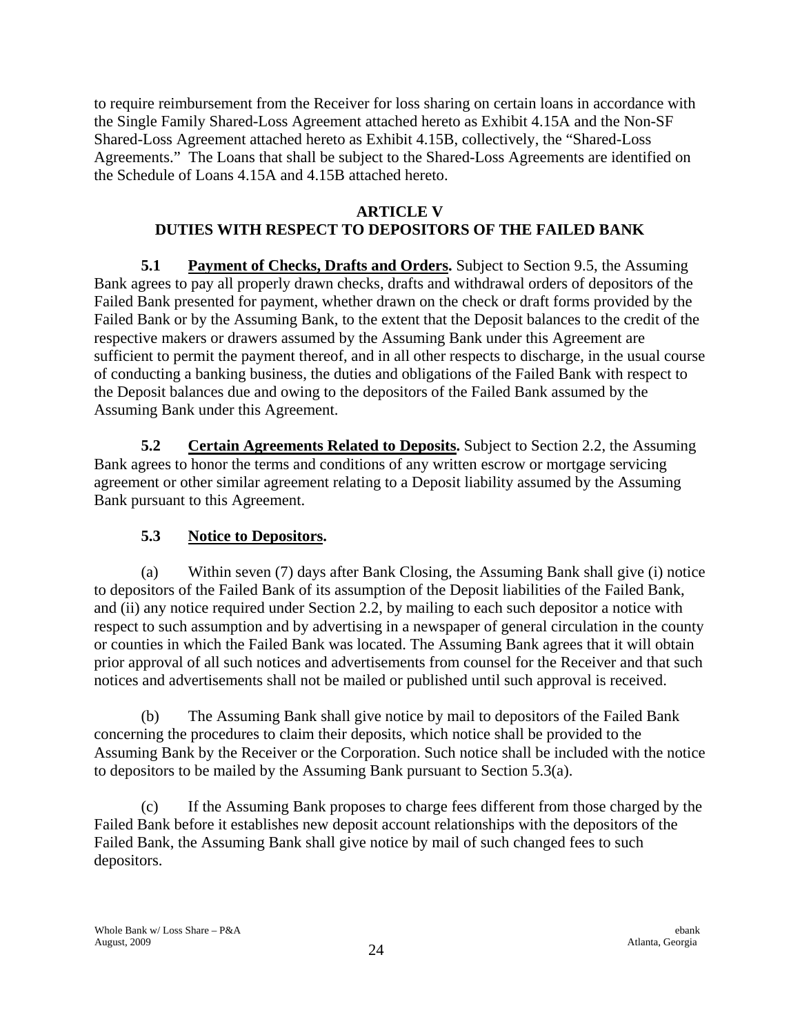to require reimbursement from the Receiver for loss sharing on certain loans in accordance with the Single Family Shared-Loss Agreement attached hereto as Exhibit 4.15A and the Non-SF Shared-Loss Agreement attached hereto as Exhibit 4.15B, collectively, the "Shared-Loss Agreements." The Loans that shall be subject to the Shared-Loss Agreements are identified on the Schedule of Loans 4.15A and 4.15B attached hereto.

### **ARTICLE V**

# **DUTIES WITH RESPECT TO DEPOSITORS OF THE FAILED BANK**

<span id="page-27-1"></span><span id="page-27-0"></span> **5.1 Payment of Checks, Drafts and Orders.** Subject to Section 9.5, the Assuming Bank agrees to pay all properly drawn checks, drafts and withdrawal orders of depositors of the Failed Bank presented for payment, whether drawn on the check or draft forms provided by the Failed Bank or by the Assuming Bank, to the extent that the Deposit balances to the credit of the respective makers or drawers assumed by the Assuming Bank under this Agreement are sufficient to permit the payment thereof, and in all other respects to discharge, in the usual course of conducting a banking business, the duties and obligations of the Failed Bank with respect to the Deposit balances due and owing to the depositors of the Failed Bank assumed by the Assuming Bank under this Agreement.

<span id="page-27-2"></span>**5.2 Certain Agreements Related to Deposits.** Subject to Section 2.2, the Assuming Bank agrees to honor the terms and conditions of any written escrow or mortgage servicing agreement or other similar agreement relating to a Deposit liability assumed by the Assuming Bank pursuant to this Agreement.

## **5.3 Notice to Depositors.**

<span id="page-27-3"></span>(a) Within seven (7) days after Bank Closing, the Assuming Bank shall give (i) notice to depositors of the Failed Bank of its assumption of the Deposit liabilities of the Failed Bank, and (ii) any notice required under Section 2.2, by mailing to each such depositor a notice with respect to such assumption and by advertising in a newspaper of general circulation in the county or counties in which the Failed Bank was located. The Assuming Bank agrees that it will obtain prior approval of all such notices and advertisements from counsel for the Receiver and that such notices and advertisements shall not be mailed or published until such approval is received.

(b) The Assuming Bank shall give notice by mail to depositors of the Failed Bank concerning the procedures to claim their deposits, which notice shall be provided to the Assuming Bank by the Receiver or the Corporation. Such notice shall be included with the notice to depositors to be mailed by the Assuming Bank pursuant to Section 5.3(a).

(c) If the Assuming Bank proposes to charge fees different from those charged by the Failed Bank before it establishes new deposit account relationships with the depositors of the Failed Bank, the Assuming Bank shall give notice by mail of such changed fees to such depositors.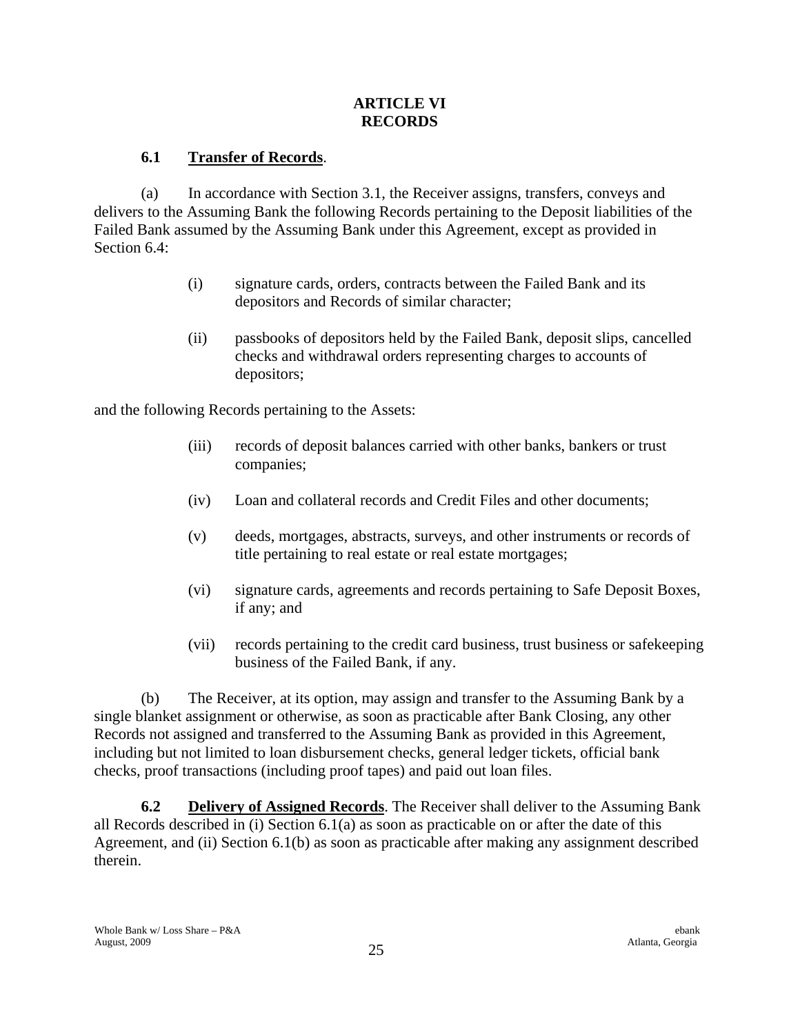### **ARTICLE VI RECORDS**

### **6.1 Transfer of Records**.

<span id="page-28-1"></span><span id="page-28-0"></span>(a) In accordance with Section 3.1, the Receiver assigns, transfers, conveys and delivers to the Assuming Bank the following Records pertaining to the Deposit liabilities of the Failed Bank assumed by the Assuming Bank under this Agreement, except as provided in Section 6.4:

- (i) signature cards, orders, contracts between the Failed Bank and its depositors and Records of similar character;
- (ii) passbooks of depositors held by the Failed Bank, deposit slips, cancelled checks and withdrawal orders representing charges to accounts of depositors;

and the following Records pertaining to the Assets:

- (iii) records of deposit balances carried with other banks, bankers or trust companies;
- (iv) Loan and collateral records and Credit Files and other documents;
- (v) deeds, mortgages, abstracts, surveys, and other instruments or records of title pertaining to real estate or real estate mortgages;
- (vi) signature cards, agreements and records pertaining to Safe Deposit Boxes, if any; and
- (vii) records pertaining to the credit card business, trust business or safekeeping business of the Failed Bank, if any.

(b) The Receiver, at its option, may assign and transfer to the Assuming Bank by a single blanket assignment or otherwise, as soon as practicable after Bank Closing, any other Records not assigned and transferred to the Assuming Bank as provided in this Agreement, including but not limited to loan disbursement checks, general ledger tickets, official bank checks, proof transactions (including proof tapes) and paid out loan files.

<span id="page-28-2"></span>**6.2 Delivery of Assigned Records**. The Receiver shall deliver to the Assuming Bank all Records described in (i) Section  $6.1(a)$  as soon as practicable on or after the date of this Agreement, and (ii) Section 6.1(b) as soon as practicable after making any assignment described therein.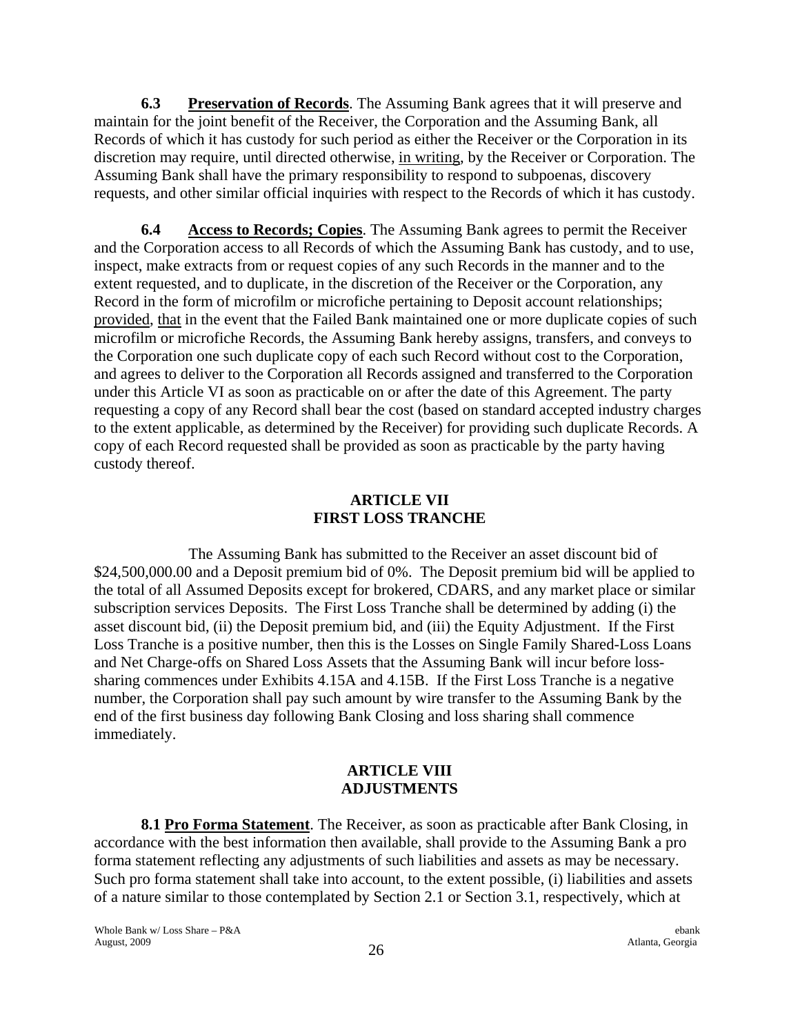<span id="page-29-3"></span><span id="page-29-0"></span>**6.3** Preservation of Records. The Assuming Bank agrees that it will preserve and maintain for the joint benefit of the Receiver, the Corporation and the Assuming Bank, all Records of which it has custody for such period as either the Receiver or the Corporation in its discretion may require, until directed otherwise, in writing, by the Receiver or Corporation. The Assuming Bank shall have the primary responsibility to respond to subpoenas, discovery requests, and other similar official inquiries with respect to the Records of which it has custody.

**6.4 Access to Records; Copies**. The Assuming Bank agrees to permit the Receiver and the Corporation access to all Records of which the Assuming Bank has custody, and to use, inspect, make extracts from or request copies of any such Records in the manner and to the extent requested, and to duplicate, in the discretion of the Receiver or the Corporation, any Record in the form of microfilm or microfiche pertaining to Deposit account relationships; provided, that in the event that the Failed Bank maintained one or more duplicate copies of such microfilm or microfiche Records, the Assuming Bank hereby assigns, transfers, and conveys to the Corporation one such duplicate copy of each such Record without cost to the Corporation, and agrees to deliver to the Corporation all Records assigned and transferred to the Corporation under this Article VI as soon as practicable on or after the date of this Agreement. The party requesting a copy of any Record shall bear the cost (based on standard accepted industry charges to the extent applicable, as determined by the Receiver) for providing such duplicate Records. A copy of each Record requested shall be provided as soon as practicable by the party having custody thereof.

### **ARTICLE VII FIRST LOSS TRANCHE**

 The Assuming Bank has submitted to the Receiver an asset discount bid of \$24,500,000.00 and a Deposit premium bid of 0%. The Deposit premium bid will be applied to the total of all Assumed Deposits except for brokered, CDARS, and any market place or similar subscription services Deposits. The First Loss Tranche shall be determined by adding (i) the asset discount bid, (ii) the Deposit premium bid, and (iii) the Equity Adjustment. If the First Loss Tranche is a positive number, then this is the Losses on Single Family Shared-Loss Loans and Net Charge-offs on Shared Loss Assets that the Assuming Bank will incur before losssharing commences under Exhibits 4.15A and 4.15B. If the First Loss Tranche is a negative number, the Corporation shall pay such amount by wire transfer to the Assuming Bank by the end of the first business day following Bank Closing and loss sharing shall commence immediately.

#### **ARTICLE VIII ADJUSTMENTS**

<span id="page-29-2"></span><span id="page-29-1"></span>**8.1 Pro Forma Statement**. The Receiver, as soon as practicable after Bank Closing, in accordance with the best information then available, shall provide to the Assuming Bank a pro forma statement reflecting any adjustments of such liabilities and assets as may be necessary. Such pro forma statement shall take into account, to the extent possible, (i) liabilities and assets of a nature similar to those contemplated by Section 2.1 or Section 3.1, respectively, which at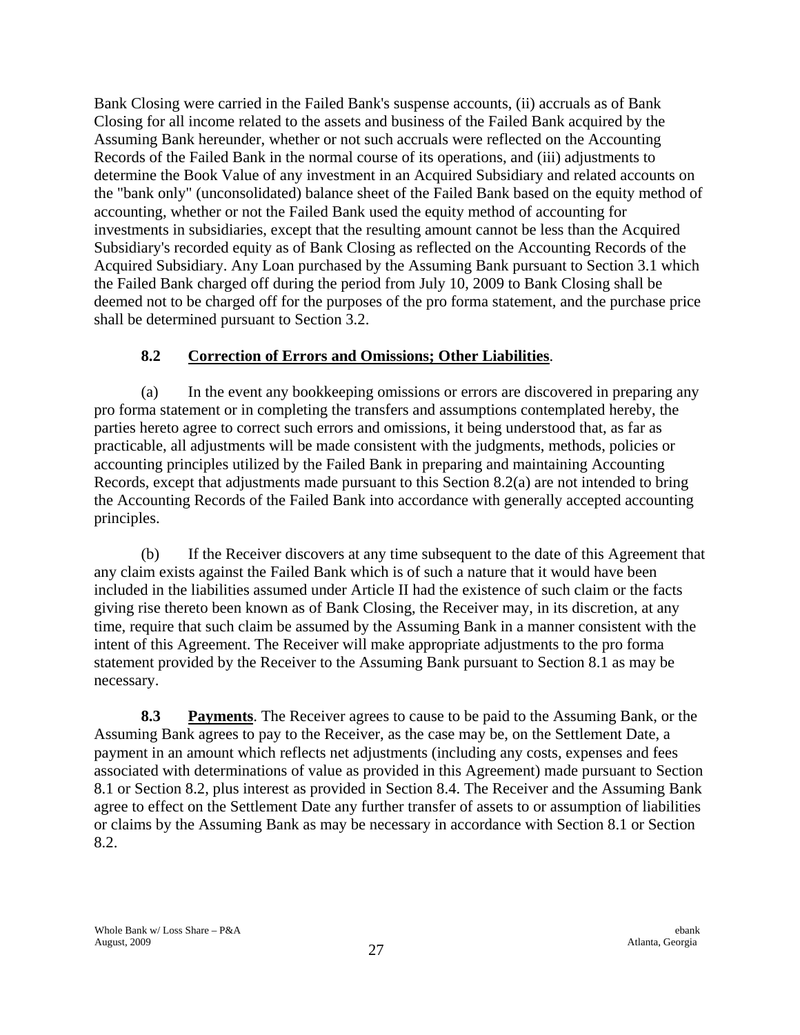Bank Closing were carried in the Failed Bank's suspense accounts, (ii) accruals as of Bank Closing for all income related to the assets and business of the Failed Bank acquired by the Assuming Bank hereunder, whether or not such accruals were reflected on the Accounting Records of the Failed Bank in the normal course of its operations, and (iii) adjustments to determine the Book Value of any investment in an Acquired Subsidiary and related accounts on the "bank only" (unconsolidated) balance sheet of the Failed Bank based on the equity method of accounting, whether or not the Failed Bank used the equity method of accounting for investments in subsidiaries, except that the resulting amount cannot be less than the Acquired Subsidiary's recorded equity as of Bank Closing as reflected on the Accounting Records of the Acquired Subsidiary. Any Loan purchased by the Assuming Bank pursuant to Section 3.1 which the Failed Bank charged off during the period from July 10, 2009 to Bank Closing shall be deemed not to be charged off for the purposes of the pro forma statement, and the purchase price shall be determined pursuant to Section 3.2.

## **8.2 Correction of Errors and Omissions; Other Liabilities**.

(a) In the event any bookkeeping omissions or errors are discovered in preparing any pro forma statement or in completing the transfers and assumptions contemplated hereby, the parties hereto agree to correct such errors and omissions, it being understood that, as far as practicable, all adjustments will be made consistent with the judgments, methods, policies or accounting principles utilized by the Failed Bank in preparing and maintaining Accounting Records, except that adjustments made pursuant to this Section 8.2(a) are not intended to bring the Accounting Records of the Failed Bank into accordance with generally accepted accounting principles.

(b) If the Receiver discovers at any time subsequent to the date of this Agreement that any claim exists against the Failed Bank which is of such a nature that it would have been included in the liabilities assumed under Article II had the existence of such claim or the facts giving rise thereto been known as of Bank Closing, the Receiver may, in its discretion, at any time, require that such claim be assumed by the Assuming Bank in a manner consistent with the intent of this Agreement. The Receiver will make appropriate adjustments to the pro forma statement provided by the Receiver to the Assuming Bank pursuant to Section 8.1 as may be necessary.

<span id="page-30-0"></span>**8.3 Payments**. The Receiver agrees to cause to be paid to the Assuming Bank, or the Assuming Bank agrees to pay to the Receiver, as the case may be, on the Settlement Date, a payment in an amount which reflects net adjustments (including any costs, expenses and fees associated with determinations of value as provided in this Agreement) made pursuant to Section 8.1 or Section 8.2, plus interest as provided in Section 8.4. The Receiver and the Assuming Bank agree to effect on the Settlement Date any further transfer of assets to or assumption of liabilities or claims by the Assuming Bank as may be necessary in accordance with Section 8.1 or Section 8.2.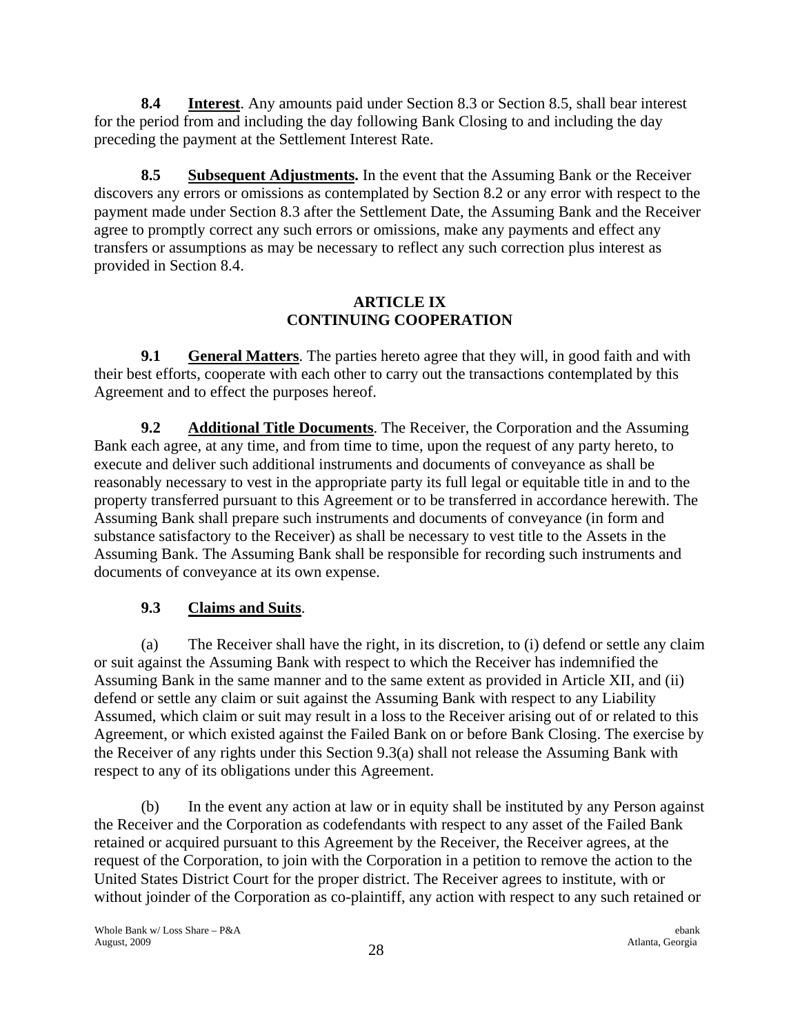<span id="page-31-0"></span>**8.4 Interest**. Any amounts paid under Section 8.3 or Section 8.5, shall bear interest for the period from and including the day following Bank Closing to and including the day preceding the payment at the Settlement Interest Rate.

<span id="page-31-1"></span>**8.5 Subsequent Adjustments.** In the event that the Assuming Bank or the Receiver discovers any errors or omissions as contemplated by Section 8.2 or any error with respect to the payment made under Section 8.3 after the Settlement Date, the Assuming Bank and the Receiver agree to promptly correct any such errors or omissions, make any payments and effect any transfers or assumptions as may be necessary to reflect any such correction plus interest as provided in Section 8.4.

### **ARTICLE IX CONTINUING COOPERATION**

<span id="page-31-3"></span><span id="page-31-2"></span>**9.1** General Matters. The parties hereto agree that they will, in good faith and with their best efforts, cooperate with each other to carry out the transactions contemplated by this Agreement and to effect the purposes hereof.

<span id="page-31-4"></span>**9.2** Additional Title Documents. The Receiver, the Corporation and the Assuming Bank each agree, at any time, and from time to time, upon the request of any party hereto, to execute and deliver such additional instruments and documents of conveyance as shall be reasonably necessary to vest in the appropriate party its full legal or equitable title in and to the property transferred pursuant to this Agreement or to be transferred in accordance herewith. The Assuming Bank shall prepare such instruments and documents of conveyance (in form and substance satisfactory to the Receiver) as shall be necessary to vest title to the Assets in the Assuming Bank. The Assuming Bank shall be responsible for recording such instruments and documents of conveyance at its own expense.

## **9.3 Claims and Suits**.

<span id="page-31-5"></span>(a) The Receiver shall have the right, in its discretion, to (i) defend or settle any claim or suit against the Assuming Bank with respect to which the Receiver has indemnified the Assuming Bank in the same manner and to the same extent as provided in Article XII, and (ii) defend or settle any claim or suit against the Assuming Bank with respect to any Liability Assumed, which claim or suit may result in a loss to the Receiver arising out of or related to this Agreement, or which existed against the Failed Bank on or before Bank Closing. The exercise by the Receiver of any rights under this Section 9.3(a) shall not release the Assuming Bank with respect to any of its obligations under this Agreement.

(b) In the event any action at law or in equity shall be instituted by any Person against the Receiver and the Corporation as codefendants with respect to any asset of the Failed Bank retained or acquired pursuant to this Agreement by the Receiver, the Receiver agrees, at the request of the Corporation, to join with the Corporation in a petition to remove the action to the United States District Court for the proper district. The Receiver agrees to institute, with or without joinder of the Corporation as co-plaintiff, any action with respect to any such retained or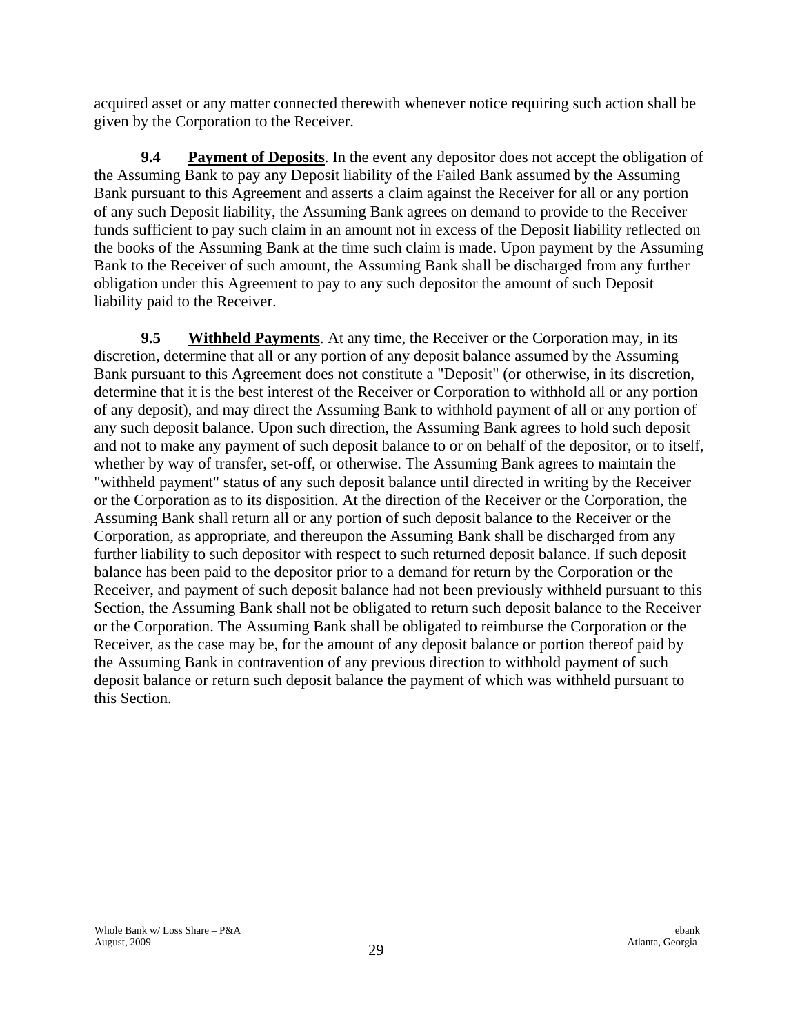acquired asset or any matter connected therewith whenever notice requiring such action shall be given by the Corporation to the Receiver.

<span id="page-32-0"></span>**9.4** Payment of Deposits. In the event any depositor does not accept the obligation of the Assuming Bank to pay any Deposit liability of the Failed Bank assumed by the Assuming Bank pursuant to this Agreement and asserts a claim against the Receiver for all or any portion of any such Deposit liability, the Assuming Bank agrees on demand to provide to the Receiver funds sufficient to pay such claim in an amount not in excess of the Deposit liability reflected on the books of the Assuming Bank at the time such claim is made. Upon payment by the Assuming Bank to the Receiver of such amount, the Assuming Bank shall be discharged from any further obligation under this Agreement to pay to any such depositor the amount of such Deposit liability paid to the Receiver.

<span id="page-32-1"></span>**9.5 Withheld Payments**. At any time, the Receiver or the Corporation may, in its discretion, determine that all or any portion of any deposit balance assumed by the Assuming Bank pursuant to this Agreement does not constitute a "Deposit" (or otherwise, in its discretion, determine that it is the best interest of the Receiver or Corporation to withhold all or any portion of any deposit), and may direct the Assuming Bank to withhold payment of all or any portion of any such deposit balance. Upon such direction, the Assuming Bank agrees to hold such deposit and not to make any payment of such deposit balance to or on behalf of the depositor, or to itself, whether by way of transfer, set-off, or otherwise. The Assuming Bank agrees to maintain the "withheld payment" status of any such deposit balance until directed in writing by the Receiver or the Corporation as to its disposition. At the direction of the Receiver or the Corporation, the Assuming Bank shall return all or any portion of such deposit balance to the Receiver or the Corporation, as appropriate, and thereupon the Assuming Bank shall be discharged from any further liability to such depositor with respect to such returned deposit balance. If such deposit balance has been paid to the depositor prior to a demand for return by the Corporation or the Receiver, and payment of such deposit balance had not been previously withheld pursuant to this Section, the Assuming Bank shall not be obligated to return such deposit balance to the Receiver or the Corporation. The Assuming Bank shall be obligated to reimburse the Corporation or the Receiver, as the case may be, for the amount of any deposit balance or portion thereof paid by the Assuming Bank in contravention of any previous direction to withhold payment of such deposit balance or return such deposit balance the payment of which was withheld pursuant to this Section.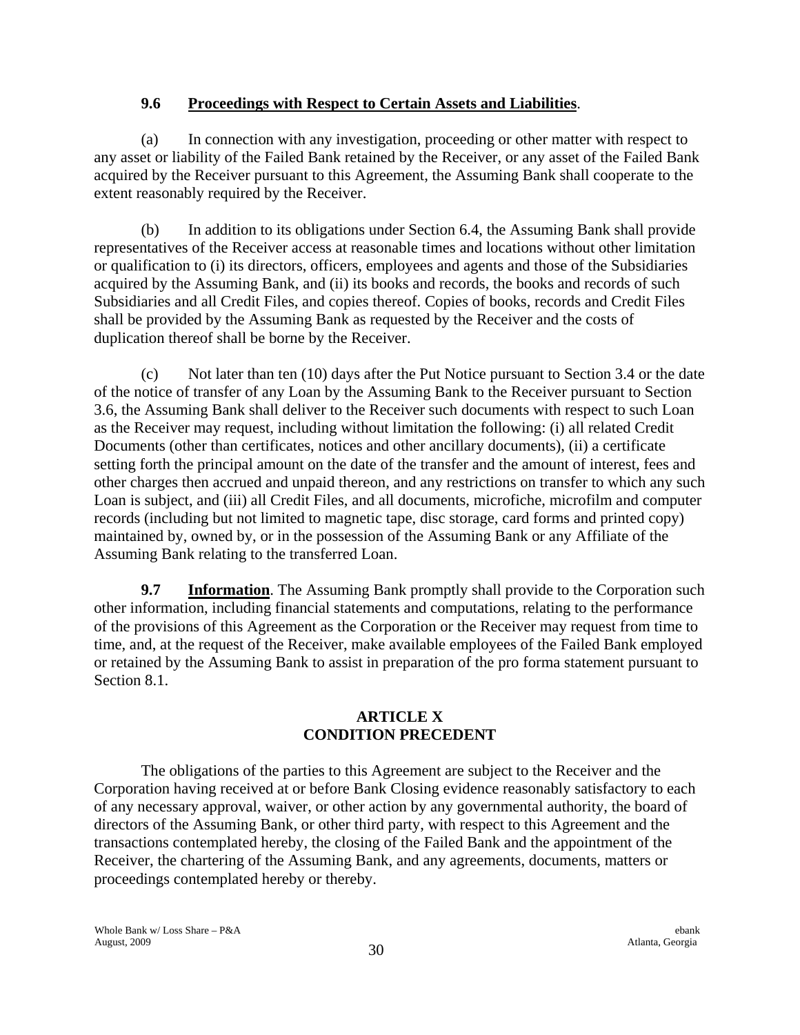### **9.6 Proceedings with Respect to Certain Assets and Liabilities**.

<span id="page-33-0"></span>(a) In connection with any investigation, proceeding or other matter with respect to any asset or liability of the Failed Bank retained by the Receiver, or any asset of the Failed Bank acquired by the Receiver pursuant to this Agreement, the Assuming Bank shall cooperate to the extent reasonably required by the Receiver.

(b) In addition to its obligations under Section 6.4, the Assuming Bank shall provide representatives of the Receiver access at reasonable times and locations without other limitation or qualification to (i) its directors, officers, employees and agents and those of the Subsidiaries acquired by the Assuming Bank, and (ii) its books and records, the books and records of such Subsidiaries and all Credit Files, and copies thereof. Copies of books, records and Credit Files shall be provided by the Assuming Bank as requested by the Receiver and the costs of duplication thereof shall be borne by the Receiver.

(c) Not later than ten (10) days after the Put Notice pursuant to Section 3.4 or the date of the notice of transfer of any Loan by the Assuming Bank to the Receiver pursuant to Section 3.6, the Assuming Bank shall deliver to the Receiver such documents with respect to such Loan as the Receiver may request, including without limitation the following: (i) all related Credit Documents (other than certificates, notices and other ancillary documents), (ii) a certificate setting forth the principal amount on the date of the transfer and the amount of interest, fees and other charges then accrued and unpaid thereon, and any restrictions on transfer to which any such Loan is subject, and (iii) all Credit Files, and all documents, microfiche, microfilm and computer records (including but not limited to magnetic tape, disc storage, card forms and printed copy) maintained by, owned by, or in the possession of the Assuming Bank or any Affiliate of the Assuming Bank relating to the transferred Loan.

<span id="page-33-1"></span>**9.7** Information. The Assuming Bank promptly shall provide to the Corporation such other information, including financial statements and computations, relating to the performance of the provisions of this Agreement as the Corporation or the Receiver may request from time to time, and, at the request of the Receiver, make available employees of the Failed Bank employed or retained by the Assuming Bank to assist in preparation of the pro forma statement pursuant to Section 8.1.

### **ARTICLE X CONDITION PRECEDENT**

<span id="page-33-2"></span>The obligations of the parties to this Agreement are subject to the Receiver and the Corporation having received at or before Bank Closing evidence reasonably satisfactory to each of any necessary approval, waiver, or other action by any governmental authority, the board of directors of the Assuming Bank, or other third party, with respect to this Agreement and the transactions contemplated hereby, the closing of the Failed Bank and the appointment of the Receiver, the chartering of the Assuming Bank, and any agreements, documents, matters or proceedings contemplated hereby or thereby.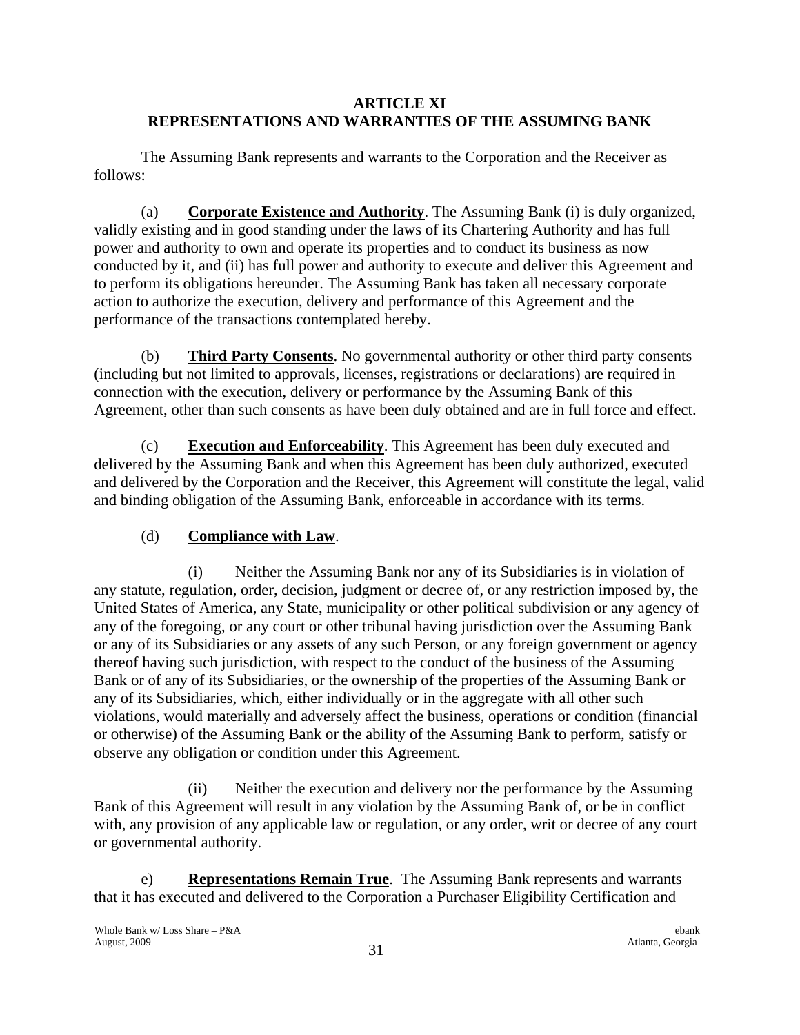### **ARTICLE XI REPRESENTATIONS AND WARRANTIES OF THE ASSUMING BANK**

<span id="page-34-0"></span>The Assuming Bank represents and warrants to the Corporation and the Receiver as follows:

(a) **Corporate Existence and Authority**. The Assuming Bank (i) is duly organized, validly existing and in good standing under the laws of its Chartering Authority and has full power and authority to own and operate its properties and to conduct its business as now conducted by it, and (ii) has full power and authority to execute and deliver this Agreement and to perform its obligations hereunder. The Assuming Bank has taken all necessary corporate action to authorize the execution, delivery and performance of this Agreement and the performance of the transactions contemplated hereby.

(b) **Third Party Consents**. No governmental authority or other third party consents (including but not limited to approvals, licenses, registrations or declarations) are required in connection with the execution, delivery or performance by the Assuming Bank of this Agreement, other than such consents as have been duly obtained and are in full force and effect.

(c) **Execution and Enforceability**. This Agreement has been duly executed and delivered by the Assuming Bank and when this Agreement has been duly authorized, executed and delivered by the Corporation and the Receiver, this Agreement will constitute the legal, valid and binding obligation of the Assuming Bank, enforceable in accordance with its terms.

# (d) **Compliance with Law**.

(i) Neither the Assuming Bank nor any of its Subsidiaries is in violation of any statute, regulation, order, decision, judgment or decree of, or any restriction imposed by, the United States of America, any State, municipality or other political subdivision or any agency of any of the foregoing, or any court or other tribunal having jurisdiction over the Assuming Bank or any of its Subsidiaries or any assets of any such Person, or any foreign government or agency thereof having such jurisdiction, with respect to the conduct of the business of the Assuming Bank or of any of its Subsidiaries, or the ownership of the properties of the Assuming Bank or any of its Subsidiaries, which, either individually or in the aggregate with all other such violations, would materially and adversely affect the business, operations or condition (financial or otherwise) of the Assuming Bank or the ability of the Assuming Bank to perform, satisfy or observe any obligation or condition under this Agreement.

(ii) Neither the execution and delivery nor the performance by the Assuming Bank of this Agreement will result in any violation by the Assuming Bank of, or be in conflict with, any provision of any applicable law or regulation, or any order, writ or decree of any court or governmental authority.

e) **Representations Remain True**. The Assuming Bank represents and warrants that it has executed and delivered to the Corporation a Purchaser Eligibility Certification and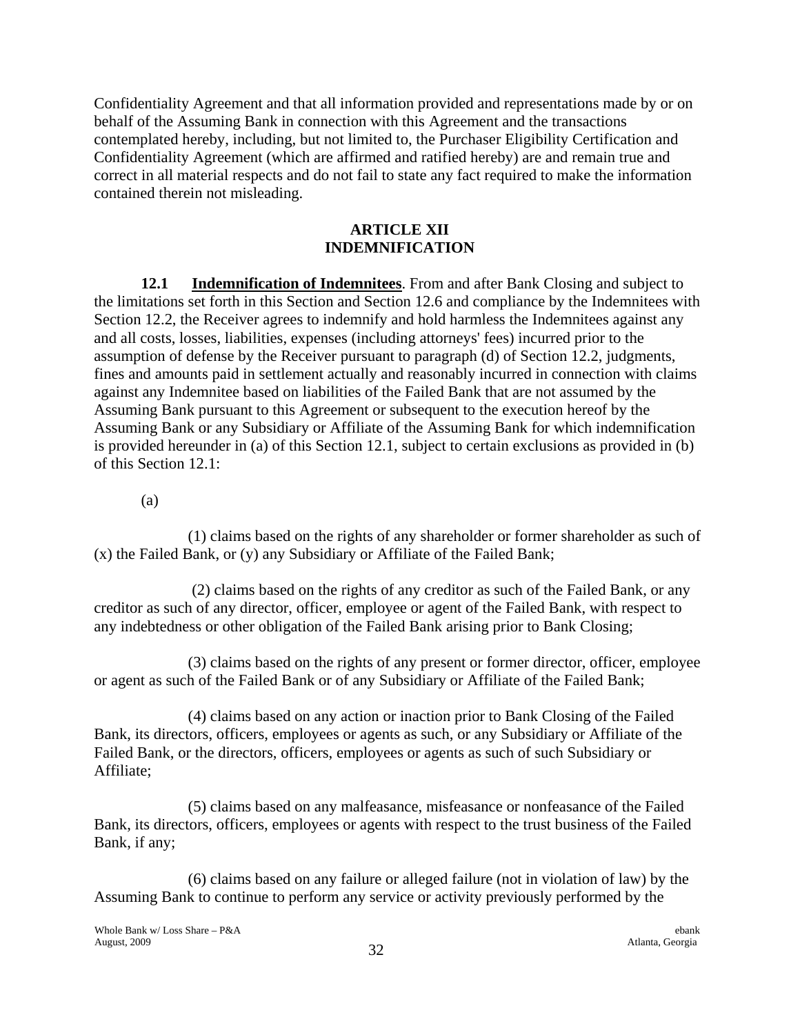Confidentiality Agreement and that all information provided and representations made by or on behalf of the Assuming Bank in connection with this Agreement and the transactions contemplated hereby, including, but not limited to, the Purchaser Eligibility Certification and Confidentiality Agreement (which are affirmed and ratified hereby) are and remain true and correct in all material respects and do not fail to state any fact required to make the information contained therein not misleading.

#### **ARTICLE XII INDEMNIFICATION**

<span id="page-35-0"></span>**12.1** Indemnification of Indemnitees. From and after Bank Closing and subject to the limitations set forth in this Section and Section 12.6 and compliance by the Indemnitees with Section 12.2, the Receiver agrees to indemnify and hold harmless the Indemnitees against any and all costs, losses, liabilities, expenses (including attorneys' fees) incurred prior to the assumption of defense by the Receiver pursuant to paragraph (d) of Section 12.2, judgments, fines and amounts paid in settlement actually and reasonably incurred in connection with claims against any Indemnitee based on liabilities of the Failed Bank that are not assumed by the Assuming Bank pursuant to this Agreement or subsequent to the execution hereof by the Assuming Bank or any Subsidiary or Affiliate of the Assuming Bank for which indemnification is provided hereunder in (a) of this Section 12.1, subject to certain exclusions as provided in (b) of this Section 12.1:

(a)

(1) claims based on the rights of any shareholder or former shareholder as such of (x) the Failed Bank, or (y) any Subsidiary or Affiliate of the Failed Bank;

(2) claims based on the rights of any creditor as such of the Failed Bank, or any creditor as such of any director, officer, employee or agent of the Failed Bank, with respect to any indebtedness or other obligation of the Failed Bank arising prior to Bank Closing;

(3) claims based on the rights of any present or former director, officer, employee or agent as such of the Failed Bank or of any Subsidiary or Affiliate of the Failed Bank;

(4) claims based on any action or inaction prior to Bank Closing of the Failed Bank, its directors, officers, employees or agents as such, or any Subsidiary or Affiliate of the Failed Bank, or the directors, officers, employees or agents as such of such Subsidiary or Affiliate;

(5) claims based on any malfeasance, misfeasance or nonfeasance of the Failed Bank, its directors, officers, employees or agents with respect to the trust business of the Failed Bank, if any;

(6) claims based on any failure or alleged failure (not in violation of law) by the Assuming Bank to continue to perform any service or activity previously performed by the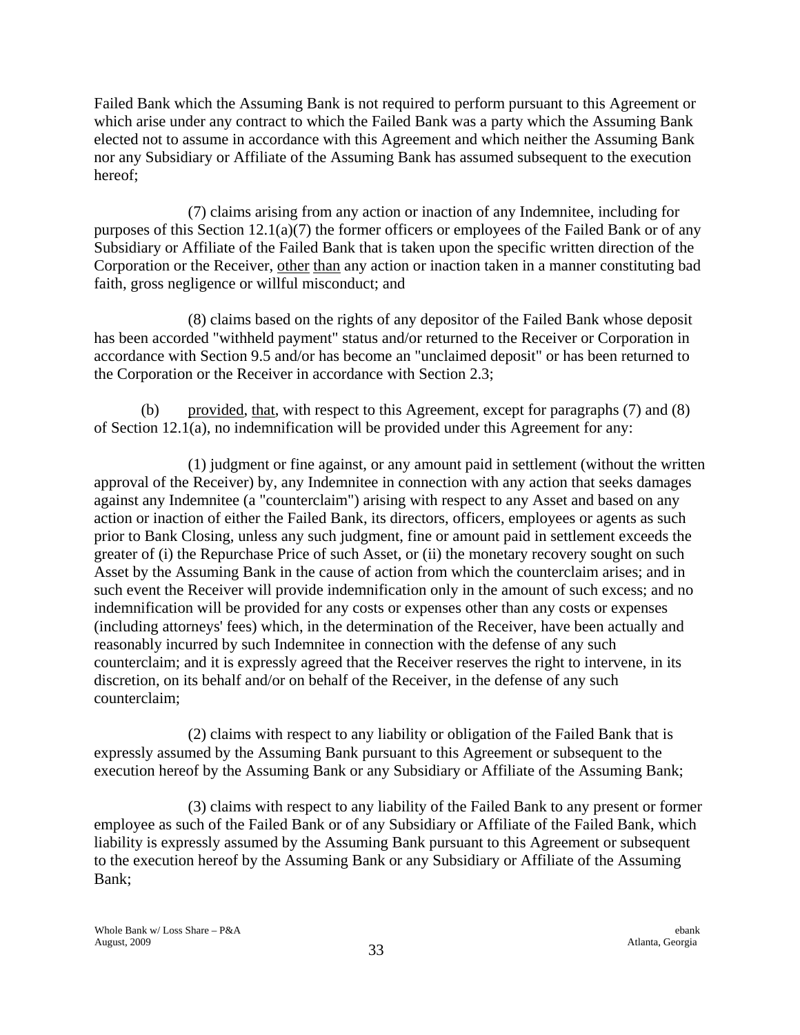Failed Bank which the Assuming Bank is not required to perform pursuant to this Agreement or which arise under any contract to which the Failed Bank was a party which the Assuming Bank elected not to assume in accordance with this Agreement and which neither the Assuming Bank nor any Subsidiary or Affiliate of the Assuming Bank has assumed subsequent to the execution hereof;

(7) claims arising from any action or inaction of any Indemnitee, including for purposes of this Section 12.1(a)(7) the former officers or employees of the Failed Bank or of any Subsidiary or Affiliate of the Failed Bank that is taken upon the specific written direction of the Corporation or the Receiver, other than any action or inaction taken in a manner constituting bad faith, gross negligence or willful misconduct; and

(8) claims based on the rights of any depositor of the Failed Bank whose deposit has been accorded "withheld payment" status and/or returned to the Receiver or Corporation in accordance with Section 9.5 and/or has become an "unclaimed deposit" or has been returned to the Corporation or the Receiver in accordance with Section 2.3;

(b) provided, that, with respect to this Agreement, except for paragraphs (7) and (8) of Section 12.1(a), no indemnification will be provided under this Agreement for any:

(1) judgment or fine against, or any amount paid in settlement (without the written approval of the Receiver) by, any Indemnitee in connection with any action that seeks damages against any Indemnitee (a "counterclaim") arising with respect to any Asset and based on any action or inaction of either the Failed Bank, its directors, officers, employees or agents as such prior to Bank Closing, unless any such judgment, fine or amount paid in settlement exceeds the greater of (i) the Repurchase Price of such Asset, or (ii) the monetary recovery sought on such Asset by the Assuming Bank in the cause of action from which the counterclaim arises; and in such event the Receiver will provide indemnification only in the amount of such excess; and no indemnification will be provided for any costs or expenses other than any costs or expenses (including attorneys' fees) which, in the determination of the Receiver, have been actually and reasonably incurred by such Indemnitee in connection with the defense of any such counterclaim; and it is expressly agreed that the Receiver reserves the right to intervene, in its discretion, on its behalf and/or on behalf of the Receiver, in the defense of any such counterclaim;

(2) claims with respect to any liability or obligation of the Failed Bank that is expressly assumed by the Assuming Bank pursuant to this Agreement or subsequent to the execution hereof by the Assuming Bank or any Subsidiary or Affiliate of the Assuming Bank;

(3) claims with respect to any liability of the Failed Bank to any present or former employee as such of the Failed Bank or of any Subsidiary or Affiliate of the Failed Bank, which liability is expressly assumed by the Assuming Bank pursuant to this Agreement or subsequent to the execution hereof by the Assuming Bank or any Subsidiary or Affiliate of the Assuming Bank;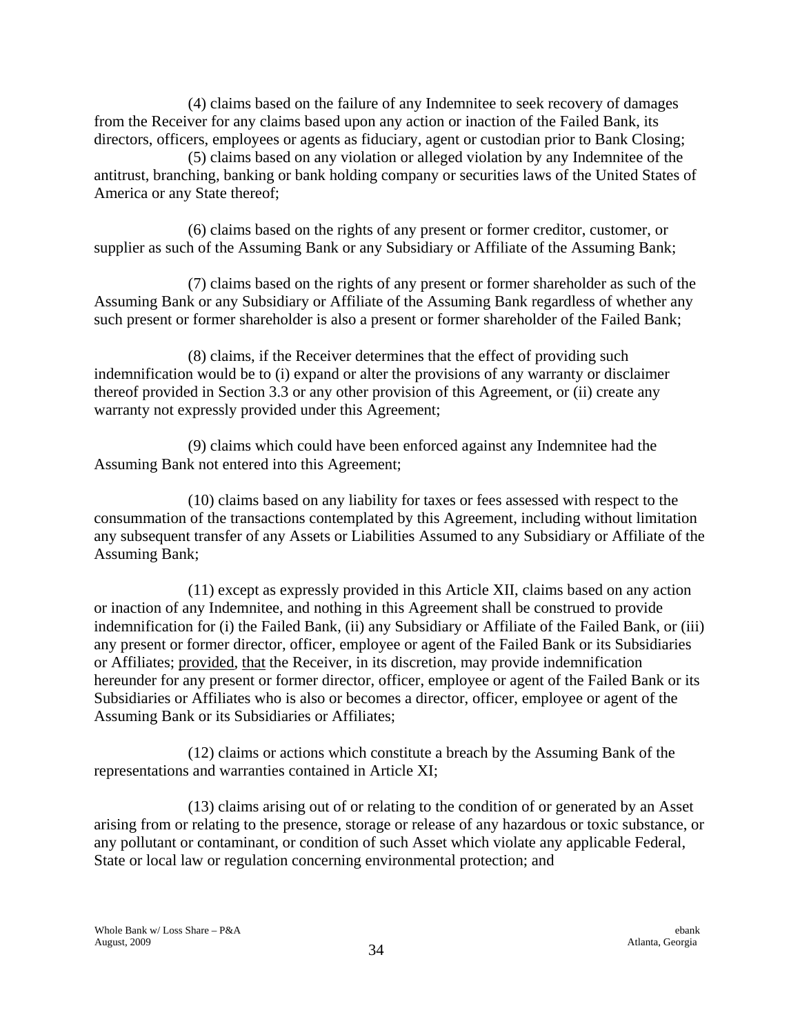(4) claims based on the failure of any Indemnitee to seek recovery of damages from the Receiver for any claims based upon any action or inaction of the Failed Bank, its directors, officers, employees or agents as fiduciary, agent or custodian prior to Bank Closing;

(5) claims based on any violation or alleged violation by any Indemnitee of the antitrust, branching, banking or bank holding company or securities laws of the United States of America or any State thereof;

(6) claims based on the rights of any present or former creditor, customer, or supplier as such of the Assuming Bank or any Subsidiary or Affiliate of the Assuming Bank;

(7) claims based on the rights of any present or former shareholder as such of the Assuming Bank or any Subsidiary or Affiliate of the Assuming Bank regardless of whether any such present or former shareholder is also a present or former shareholder of the Failed Bank;

(8) claims, if the Receiver determines that the effect of providing such indemnification would be to (i) expand or alter the provisions of any warranty or disclaimer thereof provided in Section 3.3 or any other provision of this Agreement, or (ii) create any warranty not expressly provided under this Agreement;

(9) claims which could have been enforced against any Indemnitee had the Assuming Bank not entered into this Agreement;

(10) claims based on any liability for taxes or fees assessed with respect to the consummation of the transactions contemplated by this Agreement, including without limitation any subsequent transfer of any Assets or Liabilities Assumed to any Subsidiary or Affiliate of the Assuming Bank;

(11) except as expressly provided in this Article XII, claims based on any action or inaction of any Indemnitee, and nothing in this Agreement shall be construed to provide indemnification for (i) the Failed Bank, (ii) any Subsidiary or Affiliate of the Failed Bank, or (iii) any present or former director, officer, employee or agent of the Failed Bank or its Subsidiaries or Affiliates; provided, that the Receiver, in its discretion, may provide indemnification hereunder for any present or former director, officer, employee or agent of the Failed Bank or its Subsidiaries or Affiliates who is also or becomes a director, officer, employee or agent of the Assuming Bank or its Subsidiaries or Affiliates;

(12) claims or actions which constitute a breach by the Assuming Bank of the representations and warranties contained in Article XI;

(13) claims arising out of or relating to the condition of or generated by an Asset arising from or relating to the presence, storage or release of any hazardous or toxic substance, or any pollutant or contaminant, or condition of such Asset which violate any applicable Federal, State or local law or regulation concerning environmental protection; and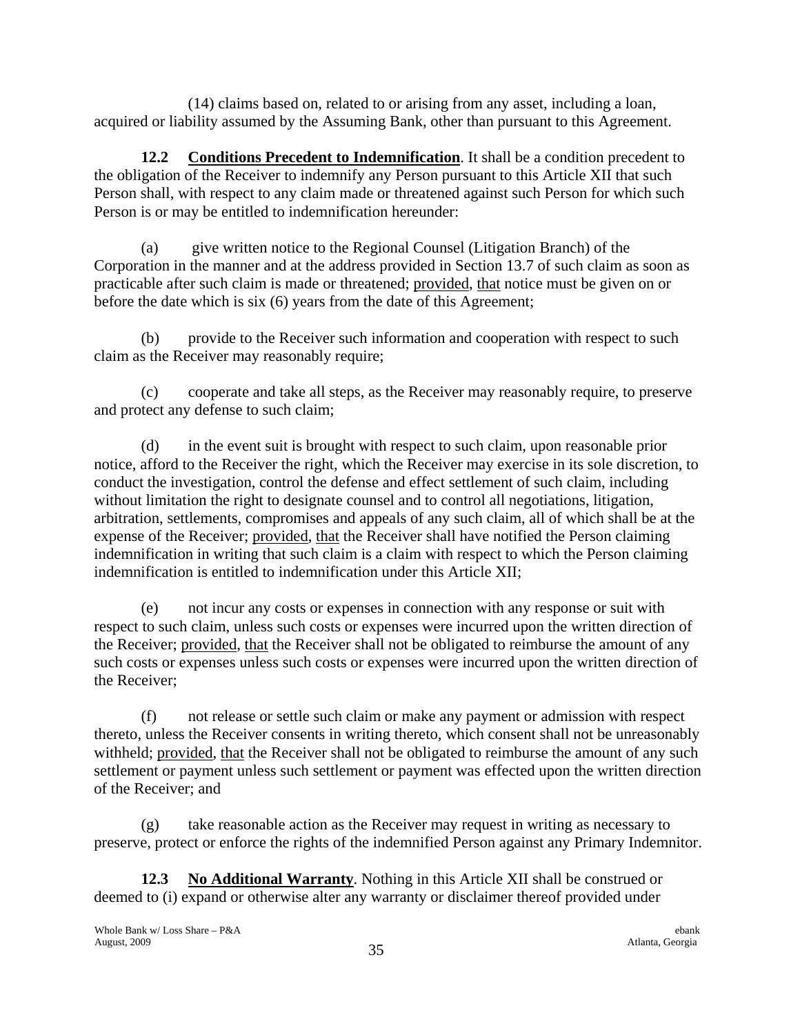(14) claims based on, related to or arising from any asset, including a loan, acquired or liability assumed by the Assuming Bank, other than pursuant to this Agreement.

**12.2** Conditions Precedent to Indemnification. It shall be a condition precedent to the obligation of the Receiver to indemnify any Person pursuant to this Article XII that such Person shall, with respect to any claim made or threatened against such Person for which such Person is or may be entitled to indemnification hereunder:

(a) give written notice to the Regional Counsel (Litigation Branch) of the Corporation in the manner and at the address provided in Section 13.7 of such claim as soon as practicable after such claim is made or threatened; provided, that notice must be given on or before the date which is six (6) years from the date of this Agreement;

(b) provide to the Receiver such information and cooperation with respect to such claim as the Receiver may reasonably require;

(c) cooperate and take all steps, as the Receiver may reasonably require, to preserve and protect any defense to such claim;

(d) in the event suit is brought with respect to such claim, upon reasonable prior notice, afford to the Receiver the right, which the Receiver may exercise in its sole discretion, to conduct the investigation, control the defense and effect settlement of such claim, including without limitation the right to designate counsel and to control all negotiations, litigation, arbitration, settlements, compromises and appeals of any such claim, all of which shall be at the expense of the Receiver; provided, that the Receiver shall have notified the Person claiming indemnification in writing that such claim is a claim with respect to which the Person claiming indemnification is entitled to indemnification under this Article XII;

(e) not incur any costs or expenses in connection with any response or suit with respect to such claim, unless such costs or expenses were incurred upon the written direction of the Receiver; provided, that the Receiver shall not be obligated to reimburse the amount of any such costs or expenses unless such costs or expenses were incurred upon the written direction of the Receiver;

(f) not release or settle such claim or make any payment or admission with respect thereto, unless the Receiver consents in writing thereto, which consent shall not be unreasonably withheld; provided, that the Receiver shall not be obligated to reimburse the amount of any such settlement or payment unless such settlement or payment was effected upon the written direction of the Receiver; and

(g) take reasonable action as the Receiver may request in writing as necessary to preserve, protect or enforce the rights of the indemnified Person against any Primary Indemnitor.

**12.3 No Additional Warranty**. Nothing in this Article XII shall be construed or deemed to (i) expand or otherwise alter any warranty or disclaimer thereof provided under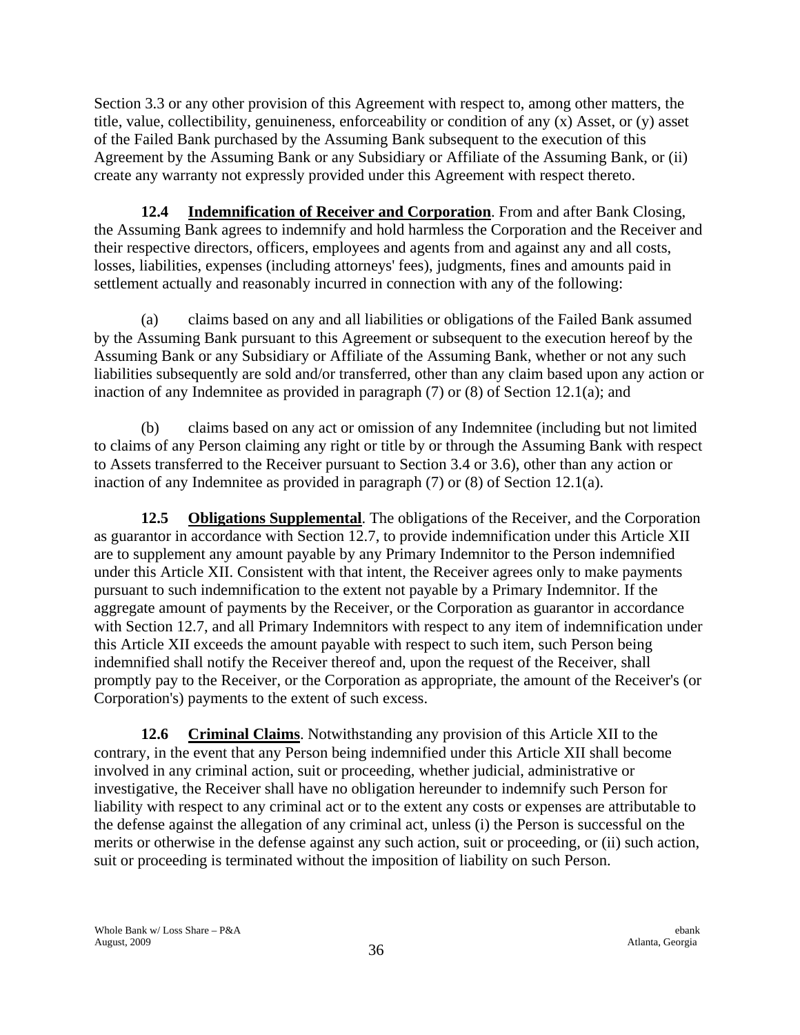Section 3.3 or any other provision of this Agreement with respect to, among other matters, the title, value, collectibility, genuineness, enforceability or condition of any (x) Asset, or (y) asset of the Failed Bank purchased by the Assuming Bank subsequent to the execution of this Agreement by the Assuming Bank or any Subsidiary or Affiliate of the Assuming Bank, or (ii) create any warranty not expressly provided under this Agreement with respect thereto.

**12.4 Indemnification of Receiver and Corporation**. From and after Bank Closing, the Assuming Bank agrees to indemnify and hold harmless the Corporation and the Receiver and their respective directors, officers, employees and agents from and against any and all costs, losses, liabilities, expenses (including attorneys' fees), judgments, fines and amounts paid in settlement actually and reasonably incurred in connection with any of the following:

(a) claims based on any and all liabilities or obligations of the Failed Bank assumed by the Assuming Bank pursuant to this Agreement or subsequent to the execution hereof by the Assuming Bank or any Subsidiary or Affiliate of the Assuming Bank, whether or not any such liabilities subsequently are sold and/or transferred, other than any claim based upon any action or inaction of any Indemnitee as provided in paragraph (7) or (8) of Section 12.1(a); and

(b) claims based on any act or omission of any Indemnitee (including but not limited to claims of any Person claiming any right or title by or through the Assuming Bank with respect to Assets transferred to the Receiver pursuant to Section 3.4 or 3.6), other than any action or inaction of any Indemnitee as provided in paragraph (7) or (8) of Section 12.1(a).

**12.5 Obligations Supplemental**. The obligations of the Receiver, and the Corporation as guarantor in accordance with Section 12.7, to provide indemnification under this Article XII are to supplement any amount payable by any Primary Indemnitor to the Person indemnified under this Article XII. Consistent with that intent, the Receiver agrees only to make payments pursuant to such indemnification to the extent not payable by a Primary Indemnitor. If the aggregate amount of payments by the Receiver, or the Corporation as guarantor in accordance with Section 12.7, and all Primary Indemnitors with respect to any item of indemnification under this Article XII exceeds the amount payable with respect to such item, such Person being indemnified shall notify the Receiver thereof and, upon the request of the Receiver, shall promptly pay to the Receiver, or the Corporation as appropriate, the amount of the Receiver's (or Corporation's) payments to the extent of such excess.

**12.6 Criminal Claims**. Notwithstanding any provision of this Article XII to the contrary, in the event that any Person being indemnified under this Article XII shall become involved in any criminal action, suit or proceeding, whether judicial, administrative or investigative, the Receiver shall have no obligation hereunder to indemnify such Person for liability with respect to any criminal act or to the extent any costs or expenses are attributable to the defense against the allegation of any criminal act, unless (i) the Person is successful on the merits or otherwise in the defense against any such action, suit or proceeding, or (ii) such action, suit or proceeding is terminated without the imposition of liability on such Person.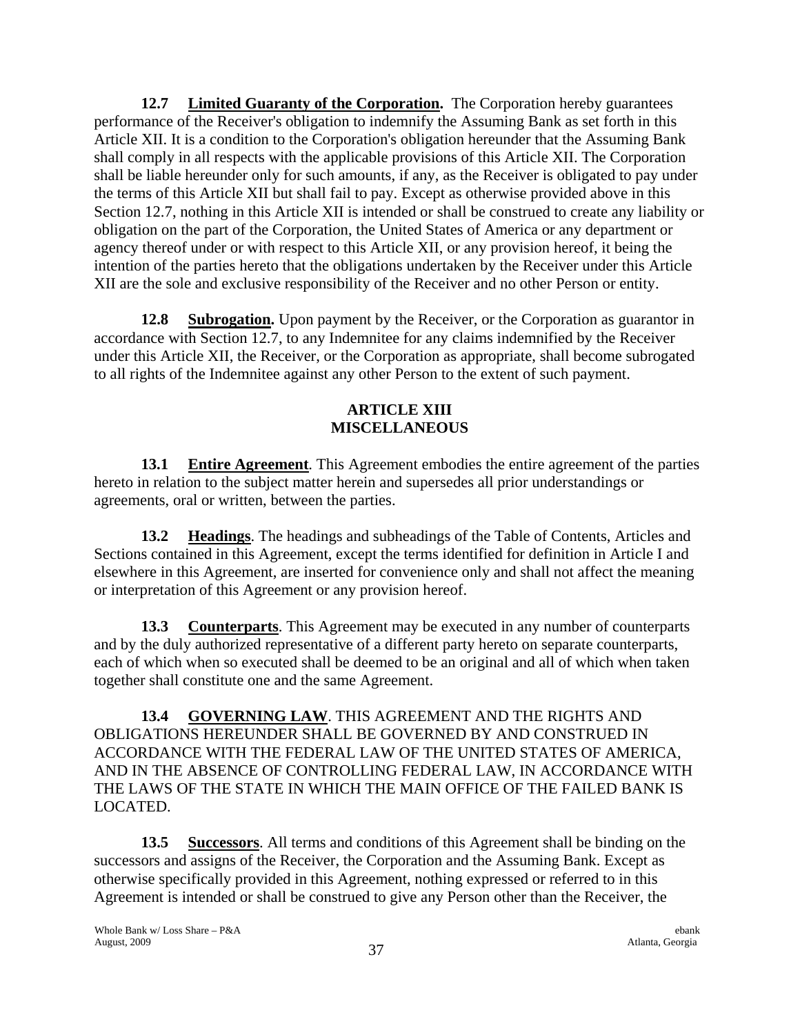**12.7** Limited Guaranty of the Corporation. The Corporation hereby guarantees performance of the Receiver's obligation to indemnify the Assuming Bank as set forth in this Article XII. It is a condition to the Corporation's obligation hereunder that the Assuming Bank shall comply in all respects with the applicable provisions of this Article XII. The Corporation shall be liable hereunder only for such amounts, if any, as the Receiver is obligated to pay under the terms of this Article XII but shall fail to pay. Except as otherwise provided above in this Section 12.7, nothing in this Article XII is intended or shall be construed to create any liability or obligation on the part of the Corporation, the United States of America or any department or agency thereof under or with respect to this Article XII, or any provision hereof, it being the intention of the parties hereto that the obligations undertaken by the Receiver under this Article XII are the sole and exclusive responsibility of the Receiver and no other Person or entity.

**12.8 Subrogation.** Upon payment by the Receiver, or the Corporation as guarantor in accordance with Section 12.7, to any Indemnitee for any claims indemnified by the Receiver under this Article XII, the Receiver, or the Corporation as appropriate, shall become subrogated to all rights of the Indemnitee against any other Person to the extent of such payment.

## **ARTICLE XIII MISCELLANEOUS**

**13.1 Entire Agreement**. This Agreement embodies the entire agreement of the parties hereto in relation to the subject matter herein and supersedes all prior understandings or agreements, oral or written, between the parties.

**13.2 Headings**. The headings and subheadings of the Table of Contents, Articles and Sections contained in this Agreement, except the terms identified for definition in Article I and elsewhere in this Agreement, are inserted for convenience only and shall not affect the meaning or interpretation of this Agreement or any provision hereof.

**13.3 Counterparts**. This Agreement may be executed in any number of counterparts and by the duly authorized representative of a different party hereto on separate counterparts, each of which when so executed shall be deemed to be an original and all of which when taken together shall constitute one and the same Agreement.

**13.4 GOVERNING LAW**. THIS AGREEMENT AND THE RIGHTS AND OBLIGATIONS HEREUNDER SHALL BE GOVERNED BY AND CONSTRUED IN ACCORDANCE WITH THE FEDERAL LAW OF THE UNITED STATES OF AMERICA, AND IN THE ABSENCE OF CONTROLLING FEDERAL LAW, IN ACCORDANCE WITH THE LAWS OF THE STATE IN WHICH THE MAIN OFFICE OF THE FAILED BANK IS LOCATED.

 **13.5 Successors**. All terms and conditions of this Agreement shall be binding on the successors and assigns of the Receiver, the Corporation and the Assuming Bank. Except as otherwise specifically provided in this Agreement, nothing expressed or referred to in this Agreement is intended or shall be construed to give any Person other than the Receiver, the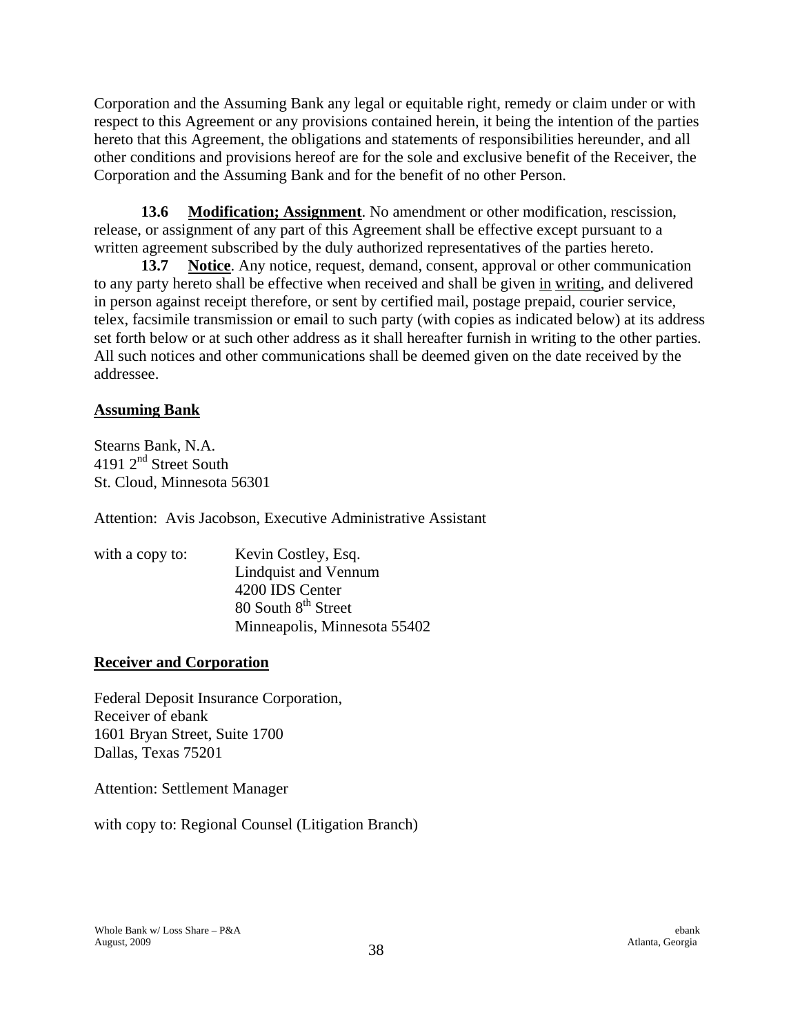Corporation and the Assuming Bank any legal or equitable right, remedy or claim under or with respect to this Agreement or any provisions contained herein, it being the intention of the parties hereto that this Agreement, the obligations and statements of responsibilities hereunder, and all other conditions and provisions hereof are for the sole and exclusive benefit of the Receiver, the Corporation and the Assuming Bank and for the benefit of no other Person.

**13.6 Modification; Assignment**. No amendment or other modification, rescission, release, or assignment of any part of this Agreement shall be effective except pursuant to a written agreement subscribed by the duly authorized representatives of the parties hereto.

**13.7 Notice**. Any notice, request, demand, consent, approval or other communication to any party hereto shall be effective when received and shall be given in writing, and delivered in person against receipt therefore, or sent by certified mail, postage prepaid, courier service, telex, facsimile transmission or email to such party (with copies as indicated below) at its address set forth below or at such other address as it shall hereafter furnish in writing to the other parties. All such notices and other communications shall be deemed given on the date received by the addressee.

### **Assuming Bank**

Stearns Bank, N.A. 4191 2<sup>nd</sup> Street South St. Cloud, Minnesota 56301

Attention: Avis Jacobson, Executive Administrative Assistant

| with a copy to: | Kevin Costley, Esq.             |
|-----------------|---------------------------------|
|                 | Lindquist and Vennum            |
|                 | 4200 IDS Center                 |
|                 | 80 South 8 <sup>th</sup> Street |
|                 | Minneapolis, Minnesota 55402    |

## **Receiver and Corporation**

Federal Deposit Insurance Corporation, Receiver of ebank 1601 Bryan Street, Suite 1700 Dallas, Texas 75201

Attention: Settlement Manager

with copy to: Regional Counsel (Litigation Branch)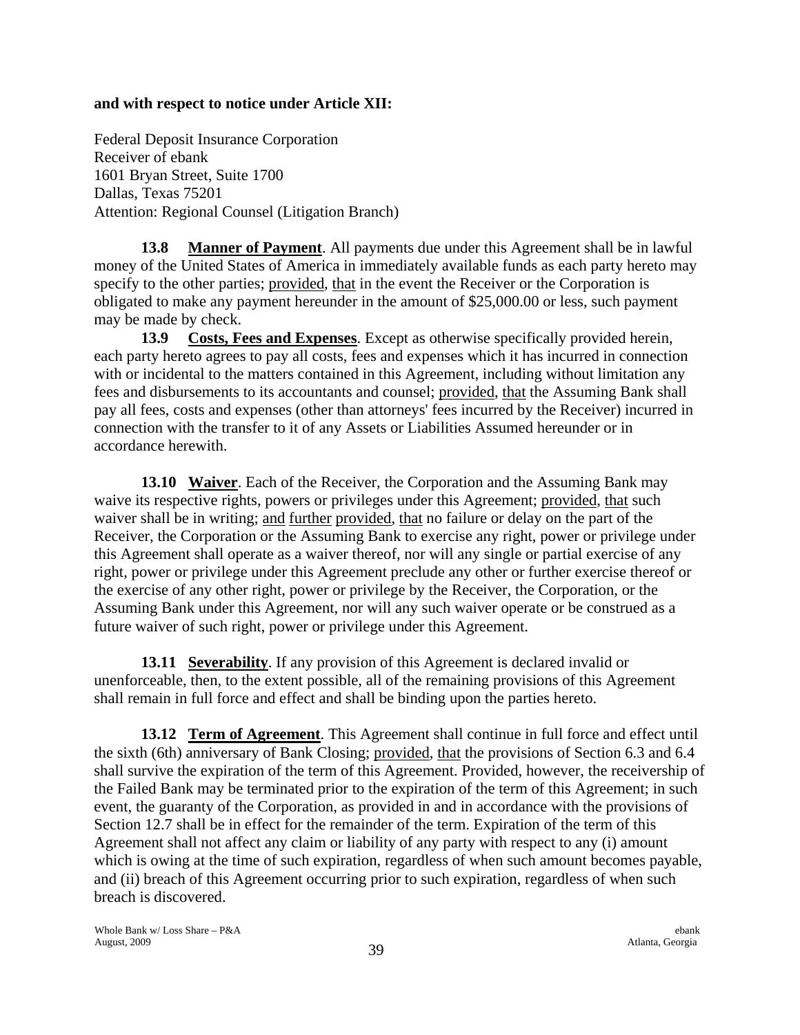### **and with respect to notice under Article XII:**

Federal Deposit Insurance Corporation Receiver of ebank 1601 Bryan Street, Suite 1700 Dallas, Texas 75201 Attention: Regional Counsel (Litigation Branch)

 **13.8 Manner of Payment**. All payments due under this Agreement shall be in lawful money of the United States of America in immediately available funds as each party hereto may specify to the other parties; provided, that in the event the Receiver or the Corporation is obligated to make any payment hereunder in the amount of \$25,000.00 or less, such payment may be made by check.

**13.9 Costs, Fees and Expenses**. Except as otherwise specifically provided herein, each party hereto agrees to pay all costs, fees and expenses which it has incurred in connection with or incidental to the matters contained in this Agreement, including without limitation any fees and disbursements to its accountants and counsel; provided, that the Assuming Bank shall pay all fees, costs and expenses (other than attorneys' fees incurred by the Receiver) incurred in connection with the transfer to it of any Assets or Liabilities Assumed hereunder or in accordance herewith.

**13.10 Waiver**. Each of the Receiver, the Corporation and the Assuming Bank may waive its respective rights, powers or privileges under this Agreement; provided, that such waiver shall be in writing; and further provided, that no failure or delay on the part of the Receiver, the Corporation or the Assuming Bank to exercise any right, power or privilege under this Agreement shall operate as a waiver thereof, nor will any single or partial exercise of any right, power or privilege under this Agreement preclude any other or further exercise thereof or the exercise of any other right, power or privilege by the Receiver, the Corporation, or the Assuming Bank under this Agreement, nor will any such waiver operate or be construed as a future waiver of such right, power or privilege under this Agreement.

**13.11 Severability**. If any provision of this Agreement is declared invalid or unenforceable, then, to the extent possible, all of the remaining provisions of this Agreement shall remain in full force and effect and shall be binding upon the parties hereto.

**13.12 Term of Agreement**. This Agreement shall continue in full force and effect until the sixth (6th) anniversary of Bank Closing; provided, that the provisions of Section 6.3 and 6.4 shall survive the expiration of the term of this Agreement. Provided, however, the receivership of the Failed Bank may be terminated prior to the expiration of the term of this Agreement; in such event, the guaranty of the Corporation, as provided in and in accordance with the provisions of Section 12.7 shall be in effect for the remainder of the term. Expiration of the term of this Agreement shall not affect any claim or liability of any party with respect to any (i) amount which is owing at the time of such expiration, regardless of when such amount becomes payable, and (ii) breach of this Agreement occurring prior to such expiration, regardless of when such breach is discovered.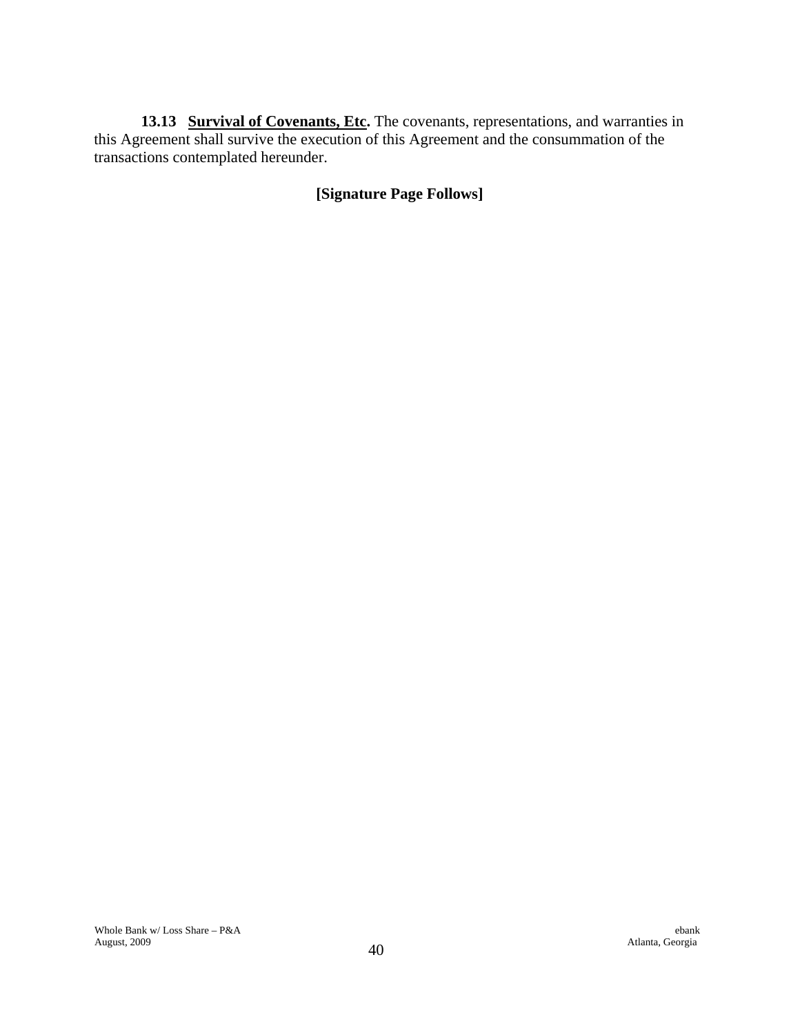**13.13 Survival of Covenants, Etc.** The covenants, representations, and warranties in this Agreement shall survive the execution of this Agreement and the consummation of the transactions contemplated hereunder.

# **[Signature Page Follows]**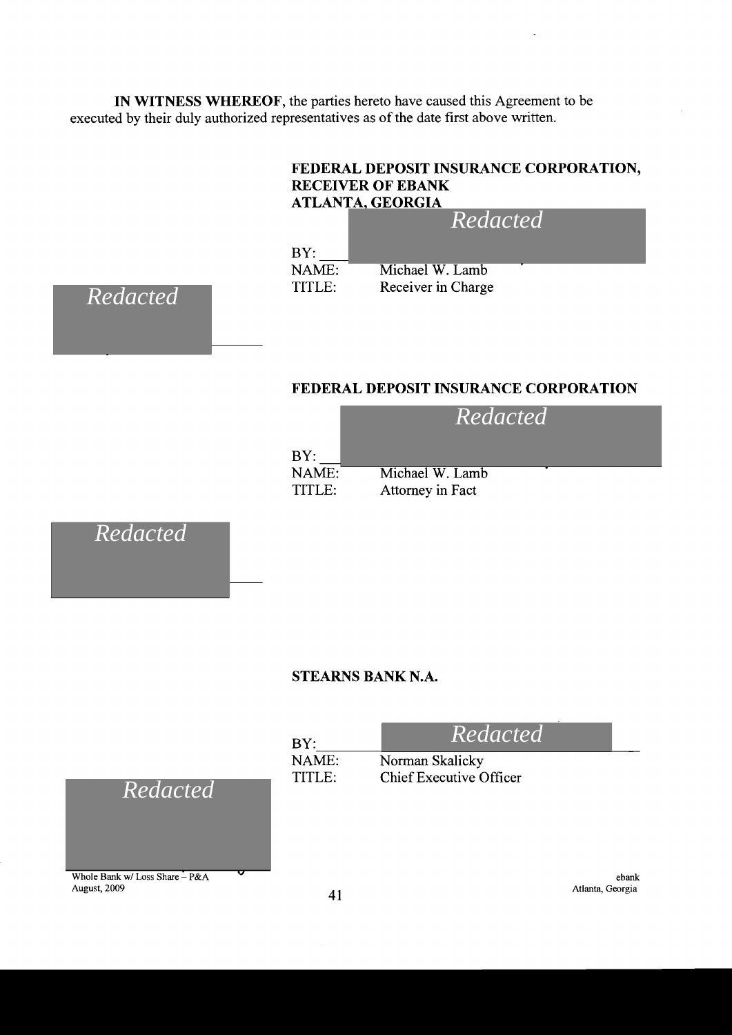**IN WITNESS WHEREOF, the parties hereto have caused this Agreement to be executed by their duly authorized representatives as of the date first above written.** 

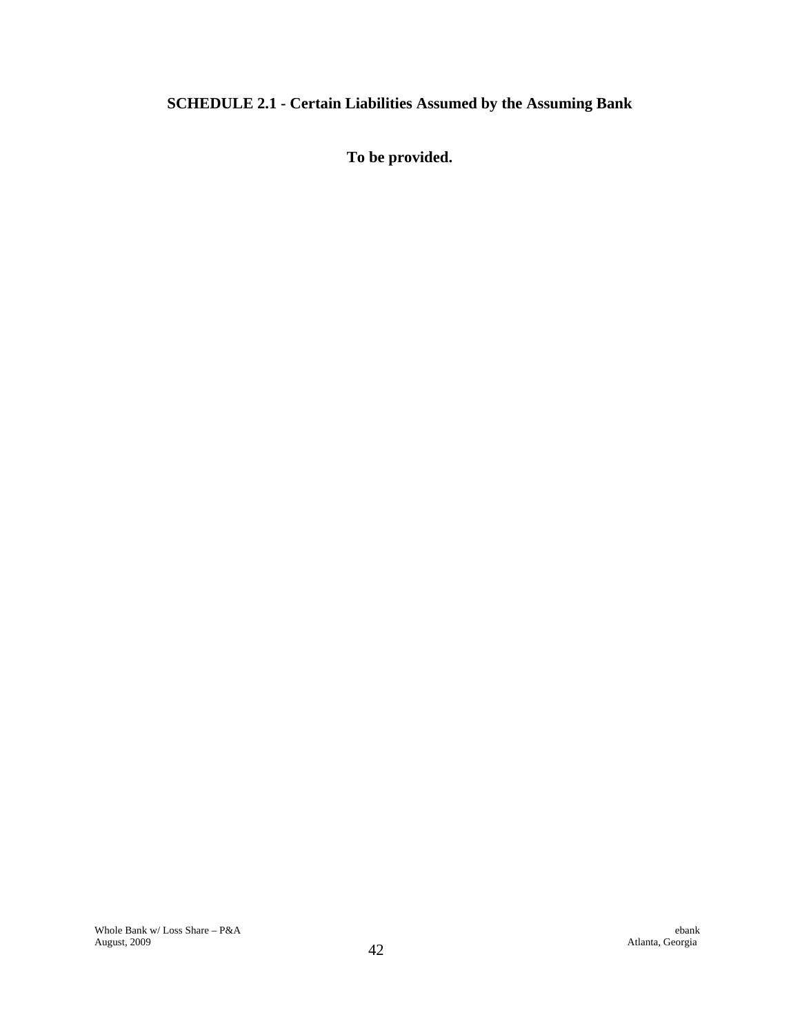# **SCHEDULE 2.1 - Certain Liabilities Assumed by the Assuming Bank**

**To be provided.**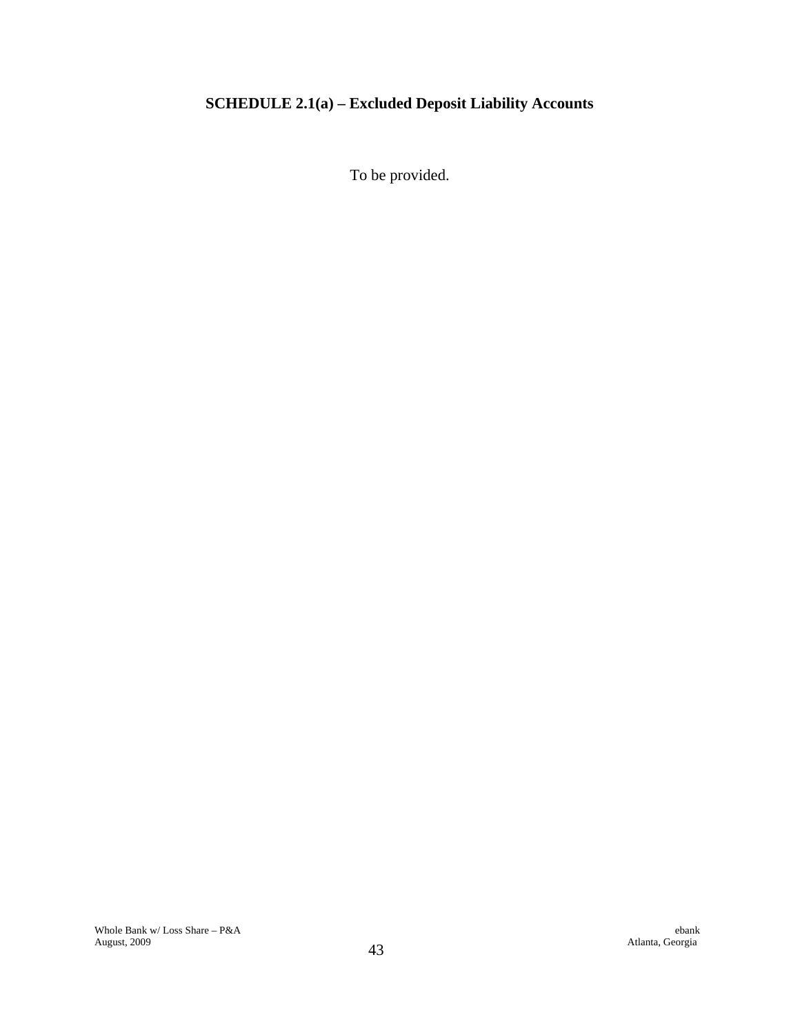# **SCHEDULE 2.1(a) – Excluded Deposit Liability Accounts**

To be provided.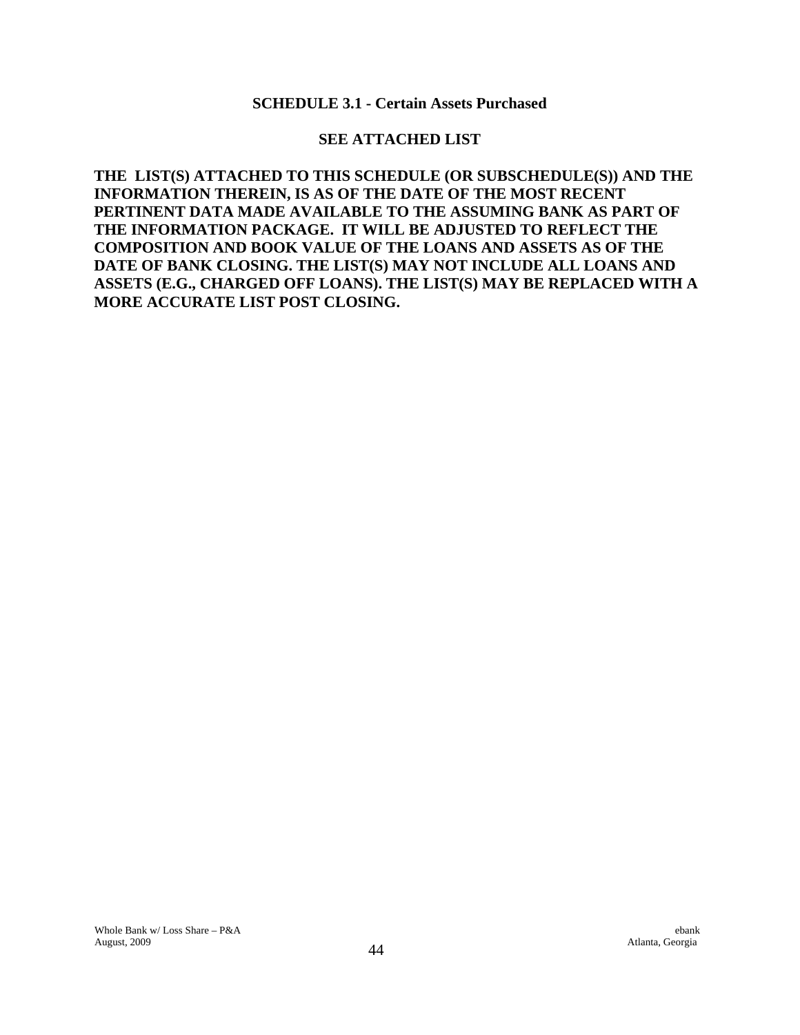#### **SCHEDULE 3.1 - Certain Assets Purchased**

#### **SEE ATTACHED LIST**

THE LIST(S) ATTACHED TO THIS SCHEDULE (OR SUBSCHEDULE(S)) AND THE **INFORMATION THEREIN, IS AS OF THE DATE OF THE MOST RECENT PERTINENT DATA MADE AVAILABLE TO THE ASSUMING BANK AS PART OF THE INFORMATION PACKAGE. IT WILL BE ADJUSTED TO REFLECT THE COMPOSITION AND BOOK VALUE OF THE LOANS AND ASSETS AS OF THE DATE OF BANK CLOSING. THE LIST(S) MAY NOT INCLUDE ALL LOANS AND ASSETS (E.G., CHARGED OFF LOANS). THE LIST(S) MAY BE REPLACED WITH A MORE ACCURATE LIST POST CLOSING.**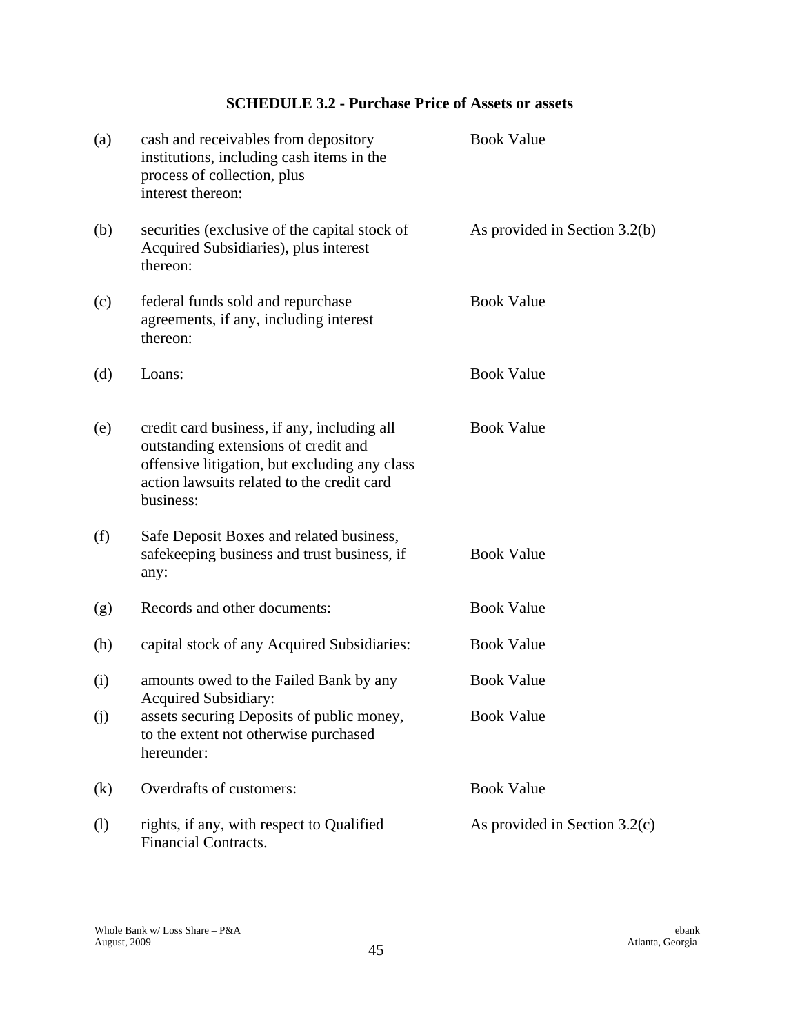# **SCHEDULE 3.2 - Purchase Price of Assets or assets**

| (a) | cash and receivables from depository<br>institutions, including cash items in the<br>process of collection, plus<br>interest thereon:                                                           | <b>Book Value</b>               |
|-----|-------------------------------------------------------------------------------------------------------------------------------------------------------------------------------------------------|---------------------------------|
| (b) | securities (exclusive of the capital stock of<br>Acquired Subsidiaries), plus interest<br>thereon:                                                                                              | As provided in Section 3.2(b)   |
| (c) | federal funds sold and repurchase<br>agreements, if any, including interest<br>thereon:                                                                                                         | <b>Book Value</b>               |
| (d) | Loans:                                                                                                                                                                                          | <b>Book Value</b>               |
| (e) | credit card business, if any, including all<br>outstanding extensions of credit and<br>offensive litigation, but excluding any class<br>action lawsuits related to the credit card<br>business: | <b>Book Value</b>               |
| (f) | Safe Deposit Boxes and related business,<br>safekeeping business and trust business, if<br>any:                                                                                                 | <b>Book Value</b>               |
| (g) | Records and other documents:                                                                                                                                                                    | <b>Book Value</b>               |
| (h) | capital stock of any Acquired Subsidiaries:                                                                                                                                                     | <b>Book Value</b>               |
| (i) | amounts owed to the Failed Bank by any                                                                                                                                                          | <b>Book Value</b>               |
| (j) | <b>Acquired Subsidiary:</b><br>assets securing Deposits of public money,<br>to the extent not otherwise purchased<br>hereunder:                                                                 | <b>Book Value</b>               |
| (k) | Overdrafts of customers:                                                                                                                                                                        | <b>Book Value</b>               |
| (1) | rights, if any, with respect to Qualified<br>Financial Contracts.                                                                                                                               | As provided in Section $3.2(c)$ |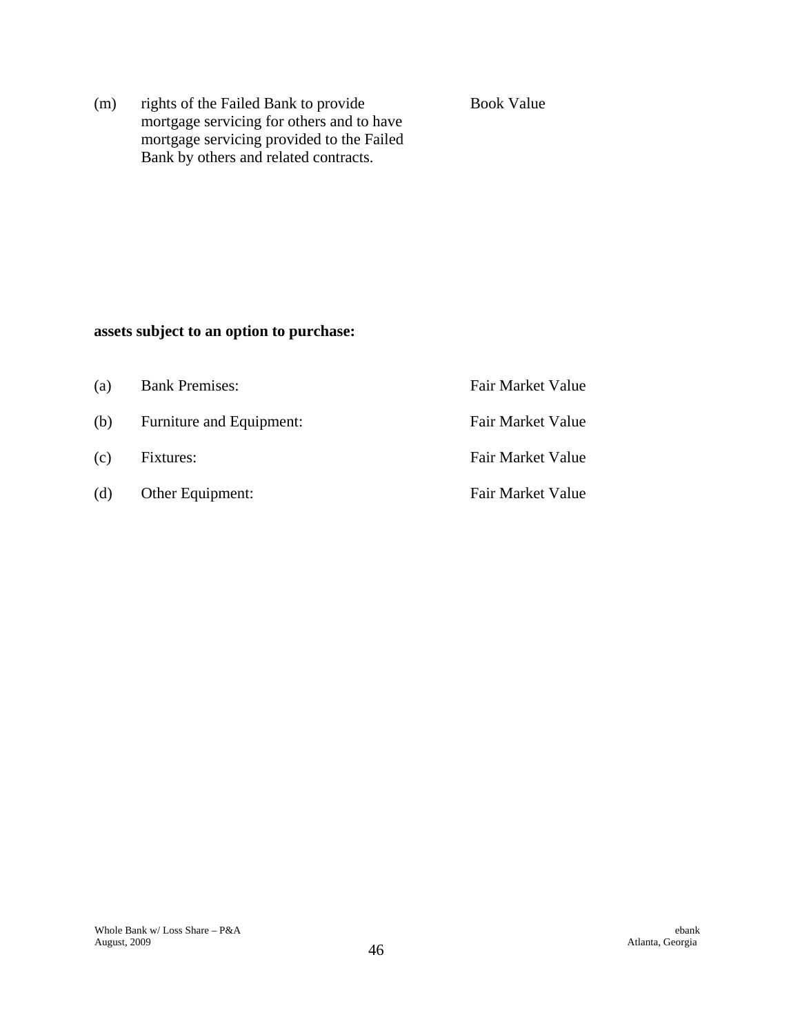(m) rights of the Failed Bank to provide Book Value mortgage servicing for others and to have mortgage servicing provided to the Failed Bank by others and related contracts.

## **assets subject to an option to purchase:**

| (a) | <b>Bank Premises:</b>    | Fair Market Value        |
|-----|--------------------------|--------------------------|
| (b) | Furniture and Equipment: | Fair Market Value        |
| (c) | Fixtures:                | <b>Fair Market Value</b> |
| (d) | Other Equipment:         | <b>Fair Market Value</b> |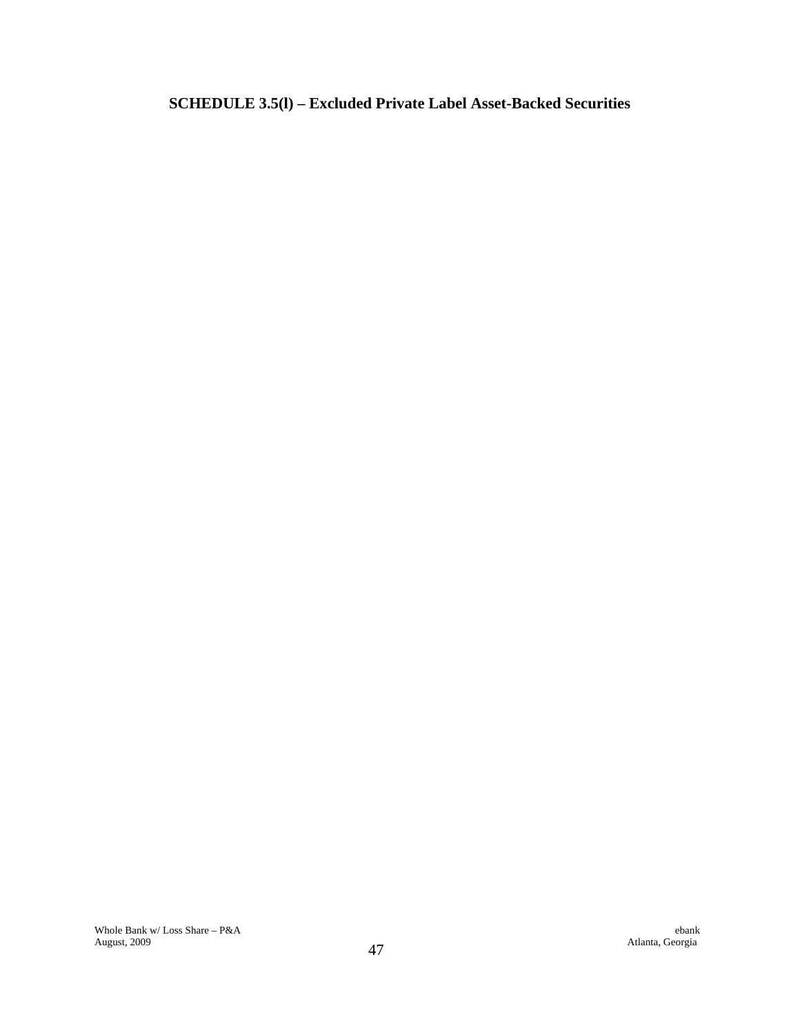# **SCHEDULE 3.5(l) – Excluded Private Label Asset-Backed Securities**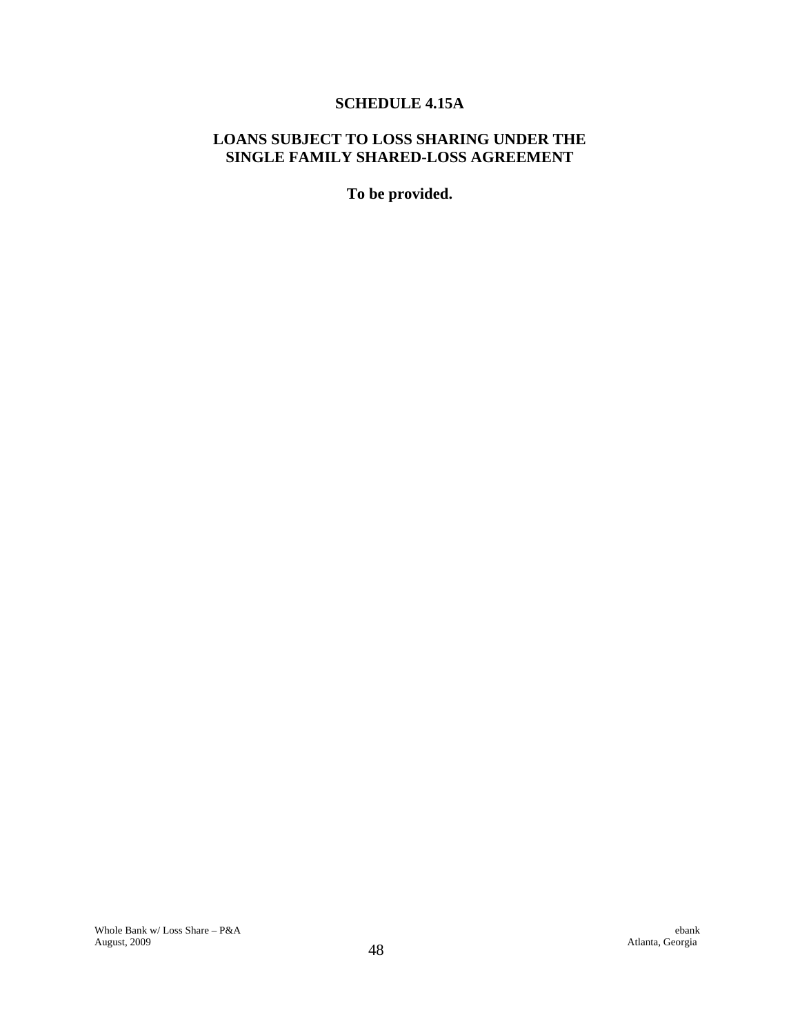# **SCHEDULE 4.15A**

## **LOANS SUBJECT TO LOSS SHARING UNDER THE SINGLE FAMILY SHARED-LOSS AGREEMENT**

**To be provided.**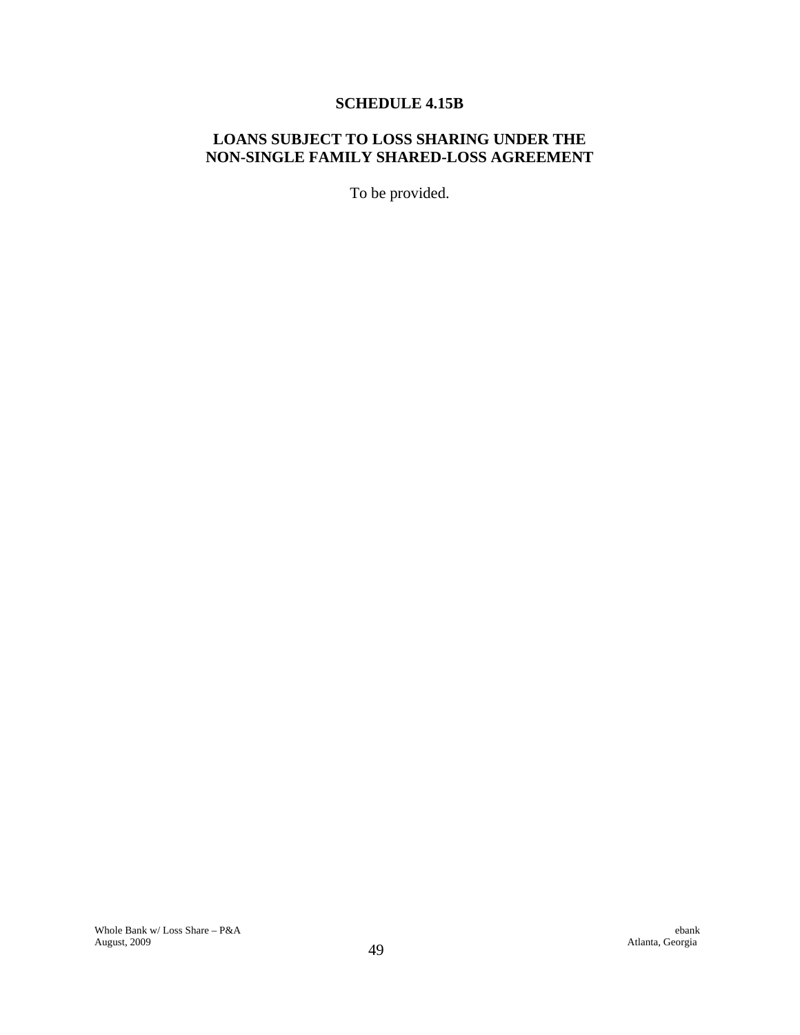# **SCHEDULE 4.15B**

# **LOANS SUBJECT TO LOSS SHARING UNDER THE NON-SINGLE FAMILY SHARED-LOSS AGREEMENT**

To be provided.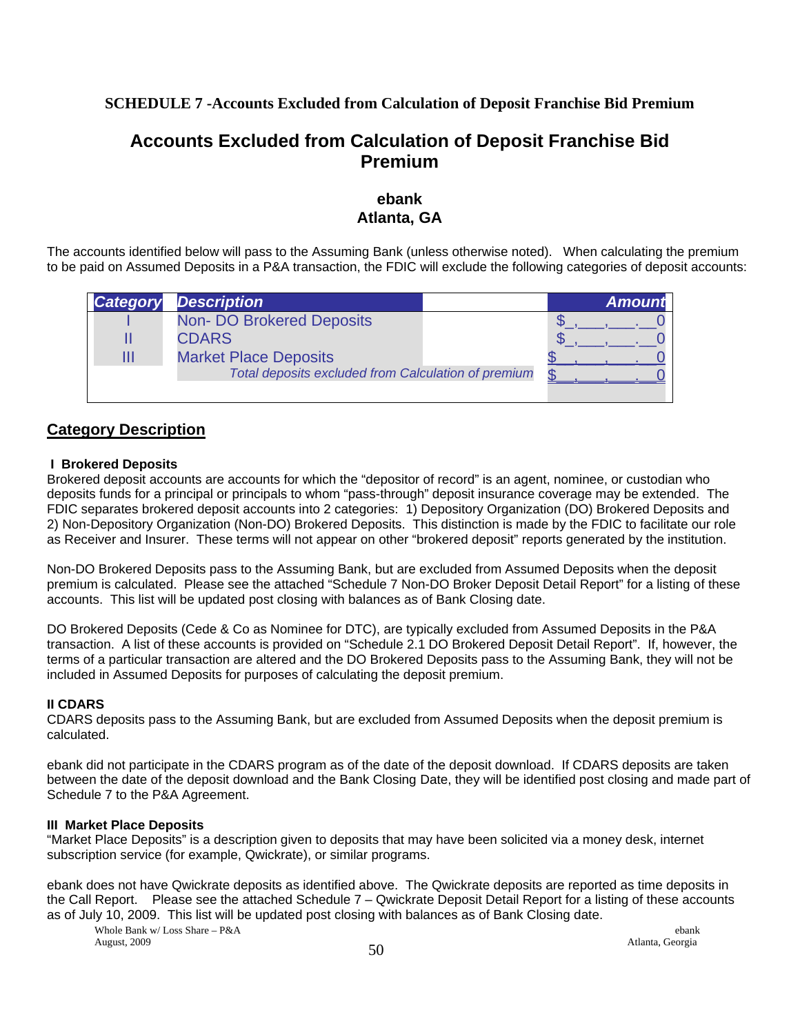**SCHEDULE 7 -Accounts Excluded from Calculation of Deposit Franchise Bid Premium** 

# **Premium Accounts Excluded from Calculation of Deposit Franchise Bid**

## **ebank Atlanta, GA**

The accounts identified below will pass to the Assuming Bank (unless otherwise noted). When calculating the premium to be paid on Assumed Deposits in a P&A transaction, the FDIC will exclude the following categories of deposit accounts:

| <b>Category</b> | <b>Description</b>                                  |  | <b>Amount</b> |
|-----------------|-----------------------------------------------------|--|---------------|
|                 | <b>Non-DO Brokered Deposits</b>                     |  |               |
|                 | <b>CDARS</b>                                        |  |               |
| Ш               | <b>Market Place Deposits</b>                        |  |               |
|                 | Total deposits excluded from Calculation of premium |  |               |
|                 |                                                     |  |               |

# **Category Description**

#### **I Brokered Deposits**

Brokered deposit accounts are accounts for which the "depositor of record" is an agent, nominee, or custodian who deposits funds for a principal or principals to whom "pass-through" deposit insurance coverage may be extended. The FDIC separates brokered deposit accounts into 2 categories: 1) Depository Organization (DO) Brokered Deposits and 2) Non-Depository Organization (Non-DO) Brokered Deposits. This distinction is made by the FDIC to facilitate our role as Receiver and Insurer. These terms will not appear on other "brokered deposit" reports generated by the institution.

Non-DO Brokered Deposits pass to the Assuming Bank, but are excluded from Assumed Deposits when the deposit premium is calculated. Please see the attached "Schedule 7 Non-DO Broker Deposit Detail Report" for a listing of these accounts. This list will be updated post closing with balances as of Bank Closing date.

DO Brokered Deposits (Cede & Co as Nominee for DTC), are typically excluded from Assumed Deposits in the P&A transaction. A list of these accounts is provided on "Schedule 2.1 DO Brokered Deposit Detail Report". If, however, the terms of a particular transaction are altered and the DO Brokered Deposits pass to the Assuming Bank, they will not be included in Assumed Deposits for purposes of calculating the deposit premium.

#### **II CDARS**

CDARS deposits pass to the Assuming Bank, but are excluded from Assumed Deposits when the deposit premium is calculated.

ebank did not participate in the CDARS program as of the date of the deposit download. If CDARS deposits are taken between the date of the deposit download and the Bank Closing Date, they will be identified post closing and made part of Schedule 7 to the P&A Agreement.

#### **III Market Place Deposits**

"Market Place Deposits" is a description given to deposits that may have been solicited via a money desk, internet subscription service (for example, Qwickrate), or similar programs.

 the Call Report. Please see the attached Schedule 7 – Qwickrate Deposit Detail Report for a listing of these accounts ebank does not have Qwickrate deposits as identified above. The Qwickrate deposits are reported as time deposits in as of July 10, 2009. This list will be updated post closing with balances as of Bank Closing date.

August, 2009 Whole Bank w/Loss Share – P&A ebank<br>August, 2009 Atlanta, Georgia August, 2009 Atlanta, Georgia 50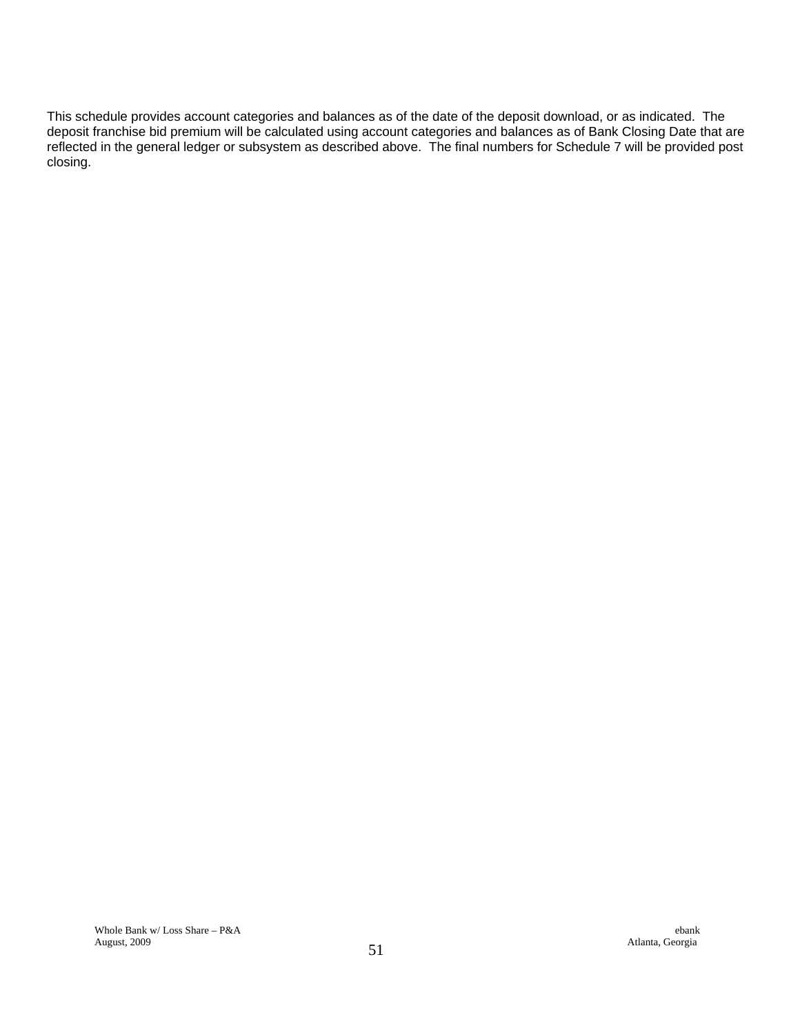This schedule provides account categories and balances as of the date of the deposit download, or as indicated. The deposit franchise bid premium will be calculated using account categories and balances as of Bank Closing Date that are reflected in the general ledger or subsystem as described above. The final numbers for Schedule 7 will be provided post closing.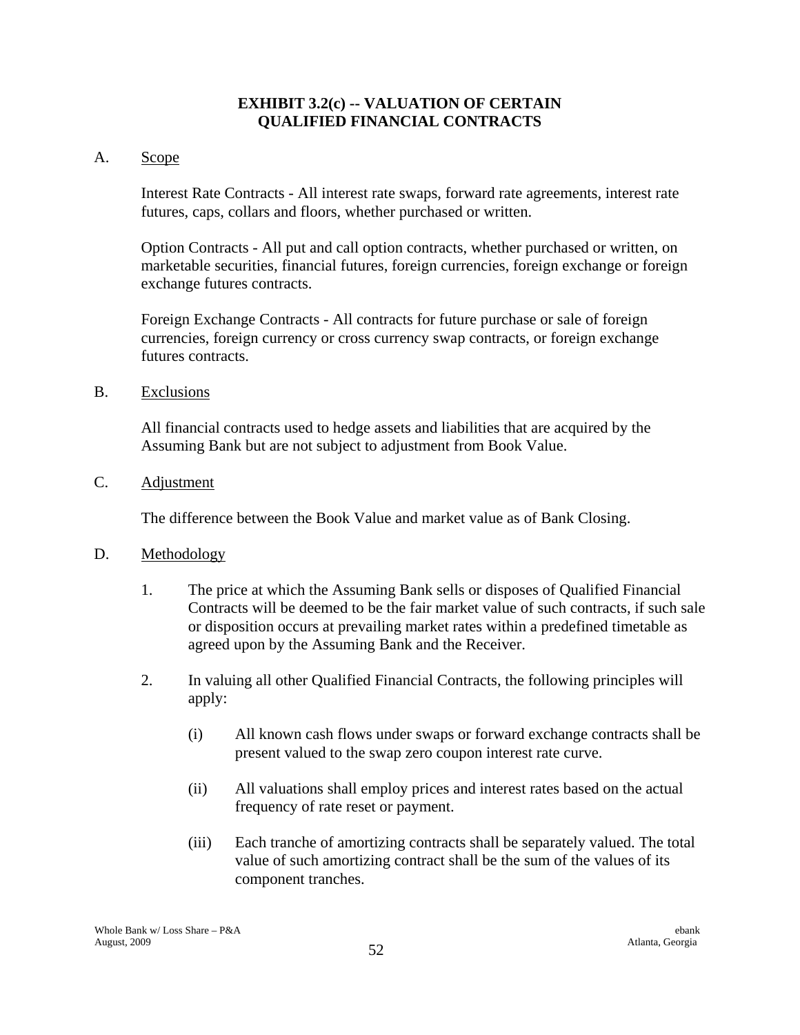## **EXHIBIT 3.2(c) -- VALUATION OF CERTAIN QUALIFIED FINANCIAL CONTRACTS**

### A. Scope

Interest Rate Contracts - All interest rate swaps, forward rate agreements, interest rate futures, caps, collars and floors, whether purchased or written.

Option Contracts - All put and call option contracts, whether purchased or written, on marketable securities, financial futures, foreign currencies, foreign exchange or foreign exchange futures contracts.

Foreign Exchange Contracts - All contracts for future purchase or sale of foreign currencies, foreign currency or cross currency swap contracts, or foreign exchange futures contracts.

B. Exclusions

All financial contracts used to hedge assets and liabilities that are acquired by the Assuming Bank but are not subject to adjustment from Book Value.

C. Adjustment

The difference between the Book Value and market value as of Bank Closing.

- D. Methodology
	- 1. The price at which the Assuming Bank sells or disposes of Qualified Financial Contracts will be deemed to be the fair market value of such contracts, if such sale or disposition occurs at prevailing market rates within a predefined timetable as agreed upon by the Assuming Bank and the Receiver.
	- 2. In valuing all other Qualified Financial Contracts, the following principles will apply:
		- (i) All known cash flows under swaps or forward exchange contracts shall be present valued to the swap zero coupon interest rate curve.
		- (ii) All valuations shall employ prices and interest rates based on the actual frequency of rate reset or payment.
		- (iii) Each tranche of amortizing contracts shall be separately valued. The total value of such amortizing contract shall be the sum of the values of its component tranches.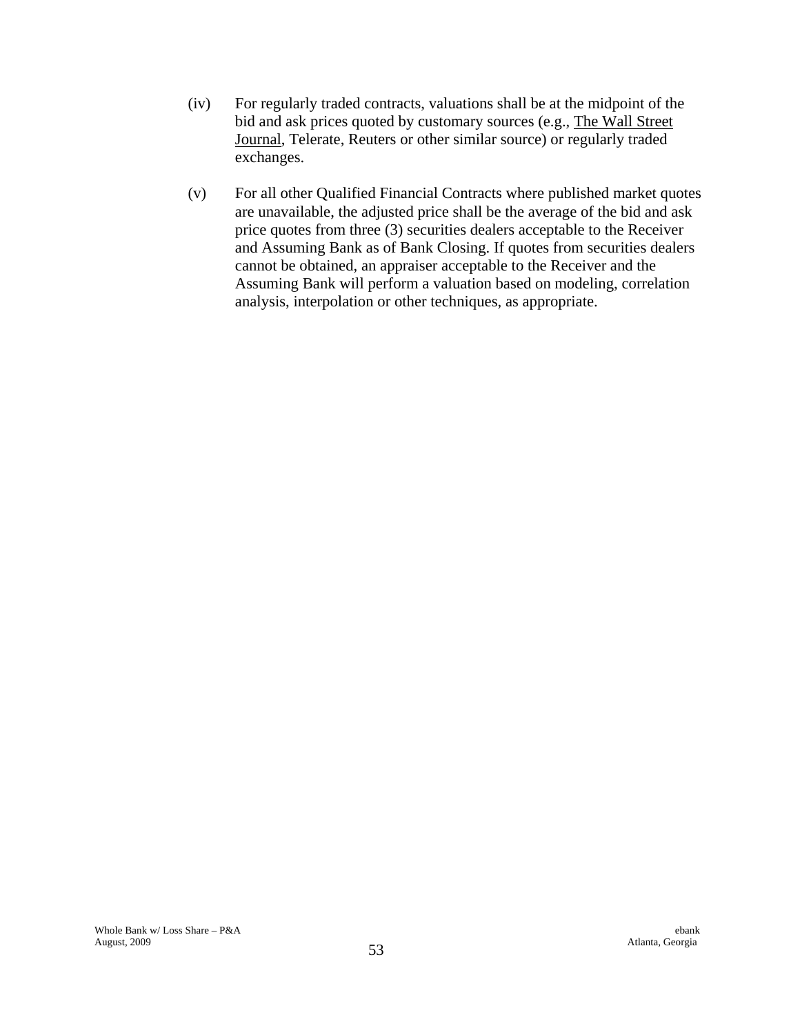- (iv) For regularly traded contracts, valuations shall be at the midpoint of the bid and ask prices quoted by customary sources (e.g., The Wall Street Journal, Telerate, Reuters or other similar source) or regularly traded exchanges.
- (v) For all other Qualified Financial Contracts where published market quotes are unavailable, the adjusted price shall be the average of the bid and ask price quotes from three (3) securities dealers acceptable to the Receiver and Assuming Bank as of Bank Closing. If quotes from securities dealers cannot be obtained, an appraiser acceptable to the Receiver and the Assuming Bank will perform a valuation based on modeling, correlation analysis, interpolation or other techniques, as appropriate.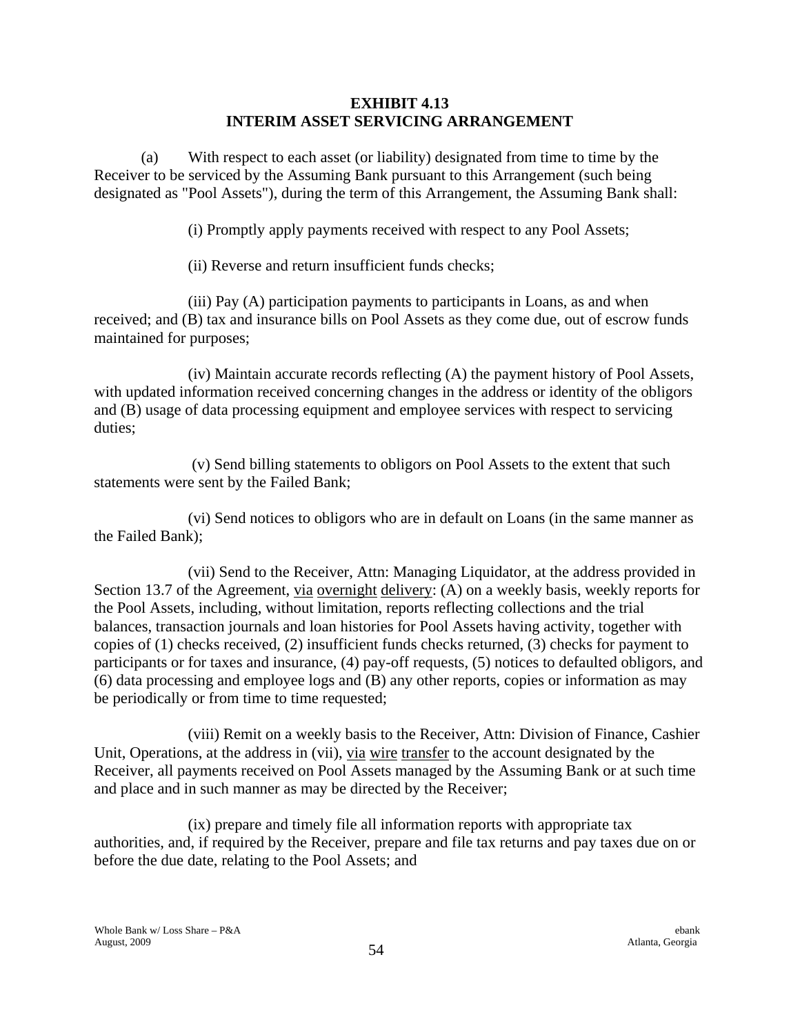### **EXHIBIT 4.13 INTERIM ASSET SERVICING ARRANGEMENT**

(a) With respect to each asset (or liability) designated from time to time by the Receiver to be serviced by the Assuming Bank pursuant to this Arrangement (such being designated as "Pool Assets"), during the term of this Arrangement, the Assuming Bank shall:

(i) Promptly apply payments received with respect to any Pool Assets;

(ii) Reverse and return insufficient funds checks;

(iii) Pay (A) participation payments to participants in Loans, as and when received; and (B) tax and insurance bills on Pool Assets as they come due, out of escrow funds maintained for purposes;

(iv) Maintain accurate records reflecting (A) the payment history of Pool Assets, with updated information received concerning changes in the address or identity of the obligors and (B) usage of data processing equipment and employee services with respect to servicing duties;

 (v) Send billing statements to obligors on Pool Assets to the extent that such statements were sent by the Failed Bank;

(vi) Send notices to obligors who are in default on Loans (in the same manner as the Failed Bank);

(vii) Send to the Receiver, Attn: Managing Liquidator, at the address provided in Section 13.7 of the Agreement, via overnight delivery: (A) on a weekly basis, weekly reports for the Pool Assets, including, without limitation, reports reflecting collections and the trial balances, transaction journals and loan histories for Pool Assets having activity, together with copies of (1) checks received, (2) insufficient funds checks returned, (3) checks for payment to participants or for taxes and insurance, (4) pay-off requests, (5) notices to defaulted obligors, and (6) data processing and employee logs and (B) any other reports, copies or information as may be periodically or from time to time requested;

(viii) Remit on a weekly basis to the Receiver, Attn: Division of Finance, Cashier Unit, Operations, at the address in (vii), via wire transfer to the account designated by the Receiver, all payments received on Pool Assets managed by the Assuming Bank or at such time and place and in such manner as may be directed by the Receiver;

(ix) prepare and timely file all information reports with appropriate tax authorities, and, if required by the Receiver, prepare and file tax returns and pay taxes due on or before the due date, relating to the Pool Assets; and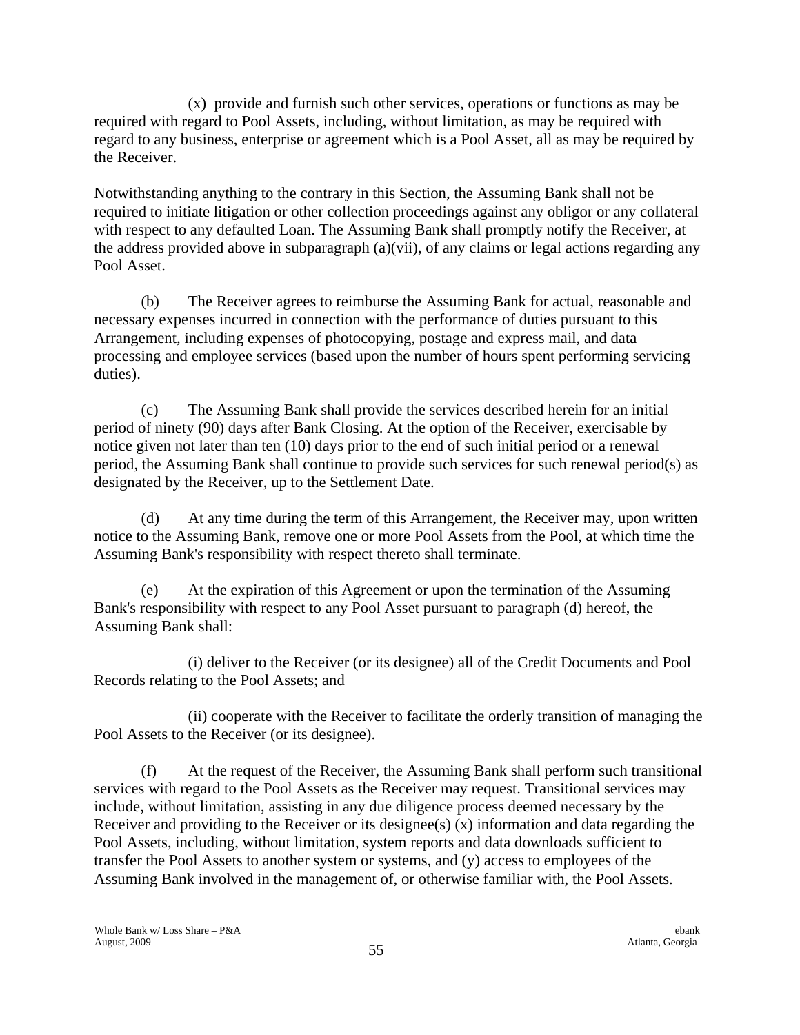(x) provide and furnish such other services, operations or functions as may be required with regard to Pool Assets, including, without limitation, as may be required with regard to any business, enterprise or agreement which is a Pool Asset, all as may be required by the Receiver.

Notwithstanding anything to the contrary in this Section, the Assuming Bank shall not be required to initiate litigation or other collection proceedings against any obligor or any collateral with respect to any defaulted Loan. The Assuming Bank shall promptly notify the Receiver, at the address provided above in subparagraph (a)(vii), of any claims or legal actions regarding any Pool Asset.

(b) The Receiver agrees to reimburse the Assuming Bank for actual, reasonable and necessary expenses incurred in connection with the performance of duties pursuant to this Arrangement, including expenses of photocopying, postage and express mail, and data processing and employee services (based upon the number of hours spent performing servicing duties).

(c) The Assuming Bank shall provide the services described herein for an initial period of ninety (90) days after Bank Closing. At the option of the Receiver, exercisable by notice given not later than ten (10) days prior to the end of such initial period or a renewal period, the Assuming Bank shall continue to provide such services for such renewal period(s) as designated by the Receiver, up to the Settlement Date.

(d) At any time during the term of this Arrangement, the Receiver may, upon written notice to the Assuming Bank, remove one or more Pool Assets from the Pool, at which time the Assuming Bank's responsibility with respect thereto shall terminate.

(e) At the expiration of this Agreement or upon the termination of the Assuming Bank's responsibility with respect to any Pool Asset pursuant to paragraph (d) hereof, the Assuming Bank shall:

(i) deliver to the Receiver (or its designee) all of the Credit Documents and Pool Records relating to the Pool Assets; and

(ii) cooperate with the Receiver to facilitate the orderly transition of managing the Pool Assets to the Receiver (or its designee).

(f) At the request of the Receiver, the Assuming Bank shall perform such transitional services with regard to the Pool Assets as the Receiver may request. Transitional services may include, without limitation, assisting in any due diligence process deemed necessary by the Receiver and providing to the Receiver or its designee(s) (x) information and data regarding the Pool Assets, including, without limitation, system reports and data downloads sufficient to transfer the Pool Assets to another system or systems, and (y) access to employees of the Assuming Bank involved in the management of, or otherwise familiar with, the Pool Assets.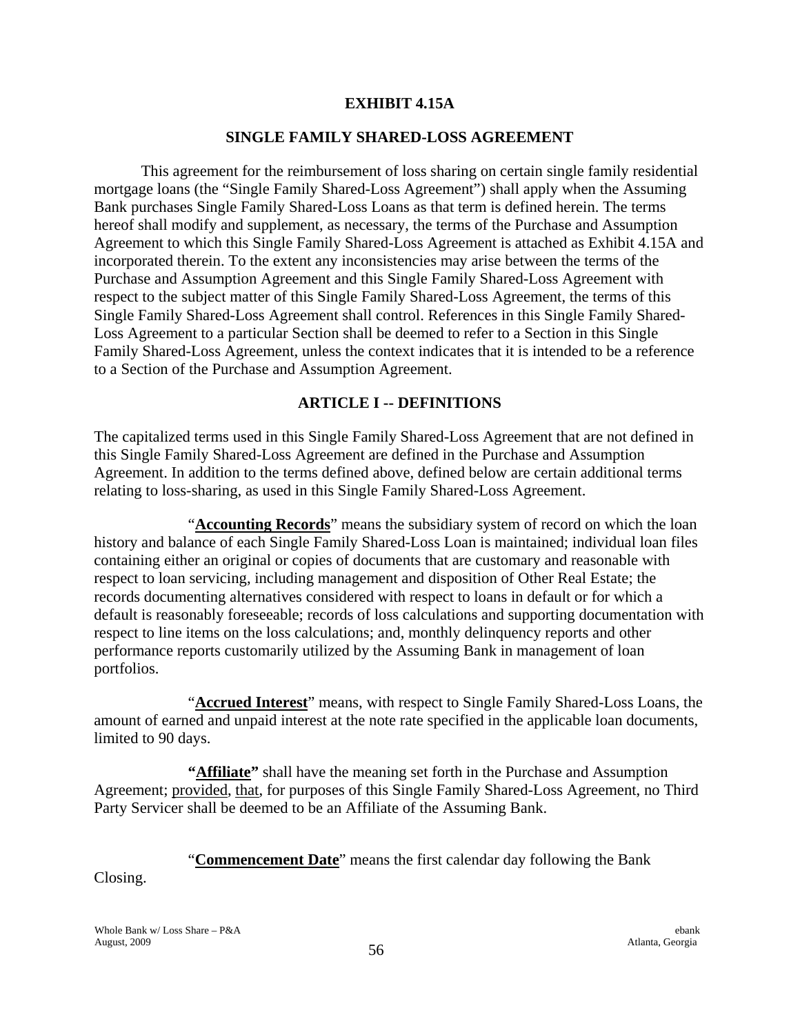#### **EXHIBIT 4.15A**

### **SINGLE FAMILY SHARED-LOSS AGREEMENT**

This agreement for the reimbursement of loss sharing on certain single family residential mortgage loans (the "Single Family Shared-Loss Agreement") shall apply when the Assuming Bank purchases Single Family Shared-Loss Loans as that term is defined herein. The terms hereof shall modify and supplement, as necessary, the terms of the Purchase and Assumption Agreement to which this Single Family Shared-Loss Agreement is attached as Exhibit 4.15A and incorporated therein. To the extent any inconsistencies may arise between the terms of the Purchase and Assumption Agreement and this Single Family Shared-Loss Agreement with respect to the subject matter of this Single Family Shared-Loss Agreement, the terms of this Single Family Shared-Loss Agreement shall control. References in this Single Family Shared-Loss Agreement to a particular Section shall be deemed to refer to a Section in this Single Family Shared-Loss Agreement, unless the context indicates that it is intended to be a reference to a Section of the Purchase and Assumption Agreement.

### **ARTICLE I -- DEFINITIONS**

The capitalized terms used in this Single Family Shared-Loss Agreement that are not defined in this Single Family Shared-Loss Agreement are defined in the Purchase and Assumption Agreement. In addition to the terms defined above, defined below are certain additional terms relating to loss-sharing, as used in this Single Family Shared-Loss Agreement.

"**Accounting Records**" means the subsidiary system of record on which the loan history and balance of each Single Family Shared-Loss Loan is maintained; individual loan files containing either an original or copies of documents that are customary and reasonable with respect to loan servicing, including management and disposition of Other Real Estate; the records documenting alternatives considered with respect to loans in default or for which a default is reasonably foreseeable; records of loss calculations and supporting documentation with respect to line items on the loss calculations; and, monthly delinquency reports and other performance reports customarily utilized by the Assuming Bank in management of loan portfolios.

"**Accrued Interest**" means, with respect to Single Family Shared-Loss Loans, the amount of earned and unpaid interest at the note rate specified in the applicable loan documents, limited to 90 days.

**"Affiliate"** shall have the meaning set forth in the Purchase and Assumption Agreement; provided, that, for purposes of this Single Family Shared-Loss Agreement, no Third Party Servicer shall be deemed to be an Affiliate of the Assuming Bank.

"**Commencement Date**" means the first calendar day following the Bank

August, 2009 Whole Bank w/ Loss Share – P&A ebank<br>August, 2009 Atlanta, Georgia

Closing.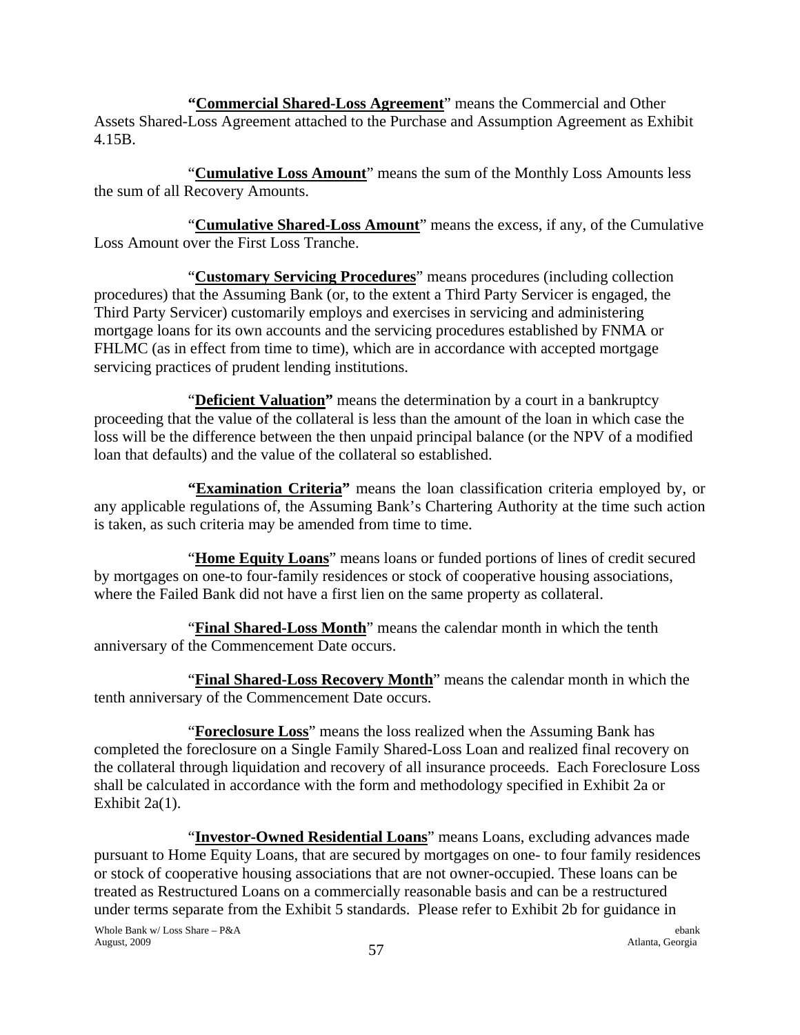**"Commercial Shared-Loss Agreement**" means the Commercial and Other Assets Shared-Loss Agreement attached to the Purchase and Assumption Agreement as Exhibit 4.15B.

"**Cumulative Loss Amount**" means the sum of the Monthly Loss Amounts less the sum of all Recovery Amounts.

"**Cumulative Shared-Loss Amount**" means the excess, if any, of the Cumulative Loss Amount over the First Loss Tranche.

"**Customary Servicing Procedures**" means procedures (including collection procedures) that the Assuming Bank (or, to the extent a Third Party Servicer is engaged, the Third Party Servicer) customarily employs and exercises in servicing and administering mortgage loans for its own accounts and the servicing procedures established by FNMA or FHLMC (as in effect from time to time), which are in accordance with accepted mortgage servicing practices of prudent lending institutions.

"**Deficient Valuation"** means the determination by a court in a bankruptcy proceeding that the value of the collateral is less than the amount of the loan in which case the loss will be the difference between the then unpaid principal balance (or the NPV of a modified loan that defaults) and the value of the collateral so established.

**"Examination Criteria"** means the loan classification criteria employed by, or any applicable regulations of, the Assuming Bank's Chartering Authority at the time such action is taken, as such criteria may be amended from time to time.

"**Home Equity Loans**" means loans or funded portions of lines of credit secured by mortgages on one-to four-family residences or stock of cooperative housing associations, where the Failed Bank did not have a first lien on the same property as collateral.

"**Final Shared-Loss Month**" means the calendar month in which the tenth anniversary of the Commencement Date occurs.

"**Final Shared-Loss Recovery Month**" means the calendar month in which the tenth anniversary of the Commencement Date occurs.

"**Foreclosure Loss**" means the loss realized when the Assuming Bank has completed the foreclosure on a Single Family Shared-Loss Loan and realized final recovery on the collateral through liquidation and recovery of all insurance proceeds. Each Foreclosure Loss shall be calculated in accordance with the form and methodology specified in Exhibit 2a or Exhibit 2a(1).

"**Investor-Owned Residential Loans**" means Loans, excluding advances made pursuant to Home Equity Loans, that are secured by mortgages on one- to four family residences or stock of cooperative housing associations that are not owner-occupied. These loans can be treated as Restructured Loans on a commercially reasonable basis and can be a restructured under terms separate from the Exhibit 5 standards. Please refer to Exhibit 2b for guidance in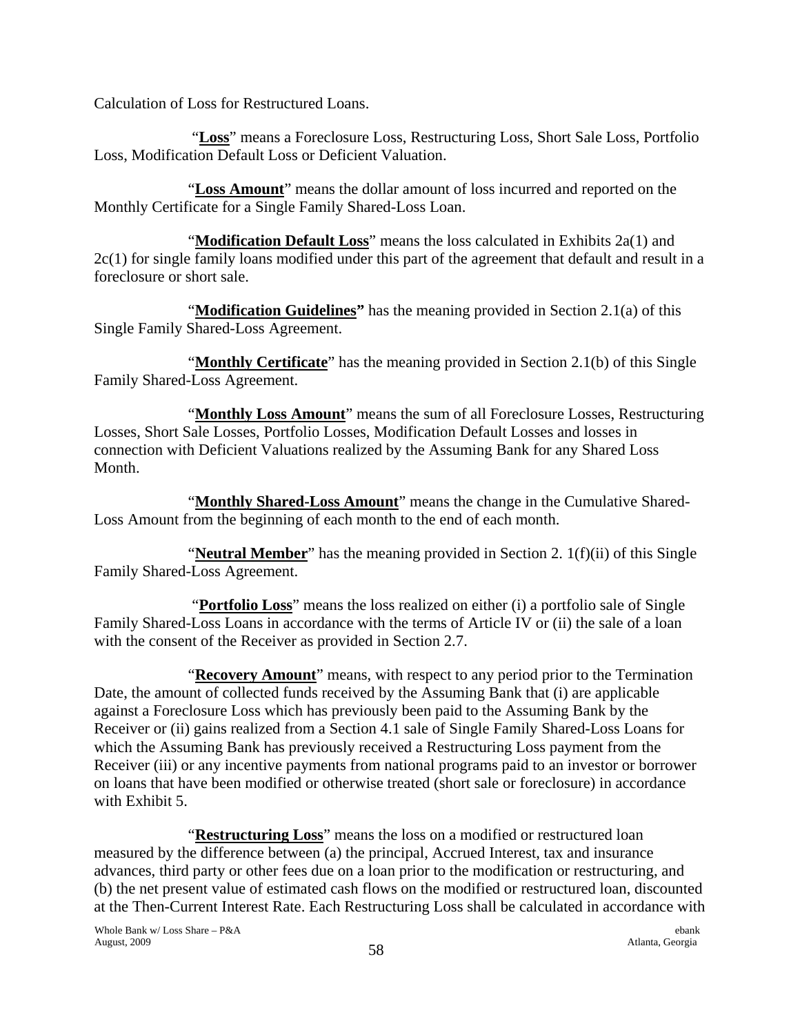Calculation of Loss for Restructured Loans.

"**Loss**" means a Foreclosure Loss, Restructuring Loss, Short Sale Loss, Portfolio Loss, Modification Default Loss or Deficient Valuation.

"**Loss Amount**" means the dollar amount of loss incurred and reported on the Monthly Certificate for a Single Family Shared-Loss Loan.

"**Modification Default Loss**" means the loss calculated in Exhibits 2a(1) and 2c(1) for single family loans modified under this part of the agreement that default and result in a foreclosure or short sale.

"**Modification Guidelines**" has the meaning provided in Section 2.1(a) of this Single Family Shared-Loss Agreement.

"**Monthly Certificate**" has the meaning provided in Section 2.1(b) of this Single Family Shared-Loss Agreement.

"**Monthly Loss Amount**" means the sum of all Foreclosure Losses, Restructuring Losses, Short Sale Losses, Portfolio Losses, Modification Default Losses and losses in connection with Deficient Valuations realized by the Assuming Bank for any Shared Loss Month.

"**Monthly Shared-Loss Amount**" means the change in the Cumulative Shared-Loss Amount from the beginning of each month to the end of each month.

"**Neutral Member**" has the meaning provided in Section 2. 1(f)(ii) of this Single Family Shared-Loss Agreement.

"**Portfolio Loss**" means the loss realized on either (i) a portfolio sale of Single Family Shared-Loss Loans in accordance with the terms of Article IV or (ii) the sale of a loan with the consent of the Receiver as provided in Section 2.7.

"**Recovery Amount**" means, with respect to any period prior to the Termination Date, the amount of collected funds received by the Assuming Bank that (i) are applicable against a Foreclosure Loss which has previously been paid to the Assuming Bank by the Receiver or (ii) gains realized from a Section 4.1 sale of Single Family Shared-Loss Loans for which the Assuming Bank has previously received a Restructuring Loss payment from the Receiver (iii) or any incentive payments from national programs paid to an investor or borrower on loans that have been modified or otherwise treated (short sale or foreclosure) in accordance with Exhibit 5.

"**Restructuring Loss**" means the loss on a modified or restructured loan measured by the difference between (a) the principal, Accrued Interest, tax and insurance advances, third party or other fees due on a loan prior to the modification or restructuring, and (b) the net present value of estimated cash flows on the modified or restructured loan, discounted at the Then-Current Interest Rate. Each Restructuring Loss shall be calculated in accordance with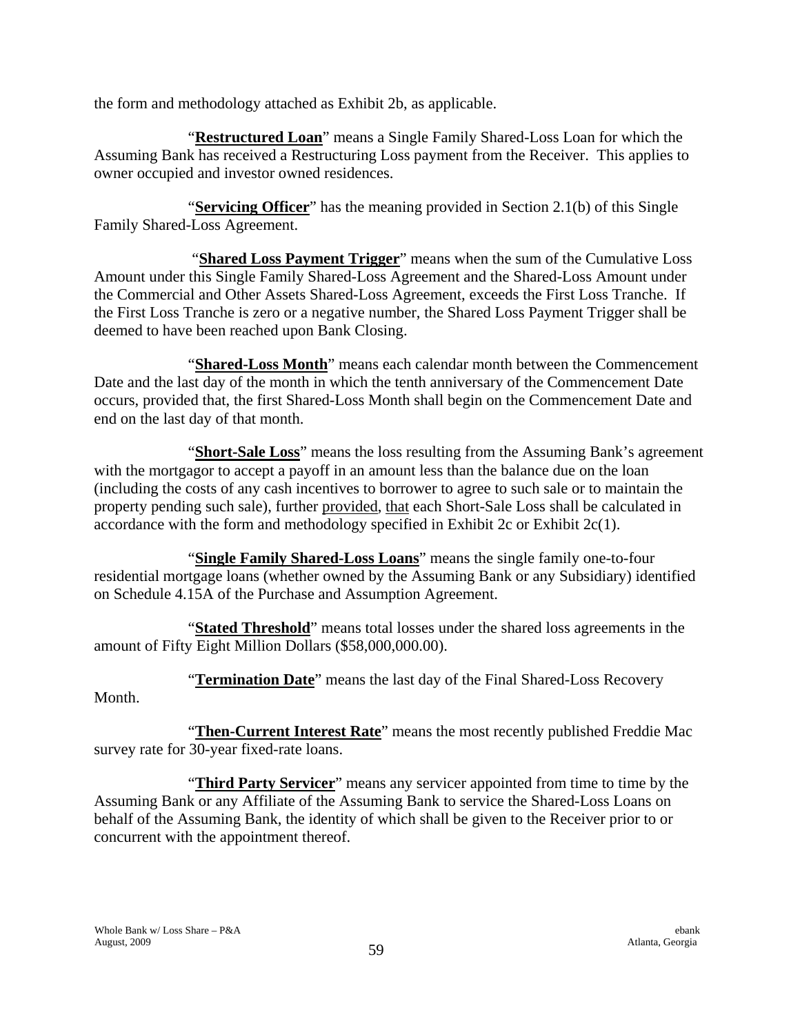the form and methodology attached as Exhibit 2b, as applicable.

"**Restructured Loan**" means a Single Family Shared-Loss Loan for which the Assuming Bank has received a Restructuring Loss payment from the Receiver. This applies to owner occupied and investor owned residences.

"**Servicing Officer**" has the meaning provided in Section 2.1(b) of this Single Family Shared-Loss Agreement.

"Shared Loss Payment Trigger" means when the sum of the Cumulative Loss Amount under this Single Family Shared-Loss Agreement and the Shared-Loss Amount under the Commercial and Other Assets Shared-Loss Agreement, exceeds the First Loss Tranche. If the First Loss Tranche is zero or a negative number, the Shared Loss Payment Trigger shall be deemed to have been reached upon Bank Closing.

"**Shared-Loss Month**" means each calendar month between the Commencement Date and the last day of the month in which the tenth anniversary of the Commencement Date occurs, provided that, the first Shared-Loss Month shall begin on the Commencement Date and end on the last day of that month.

"**Short-Sale Loss**" means the loss resulting from the Assuming Bank's agreement with the mortgagor to accept a payoff in an amount less than the balance due on the loan (including the costs of any cash incentives to borrower to agree to such sale or to maintain the property pending such sale), further provided, that each Short-Sale Loss shall be calculated in accordance with the form and methodology specified in Exhibit 2c or Exhibit  $2c(1)$ .

"**Single Family Shared-Loss Loans**" means the single family one-to-four residential mortgage loans (whether owned by the Assuming Bank or any Subsidiary) identified on Schedule 4.15A of the Purchase and Assumption Agreement.

"**Stated Threshold**" means total losses under the shared loss agreements in the amount of Fifty Eight Million Dollars (\$58,000,000.00).

"**Termination Date**" means the last day of the Final Shared-Loss Recovery

Month.

"**Then-Current Interest Rate**" means the most recently published Freddie Mac survey rate for 30-year fixed-rate loans.

"**Third Party Servicer**" means any servicer appointed from time to time by the Assuming Bank or any Affiliate of the Assuming Bank to service the Shared-Loss Loans on behalf of the Assuming Bank, the identity of which shall be given to the Receiver prior to or concurrent with the appointment thereof.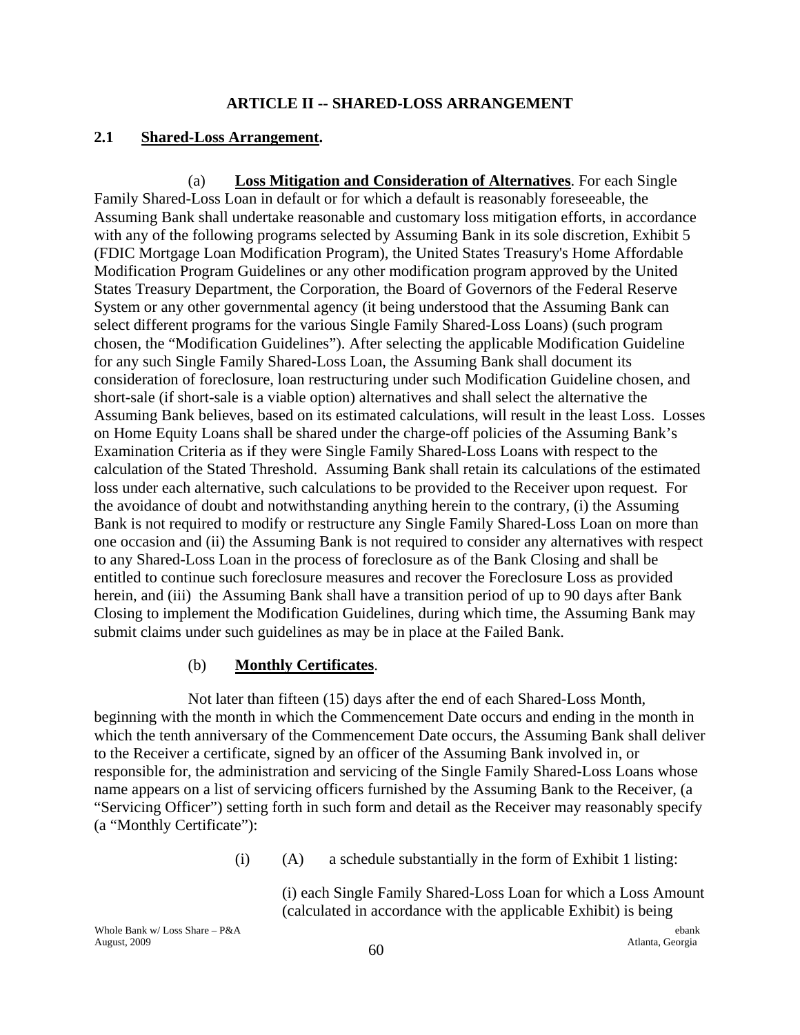### **ARTICLE II -- SHARED-LOSS ARRANGEMENT**

### **2.1 Shared-Loss Arrangement.**

(a) **Loss Mitigation and Consideration of Alternatives**. For each Single Family Shared-Loss Loan in default or for which a default is reasonably foreseeable, the Assuming Bank shall undertake reasonable and customary loss mitigation efforts, in accordance with any of the following programs selected by Assuming Bank in its sole discretion, Exhibit 5 (FDIC Mortgage Loan Modification Program), the United States Treasury's Home Affordable Modification Program Guidelines or any other modification program approved by the United States Treasury Department, the Corporation, the Board of Governors of the Federal Reserve System or any other governmental agency (it being understood that the Assuming Bank can select different programs for the various Single Family Shared-Loss Loans) (such program chosen, the "Modification Guidelines"). After selecting the applicable Modification Guideline for any such Single Family Shared-Loss Loan, the Assuming Bank shall document its consideration of foreclosure, loan restructuring under such Modification Guideline chosen, and short-sale (if short-sale is a viable option) alternatives and shall select the alternative the Assuming Bank believes, based on its estimated calculations, will result in the least Loss. Losses on Home Equity Loans shall be shared under the charge-off policies of the Assuming Bank's Examination Criteria as if they were Single Family Shared-Loss Loans with respect to the calculation of the Stated Threshold. Assuming Bank shall retain its calculations of the estimated loss under each alternative, such calculations to be provided to the Receiver upon request. For the avoidance of doubt and notwithstanding anything herein to the contrary, (i) the Assuming Bank is not required to modify or restructure any Single Family Shared-Loss Loan on more than one occasion and (ii) the Assuming Bank is not required to consider any alternatives with respect to any Shared-Loss Loan in the process of foreclosure as of the Bank Closing and shall be entitled to continue such foreclosure measures and recover the Foreclosure Loss as provided herein, and (iii) the Assuming Bank shall have a transition period of up to 90 days after Bank Closing to implement the Modification Guidelines, during which time, the Assuming Bank may submit claims under such guidelines as may be in place at the Failed Bank.

### (b) **Monthly Certificates**.

Not later than fifteen (15) days after the end of each Shared-Loss Month, beginning with the month in which the Commencement Date occurs and ending in the month in which the tenth anniversary of the Commencement Date occurs, the Assuming Bank shall deliver to the Receiver a certificate, signed by an officer of the Assuming Bank involved in, or responsible for, the administration and servicing of the Single Family Shared-Loss Loans whose name appears on a list of servicing officers furnished by the Assuming Bank to the Receiver, (a "Servicing Officer") setting forth in such form and detail as the Receiver may reasonably specify (a "Monthly Certificate"):

(i) (A) a schedule substantially in the form of Exhibit 1 listing:

(i) each Single Family Shared-Loss Loan for which a Loss Amount (calculated in accordance with the applicable Exhibit) is being

August, 2009 Whole Bank w/Loss Share – P&A ebank<br>August, 2009 Atlanta, Georgia August, 2009  $\sim$  60  $\sim$  Atlanta, Georgia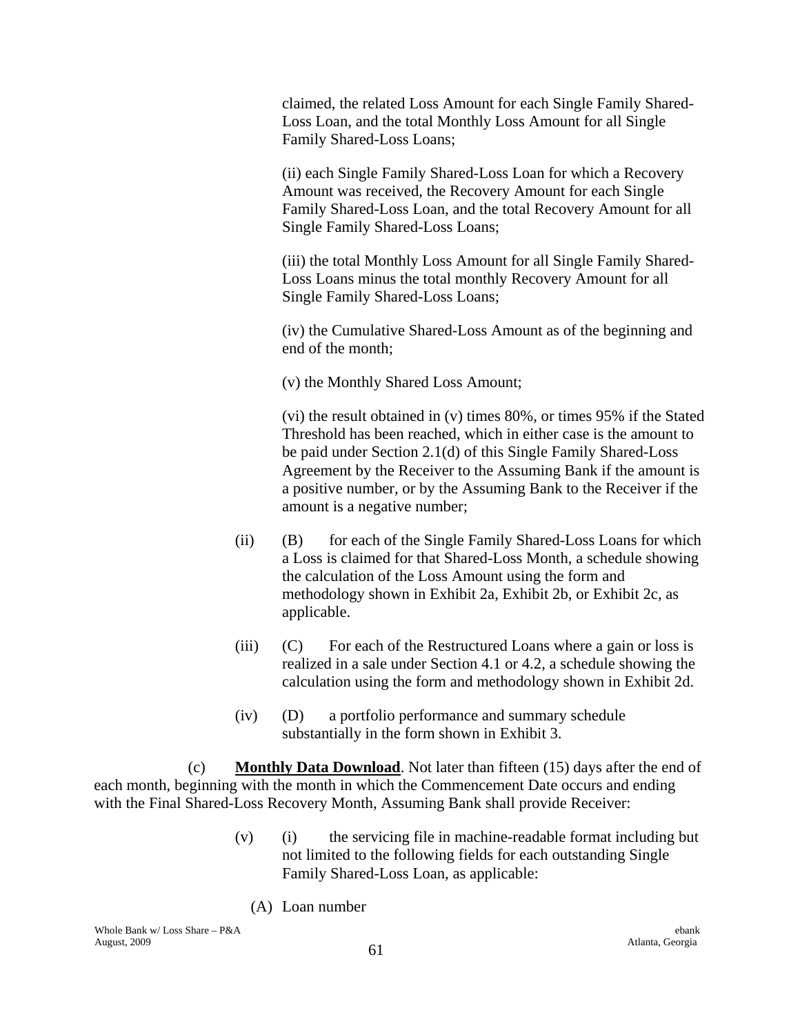claimed, the related Loss Amount for each Single Family Shared-Loss Loan, and the total Monthly Loss Amount for all Single Family Shared-Loss Loans;

(ii) each Single Family Shared-Loss Loan for which a Recovery Amount was received, the Recovery Amount for each Single Family Shared-Loss Loan, and the total Recovery Amount for all Single Family Shared-Loss Loans;

(iii) the total Monthly Loss Amount for all Single Family Shared-Loss Loans minus the total monthly Recovery Amount for all Single Family Shared-Loss Loans;

(iv) the Cumulative Shared-Loss Amount as of the beginning and end of the month;

(v) the Monthly Shared Loss Amount;

(vi) the result obtained in (v) times 80%, or times 95% if the Stated Threshold has been reached, which in either case is the amount to be paid under Section 2.1(d) of this Single Family Shared-Loss Agreement by the Receiver to the Assuming Bank if the amount is a positive number, or by the Assuming Bank to the Receiver if the amount is a negative number;

- (ii) (B) for each of the Single Family Shared-Loss Loans for which a Loss is claimed for that Shared-Loss Month, a schedule showing the calculation of the Loss Amount using the form and methodology shown in Exhibit 2a, Exhibit 2b, or Exhibit 2c, as applicable.
- (iii)  $(C)$  For each of the Restructured Loans where a gain or loss is realized in a sale under Section 4.1 or 4.2, a schedule showing the calculation using the form and methodology shown in Exhibit 2d.
- (iv) (D) a portfolio performance and summary schedule substantially in the form shown in Exhibit 3.

(c) **Monthly Data Download**. Not later than fifteen (15) days after the end of each month, beginning with the month in which the Commencement Date occurs and ending with the Final Shared-Loss Recovery Month, Assuming Bank shall provide Receiver:

- $(v)$  (i) the servicing file in machine-readable format including but not limited to the following fields for each outstanding Single Family Shared-Loss Loan, as applicable:
	- (A) Loan number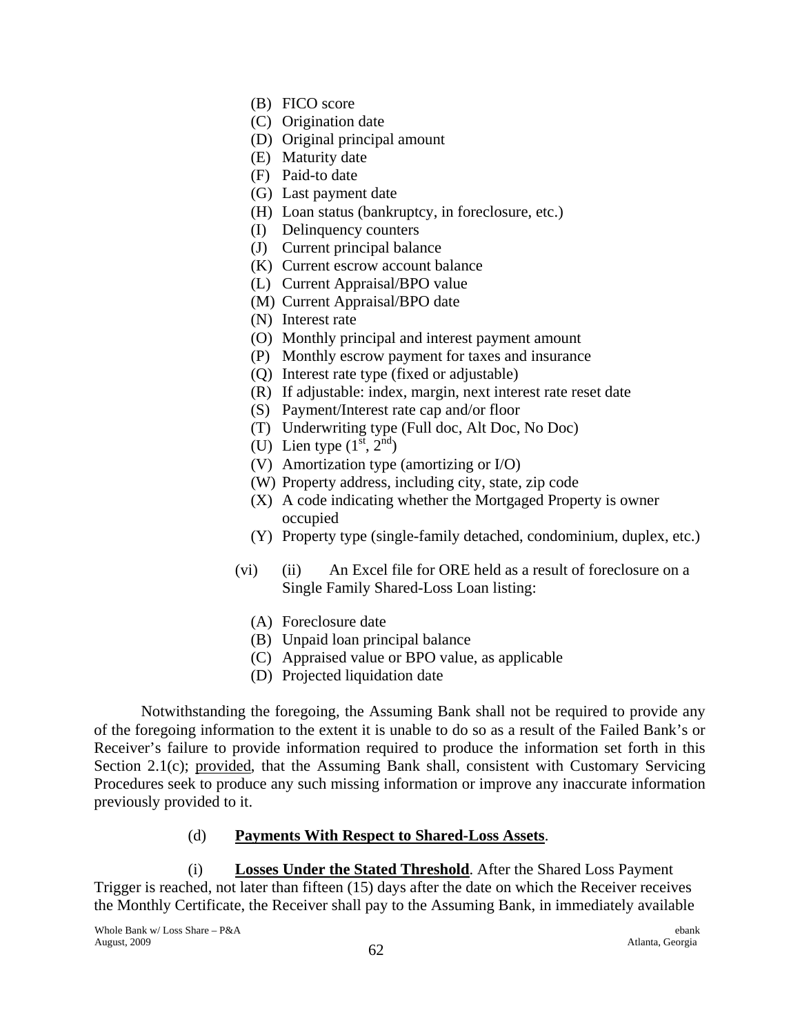- (B) FICO score
- (C) Origination date
- (D) Original principal amount
- (E) Maturity date
- (F) Paid-to date
- (G) Last payment date
- (H) Loan status (bankruptcy, in foreclosure, etc.)
- (I) Delinquency counters
- (J) Current principal balance
- (K) Current escrow account balance
- (L) Current Appraisal/BPO value
- (M) Current Appraisal/BPO date
- (N) Interest rate
- (O) Monthly principal and interest payment amount
- (P) Monthly escrow payment for taxes and insurance
- (Q) Interest rate type (fixed or adjustable)
- (R) If adjustable: index, margin, next interest rate reset date
- (S) Payment/Interest rate cap and/or floor
- (T) Underwriting type (Full doc, Alt Doc, No Doc)
- (U) Lien type  $(1<sup>st</sup>, 2<sup>nd</sup>)$
- (V) Amortization type (amortizing or I/O)
- (W) Property address, including city, state, zip code
- (X) A code indicating whether the Mortgaged Property is owner occupied
- (Y) Property type (single-family detached, condominium, duplex, etc.)
- (vi) (ii) An Excel file for ORE held as a result of foreclosure on a Single Family Shared-Loss Loan listing:
	- (A) Foreclosure date
	- (B) Unpaid loan principal balance
	- (C) Appraised value or BPO value, as applicable
	- (D) Projected liquidation date

Notwithstanding the foregoing, the Assuming Bank shall not be required to provide any of the foregoing information to the extent it is unable to do so as a result of the Failed Bank's or Receiver's failure to provide information required to produce the information set forth in this Section 2.1(c); provided, that the Assuming Bank shall, consistent with Customary Servicing Procedures seek to produce any such missing information or improve any inaccurate information previously provided to it.

## (d) **Payments With Respect to Shared-Loss Assets**.

(i) **Losses Under the Stated Threshold**. After the Shared Loss Payment Trigger is reached, not later than fifteen (15) days after the date on which the Receiver receives the Monthly Certificate, the Receiver shall pay to the Assuming Bank, in immediately available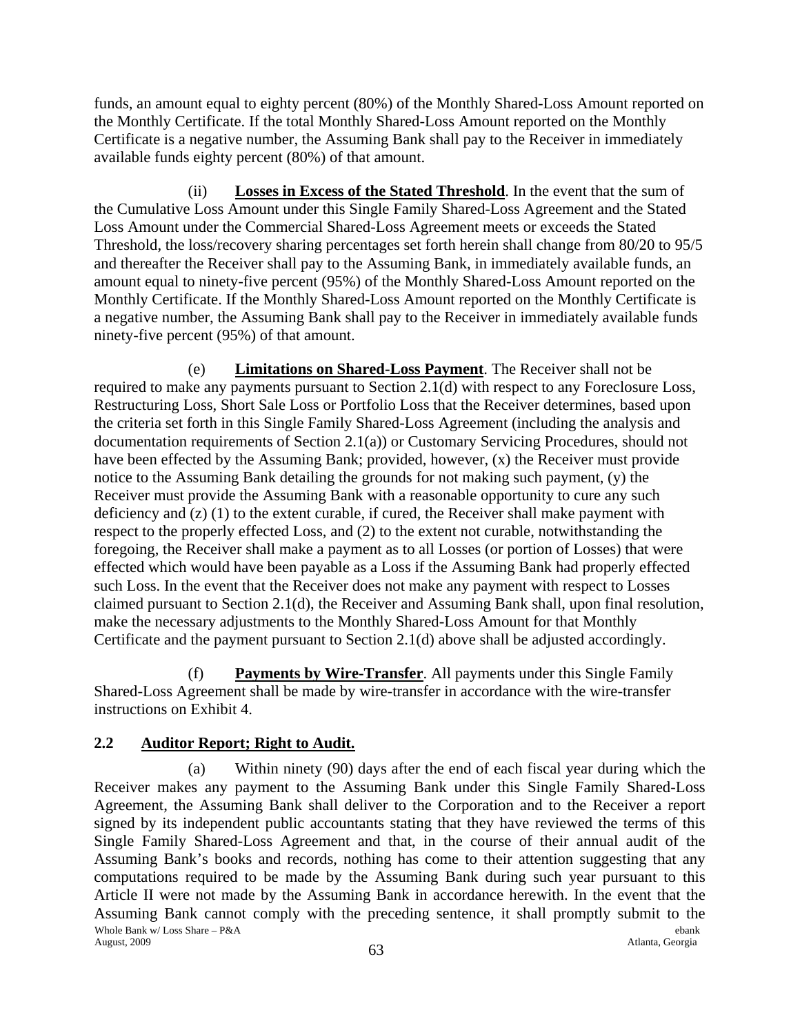funds, an amount equal to eighty percent (80%) of the Monthly Shared-Loss Amount reported on the Monthly Certificate. If the total Monthly Shared-Loss Amount reported on the Monthly Certificate is a negative number, the Assuming Bank shall pay to the Receiver in immediately available funds eighty percent (80%) of that amount.

(ii) **Losses in Excess of the Stated Threshold**. In the event that the sum of the Cumulative Loss Amount under this Single Family Shared-Loss Agreement and the Stated Loss Amount under the Commercial Shared-Loss Agreement meets or exceeds the Stated Threshold, the loss/recovery sharing percentages set forth herein shall change from 80/20 to 95/5 and thereafter the Receiver shall pay to the Assuming Bank, in immediately available funds, an amount equal to ninety-five percent (95%) of the Monthly Shared-Loss Amount reported on the Monthly Certificate. If the Monthly Shared-Loss Amount reported on the Monthly Certificate is a negative number, the Assuming Bank shall pay to the Receiver in immediately available funds ninety-five percent (95%) of that amount.

(e) **Limitations on Shared-Loss Payment**. The Receiver shall not be required to make any payments pursuant to Section 2.1(d) with respect to any Foreclosure Loss, Restructuring Loss, Short Sale Loss or Portfolio Loss that the Receiver determines, based upon the criteria set forth in this Single Family Shared-Loss Agreement (including the analysis and documentation requirements of Section 2.1(a)) or Customary Servicing Procedures, should not have been effected by the Assuming Bank; provided, however, (x) the Receiver must provide notice to the Assuming Bank detailing the grounds for not making such payment, (y) the Receiver must provide the Assuming Bank with a reasonable opportunity to cure any such deficiency and (z) (1) to the extent curable, if cured, the Receiver shall make payment with respect to the properly effected Loss, and (2) to the extent not curable, notwithstanding the foregoing, the Receiver shall make a payment as to all Losses (or portion of Losses) that were effected which would have been payable as a Loss if the Assuming Bank had properly effected such Loss. In the event that the Receiver does not make any payment with respect to Losses claimed pursuant to Section 2.1(d), the Receiver and Assuming Bank shall, upon final resolution, make the necessary adjustments to the Monthly Shared-Loss Amount for that Monthly Certificate and the payment pursuant to Section 2.1(d) above shall be adjusted accordingly.

(f) **Payments by Wire-Transfer**. All payments under this Single Family Shared-Loss Agreement shall be made by wire-transfer in accordance with the wire-transfer instructions on Exhibit 4.

# **2.2 Auditor Report; Right to Audit.**

August, 2009 (a) Within ninety (90) days after the end of each fiscal year during which the Receiver makes any payment to the Assuming Bank under this Single Family Shared-Loss Agreement, the Assuming Bank shall deliver to the Corporation and to the Receiver a report signed by its independent public accountants stating that they have reviewed the terms of this Single Family Shared-Loss Agreement and that, in the course of their annual audit of the Assuming Bank's books and records, nothing has come to their attention suggesting that any computations required to be made by the Assuming Bank during such year pursuant to this Article II were not made by the Assuming Bank in accordance herewith. In the event that the Assuming Bank cannot comply with the preceding sentence, it shall promptly submit to the Whole Bank w/Loss Share – P&A ebank<br>August, 2009 Atlanta, Georgia August, 2009 **Atlanta**, Georgia **63 Compared 12 Compared 12 Compared 12 Compared 12 Compared 12 Compared 12 Compared 12 Compared 12 Compared 12 Compared 12 Compared 12 Compared 12 Compared 12 Co**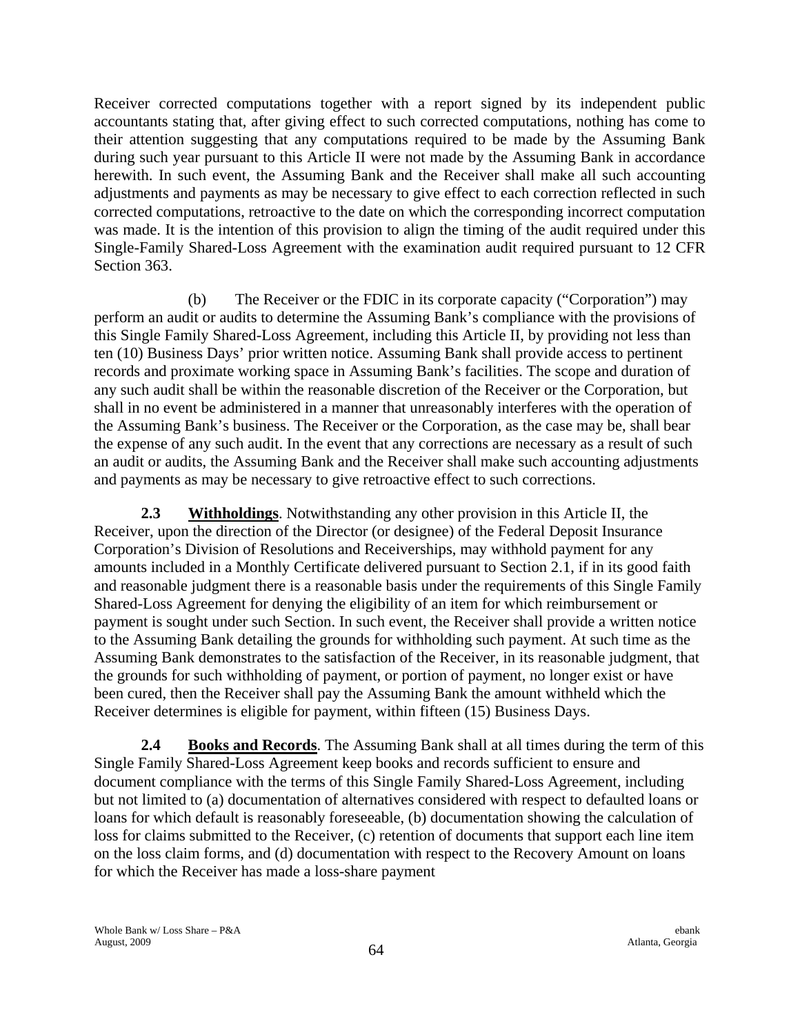Receiver corrected computations together with a report signed by its independent public accountants stating that, after giving effect to such corrected computations, nothing has come to their attention suggesting that any computations required to be made by the Assuming Bank during such year pursuant to this Article II were not made by the Assuming Bank in accordance herewith. In such event, the Assuming Bank and the Receiver shall make all such accounting adjustments and payments as may be necessary to give effect to each correction reflected in such corrected computations, retroactive to the date on which the corresponding incorrect computation was made. It is the intention of this provision to align the timing of the audit required under this Single-Family Shared-Loss Agreement with the examination audit required pursuant to 12 CFR Section 363.

(b) The Receiver or the FDIC in its corporate capacity ("Corporation") may perform an audit or audits to determine the Assuming Bank's compliance with the provisions of this Single Family Shared-Loss Agreement, including this Article II, by providing not less than ten (10) Business Days' prior written notice. Assuming Bank shall provide access to pertinent records and proximate working space in Assuming Bank's facilities. The scope and duration of any such audit shall be within the reasonable discretion of the Receiver or the Corporation, but shall in no event be administered in a manner that unreasonably interferes with the operation of the Assuming Bank's business. The Receiver or the Corporation, as the case may be, shall bear the expense of any such audit. In the event that any corrections are necessary as a result of such an audit or audits, the Assuming Bank and the Receiver shall make such accounting adjustments and payments as may be necessary to give retroactive effect to such corrections.

**2.3 Withholdings**. Notwithstanding any other provision in this Article II, the Receiver, upon the direction of the Director (or designee) of the Federal Deposit Insurance Corporation's Division of Resolutions and Receiverships, may withhold payment for any amounts included in a Monthly Certificate delivered pursuant to Section 2.1, if in its good faith and reasonable judgment there is a reasonable basis under the requirements of this Single Family Shared-Loss Agreement for denying the eligibility of an item for which reimbursement or payment is sought under such Section. In such event, the Receiver shall provide a written notice to the Assuming Bank detailing the grounds for withholding such payment. At such time as the Assuming Bank demonstrates to the satisfaction of the Receiver, in its reasonable judgment, that the grounds for such withholding of payment, or portion of payment, no longer exist or have been cured, then the Receiver shall pay the Assuming Bank the amount withheld which the Receiver determines is eligible for payment, within fifteen (15) Business Days.

**2.4 Books and Records**. The Assuming Bank shall at all times during the term of this Single Family Shared-Loss Agreement keep books and records sufficient to ensure and document compliance with the terms of this Single Family Shared-Loss Agreement, including but not limited to (a) documentation of alternatives considered with respect to defaulted loans or loans for which default is reasonably foreseeable, (b) documentation showing the calculation of loss for claims submitted to the Receiver, (c) retention of documents that support each line item on the loss claim forms, and (d) documentation with respect to the Recovery Amount on loans for which the Receiver has made a loss-share payment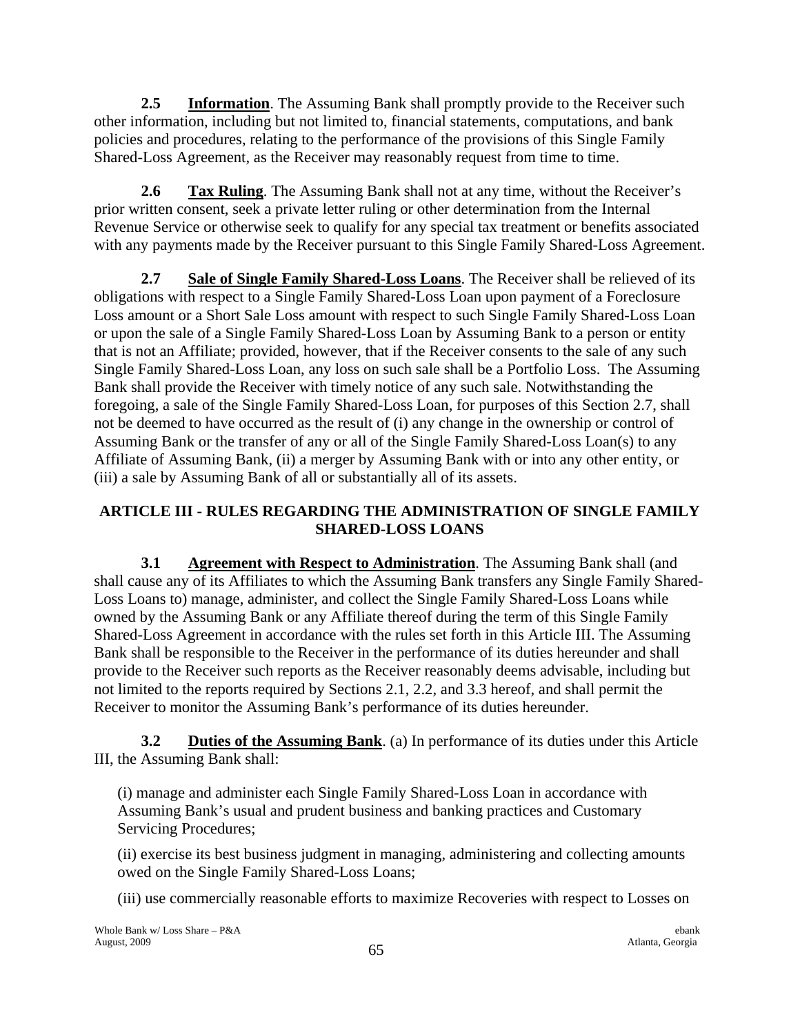**2.5 Information**. The Assuming Bank shall promptly provide to the Receiver such other information, including but not limited to, financial statements, computations, and bank policies and procedures, relating to the performance of the provisions of this Single Family Shared-Loss Agreement, as the Receiver may reasonably request from time to time.

**2.6 Tax Ruling**. The Assuming Bank shall not at any time, without the Receiver's prior written consent, seek a private letter ruling or other determination from the Internal Revenue Service or otherwise seek to qualify for any special tax treatment or benefits associated with any payments made by the Receiver pursuant to this Single Family Shared-Loss Agreement.

**2.7 Sale of Single Family Shared-Loss Loans**. The Receiver shall be relieved of its obligations with respect to a Single Family Shared-Loss Loan upon payment of a Foreclosure Loss amount or a Short Sale Loss amount with respect to such Single Family Shared-Loss Loan or upon the sale of a Single Family Shared-Loss Loan by Assuming Bank to a person or entity that is not an Affiliate; provided, however, that if the Receiver consents to the sale of any such Single Family Shared-Loss Loan, any loss on such sale shall be a Portfolio Loss. The Assuming Bank shall provide the Receiver with timely notice of any such sale. Notwithstanding the foregoing, a sale of the Single Family Shared-Loss Loan, for purposes of this Section 2.7, shall not be deemed to have occurred as the result of (i) any change in the ownership or control of Assuming Bank or the transfer of any or all of the Single Family Shared-Loss Loan(s) to any Affiliate of Assuming Bank, (ii) a merger by Assuming Bank with or into any other entity, or (iii) a sale by Assuming Bank of all or substantially all of its assets.

# **ARTICLE III - RULES REGARDING THE ADMINISTRATION OF SINGLE FAMILY SHARED-LOSS LOANS**

**3.1 Agreement with Respect to Administration**. The Assuming Bank shall (and shall cause any of its Affiliates to which the Assuming Bank transfers any Single Family Shared-Loss Loans to) manage, administer, and collect the Single Family Shared-Loss Loans while owned by the Assuming Bank or any Affiliate thereof during the term of this Single Family Shared-Loss Agreement in accordance with the rules set forth in this Article III. The Assuming Bank shall be responsible to the Receiver in the performance of its duties hereunder and shall provide to the Receiver such reports as the Receiver reasonably deems advisable, including but not limited to the reports required by Sections 2.1, 2.2, and 3.3 hereof, and shall permit the Receiver to monitor the Assuming Bank's performance of its duties hereunder.

**3.2 Duties of the Assuming Bank**. (a) In performance of its duties under this Article III, the Assuming Bank shall:

(i) manage and administer each Single Family Shared-Loss Loan in accordance with Assuming Bank's usual and prudent business and banking practices and Customary Servicing Procedures;

(ii) exercise its best business judgment in managing, administering and collecting amounts owed on the Single Family Shared-Loss Loans;

(iii) use commercially reasonable efforts to maximize Recoveries with respect to Losses on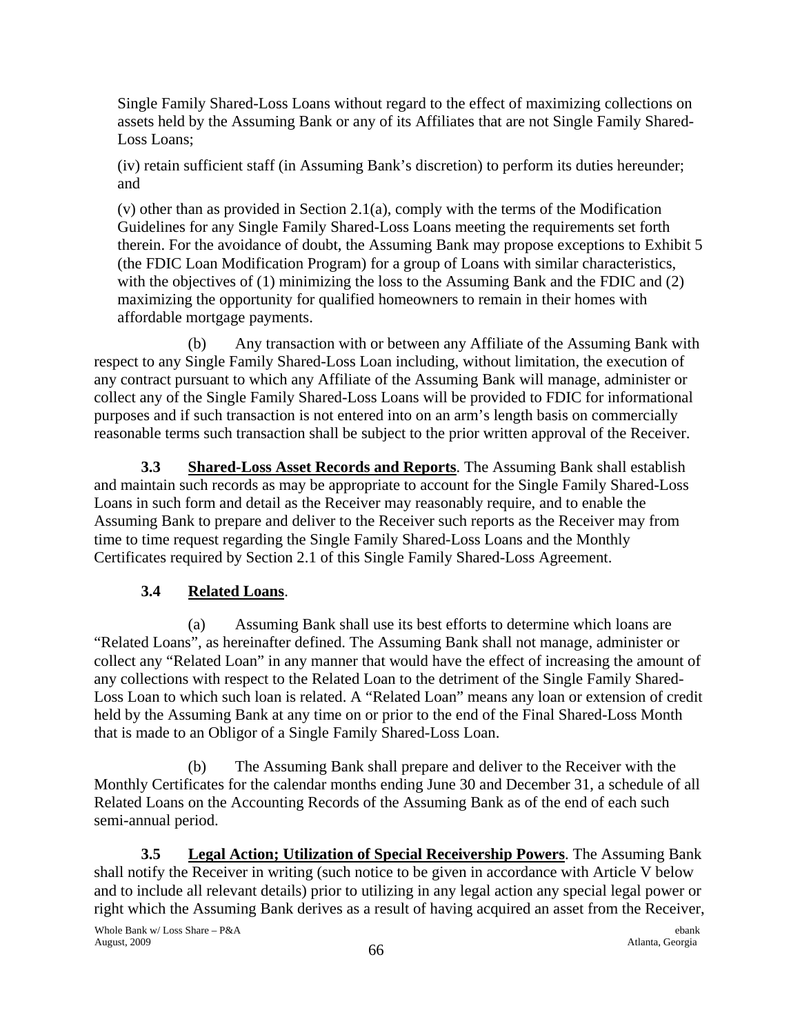Single Family Shared-Loss Loans without regard to the effect of maximizing collections on assets held by the Assuming Bank or any of its Affiliates that are not Single Family Shared-Loss Loans;

(iv) retain sufficient staff (in Assuming Bank's discretion) to perform its duties hereunder; and

(v) other than as provided in Section 2.1(a), comply with the terms of the Modification Guidelines for any Single Family Shared-Loss Loans meeting the requirements set forth therein. For the avoidance of doubt, the Assuming Bank may propose exceptions to Exhibit 5 (the FDIC Loan Modification Program) for a group of Loans with similar characteristics, with the objectives of (1) minimizing the loss to the Assuming Bank and the FDIC and (2) maximizing the opportunity for qualified homeowners to remain in their homes with affordable mortgage payments.

(b) Any transaction with or between any Affiliate of the Assuming Bank with respect to any Single Family Shared-Loss Loan including, without limitation, the execution of any contract pursuant to which any Affiliate of the Assuming Bank will manage, administer or collect any of the Single Family Shared-Loss Loans will be provided to FDIC for informational purposes and if such transaction is not entered into on an arm's length basis on commercially reasonable terms such transaction shall be subject to the prior written approval of the Receiver.

**3.3 Shared-Loss Asset Records and Reports**. The Assuming Bank shall establish and maintain such records as may be appropriate to account for the Single Family Shared-Loss Loans in such form and detail as the Receiver may reasonably require, and to enable the Assuming Bank to prepare and deliver to the Receiver such reports as the Receiver may from time to time request regarding the Single Family Shared-Loss Loans and the Monthly Certificates required by Section 2.1 of this Single Family Shared-Loss Agreement.

# **3.4 Related Loans**.

(a) Assuming Bank shall use its best efforts to determine which loans are "Related Loans", as hereinafter defined. The Assuming Bank shall not manage, administer or collect any "Related Loan" in any manner that would have the effect of increasing the amount of any collections with respect to the Related Loan to the detriment of the Single Family Shared-Loss Loan to which such loan is related. A "Related Loan" means any loan or extension of credit held by the Assuming Bank at any time on or prior to the end of the Final Shared-Loss Month that is made to an Obligor of a Single Family Shared-Loss Loan.

(b) The Assuming Bank shall prepare and deliver to the Receiver with the Monthly Certificates for the calendar months ending June 30 and December 31, a schedule of all Related Loans on the Accounting Records of the Assuming Bank as of the end of each such semi-annual period.

**3.5 Legal Action; Utilization of Special Receivership Powers**. The Assuming Bank shall notify the Receiver in writing (such notice to be given in accordance with Article V below and to include all relevant details) prior to utilizing in any legal action any special legal power or right which the Assuming Bank derives as a result of having acquired an asset from the Receiver,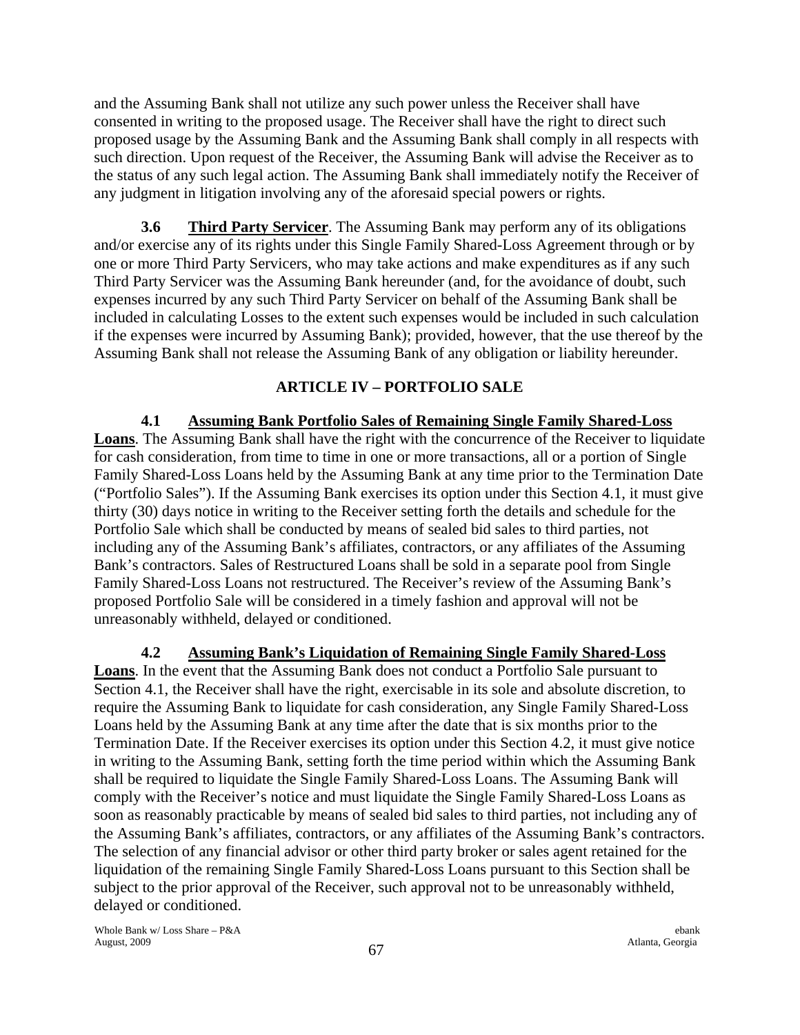and the Assuming Bank shall not utilize any such power unless the Receiver shall have consented in writing to the proposed usage. The Receiver shall have the right to direct such proposed usage by the Assuming Bank and the Assuming Bank shall comply in all respects with such direction. Upon request of the Receiver, the Assuming Bank will advise the Receiver as to the status of any such legal action. The Assuming Bank shall immediately notify the Receiver of any judgment in litigation involving any of the aforesaid special powers or rights.

**3.6** Third Party Servicer. The Assuming Bank may perform any of its obligations and/or exercise any of its rights under this Single Family Shared-Loss Agreement through or by one or more Third Party Servicers, who may take actions and make expenditures as if any such Third Party Servicer was the Assuming Bank hereunder (and, for the avoidance of doubt, such expenses incurred by any such Third Party Servicer on behalf of the Assuming Bank shall be included in calculating Losses to the extent such expenses would be included in such calculation if the expenses were incurred by Assuming Bank); provided, however, that the use thereof by the Assuming Bank shall not release the Assuming Bank of any obligation or liability hereunder.

# **ARTICLE IV – PORTFOLIO SALE**

**4.1 Assuming Bank Portfolio Sales of Remaining Single Family Shared-Loss Loans**. The Assuming Bank shall have the right with the concurrence of the Receiver to liquidate for cash consideration, from time to time in one or more transactions, all or a portion of Single Family Shared-Loss Loans held by the Assuming Bank at any time prior to the Termination Date ("Portfolio Sales"). If the Assuming Bank exercises its option under this Section 4.1, it must give thirty (30) days notice in writing to the Receiver setting forth the details and schedule for the Portfolio Sale which shall be conducted by means of sealed bid sales to third parties, not including any of the Assuming Bank's affiliates, contractors, or any affiliates of the Assuming Bank's contractors. Sales of Restructured Loans shall be sold in a separate pool from Single Family Shared-Loss Loans not restructured. The Receiver's review of the Assuming Bank's proposed Portfolio Sale will be considered in a timely fashion and approval will not be unreasonably withheld, delayed or conditioned.

**4.2 Assuming Bank's Liquidation of Remaining Single Family Shared-Loss Loans**. In the event that the Assuming Bank does not conduct a Portfolio Sale pursuant to Section 4.1, the Receiver shall have the right, exercisable in its sole and absolute discretion, to require the Assuming Bank to liquidate for cash consideration, any Single Family Shared-Loss Loans held by the Assuming Bank at any time after the date that is six months prior to the Termination Date. If the Receiver exercises its option under this Section 4.2, it must give notice in writing to the Assuming Bank, setting forth the time period within which the Assuming Bank shall be required to liquidate the Single Family Shared-Loss Loans. The Assuming Bank will comply with the Receiver's notice and must liquidate the Single Family Shared-Loss Loans as soon as reasonably practicable by means of sealed bid sales to third parties, not including any of the Assuming Bank's affiliates, contractors, or any affiliates of the Assuming Bank's contractors. The selection of any financial advisor or other third party broker or sales agent retained for the liquidation of the remaining Single Family Shared-Loss Loans pursuant to this Section shall be subject to the prior approval of the Receiver, such approval not to be unreasonably withheld, delayed or conditioned.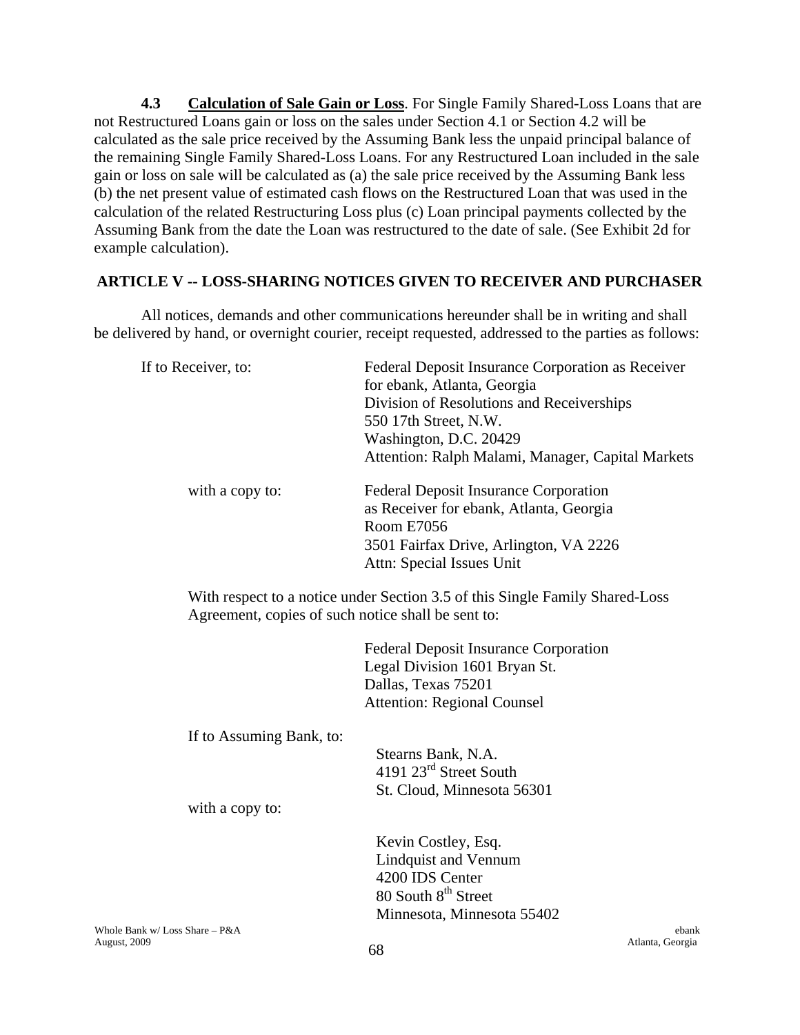**4.3 Calculation of Sale Gain or Loss**. For Single Family Shared-Loss Loans that are not Restructured Loans gain or loss on the sales under Section 4.1 or Section 4.2 will be calculated as the sale price received by the Assuming Bank less the unpaid principal balance of the remaining Single Family Shared-Loss Loans. For any Restructured Loan included in the sale gain or loss on sale will be calculated as (a) the sale price received by the Assuming Bank less (b) the net present value of estimated cash flows on the Restructured Loan that was used in the calculation of the related Restructuring Loss plus (c) Loan principal payments collected by the Assuming Bank from the date the Loan was restructured to the date of sale. (See Exhibit 2d for example calculation).

### **ARTICLE V -- LOSS-SHARING NOTICES GIVEN TO RECEIVER AND PURCHASER**

All notices, demands and other communications hereunder shall be in writing and shall be delivered by hand, or overnight courier, receipt requested, addressed to the parties as follows:

| If to Receiver, to:                                | Federal Deposit Insurance Corporation as Receiver<br>for ebank, Atlanta, Georgia<br>Division of Resolutions and Receiverships<br>550 17th Street, N.W.<br>Washington, D.C. 20429 |
|----------------------------------------------------|----------------------------------------------------------------------------------------------------------------------------------------------------------------------------------|
|                                                    | Attention: Ralph Malami, Manager, Capital Markets                                                                                                                                |
| with a copy to:                                    | <b>Federal Deposit Insurance Corporation</b><br>as Receiver for ebank, Atlanta, Georgia<br><b>Room E7056</b>                                                                     |
|                                                    | 3501 Fairfax Drive, Arlington, VA 2226<br>Attn: Special Issues Unit                                                                                                              |
| Agreement, copies of such notice shall be sent to: | With respect to a notice under Section 3.5 of this Single Family Shared-Loss                                                                                                     |
|                                                    | <b>Federal Deposit Insurance Corporation</b>                                                                                                                                     |
|                                                    | Legal Division 1601 Bryan St.                                                                                                                                                    |
|                                                    | Dallas, Texas 75201                                                                                                                                                              |
|                                                    | <b>Attention: Regional Counsel</b>                                                                                                                                               |
| If to Assuming Bank, to:                           |                                                                                                                                                                                  |
|                                                    | Stearns Bank, N.A.                                                                                                                                                               |
|                                                    | 4191 23 <sup>rd</sup> Street South                                                                                                                                               |
|                                                    | St. Cloud, Minnesota 56301                                                                                                                                                       |
| with a copy to:                                    |                                                                                                                                                                                  |
|                                                    | Kevin Costley, Esq.                                                                                                                                                              |
|                                                    | <b>Lindquist and Vennum</b>                                                                                                                                                      |
|                                                    | 4200 IDS Center                                                                                                                                                                  |
|                                                    | 80 South 8 <sup>th</sup> Street                                                                                                                                                  |
|                                                    | Minnesota, Minnesota 55402                                                                                                                                                       |
| Whole Bank w/ Loss Share - P&A                     | ebank                                                                                                                                                                            |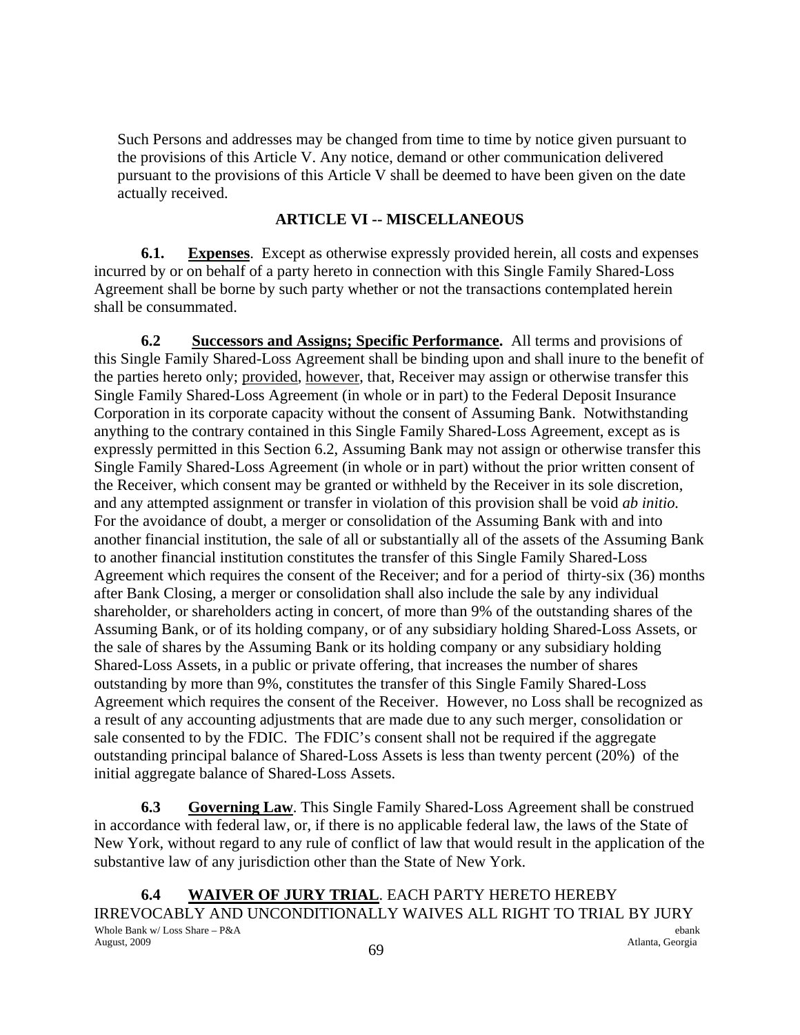Such Persons and addresses may be changed from time to time by notice given pursuant to the provisions of this Article V. Any notice, demand or other communication delivered pursuant to the provisions of this Article V shall be deemed to have been given on the date actually received.

# **ARTICLE VI -- MISCELLANEOUS**

**6.1. Expenses**. Except as otherwise expressly provided herein, all costs and expenses incurred by or on behalf of a party hereto in connection with this Single Family Shared-Loss Agreement shall be borne by such party whether or not the transactions contemplated herein shall be consummated.

**6.2 Successors and Assigns; Specific Performance.** All terms and provisions of this Single Family Shared-Loss Agreement shall be binding upon and shall inure to the benefit of the parties hereto only; provided, however, that, Receiver may assign or otherwise transfer this Single Family Shared-Loss Agreement (in whole or in part) to the Federal Deposit Insurance Corporation in its corporate capacity without the consent of Assuming Bank. Notwithstanding anything to the contrary contained in this Single Family Shared-Loss Agreement, except as is expressly permitted in this Section 6.2, Assuming Bank may not assign or otherwise transfer this Single Family Shared-Loss Agreement (in whole or in part) without the prior written consent of the Receiver, which consent may be granted or withheld by the Receiver in its sole discretion, and any attempted assignment or transfer in violation of this provision shall be void *ab initio.*  For the avoidance of doubt, a merger or consolidation of the Assuming Bank with and into another financial institution, the sale of all or substantially all of the assets of the Assuming Bank to another financial institution constitutes the transfer of this Single Family Shared-Loss Agreement which requires the consent of the Receiver; and for a period of thirty-six (36) months after Bank Closing, a merger or consolidation shall also include the sale by any individual shareholder, or shareholders acting in concert, of more than 9% of the outstanding shares of the Assuming Bank, or of its holding company, or of any subsidiary holding Shared-Loss Assets, or the sale of shares by the Assuming Bank or its holding company or any subsidiary holding Shared-Loss Assets, in a public or private offering, that increases the number of shares outstanding by more than 9%, constitutes the transfer of this Single Family Shared-Loss Agreement which requires the consent of the Receiver. However, no Loss shall be recognized as a result of any accounting adjustments that are made due to any such merger, consolidation or sale consented to by the FDIC. The FDIC's consent shall not be required if the aggregate outstanding principal balance of Shared-Loss Assets is less than twenty percent (20%) of the initial aggregate balance of Shared-Loss Assets.

**6.3 Governing Law**. This Single Family Shared-Loss Agreement shall be construed in accordance with federal law, or, if there is no applicable federal law, the laws of the State of New York, without regard to any rule of conflict of law that would result in the application of the substantive law of any jurisdiction other than the State of New York.

August, 2009 **6.4 WAIVER OF JURY TRIAL**. EACH PARTY HERETO HEREBY IRREVOCABLY AND UNCONDITIONALLY WAIVES ALL RIGHT TO TRIAL BY JURY Whole Bank w/ Loss Share – P&A ebank<br>August, 2009 Atlanta, Georgia August, 2009 **Atlanta, Georgia** 69 **Atlanta**, Georgia **Atlanta**, Georgia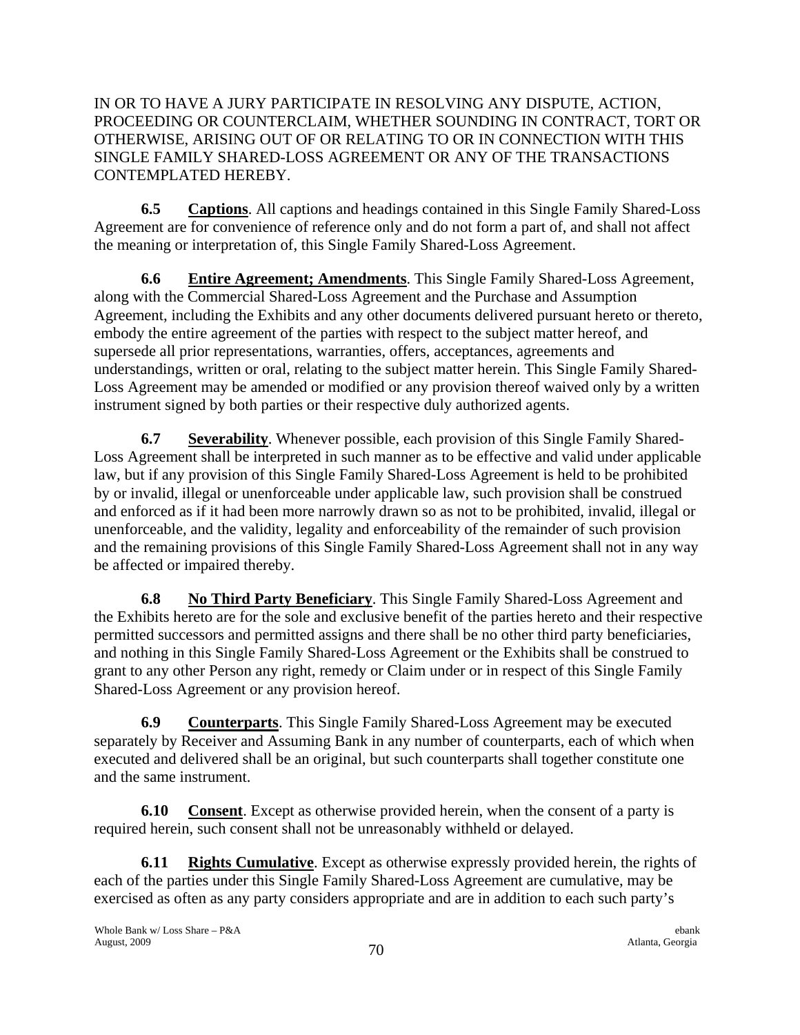IN OR TO HAVE A JURY PARTICIPATE IN RESOLVING ANY DISPUTE, ACTION, PROCEEDING OR COUNTERCLAIM, WHETHER SOUNDING IN CONTRACT, TORT OR OTHERWISE, ARISING OUT OF OR RELATING TO OR IN CONNECTION WITH THIS SINGLE FAMILY SHARED-LOSS AGREEMENT OR ANY OF THE TRANSACTIONS CONTEMPLATED HEREBY.

**6.5 Captions**. All captions and headings contained in this Single Family Shared-Loss Agreement are for convenience of reference only and do not form a part of, and shall not affect the meaning or interpretation of, this Single Family Shared-Loss Agreement.

**6.6 Entire Agreement; Amendments**. This Single Family Shared-Loss Agreement, along with the Commercial Shared-Loss Agreement and the Purchase and Assumption Agreement, including the Exhibits and any other documents delivered pursuant hereto or thereto, embody the entire agreement of the parties with respect to the subject matter hereof, and supersede all prior representations, warranties, offers, acceptances, agreements and understandings, written or oral, relating to the subject matter herein. This Single Family Shared-Loss Agreement may be amended or modified or any provision thereof waived only by a written instrument signed by both parties or their respective duly authorized agents.

**6.7 Severability**. Whenever possible, each provision of this Single Family Shared-Loss Agreement shall be interpreted in such manner as to be effective and valid under applicable law, but if any provision of this Single Family Shared-Loss Agreement is held to be prohibited by or invalid, illegal or unenforceable under applicable law, such provision shall be construed and enforced as if it had been more narrowly drawn so as not to be prohibited, invalid, illegal or unenforceable, and the validity, legality and enforceability of the remainder of such provision and the remaining provisions of this Single Family Shared-Loss Agreement shall not in any way be affected or impaired thereby.

**6.8 No Third Party Beneficiary**. This Single Family Shared-Loss Agreement and the Exhibits hereto are for the sole and exclusive benefit of the parties hereto and their respective permitted successors and permitted assigns and there shall be no other third party beneficiaries, and nothing in this Single Family Shared-Loss Agreement or the Exhibits shall be construed to grant to any other Person any right, remedy or Claim under or in respect of this Single Family Shared-Loss Agreement or any provision hereof.

**6.9 Counterparts**. This Single Family Shared-Loss Agreement may be executed separately by Receiver and Assuming Bank in any number of counterparts, each of which when executed and delivered shall be an original, but such counterparts shall together constitute one and the same instrument.

**6.10 Consent**. Except as otherwise provided herein, when the consent of a party is required herein, such consent shall not be unreasonably withheld or delayed.

**6.11 Rights Cumulative**. Except as otherwise expressly provided herein, the rights of each of the parties under this Single Family Shared-Loss Agreement are cumulative, may be exercised as often as any party considers appropriate and are in addition to each such party's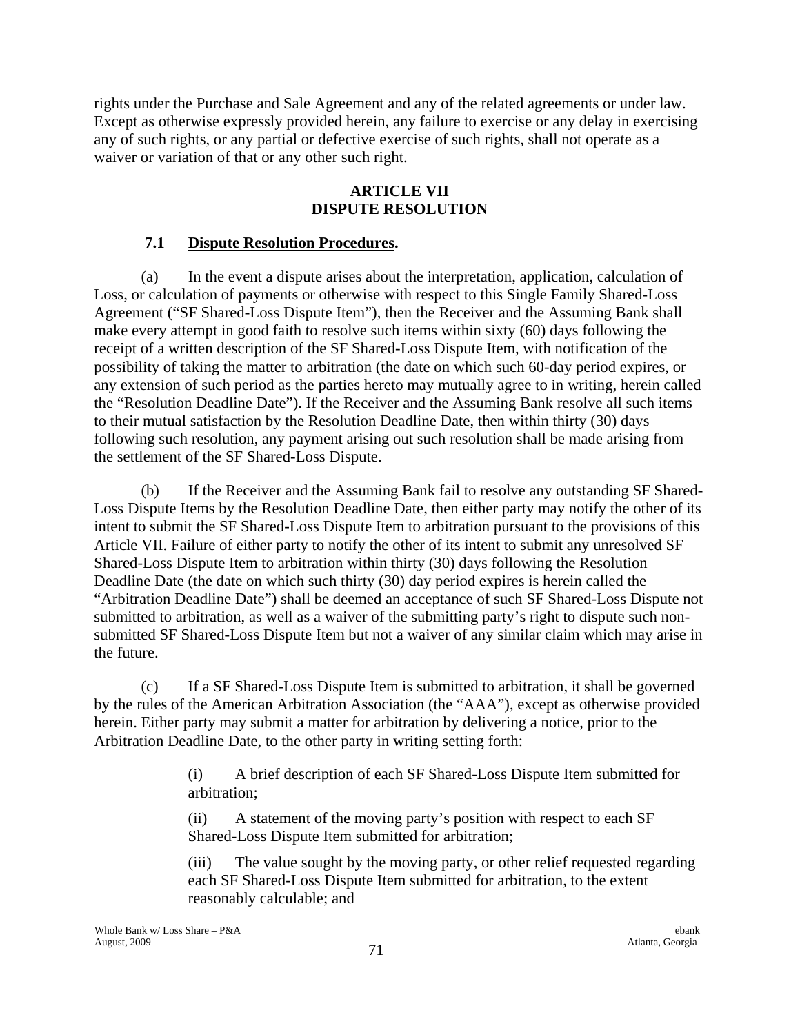rights under the Purchase and Sale Agreement and any of the related agreements or under law. Except as otherwise expressly provided herein, any failure to exercise or any delay in exercising any of such rights, or any partial or defective exercise of such rights, shall not operate as a waiver or variation of that or any other such right.

## **ARTICLE VII DISPUTE RESOLUTION**

# **7.1 Dispute Resolution Procedures.**

(a) In the event a dispute arises about the interpretation, application, calculation of Loss, or calculation of payments or otherwise with respect to this Single Family Shared-Loss Agreement ("SF Shared-Loss Dispute Item"), then the Receiver and the Assuming Bank shall make every attempt in good faith to resolve such items within sixty (60) days following the receipt of a written description of the SF Shared-Loss Dispute Item, with notification of the possibility of taking the matter to arbitration (the date on which such 60-day period expires, or any extension of such period as the parties hereto may mutually agree to in writing, herein called the "Resolution Deadline Date"). If the Receiver and the Assuming Bank resolve all such items to their mutual satisfaction by the Resolution Deadline Date, then within thirty (30) days following such resolution, any payment arising out such resolution shall be made arising from the settlement of the SF Shared-Loss Dispute.

(b) If the Receiver and the Assuming Bank fail to resolve any outstanding SF Shared-Loss Dispute Items by the Resolution Deadline Date, then either party may notify the other of its intent to submit the SF Shared-Loss Dispute Item to arbitration pursuant to the provisions of this Article VII. Failure of either party to notify the other of its intent to submit any unresolved SF Shared-Loss Dispute Item to arbitration within thirty (30) days following the Resolution Deadline Date (the date on which such thirty (30) day period expires is herein called the "Arbitration Deadline Date") shall be deemed an acceptance of such SF Shared-Loss Dispute not submitted to arbitration, as well as a waiver of the submitting party's right to dispute such nonsubmitted SF Shared-Loss Dispute Item but not a waiver of any similar claim which may arise in the future.

(c) If a SF Shared-Loss Dispute Item is submitted to arbitration, it shall be governed by the rules of the American Arbitration Association (the "AAA"), except as otherwise provided herein. Either party may submit a matter for arbitration by delivering a notice, prior to the Arbitration Deadline Date, to the other party in writing setting forth:

> (i) A brief description of each SF Shared-Loss Dispute Item submitted for arbitration;

(ii) A statement of the moving party's position with respect to each SF Shared-Loss Dispute Item submitted for arbitration;

(iii) The value sought by the moving party, or other relief requested regarding each SF Shared-Loss Dispute Item submitted for arbitration, to the extent reasonably calculable; and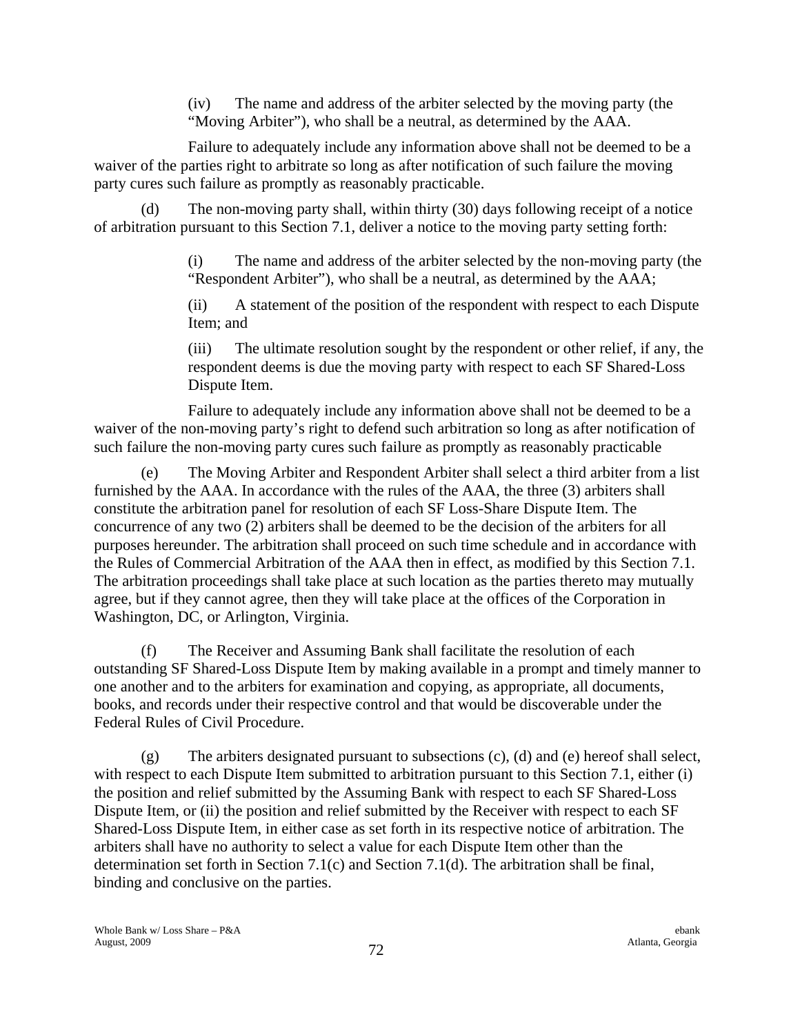(iv) The name and address of the arbiter selected by the moving party (the "Moving Arbiter"), who shall be a neutral, as determined by the AAA.

Failure to adequately include any information above shall not be deemed to be a waiver of the parties right to arbitrate so long as after notification of such failure the moving party cures such failure as promptly as reasonably practicable.

(d) The non-moving party shall, within thirty (30) days following receipt of a notice of arbitration pursuant to this Section 7.1, deliver a notice to the moving party setting forth:

> (i) The name and address of the arbiter selected by the non-moving party (the "Respondent Arbiter"), who shall be a neutral, as determined by the AAA;

> (ii) A statement of the position of the respondent with respect to each Dispute Item; and

> (iii) The ultimate resolution sought by the respondent or other relief, if any, the respondent deems is due the moving party with respect to each SF Shared-Loss Dispute Item.

Failure to adequately include any information above shall not be deemed to be a waiver of the non-moving party's right to defend such arbitration so long as after notification of such failure the non-moving party cures such failure as promptly as reasonably practicable

(e) The Moving Arbiter and Respondent Arbiter shall select a third arbiter from a list furnished by the AAA. In accordance with the rules of the AAA, the three (3) arbiters shall constitute the arbitration panel for resolution of each SF Loss-Share Dispute Item. The concurrence of any two (2) arbiters shall be deemed to be the decision of the arbiters for all purposes hereunder. The arbitration shall proceed on such time schedule and in accordance with the Rules of Commercial Arbitration of the AAA then in effect, as modified by this Section 7.1. The arbitration proceedings shall take place at such location as the parties thereto may mutually agree, but if they cannot agree, then they will take place at the offices of the Corporation in Washington, DC, or Arlington, Virginia.

(f) The Receiver and Assuming Bank shall facilitate the resolution of each outstanding SF Shared-Loss Dispute Item by making available in a prompt and timely manner to one another and to the arbiters for examination and copying, as appropriate, all documents, books, and records under their respective control and that would be discoverable under the Federal Rules of Civil Procedure.

 $(g)$  The arbiters designated pursuant to subsections  $(c)$ ,  $(d)$  and  $(e)$  hereof shall select, with respect to each Dispute Item submitted to arbitration pursuant to this Section 7.1, either (i) the position and relief submitted by the Assuming Bank with respect to each SF Shared-Loss Dispute Item, or (ii) the position and relief submitted by the Receiver with respect to each SF Shared-Loss Dispute Item, in either case as set forth in its respective notice of arbitration. The arbiters shall have no authority to select a value for each Dispute Item other than the determination set forth in Section 7.1(c) and Section 7.1(d). The arbitration shall be final, binding and conclusive on the parties.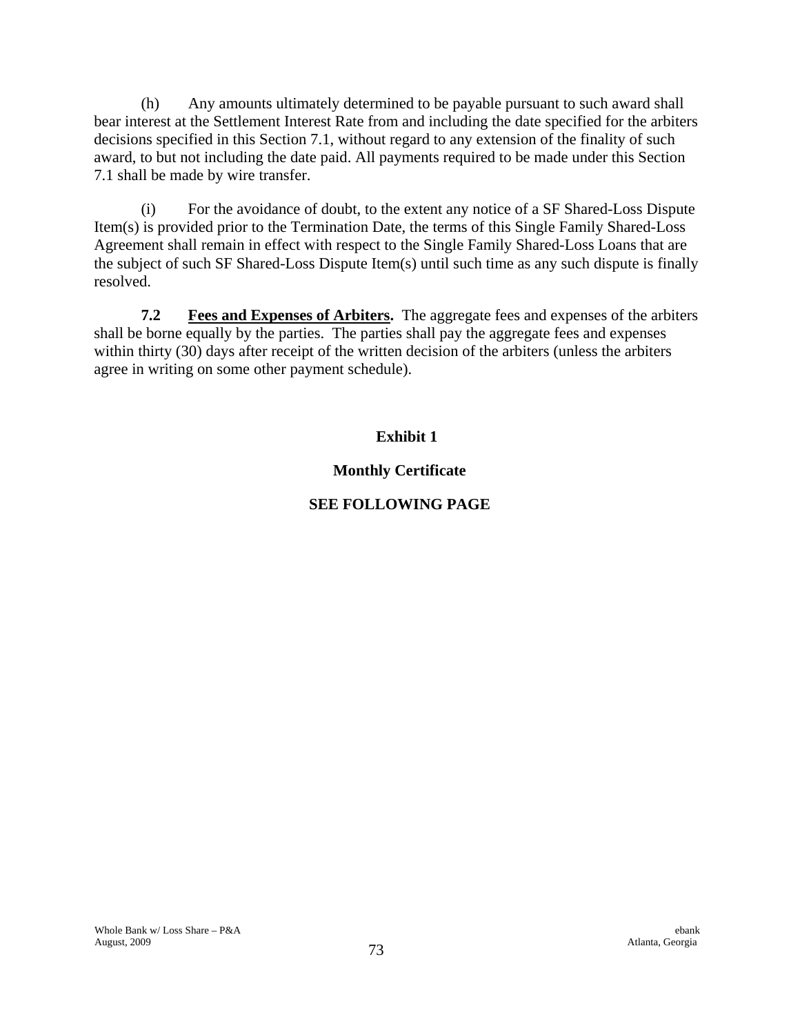(h) Any amounts ultimately determined to be payable pursuant to such award shall bear interest at the Settlement Interest Rate from and including the date specified for the arbiters decisions specified in this Section 7.1, without regard to any extension of the finality of such award, to but not including the date paid. All payments required to be made under this Section 7.1 shall be made by wire transfer.

(i) For the avoidance of doubt, to the extent any notice of a SF Shared-Loss Dispute Item(s) is provided prior to the Termination Date, the terms of this Single Family Shared-Loss Agreement shall remain in effect with respect to the Single Family Shared-Loss Loans that are the subject of such SF Shared-Loss Dispute Item(s) until such time as any such dispute is finally resolved.

**7.2 Fees and Expenses of Arbiters.** The aggregate fees and expenses of the arbiters shall be borne equally by the parties. The parties shall pay the aggregate fees and expenses within thirty (30) days after receipt of the written decision of the arbiters (unless the arbiters agree in writing on some other payment schedule).

# **Exhibit 1**

# **Monthly Certificate**

# **SEE FOLLOWING PAGE**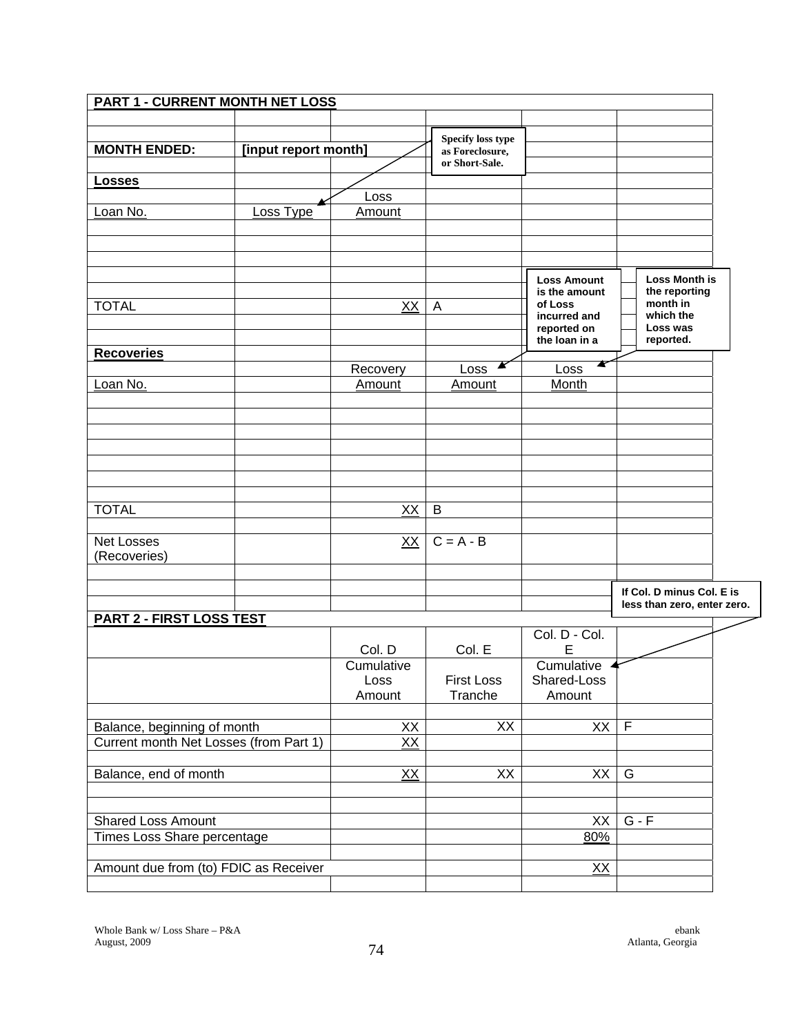| <b>PART 1 - CURRENT MONTH NET LOSS</b> |                      |                 |                                   |                             |                             |
|----------------------------------------|----------------------|-----------------|-----------------------------------|-----------------------------|-----------------------------|
|                                        |                      |                 |                                   |                             |                             |
| <b>MONTH ENDED:</b>                    | [input report month] |                 | Specify loss type                 |                             |                             |
|                                        |                      |                 | as Foreclosure,<br>or Short-Sale. |                             |                             |
| <b>Losses</b>                          |                      |                 |                                   |                             |                             |
|                                        |                      | Loss            |                                   |                             |                             |
| Loan No.                               | Loss Type            | Amount          |                                   |                             |                             |
|                                        |                      |                 |                                   |                             |                             |
|                                        |                      |                 |                                   |                             |                             |
|                                        |                      |                 |                                   |                             |                             |
|                                        |                      |                 |                                   | <b>Loss Amount</b>          | <b>Loss Month is</b>        |
|                                        |                      |                 |                                   | is the amount               | the reporting               |
| <b>TOTAL</b>                           |                      | XX              | A                                 | of Loss                     | month in<br>which the       |
|                                        |                      |                 |                                   | incurred and<br>reported on | Loss was                    |
|                                        |                      |                 |                                   | the loan in a               | reported.                   |
| <b>Recoveries</b>                      |                      |                 |                                   | Ŧ                           |                             |
|                                        |                      | Recovery        | $Loss \nightharpoonup$            | Loss                        |                             |
| Loan No.                               |                      | Amount          | Amount                            | Month                       |                             |
|                                        |                      |                 |                                   |                             |                             |
|                                        |                      |                 |                                   |                             |                             |
|                                        |                      |                 |                                   |                             |                             |
|                                        |                      |                 |                                   |                             |                             |
|                                        |                      |                 |                                   |                             |                             |
|                                        |                      |                 |                                   |                             |                             |
|                                        |                      |                 |                                   |                             |                             |
| <b>TOTAL</b>                           |                      | $\overline{XX}$ | $\mathsf B$                       |                             |                             |
|                                        |                      |                 |                                   |                             |                             |
| <b>Net Losses</b>                      |                      | XX              | $C = A - B$                       |                             |                             |
| (Recoveries)                           |                      |                 |                                   |                             |                             |
|                                        |                      |                 |                                   |                             |                             |
|                                        |                      |                 |                                   |                             | If Col. D minus Col. E is   |
| <b>PART 2 - FIRST LOSS TEST</b>        |                      |                 |                                   |                             | less than zero, enter zero. |
|                                        |                      |                 |                                   | Col. D - Col.               |                             |
|                                        |                      | Col. D          | Col. E                            | E                           |                             |
|                                        |                      | Cumulative      |                                   | Cumulative                  |                             |
|                                        |                      | Loss            | <b>First Loss</b>                 | Shared-Loss                 |                             |
|                                        |                      | Amount          | Tranche                           | Amount                      |                             |
|                                        |                      |                 |                                   |                             |                             |
| Balance, beginning of month            |                      | XX              | XX                                | XX                          | $\overline{F}$              |
| Current month Net Losses (from Part 1) |                      | XX              |                                   |                             |                             |
|                                        |                      |                 |                                   |                             |                             |
| Balance, end of month                  |                      | XX              | XX                                | XX                          | G                           |
|                                        |                      |                 |                                   |                             |                             |
|                                        |                      |                 |                                   |                             |                             |
| <b>Shared Loss Amount</b>              |                      |                 |                                   | XX                          | $G - F$                     |
| Times Loss Share percentage            |                      |                 |                                   | 80%                         |                             |
|                                        |                      |                 |                                   |                             |                             |
| Amount due from (to) FDIC as Receiver  |                      |                 |                                   | XX                          |                             |
|                                        |                      |                 |                                   |                             |                             |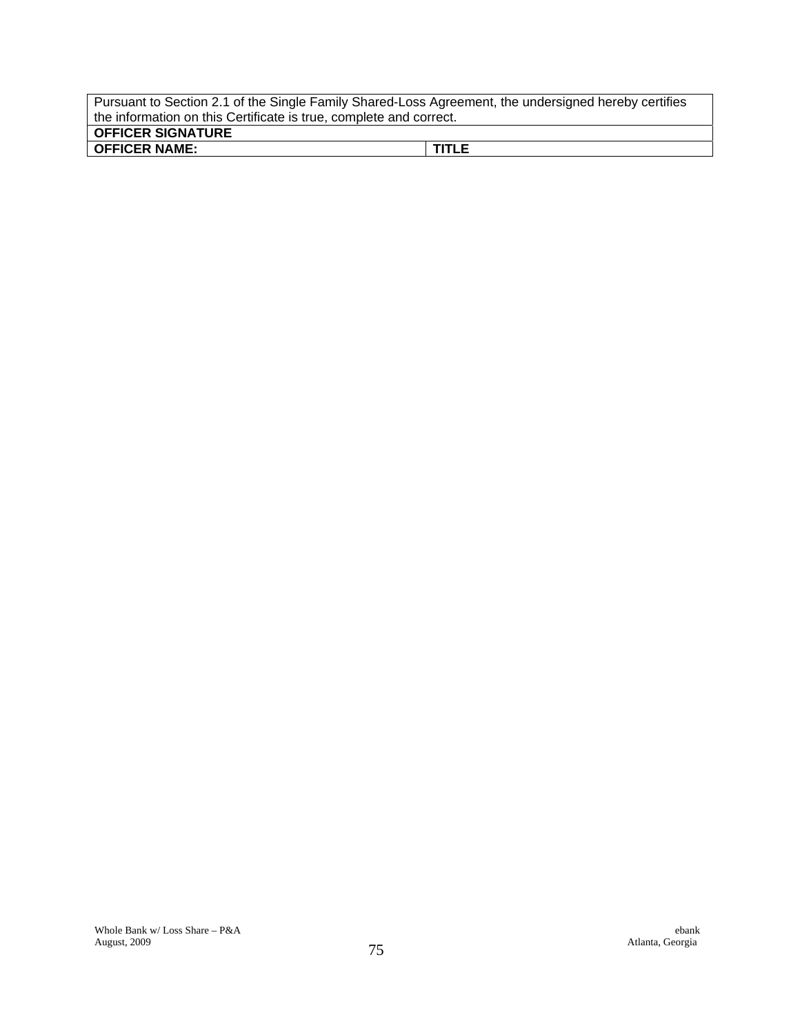| Pursuant to Section 2.1 of the Single Family Shared-Loss Agreement, the undersigned hereby certifies |  |  |  |
|------------------------------------------------------------------------------------------------------|--|--|--|
| the information on this Certificate is true, complete and correct.                                   |  |  |  |
| <b>OFFICER SIGNATURE</b>                                                                             |  |  |  |
| <b>TITLE</b><br><b>OFFICER NAME:</b>                                                                 |  |  |  |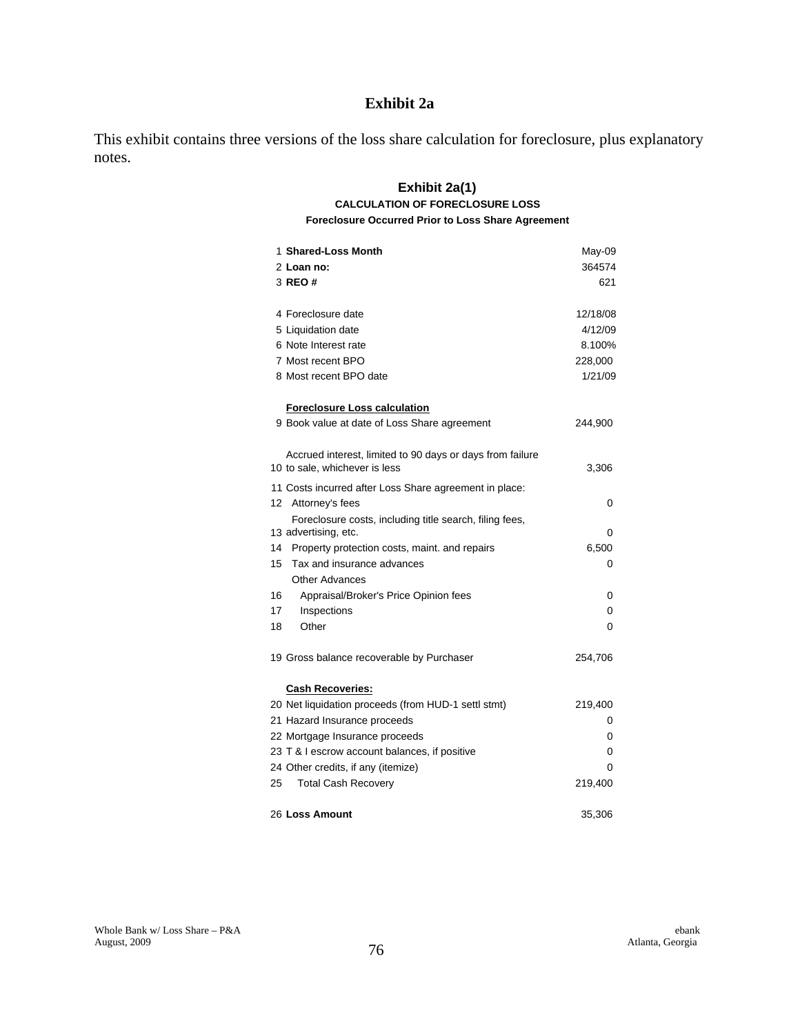### **Exhibit 2a**

This exhibit contains three versions of the loss share calculation for foreclosure, plus explanatory notes.

#### **Exhibit 2a(1) CALCULATION OF FORECLOSURE LOSS Foreclosure Occurred Prior to Loss Share Agreement**

|    | 1 Shared-Loss Month<br>2 Loan no:<br>3 REO #                                               | May-09<br>364574<br>621 |
|----|--------------------------------------------------------------------------------------------|-------------------------|
|    | 4 Foreclosure date                                                                         | 12/18/08                |
|    | 5 Liquidation date                                                                         | 4/12/09                 |
|    | 6 Note Interest rate                                                                       | 8.100%                  |
|    | 7 Most recent BPO                                                                          | 228,000                 |
|    | 8 Most recent BPO date                                                                     | 1/21/09                 |
|    | <b>Foreclosure Loss calculation</b>                                                        |                         |
|    | 9 Book value at date of Loss Share agreement                                               | 244,900                 |
|    | Accrued interest, limited to 90 days or days from failure<br>10 to sale, whichever is less | 3,306                   |
|    | 11 Costs incurred after Loss Share agreement in place:                                     |                         |
| 12 | Attorney's fees                                                                            | 0                       |
|    | Foreclosure costs, including title search, filing fees,                                    |                         |
|    | 13 advertising, etc.                                                                       | 0                       |
| 14 | Property protection costs, maint. and repairs                                              | 6,500                   |
| 15 | Tax and insurance advances                                                                 | 0                       |
|    | <b>Other Advances</b>                                                                      |                         |
| 16 | Appraisal/Broker's Price Opinion fees                                                      | 0                       |
| 17 | Inspections                                                                                | 0                       |
| 18 | Other                                                                                      | 0                       |
|    | 19 Gross balance recoverable by Purchaser                                                  | 254,706                 |
|    | <b>Cash Recoveries:</b>                                                                    |                         |
|    | 20 Net liquidation proceeds (from HUD-1 settl stmt)                                        | 219,400                 |
|    | 21 Hazard Insurance proceeds                                                               | 0                       |
|    | 22 Mortgage Insurance proceeds                                                             | 0                       |
|    | 23 T & I escrow account balances, if positive                                              | 0                       |
|    | 24 Other credits, if any (itemize)                                                         | 0                       |
| 25 | <b>Total Cash Recovery</b>                                                                 | 219,400                 |
|    | 26 Loss Amount                                                                             | 35,306                  |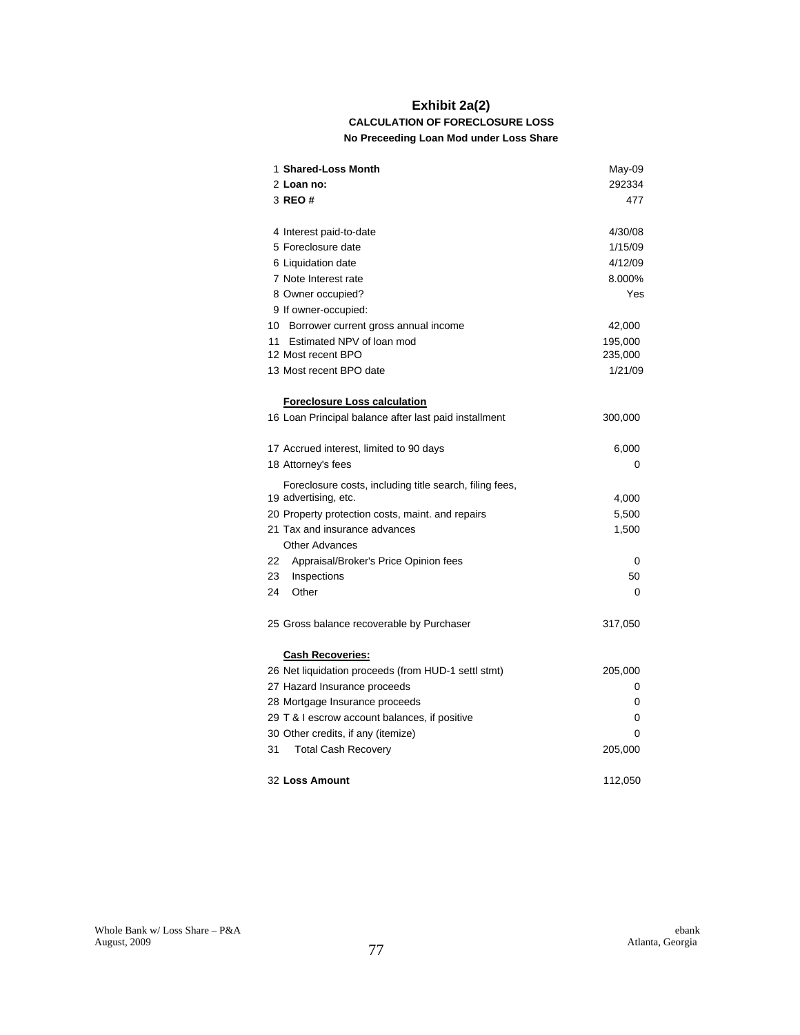#### **Exhibit 2a(2)**

#### **CALCULATION OF FORECLOSURE LOSS**

#### **No Preceeding Loan Mod under Loss Share**

| 1 Shared-Loss Month                                                             | May-09  |
|---------------------------------------------------------------------------------|---------|
| 2 Loan no:                                                                      | 292334  |
| 3 REO #                                                                         | 477     |
| 4 Interest paid-to-date                                                         | 4/30/08 |
| 5 Foreclosure date                                                              | 1/15/09 |
| 6 Liquidation date                                                              | 4/12/09 |
| 7 Note Interest rate                                                            | 8.000%  |
| 8 Owner occupied?                                                               | Yes     |
| 9 If owner-occupied:                                                            |         |
| 10<br>Borrower current gross annual income                                      | 42,000  |
| Estimated NPV of loan mod<br>11                                                 | 195,000 |
| 12 Most recent BPO                                                              | 235,000 |
| 13 Most recent BPO date                                                         | 1/21/09 |
| <b>Foreclosure Loss calculation</b>                                             |         |
| 16 Loan Principal balance after last paid installment                           | 300,000 |
| 17 Accrued interest, limited to 90 days                                         | 6,000   |
| 18 Attorney's fees                                                              | 0       |
| Foreclosure costs, including title search, filing fees,<br>19 advertising, etc. | 4,000   |
| 20 Property protection costs, maint. and repairs                                | 5,500   |
| 21 Tax and insurance advances                                                   | 1,500   |
| <b>Other Advances</b>                                                           |         |
| 22<br>Appraisal/Broker's Price Opinion fees                                     | 0       |
| 23<br>Inspections                                                               | 50      |
| 24<br>Other                                                                     | 0       |
| 25 Gross balance recoverable by Purchaser                                       | 317,050 |
| <b>Cash Recoveries:</b>                                                         |         |
| 26 Net liquidation proceeds (from HUD-1 settl stmt)                             | 205,000 |
| 27 Hazard Insurance proceeds                                                    | 0       |
| 28 Mortgage Insurance proceeds                                                  | 0       |
| 29 T & I escrow account balances, if positive                                   | 0       |
| 30 Other credits, if any (itemize)                                              | 0       |
| 31<br><b>Total Cash Recovery</b>                                                | 205,000 |
| 32 Loss Amount                                                                  | 112,050 |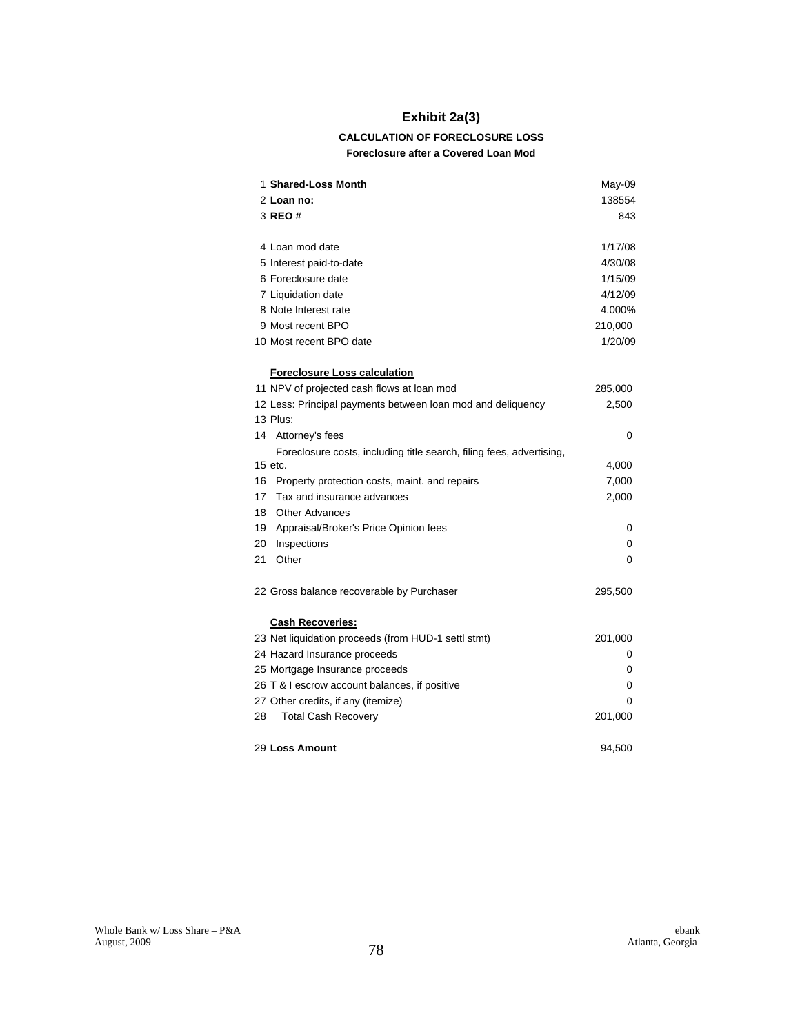# **Exhibit 2a(3)**

#### **CALCULATION OF FORECLOSURE LOSS Foreclosure after a Covered Loan Mod**

| 1 Shared-Loss Month                                                  | May-09  |
|----------------------------------------------------------------------|---------|
| 2 Loan no:                                                           | 138554  |
| 3 REO #                                                              | 843     |
|                                                                      |         |
| 4 Loan mod date                                                      | 1/17/08 |
| 5 Interest paid-to-date                                              | 4/30/08 |
| 6 Foreclosure date                                                   | 1/15/09 |
| 7 Liquidation date                                                   | 4/12/09 |
| 8 Note Interest rate                                                 | 4.000%  |
| 9 Most recent BPO                                                    | 210,000 |
| 10 Most recent BPO date                                              | 1/20/09 |
|                                                                      |         |
| <b>Foreclosure Loss calculation</b>                                  |         |
| 11 NPV of projected cash flows at loan mod                           | 285,000 |
| 12 Less: Principal payments between loan mod and deliquency          | 2,500   |
| 13 Plus:                                                             |         |
| 14<br>Attorney's fees                                                | 0       |
| Foreclosure costs, including title search, filing fees, advertising, |         |
| 15 etc.                                                              | 4,000   |
| 16<br>Property protection costs, maint. and repairs                  | 7,000   |
| 17<br>Tax and insurance advances                                     | 2,000   |
| 18<br><b>Other Advances</b>                                          |         |
| 19 Appraisal/Broker's Price Opinion fees                             | 0       |
| 20<br>Inspections                                                    | 0       |
| 21<br>Other                                                          | 0       |
|                                                                      |         |
| 22 Gross balance recoverable by Purchaser                            | 295,500 |
|                                                                      |         |
| <b>Cash Recoveries:</b>                                              |         |
| 23 Net liquidation proceeds (from HUD-1 settl stmt)                  | 201,000 |
| 24 Hazard Insurance proceeds                                         | 0       |
| 25 Mortgage Insurance proceeds                                       | 0       |
| 26 T & I escrow account balances, if positive                        | 0       |
| 27 Other credits, if any (itemize)                                   | 0       |
| 28<br><b>Total Cash Recovery</b>                                     | 201,000 |
|                                                                      |         |
| 29 Loss Amount                                                       | 94,500  |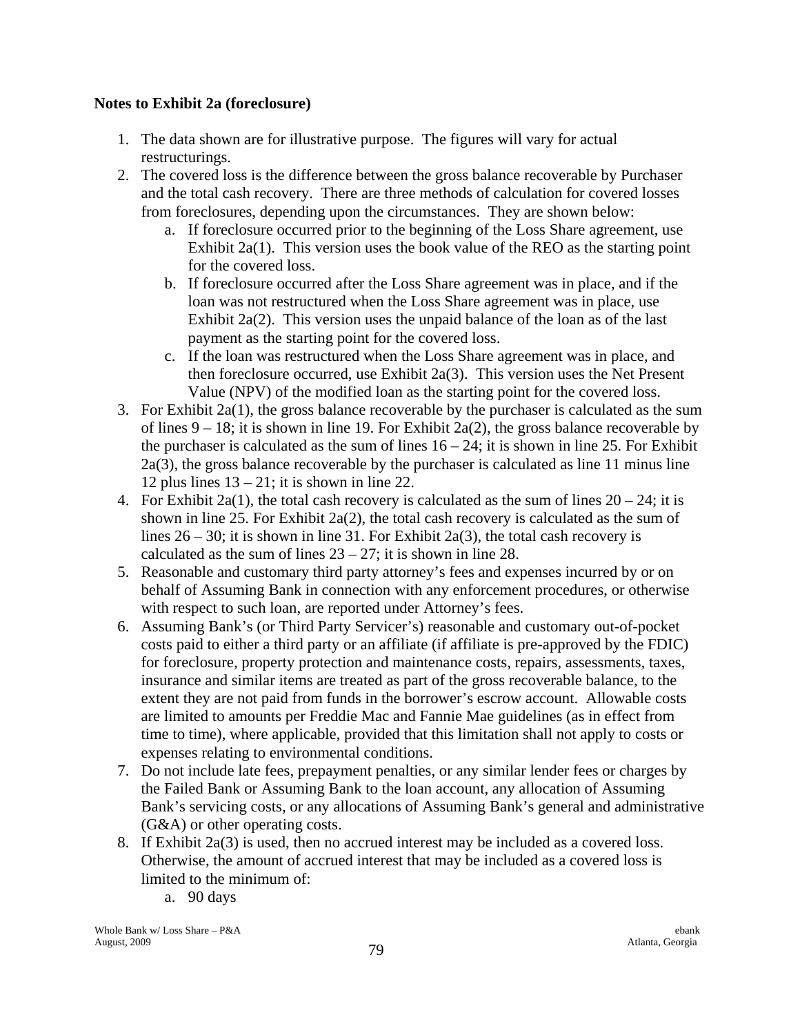### **Notes to Exhibit 2a (foreclosure)**

- 1. The data shown are for illustrative purpose. The figures will vary for actual restructurings.
- 2. The covered loss is the difference between the gross balance recoverable by Purchaser and the total cash recovery. There are three methods of calculation for covered losses from foreclosures, depending upon the circumstances. They are shown below:
	- a. If foreclosure occurred prior to the beginning of the Loss Share agreement, use Exhibit 2a(1). This version uses the book value of the REO as the starting point for the covered loss.
	- b. If foreclosure occurred after the Loss Share agreement was in place, and if the loan was not restructured when the Loss Share agreement was in place, use Exhibit 2a(2). This version uses the unpaid balance of the loan as of the last payment as the starting point for the covered loss.
	- c. If the loan was restructured when the Loss Share agreement was in place, and then foreclosure occurred, use Exhibit 2a(3). This version uses the Net Present Value (NPV) of the modified loan as the starting point for the covered loss.
- 3. For Exhibit  $2a(1)$ , the gross balance recoverable by the purchaser is calculated as the sum of lines  $9 - 18$ ; it is shown in line 19. For Exhibit 2a(2), the gross balance recoverable by the purchaser is calculated as the sum of lines  $16 - 24$ ; it is shown in line 25. For Exhibit 2a(3), the gross balance recoverable by the purchaser is calculated as line 11 minus line 12 plus lines  $13 - 21$ ; it is shown in line 22.
- 4. For Exhibit 2a(1), the total cash recovery is calculated as the sum of lines  $20 24$ ; it is shown in line 25. For Exhibit 2a(2), the total cash recovery is calculated as the sum of lines  $26 - 30$ ; it is shown in line 31. For Exhibit 2a(3), the total cash recovery is calculated as the sum of lines  $23 - 27$ ; it is shown in line 28.
- 5. Reasonable and customary third party attorney's fees and expenses incurred by or on behalf of Assuming Bank in connection with any enforcement procedures, or otherwise with respect to such loan, are reported under Attorney's fees.
- 6. Assuming Bank's (or Third Party Servicer's) reasonable and customary out-of-pocket costs paid to either a third party or an affiliate (if affiliate is pre-approved by the FDIC) for foreclosure, property protection and maintenance costs, repairs, assessments, taxes, insurance and similar items are treated as part of the gross recoverable balance, to the extent they are not paid from funds in the borrower's escrow account. Allowable costs are limited to amounts per Freddie Mac and Fannie Mae guidelines (as in effect from time to time), where applicable, provided that this limitation shall not apply to costs or expenses relating to environmental conditions.
- 7. Do not include late fees, prepayment penalties, or any similar lender fees or charges by the Failed Bank or Assuming Bank to the loan account, any allocation of Assuming Bank's servicing costs, or any allocations of Assuming Bank's general and administrative (G&A) or other operating costs.
- 8. If Exhibit  $2a(3)$  is used, then no accrued interest may be included as a covered loss. Otherwise, the amount of accrued interest that may be included as a covered loss is limited to the minimum of:
	- a. 90 days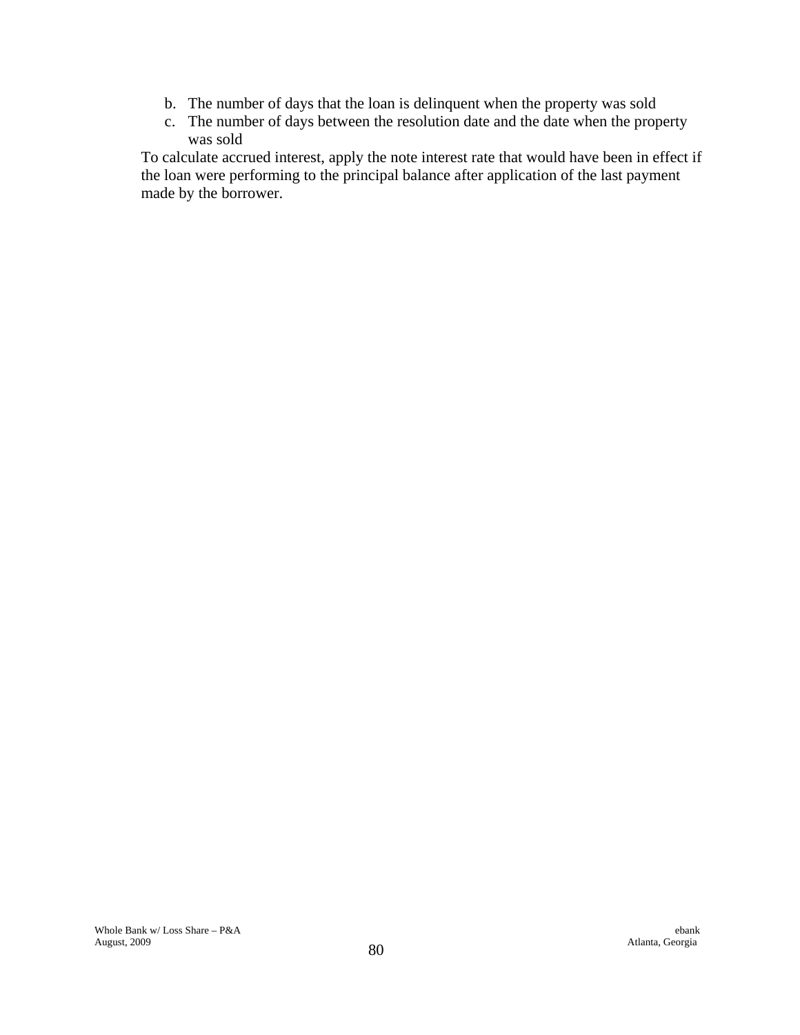- b. The number of days that the loan is delinquent when the property was sold
- c. The number of days between the resolution date and the date when the property was sold

To calculate accrued interest, apply the note interest rate that would have been in effect if the loan were performing to the principal balance after application of the last payment made by the borrower.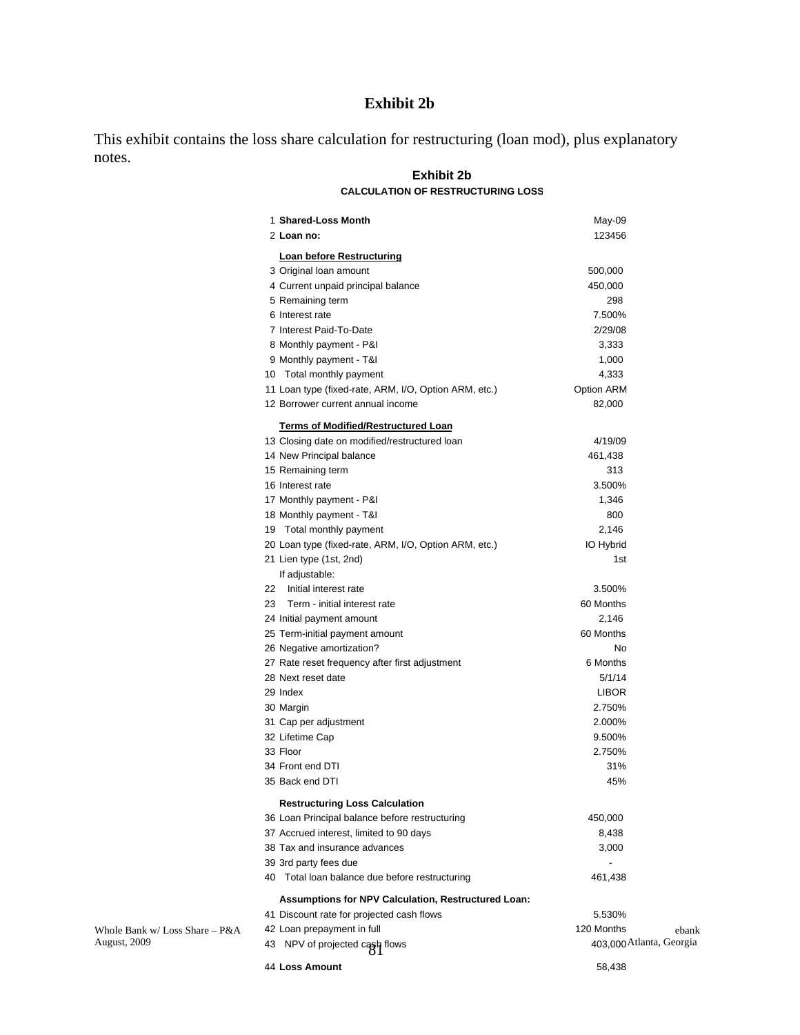# **Exhibit 2b**

This exhibit contains the loss share calculation for restructuring (loan mod), plus explanatory notes.

#### **Exhibit 2b CALCULATION OF RESTRUCTURING LOSS**

|                                |    | 1 Shared-Loss Month                                   | May-09                   |
|--------------------------------|----|-------------------------------------------------------|--------------------------|
|                                |    | 2 Loan no:                                            | 123456                   |
|                                |    | <b>Loan before Restructuring</b>                      |                          |
|                                |    | 3 Original loan amount                                | 500,000                  |
|                                |    | 4 Current unpaid principal balance                    | 450,000                  |
|                                |    | 5 Remaining term                                      | 298                      |
|                                |    | 6 Interest rate                                       | 7.500%                   |
|                                |    | 7 Interest Paid-To-Date                               | 2/29/08                  |
|                                |    | 8 Monthly payment - P&I                               | 3,333                    |
|                                |    | 9 Monthly payment - T&I                               | 1,000                    |
|                                |    | 10 Total monthly payment                              | 4,333                    |
|                                |    | 11 Loan type (fixed-rate, ARM, I/O, Option ARM, etc.) | <b>Option ARM</b>        |
|                                |    | 12 Borrower current annual income                     | 82,000                   |
|                                |    | <b>Terms of Modified/Restructured Loan</b>            |                          |
|                                |    | 13 Closing date on modified/restructured loan         | 4/19/09                  |
|                                |    | 14 New Principal balance                              | 461,438                  |
|                                |    | 15 Remaining term                                     | 313                      |
|                                |    | 16 Interest rate                                      | 3.500%                   |
|                                |    | 17 Monthly payment - P&I                              | 1,346                    |
|                                |    | 18 Monthly payment - T&I                              | 800                      |
|                                |    | 19 Total monthly payment                              | 2,146                    |
|                                |    | 20 Loan type (fixed-rate, ARM, I/O, Option ARM, etc.) | IO Hybrid                |
|                                |    | 21 Lien type (1st, 2nd)                               | 1st                      |
|                                |    | If adjustable:                                        |                          |
|                                |    | 22 Initial interest rate                              | 3.500%                   |
|                                | 23 | Term - initial interest rate                          | 60 Months                |
|                                |    | 24 Initial payment amount                             | 2,146                    |
|                                |    | 25 Term-initial payment amount                        | 60 Months                |
|                                |    | 26 Negative amortization?                             | No                       |
|                                |    | 27 Rate reset frequency after first adjustment        | 6 Months                 |
|                                |    | 28 Next reset date                                    | 5/1/14                   |
|                                |    | 29 Index                                              | <b>LIBOR</b>             |
|                                |    | 30 Margin                                             | 2.750%                   |
|                                |    | 31 Cap per adjustment                                 | 2.000%                   |
|                                |    | 32 Lifetime Cap                                       | 9.500%                   |
|                                |    | 33 Floor                                              | 2.750%                   |
|                                |    | 34 Front end DTI                                      | 31%                      |
|                                |    | 35 Back end DTI                                       | 45%                      |
|                                |    | <b>Restructuring Loss Calculation</b>                 |                          |
|                                |    | 36 Loan Principal balance before restructuring        | 450,000                  |
|                                |    | 37 Accrued interest, limited to 90 days               | 8,438                    |
|                                |    | 38 Tax and insurance advances                         | 3,000                    |
|                                |    | 39 3rd party fees due                                 |                          |
|                                |    | 40 Total loan balance due before restructuring        | 461,438                  |
|                                |    | Assumptions for NPV Calculation, Restructured Loan:   |                          |
|                                |    | 41 Discount rate for projected cash flows             | 5.530%                   |
| Whole Bank w/ Loss Share – P&A |    | 42 Loan prepayment in full                            | 120 Months<br>ebank      |
| August, 2009                   |    | 43 NPV of projected cash flows                        | 403,000 Atlanta, Georgia |
|                                |    | 44 Loss Amount                                        | 58,438                   |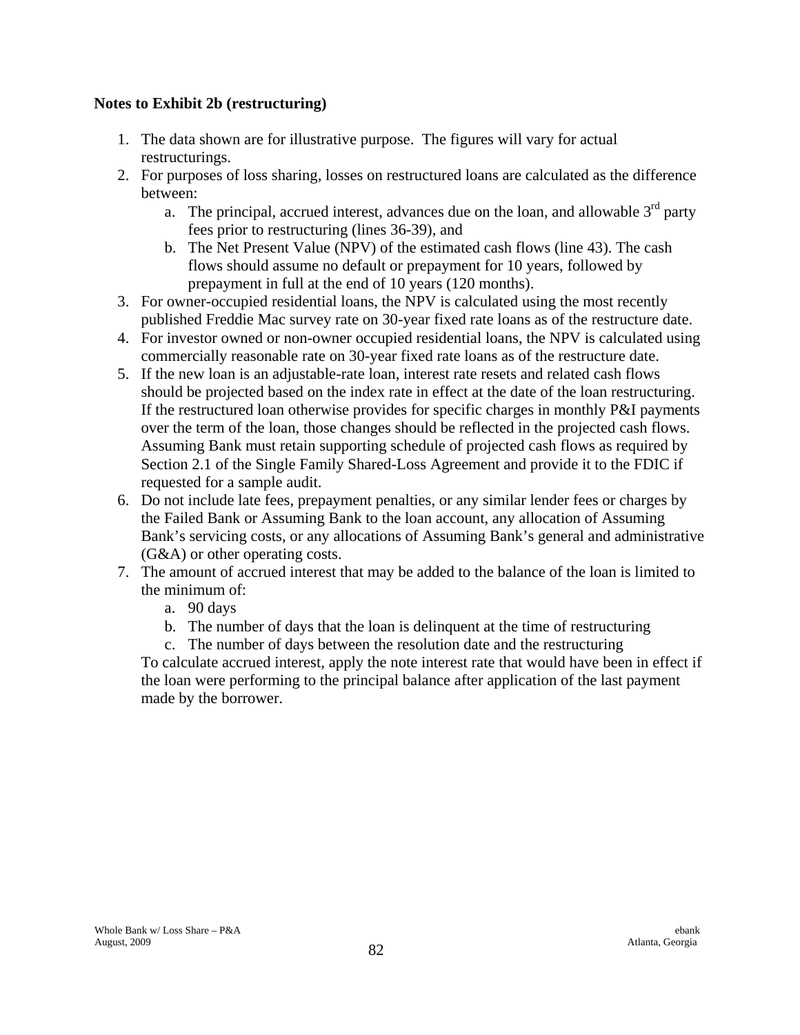### **Notes to Exhibit 2b (restructuring)**

- 1. The data shown are for illustrative purpose. The figures will vary for actual restructurings.
- 2. For purposes of loss sharing, losses on restructured loans are calculated as the difference between:
	- a. The principal, accrued interest, advances due on the loan, and allowable  $3<sup>rd</sup>$  party fees prior to restructuring (lines 36-39), and
	- b. The Net Present Value (NPV) of the estimated cash flows (line 43). The cash flows should assume no default or prepayment for 10 years, followed by prepayment in full at the end of 10 years (120 months).
- 3. For owner-occupied residential loans, the NPV is calculated using the most recently published Freddie Mac survey rate on 30-year fixed rate loans as of the restructure date.
- 4. For investor owned or non-owner occupied residential loans, the NPV is calculated using commercially reasonable rate on 30-year fixed rate loans as of the restructure date.
- 5. If the new loan is an adjustable-rate loan, interest rate resets and related cash flows should be projected based on the index rate in effect at the date of the loan restructuring. If the restructured loan otherwise provides for specific charges in monthly P&I payments over the term of the loan, those changes should be reflected in the projected cash flows. Assuming Bank must retain supporting schedule of projected cash flows as required by Section 2.1 of the Single Family Shared-Loss Agreement and provide it to the FDIC if requested for a sample audit.
- 6. Do not include late fees, prepayment penalties, or any similar lender fees or charges by the Failed Bank or Assuming Bank to the loan account, any allocation of Assuming Bank's servicing costs, or any allocations of Assuming Bank's general and administrative (G&A) or other operating costs.
- 7. The amount of accrued interest that may be added to the balance of the loan is limited to the minimum of:
	- a. 90 days
	- b. The number of days that the loan is delinquent at the time of restructuring

c. The number of days between the resolution date and the restructuring To calculate accrued interest, apply the note interest rate that would have been in effect if the loan were performing to the principal balance after application of the last payment made by the borrower.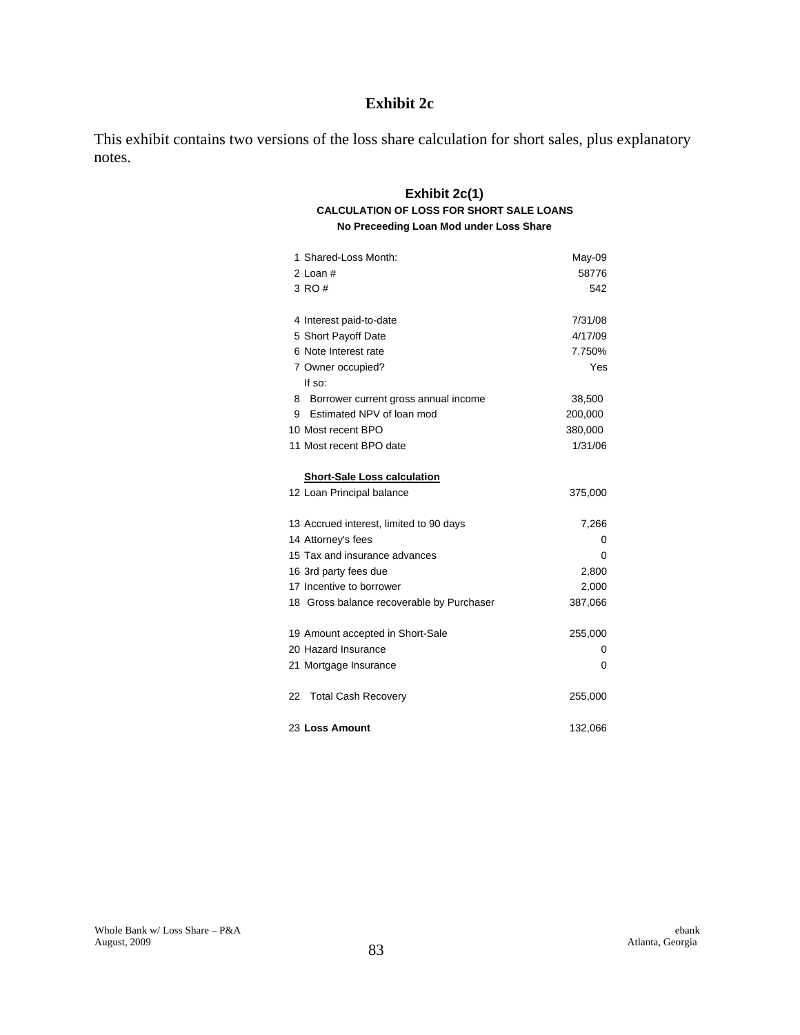### **Exhibit 2c**

This exhibit contains two versions of the loss share calculation for short sales, plus explanatory notes.

#### **Exhibit 2c(1) CALCULATION OF LOSS FOR SHORT SALE LOANS No Preceeding Loan Mod under Loss Share**

| 1 Shared-Loss Month:<br>2 Loan $#$<br>3 RO #                    | May-09<br>58776<br>542 |
|-----------------------------------------------------------------|------------------------|
| 4 Interest paid-to-date                                         | 7/31/08                |
| 5 Short Payoff Date                                             | 4/17/09                |
| 6 Note Interest rate                                            | 7.750%                 |
| 7 Owner occupied?                                               | Yes                    |
| If so:                                                          |                        |
| Borrower current gross annual income<br>8                       | 38,500                 |
| Estimated NPV of loan mod<br>9                                  | 200,000                |
| 10 Most recent BPO                                              | 380,000                |
| 11 Most recent BPO date                                         | 1/31/06                |
| <b>Short-Sale Loss calculation</b><br>12 Loan Principal balance | 375,000                |
| 13 Accrued interest, limited to 90 days                         | 7,266                  |
| 14 Attorney's fees                                              | 0                      |
| 15 Tax and insurance advances                                   | O                      |
| 16 3rd party fees due                                           | 2,800                  |
| 17 Incentive to borrower                                        | 2,000                  |
| 18 Gross balance recoverable by Purchaser                       | 387,066                |
|                                                                 |                        |
| 19 Amount accepted in Short-Sale<br>20 Hazard Insurance         | 255,000                |
|                                                                 | 0                      |
| 21 Mortgage Insurance                                           | 0                      |
| 22 Total Cash Recovery                                          | 255,000                |
| 23 Loss Amount                                                  | 132,066                |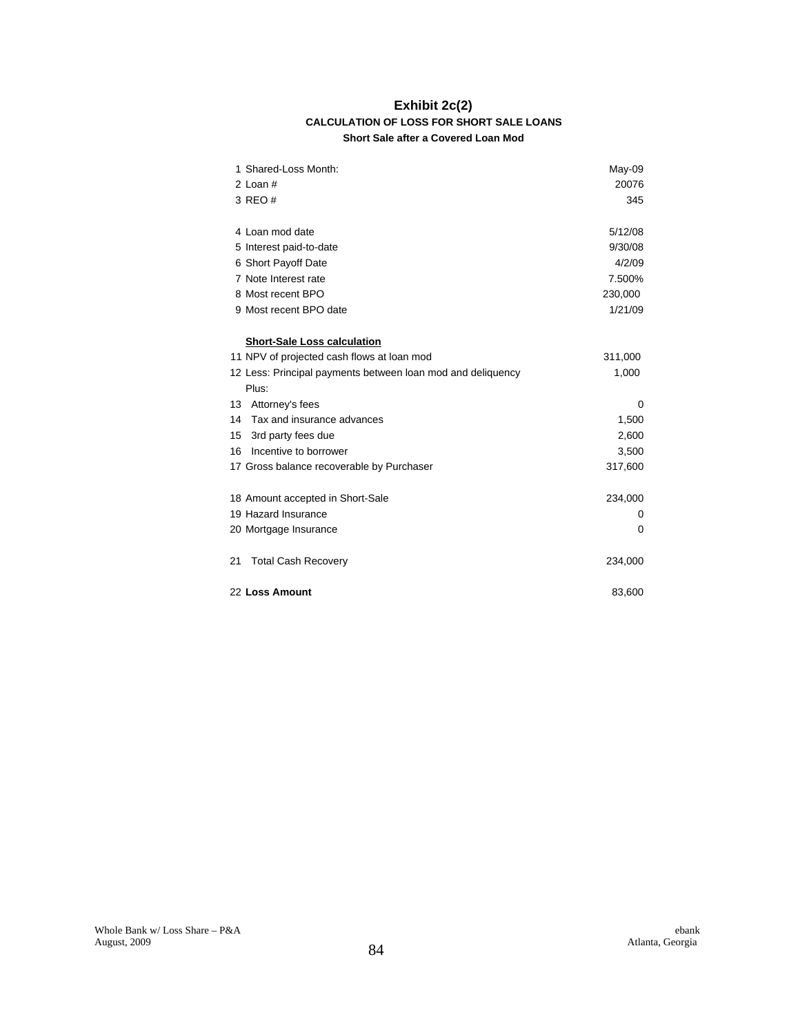#### **Exhibit 2c(2) CALCULATION OF LOSS FOR SHORT SALE LOANS Short Sale after a Covered Loan Mod**

| 1 Shared-Loss Month:                                        | May-09  |
|-------------------------------------------------------------|---------|
| 2 Loan $#$                                                  | 20076   |
| 3 REO #                                                     | 345     |
|                                                             |         |
| 4 Loan mod date                                             | 5/12/08 |
| 5 Interest paid-to-date                                     | 9/30/08 |
| 6 Short Payoff Date                                         | 4/2/09  |
| 7 Note Interest rate                                        | 7.500%  |
| 8 Most recent BPO                                           | 230,000 |
| 9 Most recent BPO date                                      | 1/21/09 |
|                                                             |         |
| <b>Short-Sale Loss calculation</b>                          |         |
| 11 NPV of projected cash flows at loan mod                  | 311,000 |
| 12 Less: Principal payments between loan mod and deliquency | 1,000   |
| Plus:                                                       |         |
| Attorney's fees<br>13                                       | 0       |
| Tax and insurance advances<br>14                            | 1,500   |
| 3rd party fees due<br>15                                    | 2,600   |
| Incentive to borrower<br>16                                 | 3,500   |
| 17 Gross balance recoverable by Purchaser                   | 317,600 |
|                                                             |         |
| 18 Amount accepted in Short-Sale                            | 234,000 |
| 19 Hazard Insurance                                         | 0       |
| 20 Mortgage Insurance                                       | 0       |
|                                                             |         |
| 21<br><b>Total Cash Recovery</b>                            | 234,000 |
|                                                             |         |
| 22 Loss Amount                                              | 83,600  |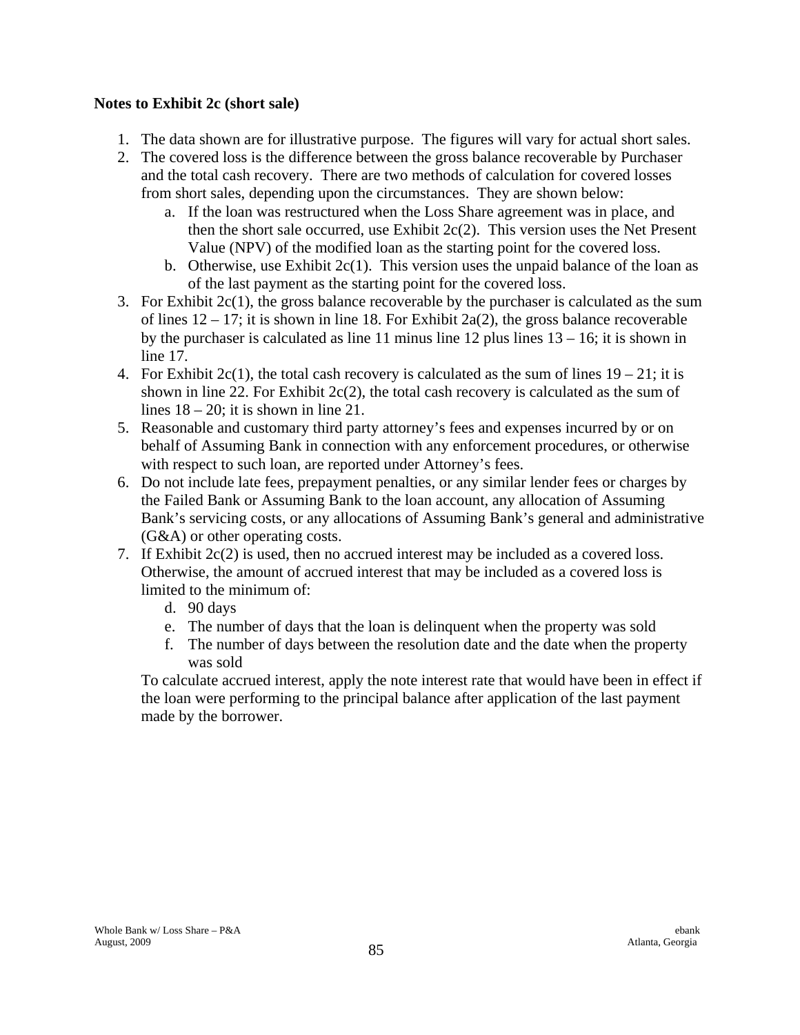### **Notes to Exhibit 2c (short sale)**

- 1. The data shown are for illustrative purpose. The figures will vary for actual short sales.
- 2. The covered loss is the difference between the gross balance recoverable by Purchaser and the total cash recovery. There are two methods of calculation for covered losses from short sales, depending upon the circumstances. They are shown below:
	- a. If the loan was restructured when the Loss Share agreement was in place, and then the short sale occurred, use Exhibit  $2c(2)$ . This version uses the Net Present Value (NPV) of the modified loan as the starting point for the covered loss.
	- b. Otherwise, use Exhibit  $2c(1)$ . This version uses the unpaid balance of the loan as of the last payment as the starting point for the covered loss.
- 3. For Exhibit  $2c(1)$ , the gross balance recoverable by the purchaser is calculated as the sum of lines  $12 - 17$ ; it is shown in line 18. For Exhibit 2a(2), the gross balance recoverable by the purchaser is calculated as line 11 minus line 12 plus lines 13 – 16; it is shown in line 17.
- 4. For Exhibit 2c(1), the total cash recovery is calculated as the sum of lines  $19 21$ ; it is shown in line 22. For Exhibit  $2c(2)$ , the total cash recovery is calculated as the sum of lines  $18 - 20$ ; it is shown in line 21.
- 5. Reasonable and customary third party attorney's fees and expenses incurred by or on behalf of Assuming Bank in connection with any enforcement procedures, or otherwise with respect to such loan, are reported under Attorney's fees.
- 6. Do not include late fees, prepayment penalties, or any similar lender fees or charges by the Failed Bank or Assuming Bank to the loan account, any allocation of Assuming Bank's servicing costs, or any allocations of Assuming Bank's general and administrative (G&A) or other operating costs.
- 7. If Exhibit  $2c(2)$  is used, then no accrued interest may be included as a covered loss. Otherwise, the amount of accrued interest that may be included as a covered loss is limited to the minimum of:
	- d. 90 days
	- e. The number of days that the loan is delinquent when the property was sold
	- f. The number of days between the resolution date and the date when the property was sold

To calculate accrued interest, apply the note interest rate that would have been in effect if the loan were performing to the principal balance after application of the last payment made by the borrower.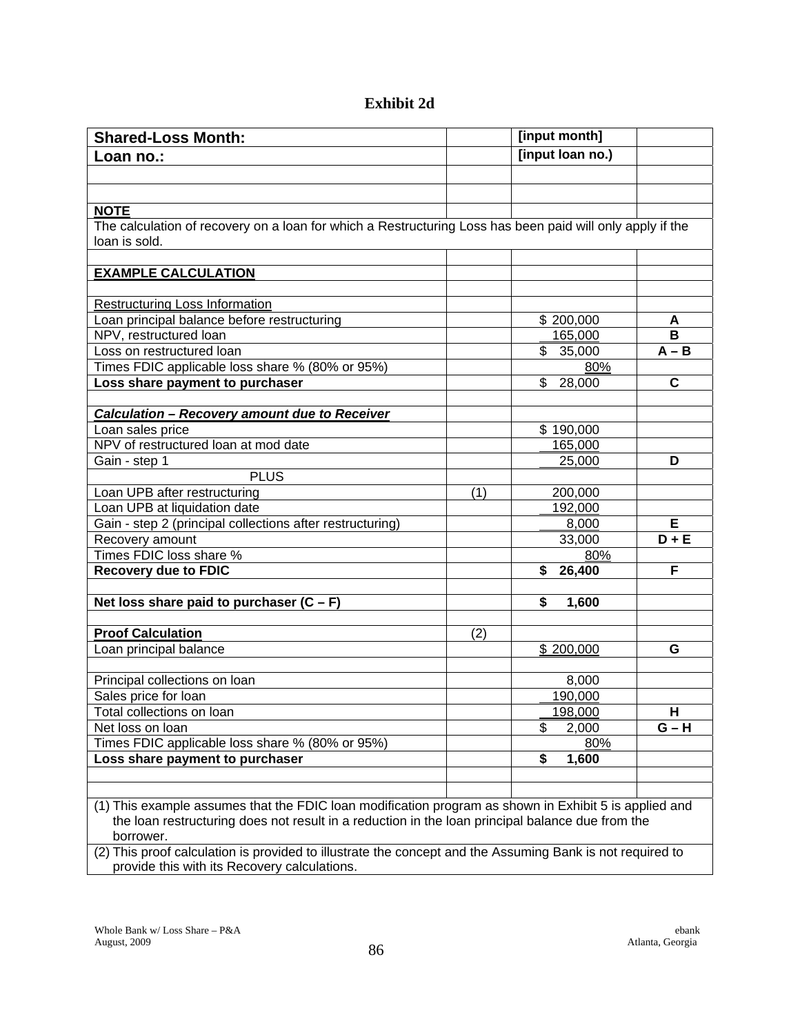# **Exhibit 2d**

| <b>Shared-Loss Month:</b>                                                                                              |     |                        |         |
|------------------------------------------------------------------------------------------------------------------------|-----|------------------------|---------|
| Loan no.:                                                                                                              |     | [input loan no.)       |         |
|                                                                                                                        |     |                        |         |
|                                                                                                                        |     |                        |         |
| <b>NOTE</b>                                                                                                            |     |                        |         |
| The calculation of recovery on a loan for which a Restructuring Loss has been paid will only apply if the              |     |                        |         |
| loan is sold.                                                                                                          |     |                        |         |
|                                                                                                                        |     |                        |         |
| <b>EXAMPLE CALCULATION</b>                                                                                             |     |                        |         |
|                                                                                                                        |     |                        |         |
| <b>Restructuring Loss Information</b>                                                                                  |     |                        |         |
| Loan principal balance before restructuring                                                                            |     | \$200,000              | A       |
| NPV, restructured loan                                                                                                 |     | 165,000                | в       |
| Loss on restructured loan                                                                                              |     | $\overline{\$}$ 35,000 | $A - B$ |
| Times FDIC applicable loss share % (80% or 95%)                                                                        |     | 80%                    |         |
| Loss share payment to purchaser                                                                                        |     | \$28,000               | C       |
|                                                                                                                        |     |                        |         |
| Calculation - Recovery amount due to Receiver                                                                          |     |                        |         |
| Loan sales price                                                                                                       |     | \$190,000              |         |
| NPV of restructured loan at mod date                                                                                   |     | 165,000                |         |
| Gain - step 1                                                                                                          |     | 25,000                 | D       |
| <b>PLUS</b>                                                                                                            |     |                        |         |
| Loan UPB after restructuring                                                                                           | (1) | 200,000                |         |
| Loan UPB at liquidation date                                                                                           |     | 192,000                | Е       |
| Gain - step 2 (principal collections after restructuring)<br>Recovery amount                                           |     | 8,000<br>33,000        | $D + E$ |
| Times FDIC loss share %                                                                                                |     | 80%                    |         |
| <b>Recovery due to FDIC</b>                                                                                            |     | \$<br>26,400           | F       |
|                                                                                                                        |     |                        |         |
| Net loss share paid to purchaser $(C - F)$                                                                             |     | \$<br>1,600            |         |
|                                                                                                                        |     |                        |         |
| <b>Proof Calculation</b>                                                                                               | (2) |                        |         |
| Loan principal balance                                                                                                 |     | \$200,000              | G       |
|                                                                                                                        |     |                        |         |
| Principal collections on loan                                                                                          |     | 8,000                  |         |
| Sales price for loan                                                                                                   |     | 190,000                |         |
| Total collections on loan                                                                                              |     | 198,000                | H       |
| Net loss on loan                                                                                                       |     | \$<br>2,000            | $G - H$ |
| Times FDIC applicable loss share % (80% or 95%)                                                                        |     | 80%                    |         |
| Loss share payment to purchaser                                                                                        |     | 1,600<br>\$            |         |
|                                                                                                                        |     |                        |         |
|                                                                                                                        |     |                        |         |
| (1) This example assumes that the FDIC loan modification program as shown in Exhibit 5 is applied and                  |     |                        |         |
| the loan restructuring does not result in a reduction in the loan principal balance due from the                       |     |                        |         |
| borrower.<br>(2) This proof calculation is provided to illustrate the concept and the Assuming Bank is not required to |     |                        |         |
| provide this with its Recovery calculations.                                                                           |     |                        |         |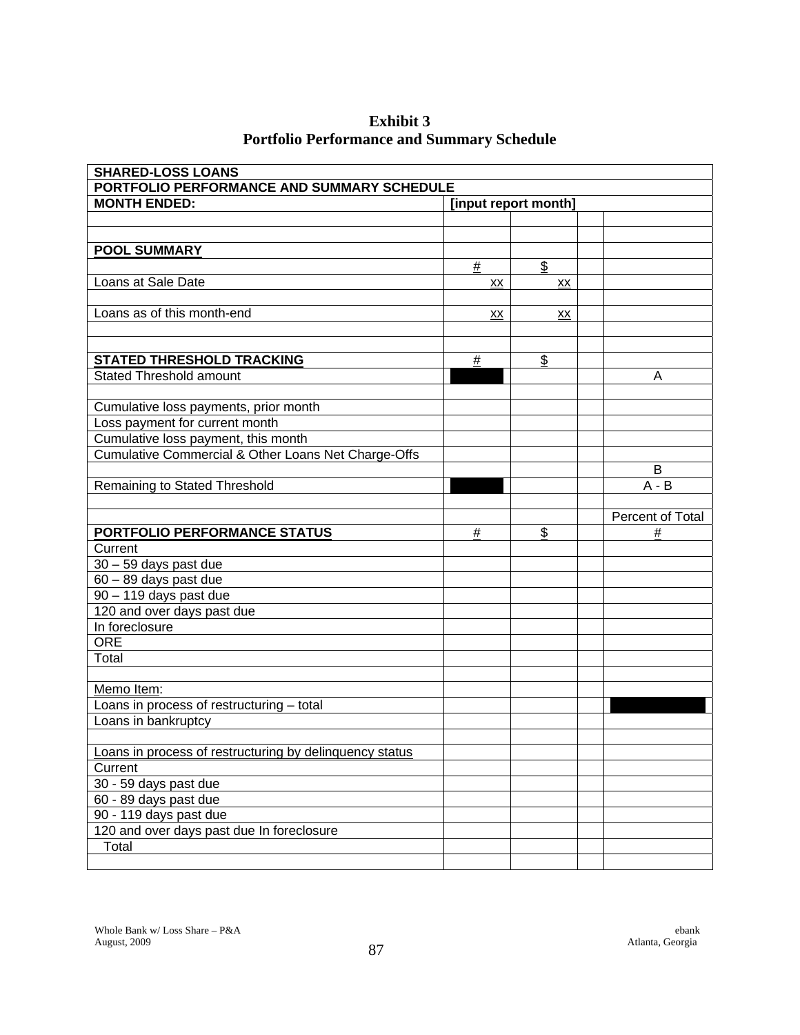| <b>SHARED-LOSS LOANS</b>                                |                      |    |                  |
|---------------------------------------------------------|----------------------|----|------------------|
| PORTFOLIO PERFORMANCE AND SUMMARY SCHEDULE              |                      |    |                  |
| <b>MONTH ENDED:</b>                                     | [input report month] |    |                  |
|                                                         |                      |    |                  |
|                                                         |                      |    |                  |
| <b>POOL SUMMARY</b>                                     |                      |    |                  |
|                                                         | #                    | \$ |                  |
| Loans at Sale Date                                      | XX                   | XX |                  |
|                                                         |                      |    |                  |
| Loans as of this month-end                              | XX                   | XX |                  |
|                                                         |                      |    |                  |
| <b>STATED THRESHOLD TRACKING</b>                        | $\#$                 | \$ |                  |
| <b>Stated Threshold amount</b>                          |                      |    | A                |
|                                                         |                      |    |                  |
| Cumulative loss payments, prior month                   |                      |    |                  |
| Loss payment for current month                          |                      |    |                  |
| Cumulative loss payment, this month                     |                      |    |                  |
| Cumulative Commercial & Other Loans Net Charge-Offs     |                      |    |                  |
|                                                         |                      |    | B                |
| Remaining to Stated Threshold                           |                      |    | $A - B$          |
|                                                         |                      |    |                  |
|                                                         |                      |    | Percent of Total |
| <b>PORTFOLIO PERFORMANCE STATUS</b>                     | $\#$                 | \$ | $\#$             |
| Current                                                 |                      |    |                  |
| $30 - 59$ days past due                                 |                      |    |                  |
| $60 - 89$ days past due                                 |                      |    |                  |
| $90 - 119$ days past due                                |                      |    |                  |
| 120 and over days past due                              |                      |    |                  |
| In foreclosure                                          |                      |    |                  |
| <b>ORE</b>                                              |                      |    |                  |
| Total                                                   |                      |    |                  |
|                                                         |                      |    |                  |
| Memo Item:                                              |                      |    |                  |
| Loans in process of restructuring - total               |                      |    |                  |
| Loans in bankruptcy                                     |                      |    |                  |
|                                                         |                      |    |                  |
| Loans in process of restructuring by delinquency status |                      |    |                  |
| Current                                                 |                      |    |                  |
| 30 - 59 days past due                                   |                      |    |                  |
| 60 - 89 days past due                                   |                      |    |                  |
| 90 - 119 days past due                                  |                      |    |                  |
| 120 and over days past due In foreclosure               |                      |    |                  |
| Total                                                   |                      |    |                  |
|                                                         |                      |    |                  |

# **Exhibit 3 Portfolio Performance and Summary Schedule**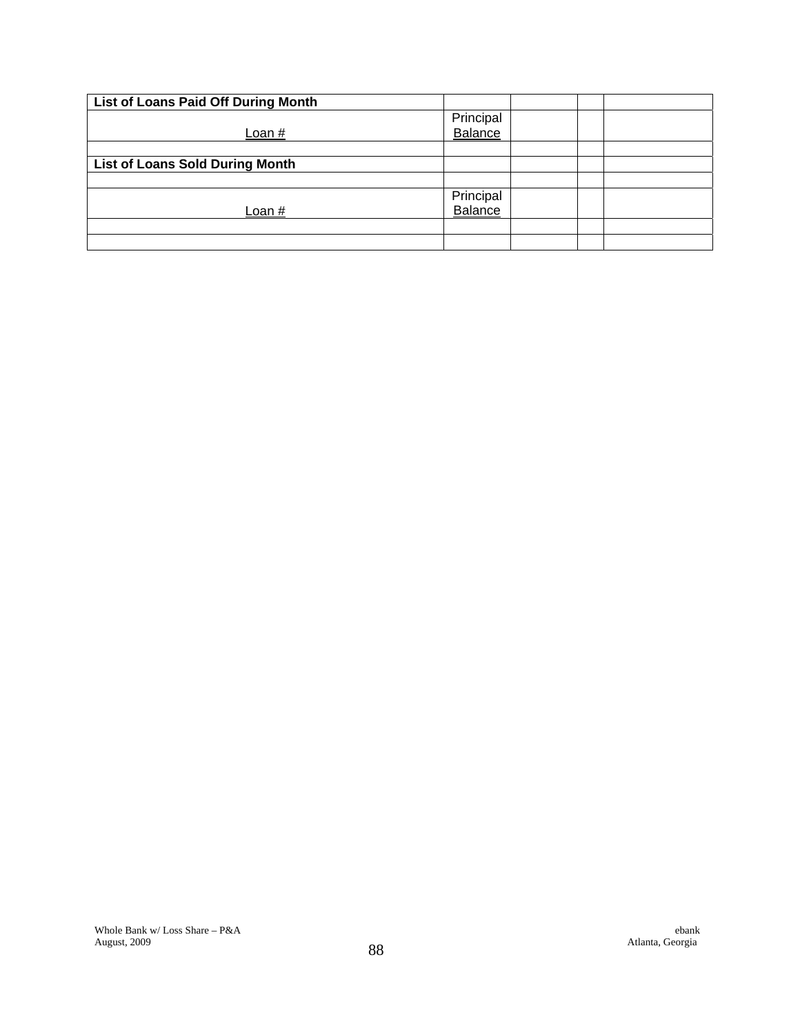| List of Loans Paid Off During Month    |                      |  |  |
|----------------------------------------|----------------------|--|--|
|                                        | Principal            |  |  |
| <u>Loan #</u>                          | Balance              |  |  |
|                                        |                      |  |  |
| <b>List of Loans Sold During Month</b> |                      |  |  |
|                                        |                      |  |  |
|                                        | Principal<br>Balance |  |  |
| Loan #                                 |                      |  |  |
|                                        |                      |  |  |
|                                        |                      |  |  |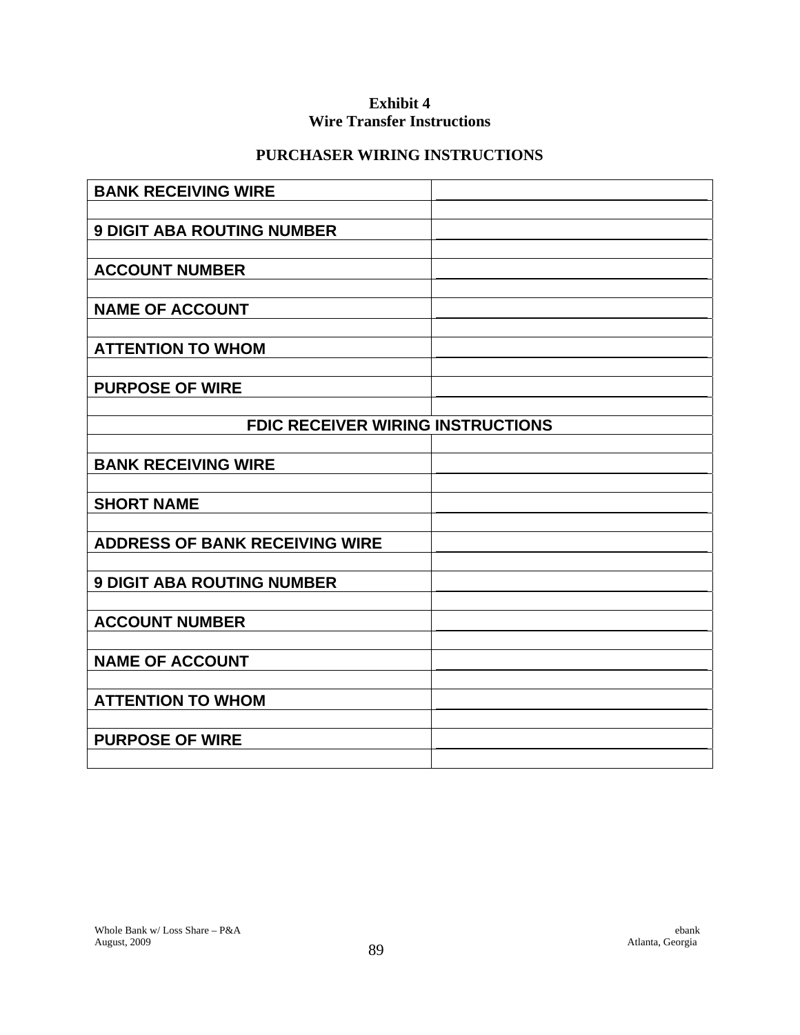# **Exhibit 4 Wire Transfer Instructions**

# **PURCHASER WIRING INSTRUCTIONS**

| <b>BANK RECEIVING WIRE</b>            |  |
|---------------------------------------|--|
|                                       |  |
| <b>9 DIGIT ABA ROUTING NUMBER</b>     |  |
|                                       |  |
| <b>ACCOUNT NUMBER</b>                 |  |
|                                       |  |
| <b>NAME OF ACCOUNT</b>                |  |
|                                       |  |
| <b>ATTENTION TO WHOM</b>              |  |
| <b>PURPOSE OF WIRE</b>                |  |
|                                       |  |
| FDIC RECEIVER WIRING INSTRUCTIONS     |  |
|                                       |  |
| <b>BANK RECEIVING WIRE</b>            |  |
|                                       |  |
| <b>SHORT NAME</b>                     |  |
|                                       |  |
| <b>ADDRESS OF BANK RECEIVING WIRE</b> |  |
|                                       |  |
| <b>9 DIGIT ABA ROUTING NUMBER</b>     |  |
|                                       |  |
| <b>ACCOUNT NUMBER</b>                 |  |
|                                       |  |
| <b>NAME OF ACCOUNT</b>                |  |
| <b>ATTENTION TO WHOM</b>              |  |
|                                       |  |
| <b>PURPOSE OF WIRE</b>                |  |
|                                       |  |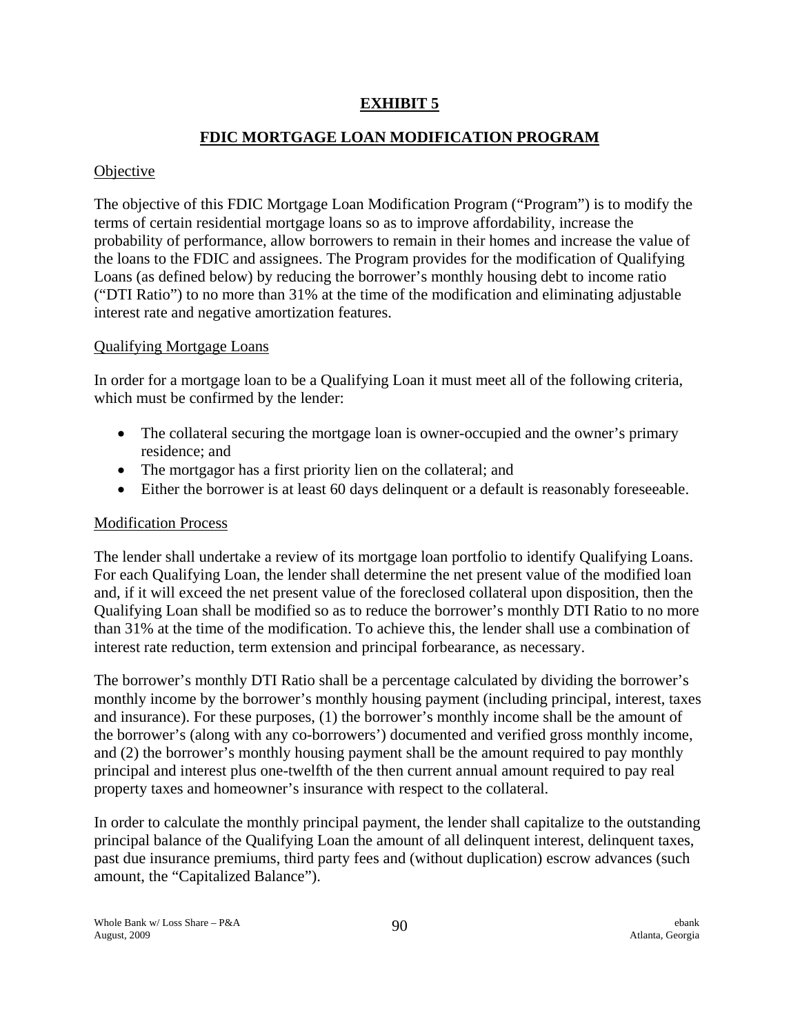# **EXHIBIT 5**

# **FDIC MORTGAGE LOAN MODIFICATION PROGRAM**

### **Objective**

The objective of this FDIC Mortgage Loan Modification Program ("Program") is to modify the terms of certain residential mortgage loans so as to improve affordability, increase the probability of performance, allow borrowers to remain in their homes and increase the value of the loans to the FDIC and assignees. The Program provides for the modification of Qualifying Loans (as defined below) by reducing the borrower's monthly housing debt to income ratio ("DTI Ratio") to no more than 31% at the time of the modification and eliminating adjustable interest rate and negative amortization features.

### Qualifying Mortgage Loans

In order for a mortgage loan to be a Qualifying Loan it must meet all of the following criteria, which must be confirmed by the lender:

- The collateral securing the mortgage loan is owner-occupied and the owner's primary residence; and
- The mortgagor has a first priority lien on the collateral; and
- Either the borrower is at least 60 days delinquent or a default is reasonably foreseeable.

### Modification Process

The lender shall undertake a review of its mortgage loan portfolio to identify Qualifying Loans. For each Qualifying Loan, the lender shall determine the net present value of the modified loan and, if it will exceed the net present value of the foreclosed collateral upon disposition, then the Qualifying Loan shall be modified so as to reduce the borrower's monthly DTI Ratio to no more than 31% at the time of the modification. To achieve this, the lender shall use a combination of interest rate reduction, term extension and principal forbearance, as necessary.

The borrower's monthly DTI Ratio shall be a percentage calculated by dividing the borrower's monthly income by the borrower's monthly housing payment (including principal, interest, taxes and insurance). For these purposes, (1) the borrower's monthly income shall be the amount of the borrower's (along with any co-borrowers') documented and verified gross monthly income, and (2) the borrower's monthly housing payment shall be the amount required to pay monthly principal and interest plus one-twelfth of the then current annual amount required to pay real property taxes and homeowner's insurance with respect to the collateral.

In order to calculate the monthly principal payment, the lender shall capitalize to the outstanding principal balance of the Qualifying Loan the amount of all delinquent interest, delinquent taxes, past due insurance premiums, third party fees and (without duplication) escrow advances (such amount, the "Capitalized Balance").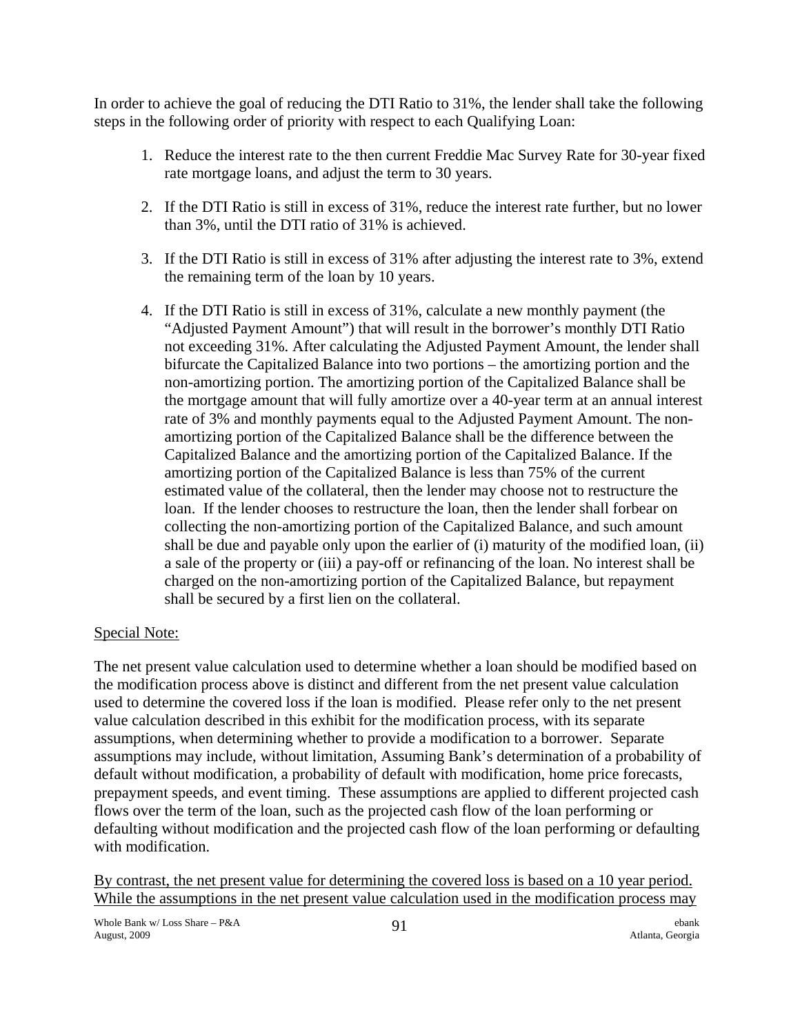In order to achieve the goal of reducing the DTI Ratio to 31%, the lender shall take the following steps in the following order of priority with respect to each Qualifying Loan:

- 1. Reduce the interest rate to the then current Freddie Mac Survey Rate for 30-year fixed rate mortgage loans, and adjust the term to 30 years.
- 2. If the DTI Ratio is still in excess of 31%, reduce the interest rate further, but no lower than 3%, until the DTI ratio of 31% is achieved.
- 3. If the DTI Ratio is still in excess of 31% after adjusting the interest rate to 3%, extend the remaining term of the loan by 10 years.
- 4. If the DTI Ratio is still in excess of 31%, calculate a new monthly payment (the "Adjusted Payment Amount") that will result in the borrower's monthly DTI Ratio not exceeding 31%. After calculating the Adjusted Payment Amount, the lender shall bifurcate the Capitalized Balance into two portions – the amortizing portion and the non-amortizing portion. The amortizing portion of the Capitalized Balance shall be the mortgage amount that will fully amortize over a 40-year term at an annual interest rate of 3% and monthly payments equal to the Adjusted Payment Amount. The nonamortizing portion of the Capitalized Balance shall be the difference between the Capitalized Balance and the amortizing portion of the Capitalized Balance. If the amortizing portion of the Capitalized Balance is less than 75% of the current estimated value of the collateral, then the lender may choose not to restructure the loan. If the lender chooses to restructure the loan, then the lender shall forbear on collecting the non-amortizing portion of the Capitalized Balance, and such amount shall be due and payable only upon the earlier of (i) maturity of the modified loan, (ii) a sale of the property or (iii) a pay-off or refinancing of the loan. No interest shall be charged on the non-amortizing portion of the Capitalized Balance, but repayment shall be secured by a first lien on the collateral.

## Special Note:

The net present value calculation used to determine whether a loan should be modified based on the modification process above is distinct and different from the net present value calculation used to determine the covered loss if the loan is modified. Please refer only to the net present value calculation described in this exhibit for the modification process, with its separate assumptions, when determining whether to provide a modification to a borrower. Separate assumptions may include, without limitation, Assuming Bank's determination of a probability of default without modification, a probability of default with modification, home price forecasts, prepayment speeds, and event timing. These assumptions are applied to different projected cash flows over the term of the loan, such as the projected cash flow of the loan performing or defaulting without modification and the projected cash flow of the loan performing or defaulting with modification.

By contrast, the net present value for determining the covered loss is based on a 10 year period. While the assumptions in the net present value calculation used in the modification process may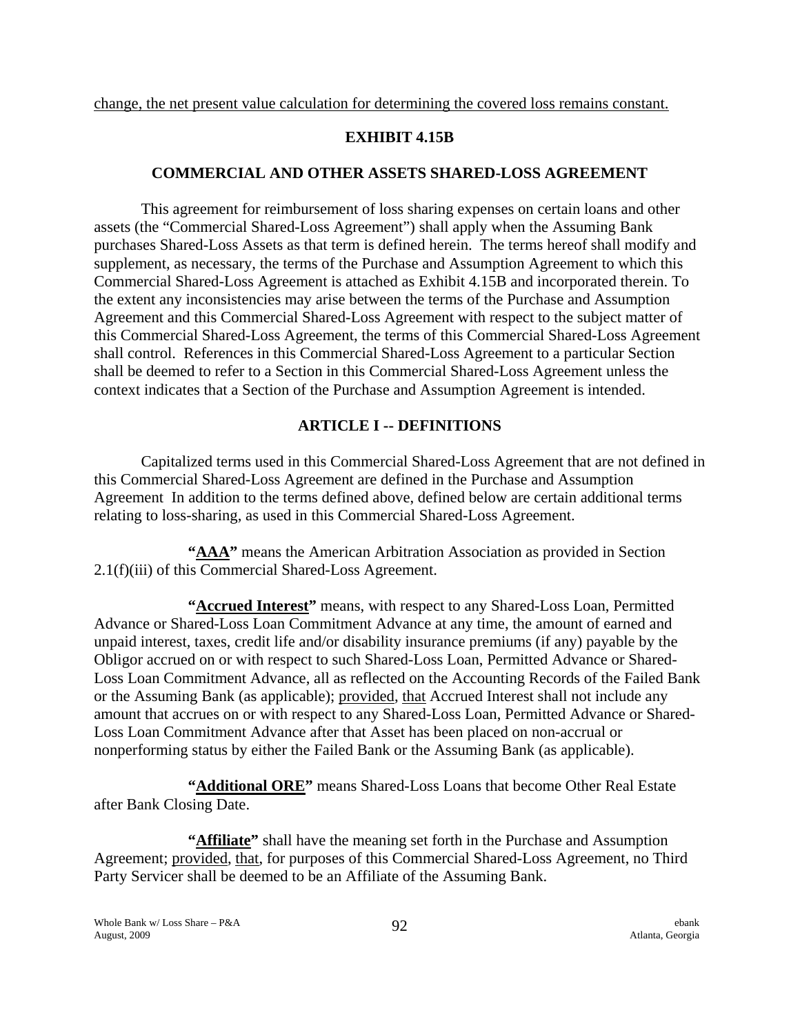change, the net present value calculation for determining the covered loss remains constant.

## **EXHIBIT 4.15B**

## **COMMERCIAL AND OTHER ASSETS SHARED-LOSS AGREEMENT**

This agreement for reimbursement of loss sharing expenses on certain loans and other assets (the "Commercial Shared-Loss Agreement") shall apply when the Assuming Bank purchases Shared-Loss Assets as that term is defined herein. The terms hereof shall modify and supplement, as necessary, the terms of the Purchase and Assumption Agreement to which this Commercial Shared-Loss Agreement is attached as Exhibit 4.15B and incorporated therein. To the extent any inconsistencies may arise between the terms of the Purchase and Assumption Agreement and this Commercial Shared-Loss Agreement with respect to the subject matter of this Commercial Shared-Loss Agreement, the terms of this Commercial Shared-Loss Agreement shall control. References in this Commercial Shared-Loss Agreement to a particular Section shall be deemed to refer to a Section in this Commercial Shared-Loss Agreement unless the context indicates that a Section of the Purchase and Assumption Agreement is intended.

## **ARTICLE I -- DEFINITIONS**

Capitalized terms used in this Commercial Shared-Loss Agreement that are not defined in this Commercial Shared-Loss Agreement are defined in the Purchase and Assumption Agreement In addition to the terms defined above, defined below are certain additional terms relating to loss-sharing, as used in this Commercial Shared-Loss Agreement.

**"AAA"** means the American Arbitration Association as provided in Section 2.1(f)(iii) of this Commercial Shared-Loss Agreement.

**"Accrued Interest"** means, with respect to any Shared-Loss Loan, Permitted Advance or Shared-Loss Loan Commitment Advance at any time, the amount of earned and unpaid interest, taxes, credit life and/or disability insurance premiums (if any) payable by the Obligor accrued on or with respect to such Shared-Loss Loan, Permitted Advance or Shared-Loss Loan Commitment Advance, all as reflected on the Accounting Records of the Failed Bank or the Assuming Bank (as applicable); provided, that Accrued Interest shall not include any amount that accrues on or with respect to any Shared-Loss Loan, Permitted Advance or Shared-Loss Loan Commitment Advance after that Asset has been placed on non-accrual or nonperforming status by either the Failed Bank or the Assuming Bank (as applicable).

"**Additional ORE**" means Shared-Loss Loans that become Other Real Estate after Bank Closing Date.

"**Affiliate**" shall have the meaning set forth in the Purchase and Assumption Agreement; provided, that, for purposes of this Commercial Shared-Loss Agreement, no Third Party Servicer shall be deemed to be an Affiliate of the Assuming Bank.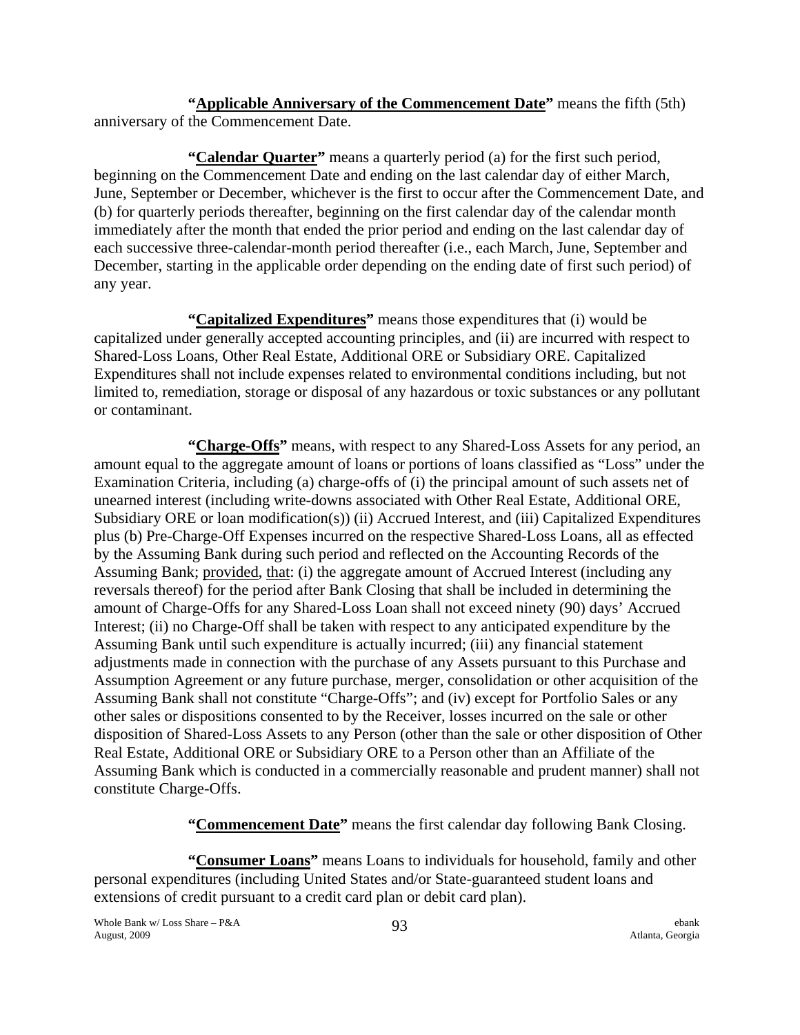**"Applicable Anniversary of the Commencement Date"** means the fifth (5th) anniversary of the Commencement Date.

**"Calendar Quarter"** means a quarterly period (a) for the first such period, beginning on the Commencement Date and ending on the last calendar day of either March, June, September or December, whichever is the first to occur after the Commencement Date, and (b) for quarterly periods thereafter, beginning on the first calendar day of the calendar month immediately after the month that ended the prior period and ending on the last calendar day of each successive three-calendar-month period thereafter (i.e., each March, June, September and December, starting in the applicable order depending on the ending date of first such period) of any year.

**"Capitalized Expenditures"** means those expenditures that (i) would be capitalized under generally accepted accounting principles, and (ii) are incurred with respect to Shared-Loss Loans, Other Real Estate, Additional ORE or Subsidiary ORE. Capitalized Expenditures shall not include expenses related to environmental conditions including, but not limited to, remediation, storage or disposal of any hazardous or toxic substances or any pollutant or contaminant.

**"Charge-Offs"** means, with respect to any Shared-Loss Assets for any period, an amount equal to the aggregate amount of loans or portions of loans classified as "Loss" under the Examination Criteria, including (a) charge-offs of (i) the principal amount of such assets net of unearned interest (including write-downs associated with Other Real Estate, Additional ORE, Subsidiary ORE or loan modification(s)) (ii) Accrued Interest, and (iii) Capitalized Expenditures plus (b) Pre-Charge-Off Expenses incurred on the respective Shared-Loss Loans, all as effected by the Assuming Bank during such period and reflected on the Accounting Records of the Assuming Bank; provided, that: (i) the aggregate amount of Accrued Interest (including any reversals thereof) for the period after Bank Closing that shall be included in determining the amount of Charge-Offs for any Shared-Loss Loan shall not exceed ninety (90) days' Accrued Interest; (ii) no Charge-Off shall be taken with respect to any anticipated expenditure by the Assuming Bank until such expenditure is actually incurred; (iii) any financial statement adjustments made in connection with the purchase of any Assets pursuant to this Purchase and Assumption Agreement or any future purchase, merger, consolidation or other acquisition of the Assuming Bank shall not constitute "Charge-Offs"; and (iv) except for Portfolio Sales or any other sales or dispositions consented to by the Receiver, losses incurred on the sale or other disposition of Shared-Loss Assets to any Person (other than the sale or other disposition of Other Real Estate, Additional ORE or Subsidiary ORE to a Person other than an Affiliate of the Assuming Bank which is conducted in a commercially reasonable and prudent manner) shall not constitute Charge-Offs.

**"Commencement Date"** means the first calendar day following Bank Closing.

**"Consumer Loans"** means Loans to individuals for household, family and other personal expenditures (including United States and/or State-guaranteed student loans and extensions of credit pursuant to a credit card plan or debit card plan).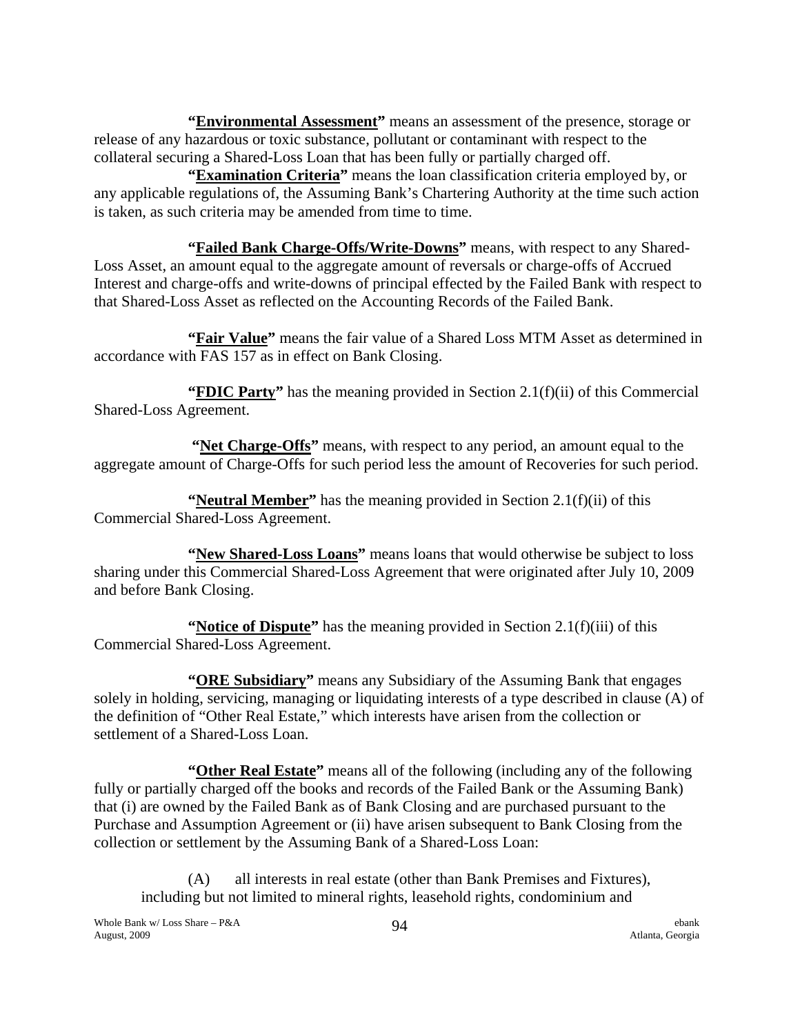**"Environmental Assessment"** means an assessment of the presence, storage or release of any hazardous or toxic substance, pollutant or contaminant with respect to the collateral securing a Shared-Loss Loan that has been fully or partially charged off.

**"Examination Criteria"** means the loan classification criteria employed by, or any applicable regulations of, the Assuming Bank's Chartering Authority at the time such action is taken, as such criteria may be amended from time to time.

**"Failed Bank Charge-Offs/Write-Downs"** means, with respect to any Shared-Loss Asset, an amount equal to the aggregate amount of reversals or charge-offs of Accrued Interest and charge-offs and write-downs of principal effected by the Failed Bank with respect to that Shared-Loss Asset as reflected on the Accounting Records of the Failed Bank.

**"Fair Value"** means the fair value of a Shared Loss MTM Asset as determined in accordance with FAS 157 as in effect on Bank Closing.

**"FDIC Party"** has the meaning provided in Section 2.1(f)(ii) of this Commercial Shared-Loss Agreement.

**"Net Charge-Offs"** means, with respect to any period, an amount equal to the aggregate amount of Charge-Offs for such period less the amount of Recoveries for such period.

 Commercial Shared-Loss Agreement. **"Neutral Member"** has the meaning provided in Section 2.1(f)(ii) of this

**"New Shared-Loss Loans"** means loans that would otherwise be subject to loss sharing under this Commercial Shared-Loss Agreement that were originated after July 10, 2009 and before Bank Closing.

**"Notice of Dispute"** has the meaning provided in Section 2.1(f)(iii) of this Commercial Shared-Loss Agreement.

**"ORE Subsidiary"** means any Subsidiary of the Assuming Bank that engages solely in holding, servicing, managing or liquidating interests of a type described in clause (A) of the definition of "Other Real Estate," which interests have arisen from the collection or settlement of a Shared-Loss Loan.

**"Other Real Estate"** means all of the following (including any of the following fully or partially charged off the books and records of the Failed Bank or the Assuming Bank) that (i) are owned by the Failed Bank as of Bank Closing and are purchased pursuant to the Purchase and Assumption Agreement or (ii) have arisen subsequent to Bank Closing from the collection or settlement by the Assuming Bank of a Shared-Loss Loan:

(A) all interests in real estate (other than Bank Premises and Fixtures), including but not limited to mineral rights, leasehold rights, condominium and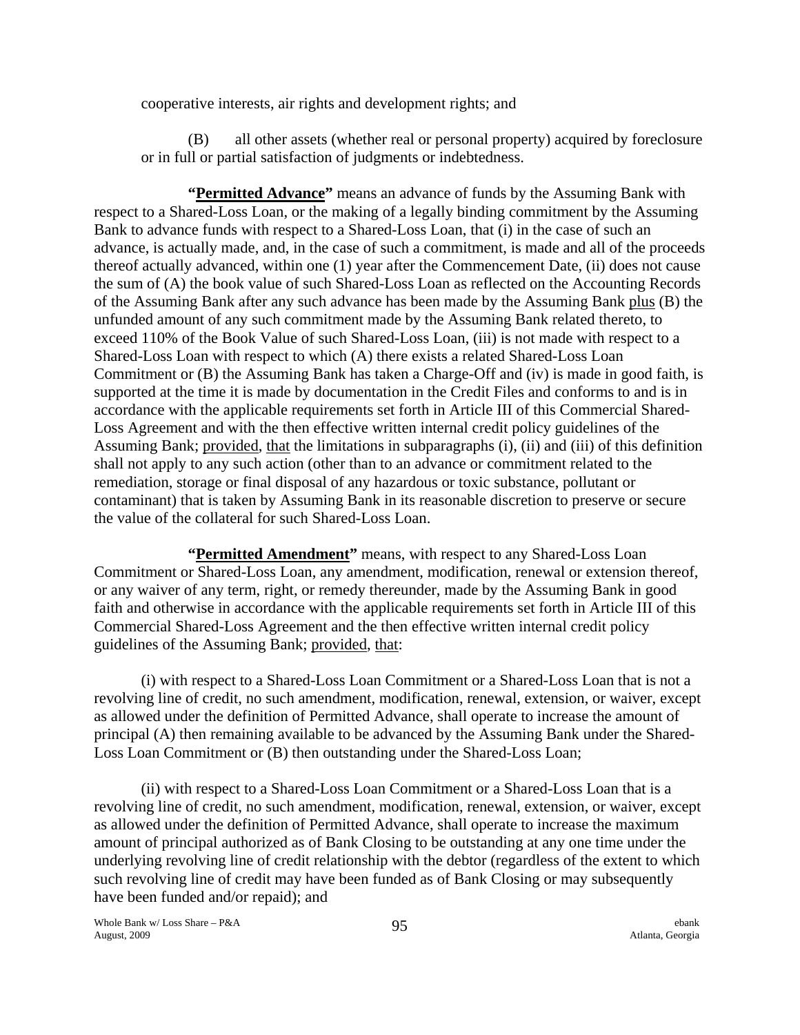cooperative interests, air rights and development rights; and

(B) all other assets (whether real or personal property) acquired by foreclosure or in full or partial satisfaction of judgments or indebtedness.

**"Permitted Advance"** means an advance of funds by the Assuming Bank with respect to a Shared-Loss Loan, or the making of a legally binding commitment by the Assuming Bank to advance funds with respect to a Shared-Loss Loan, that (i) in the case of such an advance, is actually made, and, in the case of such a commitment, is made and all of the proceeds thereof actually advanced, within one (1) year after the Commencement Date, (ii) does not cause the sum of (A) the book value of such Shared-Loss Loan as reflected on the Accounting Records of the Assuming Bank after any such advance has been made by the Assuming Bank plus (B) the unfunded amount of any such commitment made by the Assuming Bank related thereto, to exceed 110% of the Book Value of such Shared-Loss Loan, (iii) is not made with respect to a Shared-Loss Loan with respect to which (A) there exists a related Shared-Loss Loan Commitment or (B) the Assuming Bank has taken a Charge-Off and (iv) is made in good faith, is supported at the time it is made by documentation in the Credit Files and conforms to and is in accordance with the applicable requirements set forth in Article III of this Commercial Shared-Loss Agreement and with the then effective written internal credit policy guidelines of the Assuming Bank; provided, that the limitations in subparagraphs (i), (ii) and (iii) of this definition shall not apply to any such action (other than to an advance or commitment related to the remediation, storage or final disposal of any hazardous or toxic substance, pollutant or contaminant) that is taken by Assuming Bank in its reasonable discretion to preserve or secure the value of the collateral for such Shared-Loss Loan.

**"Permitted Amendment"** means, with respect to any Shared-Loss Loan Commitment or Shared-Loss Loan, any amendment, modification, renewal or extension thereof, or any waiver of any term, right, or remedy thereunder, made by the Assuming Bank in good faith and otherwise in accordance with the applicable requirements set forth in Article III of this Commercial Shared-Loss Agreement and the then effective written internal credit policy guidelines of the Assuming Bank; provided, that:

(i) with respect to a Shared-Loss Loan Commitment or a Shared-Loss Loan that is not a revolving line of credit, no such amendment, modification, renewal, extension, or waiver, except as allowed under the definition of Permitted Advance, shall operate to increase the amount of principal (A) then remaining available to be advanced by the Assuming Bank under the Shared-Loss Loan Commitment or (B) then outstanding under the Shared-Loss Loan;

(ii) with respect to a Shared-Loss Loan Commitment or a Shared-Loss Loan that is a revolving line of credit, no such amendment, modification, renewal, extension, or waiver, except as allowed under the definition of Permitted Advance, shall operate to increase the maximum amount of principal authorized as of Bank Closing to be outstanding at any one time under the underlying revolving line of credit relationship with the debtor (regardless of the extent to which such revolving line of credit may have been funded as of Bank Closing or may subsequently have been funded and/or repaid); and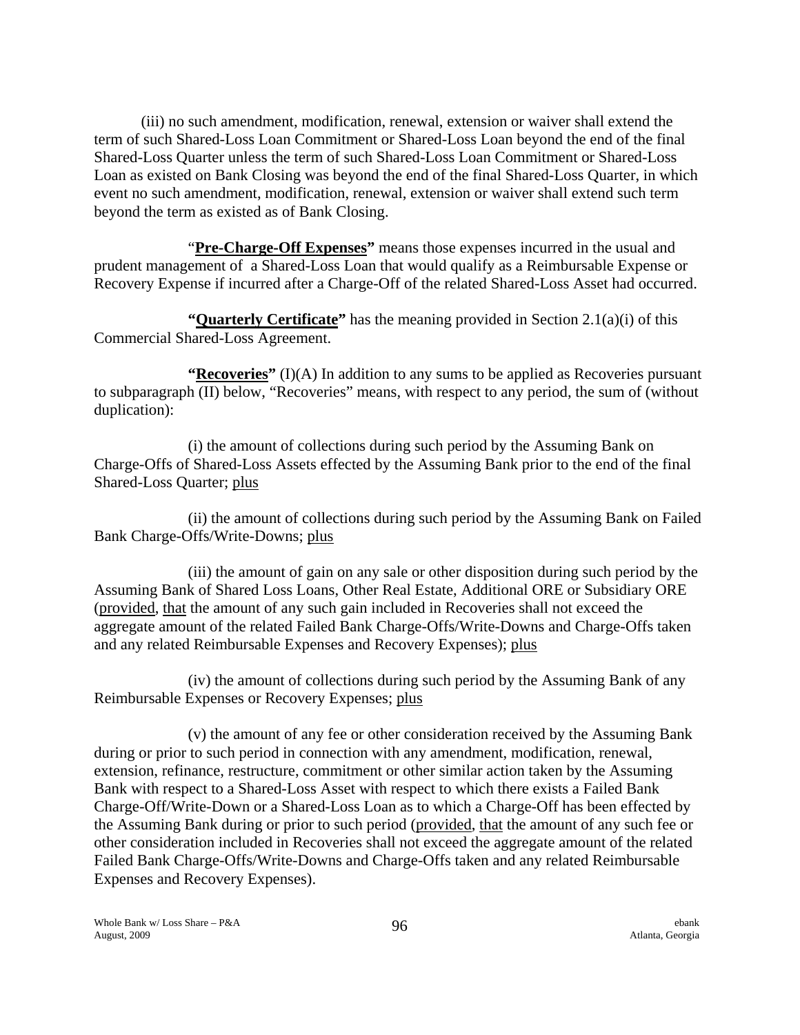(iii) no such amendment, modification, renewal, extension or waiver shall extend the term of such Shared-Loss Loan Commitment or Shared-Loss Loan beyond the end of the final Shared-Loss Quarter unless the term of such Shared-Loss Loan Commitment or Shared-Loss Loan as existed on Bank Closing was beyond the end of the final Shared-Loss Quarter, in which event no such amendment, modification, renewal, extension or waiver shall extend such term beyond the term as existed as of Bank Closing.

"**Pre-Charge-Off Expenses"** means those expenses incurred in the usual and prudent management of a Shared-Loss Loan that would qualify as a Reimbursable Expense or Recovery Expense if incurred after a Charge-Off of the related Shared-Loss Asset had occurred.

**"Quarterly Certificate"** has the meaning provided in Section 2.1(a)(i) of this Commercial Shared-Loss Agreement.

**"Recoveries"** (I)(A) In addition to any sums to be applied as Recoveries pursuant to subparagraph (II) below, "Recoveries" means, with respect to any period, the sum of (without duplication):

**Shared-Loss Quarter; plus** (i) the amount of collections during such period by the Assuming Bank on Charge-Offs of Shared-Loss Assets effected by the Assuming Bank prior to the end of the final

(ii) the amount of collections during such period by the Assuming Bank on Failed Bank Charge-Offs/Write-Downs; plus

(iii) the amount of gain on any sale or other disposition during such period by the Assuming Bank of Shared Loss Loans, Other Real Estate, Additional ORE or Subsidiary ORE (provided, that the amount of any such gain included in Recoveries shall not exceed the aggregate amount of the related Failed Bank Charge-Offs/Write-Downs and Charge-Offs taken and any related Reimbursable Expenses and Recovery Expenses); plus

(iv) the amount of collections during such period by the Assuming Bank of any Reimbursable Expenses or Recovery Expenses; plus

(v) the amount of any fee or other consideration received by the Assuming Bank during or prior to such period in connection with any amendment, modification, renewal, extension, refinance, restructure, commitment or other similar action taken by the Assuming Bank with respect to a Shared-Loss Asset with respect to which there exists a Failed Bank Charge-Off/Write-Down or a Shared-Loss Loan as to which a Charge-Off has been effected by the Assuming Bank during or prior to such period (provided, that the amount of any such fee or other consideration included in Recoveries shall not exceed the aggregate amount of the related Failed Bank Charge-Offs/Write-Downs and Charge-Offs taken and any related Reimbursable Expenses and Recovery Expenses).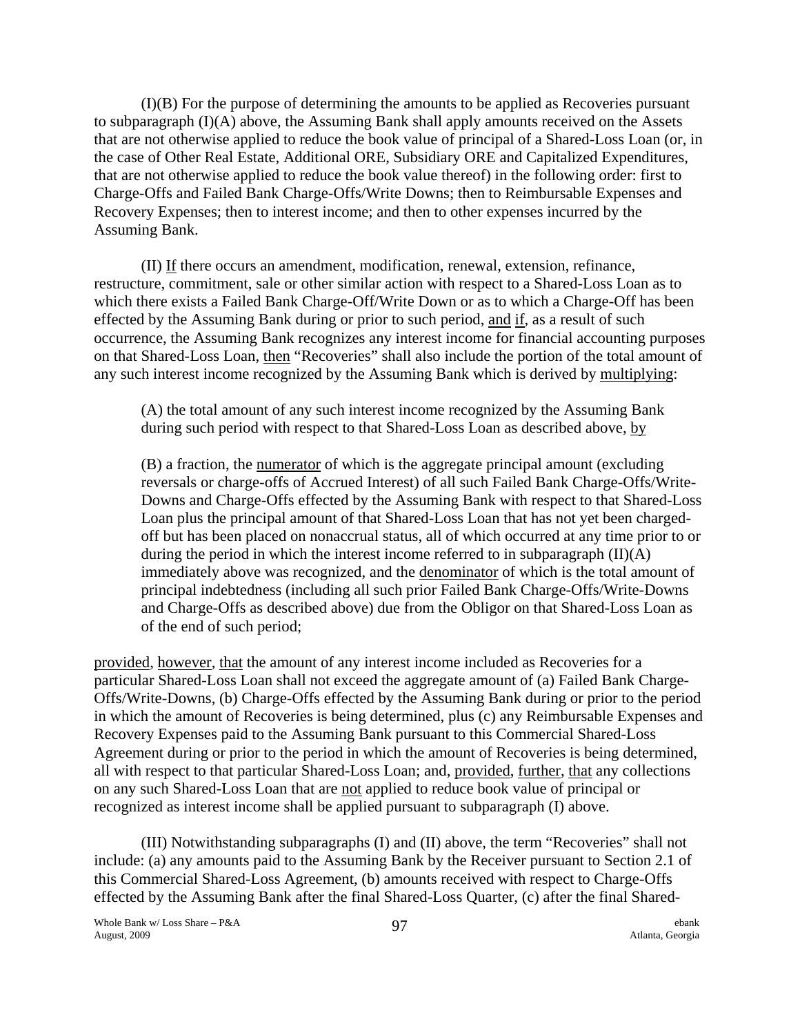(I)(B) For the purpose of determining the amounts to be applied as Recoveries pursuant to subparagraph (I)(A) above, the Assuming Bank shall apply amounts received on the Assets that are not otherwise applied to reduce the book value of principal of a Shared-Loss Loan (or, in the case of Other Real Estate, Additional ORE, Subsidiary ORE and Capitalized Expenditures, that are not otherwise applied to reduce the book value thereof) in the following order: first to Charge-Offs and Failed Bank Charge-Offs/Write Downs; then to Reimbursable Expenses and Recovery Expenses; then to interest income; and then to other expenses incurred by the Assuming Bank.

(II) If there occurs an amendment, modification, renewal, extension, refinance, restructure, commitment, sale or other similar action with respect to a Shared-Loss Loan as to which there exists a Failed Bank Charge-Off/Write Down or as to which a Charge-Off has been effected by the Assuming Bank during or prior to such period, and if, as a result of such occurrence, the Assuming Bank recognizes any interest income for financial accounting purposes on that Shared-Loss Loan, then "Recoveries" shall also include the portion of the total amount of any such interest income recognized by the Assuming Bank which is derived by multiplying:

(A) the total amount of any such interest income recognized by the Assuming Bank during such period with respect to that Shared-Loss Loan as described above, by

(B) a fraction, the numerator of which is the aggregate principal amount (excluding reversals or charge-offs of Accrued Interest) of all such Failed Bank Charge-Offs/Write-Downs and Charge-Offs effected by the Assuming Bank with respect to that Shared-Loss Loan plus the principal amount of that Shared-Loss Loan that has not yet been chargedoff but has been placed on nonaccrual status, all of which occurred at any time prior to or during the period in which the interest income referred to in subparagraph (II)(A) immediately above was recognized, and the denominator of which is the total amount of principal indebtedness (including all such prior Failed Bank Charge-Offs/Write-Downs and Charge-Offs as described above) due from the Obligor on that Shared-Loss Loan as of the end of such period;

provided, however, that the amount of any interest income included as Recoveries for a particular Shared-Loss Loan shall not exceed the aggregate amount of (a) Failed Bank Charge-Offs/Write-Downs, (b) Charge-Offs effected by the Assuming Bank during or prior to the period in which the amount of Recoveries is being determined, plus (c) any Reimbursable Expenses and Recovery Expenses paid to the Assuming Bank pursuant to this Commercial Shared-Loss Agreement during or prior to the period in which the amount of Recoveries is being determined, all with respect to that particular Shared-Loss Loan; and, provided, further, that any collections on any such Shared-Loss Loan that are not applied to reduce book value of principal or recognized as interest income shall be applied pursuant to subparagraph (I) above.

(III) Notwithstanding subparagraphs (I) and (II) above, the term "Recoveries" shall not include: (a) any amounts paid to the Assuming Bank by the Receiver pursuant to Section 2.1 of this Commercial Shared-Loss Agreement, (b) amounts received with respect to Charge-Offs effected by the Assuming Bank after the final Shared-Loss Quarter, (c) after the final Shared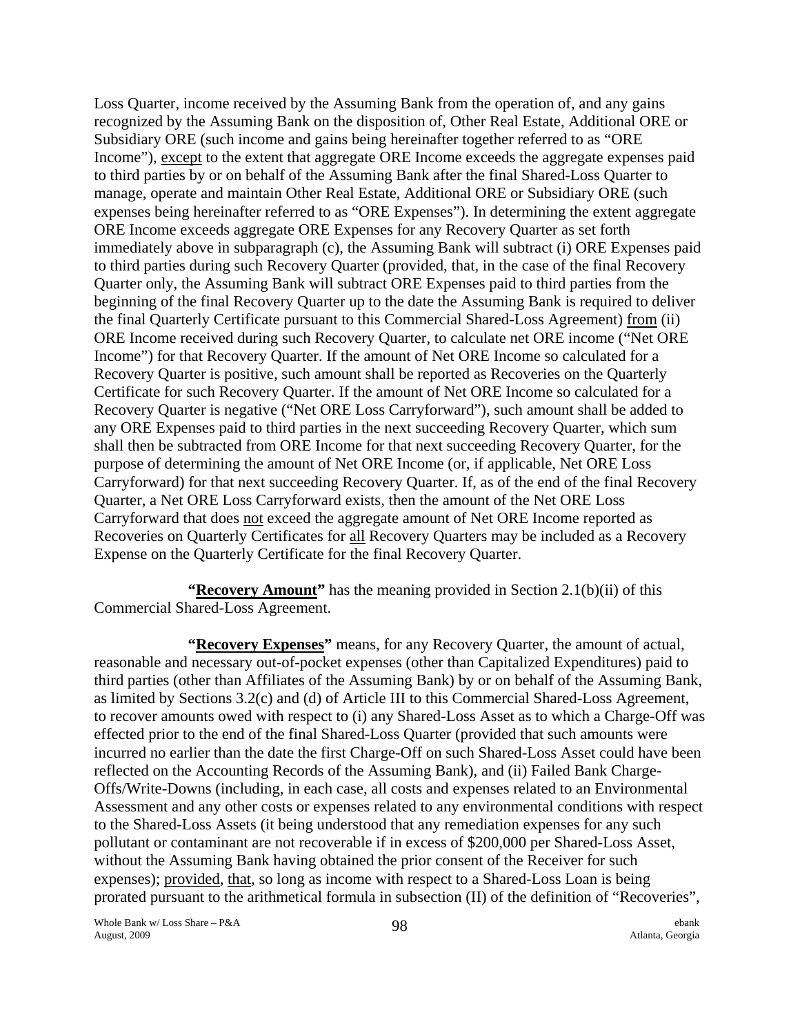Loss Quarter, income received by the Assuming Bank from the operation of, and any gains recognized by the Assuming Bank on the disposition of, Other Real Estate, Additional ORE or Subsidiary ORE (such income and gains being hereinafter together referred to as "ORE Income"), except to the extent that aggregate ORE Income exceeds the aggregate expenses paid to third parties by or on behalf of the Assuming Bank after the final Shared-Loss Quarter to manage, operate and maintain Other Real Estate, Additional ORE or Subsidiary ORE (such expenses being hereinafter referred to as "ORE Expenses"). In determining the extent aggregate ORE Income exceeds aggregate ORE Expenses for any Recovery Quarter as set forth immediately above in subparagraph (c), the Assuming Bank will subtract (i) ORE Expenses paid to third parties during such Recovery Quarter (provided, that, in the case of the final Recovery Quarter only, the Assuming Bank will subtract ORE Expenses paid to third parties from the beginning of the final Recovery Quarter up to the date the Assuming Bank is required to deliver the final Quarterly Certificate pursuant to this Commercial Shared-Loss Agreement) from (ii) ORE Income received during such Recovery Quarter, to calculate net ORE income ("Net ORE Income") for that Recovery Quarter. If the amount of Net ORE Income so calculated for a Recovery Quarter is positive, such amount shall be reported as Recoveries on the Quarterly Certificate for such Recovery Quarter. If the amount of Net ORE Income so calculated for a Recovery Quarter is negative ("Net ORE Loss Carryforward"), such amount shall be added to any ORE Expenses paid to third parties in the next succeeding Recovery Quarter, which sum shall then be subtracted from ORE Income for that next succeeding Recovery Quarter, for the purpose of determining the amount of Net ORE Income (or, if applicable, Net ORE Loss Carryforward) for that next succeeding Recovery Quarter. If, as of the end of the final Recovery Quarter, a Net ORE Loss Carryforward exists, then the amount of the Net ORE Loss Carryforward that does not exceed the aggregate amount of Net ORE Income reported as Recoveries on Quarterly Certificates for all Recovery Quarters may be included as a Recovery Expense on the Quarterly Certificate for the final Recovery Quarter.

**"Recovery Amount"** has the meaning provided in Section 2.1(b)(ii) of this Commercial Shared-Loss Agreement.

**"Recovery Expenses"** means, for any Recovery Quarter, the amount of actual, reasonable and necessary out-of-pocket expenses (other than Capitalized Expenditures) paid to third parties (other than Affiliates of the Assuming Bank) by or on behalf of the Assuming Bank, as limited by Sections 3.2(c) and (d) of Article III to this Commercial Shared-Loss Agreement, to recover amounts owed with respect to (i) any Shared-Loss Asset as to which a Charge-Off was effected prior to the end of the final Shared-Loss Quarter (provided that such amounts were incurred no earlier than the date the first Charge-Off on such Shared-Loss Asset could have been reflected on the Accounting Records of the Assuming Bank), and (ii) Failed Bank Charge-Offs/Write-Downs (including, in each case, all costs and expenses related to an Environmental Assessment and any other costs or expenses related to any environmental conditions with respect to the Shared-Loss Assets (it being understood that any remediation expenses for any such pollutant or contaminant are not recoverable if in excess of \$200,000 per Shared-Loss Asset, without the Assuming Bank having obtained the prior consent of the Receiver for such expenses); provided, that, so long as income with respect to a Shared-Loss Loan is being prorated pursuant to the arithmetical formula in subsection (II) of the definition of "Recoveries",

Whole Bank w/ Loss Share – P&A ebank 40 ebank ebank ebank ebank ebank ebank ebank ebank ebank ebank ebank ebank ebank ebank ebank ebank ebank ebank ebank ebank ebank ebank ebank ebank ebank ebank ebank ebank ebank ebank eb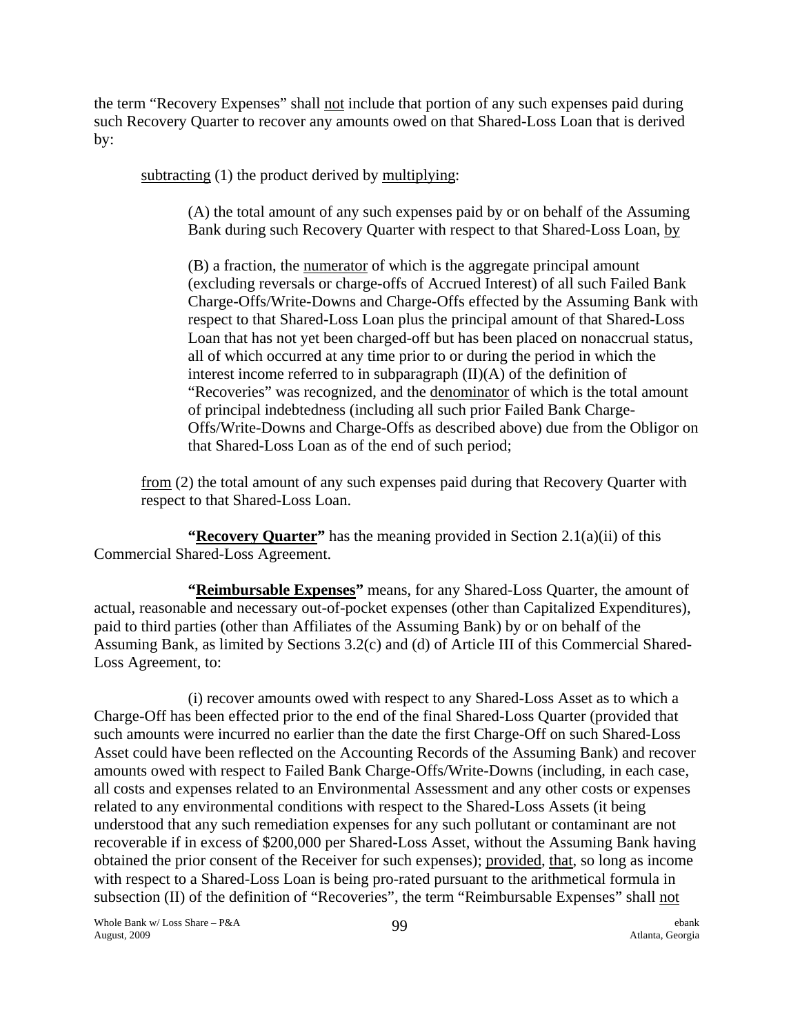the term "Recovery Expenses" shall not include that portion of any such expenses paid during such Recovery Quarter to recover any amounts owed on that Shared-Loss Loan that is derived by:

subtracting (1) the product derived by multiplying:

(A) the total amount of any such expenses paid by or on behalf of the Assuming Bank during such Recovery Quarter with respect to that Shared-Loss Loan, by

(B) a fraction, the numerator of which is the aggregate principal amount (excluding reversals or charge-offs of Accrued Interest) of all such Failed Bank Charge-Offs/Write-Downs and Charge-Offs effected by the Assuming Bank with respect to that Shared-Loss Loan plus the principal amount of that Shared-Loss Loan that has not yet been charged-off but has been placed on nonaccrual status, all of which occurred at any time prior to or during the period in which the interest income referred to in subparagraph  $(II)(A)$  of the definition of "Recoveries" was recognized, and the denominator of which is the total amount of principal indebtedness (including all such prior Failed Bank Charge-Offs/Write-Downs and Charge-Offs as described above) due from the Obligor on that Shared-Loss Loan as of the end of such period;

from (2) the total amount of any such expenses paid during that Recovery Quarter with respect to that Shared-Loss Loan.

**"Recovery Quarter"** has the meaning provided in Section 2.1(a)(ii) of this Commercial Shared-Loss Agreement.

**"Reimbursable Expenses"** means, for any Shared-Loss Quarter, the amount of actual, reasonable and necessary out-of-pocket expenses (other than Capitalized Expenditures), paid to third parties (other than Affiliates of the Assuming Bank) by or on behalf of the Assuming Bank, as limited by Sections 3.2(c) and (d) of Article III of this Commercial Shared-Loss Agreement, to:

(i) recover amounts owed with respect to any Shared-Loss Asset as to which a Charge-Off has been effected prior to the end of the final Shared-Loss Quarter (provided that such amounts were incurred no earlier than the date the first Charge-Off on such Shared-Loss Asset could have been reflected on the Accounting Records of the Assuming Bank) and recover amounts owed with respect to Failed Bank Charge-Offs/Write-Downs (including, in each case, all costs and expenses related to an Environmental Assessment and any other costs or expenses related to any environmental conditions with respect to the Shared-Loss Assets (it being understood that any such remediation expenses for any such pollutant or contaminant are not recoverable if in excess of \$200,000 per Shared-Loss Asset, without the Assuming Bank having obtained the prior consent of the Receiver for such expenses); provided, that, so long as income with respect to a Shared-Loss Loan is being pro-rated pursuant to the arithmetical formula in subsection (II) of the definition of "Recoveries", the term "Reimbursable Expenses" shall not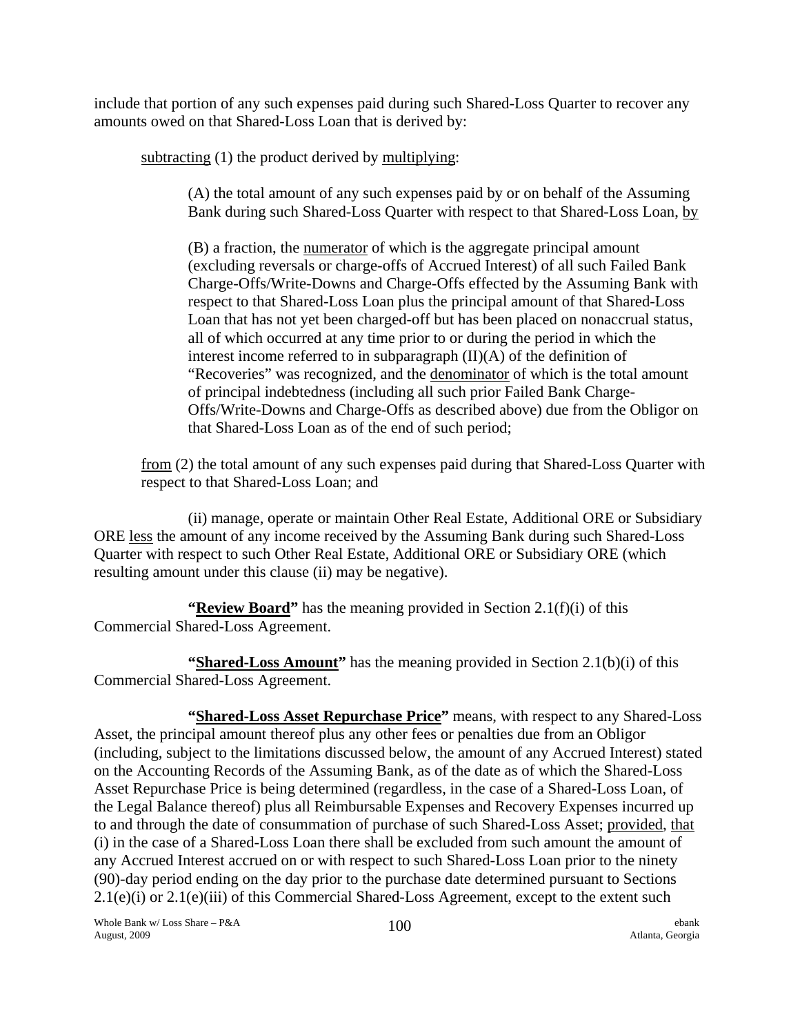include that portion of any such expenses paid during such Shared-Loss Quarter to recover any amounts owed on that Shared-Loss Loan that is derived by:

subtracting (1) the product derived by multiplying:

(A) the total amount of any such expenses paid by or on behalf of the Assuming Bank during such Shared-Loss Quarter with respect to that Shared-Loss Loan, by

(B) a fraction, the numerator of which is the aggregate principal amount (excluding reversals or charge-offs of Accrued Interest) of all such Failed Bank Charge-Offs/Write-Downs and Charge-Offs effected by the Assuming Bank with respect to that Shared-Loss Loan plus the principal amount of that Shared-Loss Loan that has not yet been charged-off but has been placed on nonaccrual status, all of which occurred at any time prior to or during the period in which the interest income referred to in subparagraph (II)(A) of the definition of "Recoveries" was recognized, and the denominator of which is the total amount of principal indebtedness (including all such prior Failed Bank Charge-Offs/Write-Downs and Charge-Offs as described above) due from the Obligor on that Shared-Loss Loan as of the end of such period;

from (2) the total amount of any such expenses paid during that Shared-Loss Quarter with respect to that Shared-Loss Loan; and

(ii) manage, operate or maintain Other Real Estate, Additional ORE or Subsidiary ORE less the amount of any income received by the Assuming Bank during such Shared-Loss Quarter with respect to such Other Real Estate, Additional ORE or Subsidiary ORE (which resulting amount under this clause (ii) may be negative).

**"Review Board"** has the meaning provided in Section 2.1(f)(i) of this Commercial Shared-Loss Agreement.

**"Shared-Loss Amount"** has the meaning provided in Section 2.1(b)(i) of this Commercial Shared-Loss Agreement.

**"Shared-Loss Asset Repurchase Price"** means, with respect to any Shared-Loss Asset, the principal amount thereof plus any other fees or penalties due from an Obligor (including, subject to the limitations discussed below, the amount of any Accrued Interest) stated on the Accounting Records of the Assuming Bank, as of the date as of which the Shared-Loss Asset Repurchase Price is being determined (regardless, in the case of a Shared-Loss Loan, of the Legal Balance thereof) plus all Reimbursable Expenses and Recovery Expenses incurred up to and through the date of consummation of purchase of such Shared-Loss Asset; provided, that (i) in the case of a Shared-Loss Loan there shall be excluded from such amount the amount of any Accrued Interest accrued on or with respect to such Shared-Loss Loan prior to the ninety (90)-day period ending on the day prior to the purchase date determined pursuant to Sections 2.1(e)(i) or 2.1(e)(iii) of this Commercial Shared-Loss Agreement, except to the extent such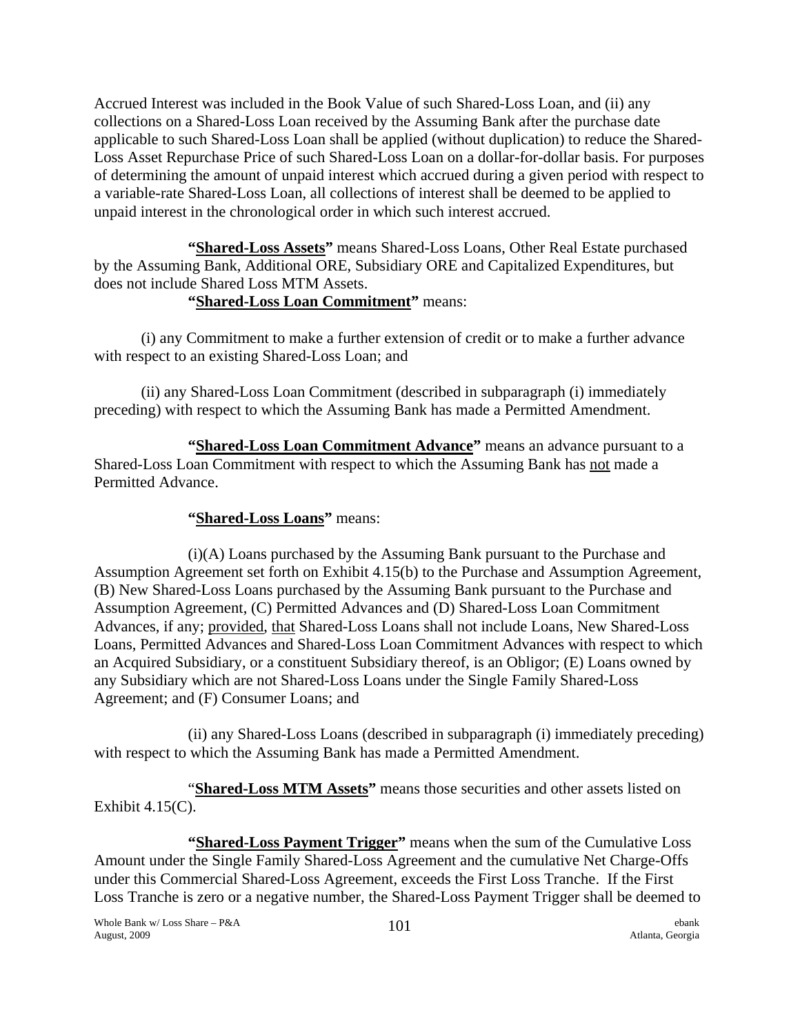Accrued Interest was included in the Book Value of such Shared-Loss Loan, and (ii) any collections on a Shared-Loss Loan received by the Assuming Bank after the purchase date applicable to such Shared-Loss Loan shall be applied (without duplication) to reduce the Shared-Loss Asset Repurchase Price of such Shared-Loss Loan on a dollar-for-dollar basis. For purposes of determining the amount of unpaid interest which accrued during a given period with respect to a variable-rate Shared-Loss Loan, all collections of interest shall be deemed to be applied to unpaid interest in the chronological order in which such interest accrued.

**"Shared-Loss Assets"** means Shared-Loss Loans, Other Real Estate purchased by the Assuming Bank, Additional ORE, Subsidiary ORE and Capitalized Expenditures, but does not include Shared Loss MTM Assets.

## **"Shared-Loss Loan Commitment"** means:

(i) any Commitment to make a further extension of credit or to make a further advance with respect to an existing Shared-Loss Loan; and

(ii) any Shared-Loss Loan Commitment (described in subparagraph (i) immediately preceding) with respect to which the Assuming Bank has made a Permitted Amendment.

**"Shared-Loss Loan Commitment Advance"** means an advance pursuant to a Shared-Loss Loan Commitment with respect to which the Assuming Bank has not made a Permitted Advance.

## **"Shared-Loss Loans"** means:

(i)(A) Loans purchased by the Assuming Bank pursuant to the Purchase and Assumption Agreement set forth on Exhibit 4.15(b) to the Purchase and Assumption Agreement, (B) New Shared-Loss Loans purchased by the Assuming Bank pursuant to the Purchase and Assumption Agreement, (C) Permitted Advances and (D) Shared-Loss Loan Commitment Advances, if any; provided, that Shared-Loss Loans shall not include Loans, New Shared-Loss Loans, Permitted Advances and Shared-Loss Loan Commitment Advances with respect to which an Acquired Subsidiary, or a constituent Subsidiary thereof, is an Obligor; (E) Loans owned by any Subsidiary which are not Shared-Loss Loans under the Single Family Shared-Loss Agreement; and (F) Consumer Loans; and

(ii) any Shared-Loss Loans (described in subparagraph (i) immediately preceding) with respect to which the Assuming Bank has made a Permitted Amendment.

"**Shared-Loss MTM Assets"** means those securities and other assets listed on Exhibit  $4.15(C)$ .

**"Shared-Loss Payment Trigger"** means when the sum of the Cumulative Loss Amount under the Single Family Shared-Loss Agreement and the cumulative Net Charge-Offs under this Commercial Shared-Loss Agreement, exceeds the First Loss Tranche. If the First Loss Tranche is zero or a negative number, the Shared-Loss Payment Trigger shall be deemed to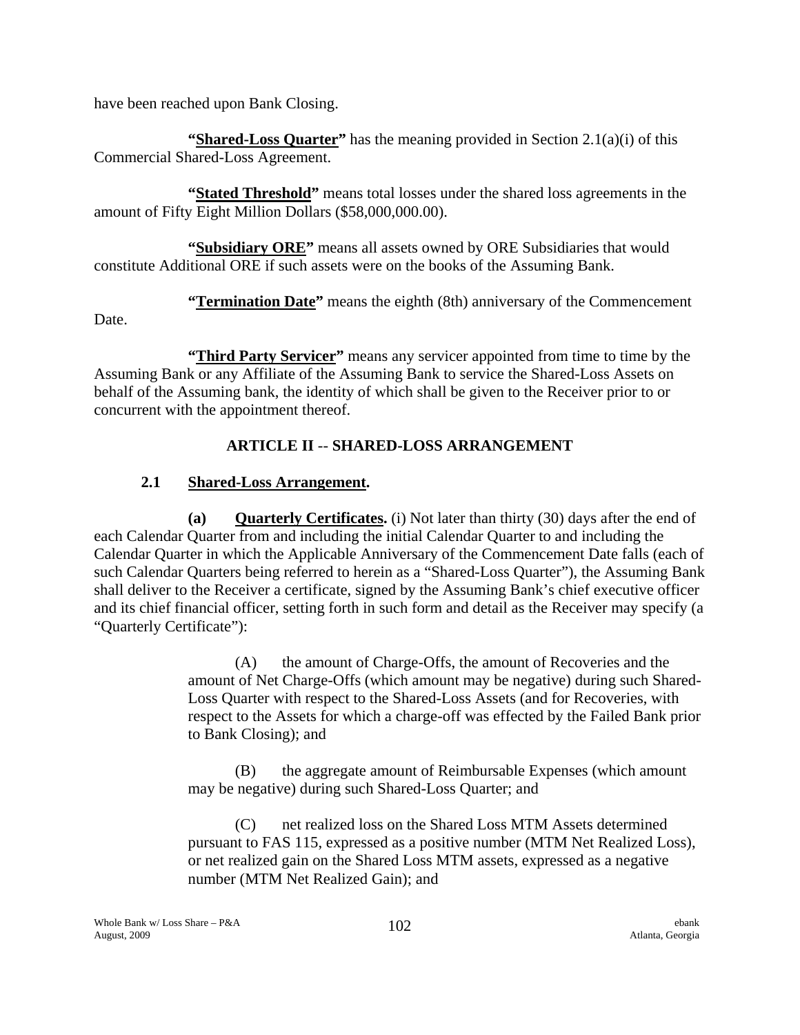have been reached upon Bank Closing.

**"Shared-Loss Quarter"** has the meaning provided in Section 2.1(a)(i) of this Commercial Shared-Loss Agreement.

"Stated Threshold" means total losses under the shared loss agreements in the amount of Fifty Eight Million Dollars (\$58,000,000.00).

"Subsidiary ORE" means all assets owned by ORE Subsidiaries that would constitute Additional ORE if such assets were on the books of the Assuming Bank.

**"Termination Date"** means the eighth (8th) anniversary of the Commencement

Date.

**"Third Party Servicer"** means any servicer appointed from time to time by the Assuming Bank or any Affiliate of the Assuming Bank to service the Shared-Loss Assets on behalf of the Assuming bank, the identity of which shall be given to the Receiver prior to or concurrent with the appointment thereof.

# **ARTICLE II** -- **SHARED-LOSS ARRANGEMENT**

# **2.1 Shared-Loss Arrangement.**

**(a) Quarterly Certificates.** (i) Not later than thirty (30) days after the end of each Calendar Quarter from and including the initial Calendar Quarter to and including the Calendar Quarter in which the Applicable Anniversary of the Commencement Date falls (each of such Calendar Quarters being referred to herein as a "Shared-Loss Quarter"), the Assuming Bank shall deliver to the Receiver a certificate, signed by the Assuming Bank's chief executive officer and its chief financial officer, setting forth in such form and detail as the Receiver may specify (a "Quarterly Certificate"):

> (A) the amount of Charge-Offs, the amount of Recoveries and the amount of Net Charge-Offs (which amount may be negative) during such Shared-Loss Quarter with respect to the Shared-Loss Assets (and for Recoveries, with respect to the Assets for which a charge-off was effected by the Failed Bank prior to Bank Closing); and

(B) the aggregate amount of Reimbursable Expenses (which amount may be negative) during such Shared-Loss Quarter; and

(C) net realized loss on the Shared Loss MTM Assets determined pursuant to FAS 115, expressed as a positive number (MTM Net Realized Loss), or net realized gain on the Shared Loss MTM assets, expressed as a negative number (MTM Net Realized Gain); and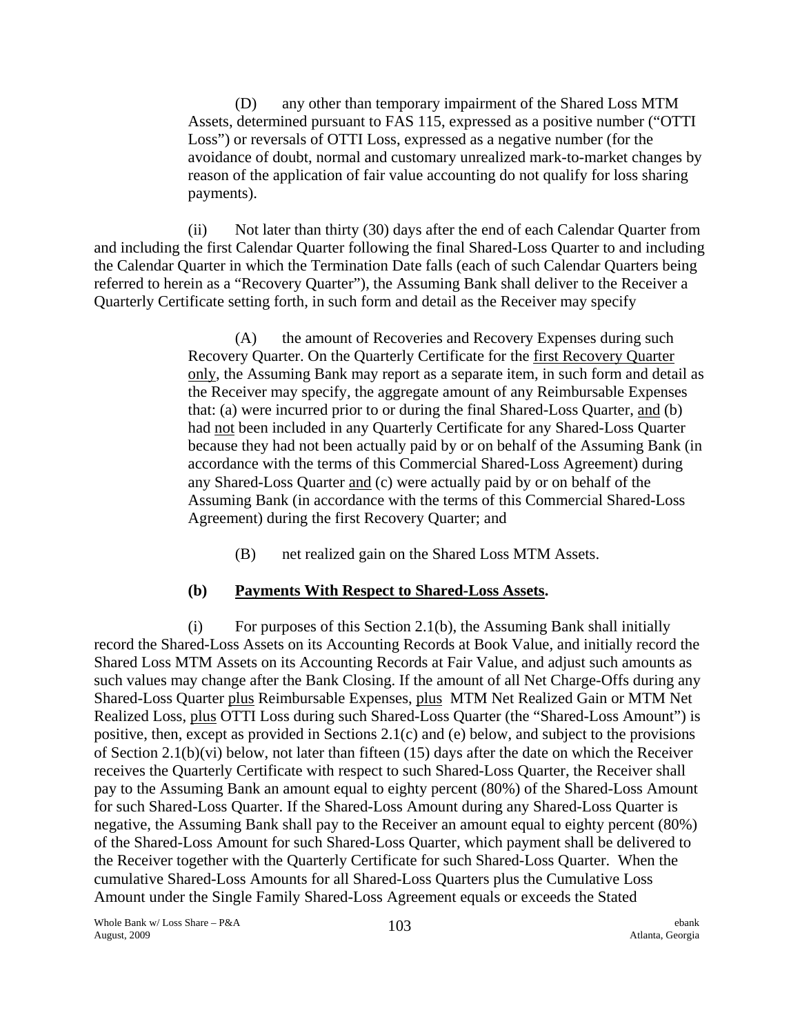(D) any other than temporary impairment of the Shared Loss MTM Assets, determined pursuant to FAS 115, expressed as a positive number ("OTTI Loss") or reversals of OTTI Loss, expressed as a negative number (for the avoidance of doubt, normal and customary unrealized mark-to-market changes by reason of the application of fair value accounting do not qualify for loss sharing payments).

(ii) Not later than thirty (30) days after the end of each Calendar Quarter from and including the first Calendar Quarter following the final Shared-Loss Quarter to and including the Calendar Quarter in which the Termination Date falls (each of such Calendar Quarters being referred to herein as a "Recovery Quarter"), the Assuming Bank shall deliver to the Receiver a Quarterly Certificate setting forth, in such form and detail as the Receiver may specify

> (A) the amount of Recoveries and Recovery Expenses during such Recovery Quarter. On the Quarterly Certificate for the first Recovery Quarter only, the Assuming Bank may report as a separate item, in such form and detail as the Receiver may specify, the aggregate amount of any Reimbursable Expenses that: (a) were incurred prior to or during the final Shared-Loss Quarter, and (b) had not been included in any Quarterly Certificate for any Shared-Loss Quarter because they had not been actually paid by or on behalf of the Assuming Bank (in accordance with the terms of this Commercial Shared-Loss Agreement) during any Shared-Loss Quarter and (c) were actually paid by or on behalf of the Assuming Bank (in accordance with the terms of this Commercial Shared-Loss Agreement) during the first Recovery Quarter; and

(B) net realized gain on the Shared Loss MTM Assets.

#### **(b) Payments With Respect to Shared-Loss Assets.**

(i) For purposes of this Section 2.1(b), the Assuming Bank shall initially record the Shared-Loss Assets on its Accounting Records at Book Value, and initially record the Shared Loss MTM Assets on its Accounting Records at Fair Value, and adjust such amounts as such values may change after the Bank Closing. If the amount of all Net Charge-Offs during any Shared-Loss Quarter plus Reimbursable Expenses, plus MTM Net Realized Gain or MTM Net Realized Loss, plus OTTI Loss during such Shared-Loss Quarter (the "Shared-Loss Amount") is positive, then, except as provided in Sections 2.1(c) and (e) below, and subject to the provisions of Section 2.1(b)(vi) below, not later than fifteen (15) days after the date on which the Receiver receives the Quarterly Certificate with respect to such Shared-Loss Quarter, the Receiver shall pay to the Assuming Bank an amount equal to eighty percent (80%) of the Shared-Loss Amount for such Shared-Loss Quarter. If the Shared-Loss Amount during any Shared-Loss Quarter is negative, the Assuming Bank shall pay to the Receiver an amount equal to eighty percent (80%) of the Shared-Loss Amount for such Shared-Loss Quarter, which payment shall be delivered to the Receiver together with the Quarterly Certificate for such Shared-Loss Quarter. When the cumulative Shared-Loss Amounts for all Shared-Loss Quarters plus the Cumulative Loss Amount under the Single Family Shared-Loss Agreement equals or exceeds the Stated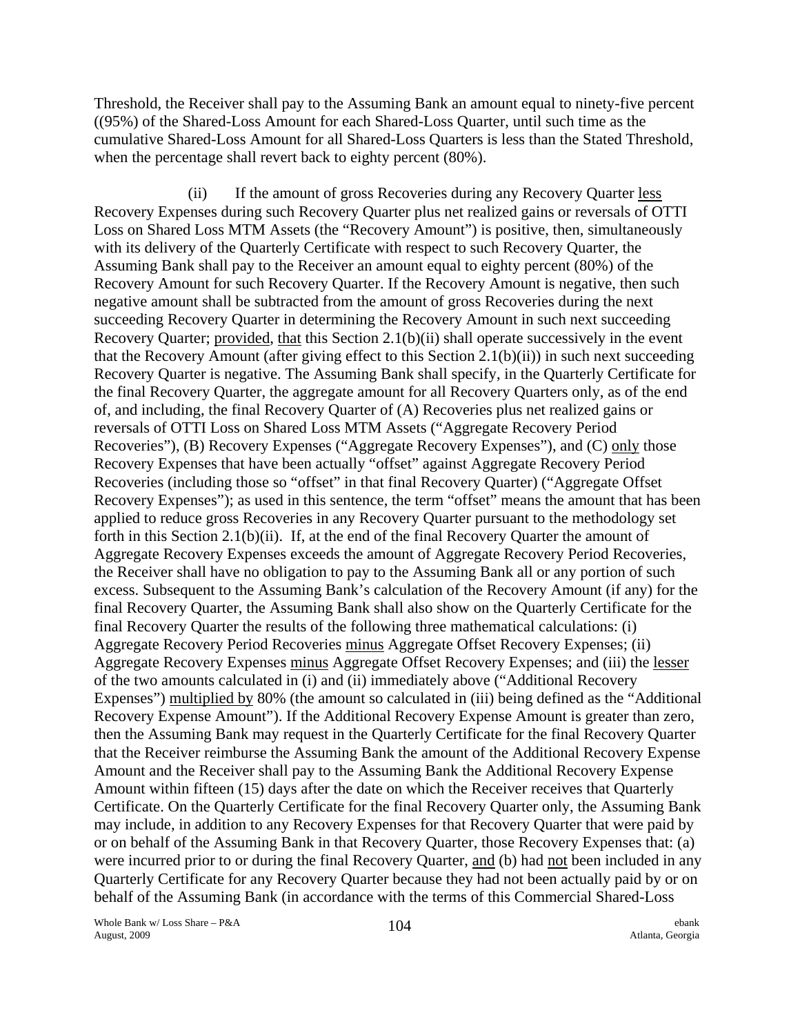Threshold, the Receiver shall pay to the Assuming Bank an amount equal to ninety-five percent ((95%) of the Shared-Loss Amount for each Shared-Loss Quarter, until such time as the cumulative Shared-Loss Amount for all Shared-Loss Quarters is less than the Stated Threshold, when the percentage shall revert back to eighty percent (80%).

(ii) If the amount of gross Recoveries during any Recovery Quarter less Recovery Expenses during such Recovery Quarter plus net realized gains or reversals of OTTI Loss on Shared Loss MTM Assets (the "Recovery Amount") is positive, then, simultaneously with its delivery of the Quarterly Certificate with respect to such Recovery Quarter, the Assuming Bank shall pay to the Receiver an amount equal to eighty percent (80%) of the Recovery Amount for such Recovery Quarter. If the Recovery Amount is negative, then such negative amount shall be subtracted from the amount of gross Recoveries during the next succeeding Recovery Quarter in determining the Recovery Amount in such next succeeding Recovery Quarter; provided, that this Section 2.1(b)(ii) shall operate successively in the event that the Recovery Amount (after giving effect to this Section 2.1(b)(ii)) in such next succeeding Recovery Quarter is negative. The Assuming Bank shall specify, in the Quarterly Certificate for the final Recovery Quarter, the aggregate amount for all Recovery Quarters only, as of the end of, and including, the final Recovery Quarter of (A) Recoveries plus net realized gains or reversals of OTTI Loss on Shared Loss MTM Assets ("Aggregate Recovery Period Recoveries"), (B) Recovery Expenses ("Aggregate Recovery Expenses"), and (C) only those Recovery Expenses that have been actually "offset" against Aggregate Recovery Period Recoveries (including those so "offset" in that final Recovery Quarter) ("Aggregate Offset Recovery Expenses"); as used in this sentence, the term "offset" means the amount that has been applied to reduce gross Recoveries in any Recovery Quarter pursuant to the methodology set forth in this Section 2.1(b)(ii). If, at the end of the final Recovery Quarter the amount of Aggregate Recovery Expenses exceeds the amount of Aggregate Recovery Period Recoveries, the Receiver shall have no obligation to pay to the Assuming Bank all or any portion of such excess. Subsequent to the Assuming Bank's calculation of the Recovery Amount (if any) for the final Recovery Quarter, the Assuming Bank shall also show on the Quarterly Certificate for the final Recovery Quarter the results of the following three mathematical calculations: (i) Aggregate Recovery Period Recoveries minus Aggregate Offset Recovery Expenses; (ii) Aggregate Recovery Expenses minus Aggregate Offset Recovery Expenses; and (iii) the lesser of the two amounts calculated in (i) and (ii) immediately above ("Additional Recovery Expenses") multiplied by 80% (the amount so calculated in (iii) being defined as the "Additional Recovery Expense Amount"). If the Additional Recovery Expense Amount is greater than zero, then the Assuming Bank may request in the Quarterly Certificate for the final Recovery Quarter that the Receiver reimburse the Assuming Bank the amount of the Additional Recovery Expense Amount and the Receiver shall pay to the Assuming Bank the Additional Recovery Expense Amount within fifteen (15) days after the date on which the Receiver receives that Quarterly Certificate. On the Quarterly Certificate for the final Recovery Quarter only, the Assuming Bank may include, in addition to any Recovery Expenses for that Recovery Quarter that were paid by or on behalf of the Assuming Bank in that Recovery Quarter, those Recovery Expenses that: (a) were incurred prior to or during the final Recovery Quarter, and (b) had not been included in any Quarterly Certificate for any Recovery Quarter because they had not been actually paid by or on behalf of the Assuming Bank (in accordance with the terms of this Commercial Shared-Loss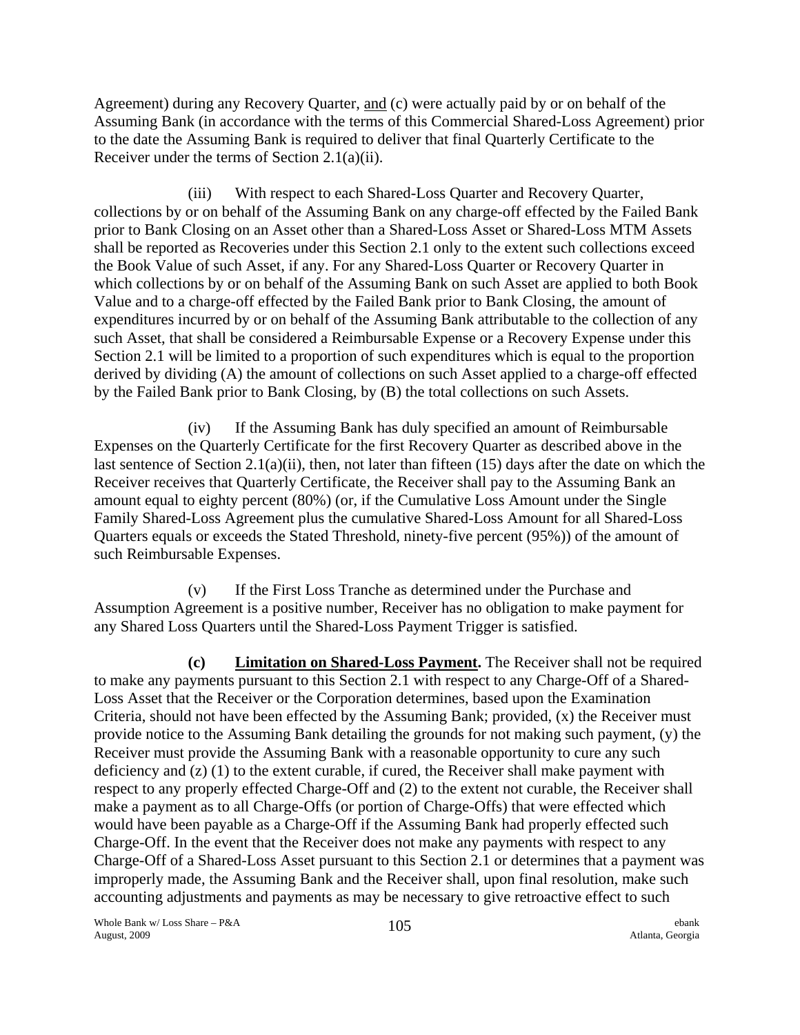Agreement) during any Recovery Quarter, and (c) were actually paid by or on behalf of the Assuming Bank (in accordance with the terms of this Commercial Shared-Loss Agreement) prior to the date the Assuming Bank is required to deliver that final Quarterly Certificate to the Receiver under the terms of Section 2.1(a)(ii).

(iii) With respect to each Shared-Loss Quarter and Recovery Quarter, collections by or on behalf of the Assuming Bank on any charge-off effected by the Failed Bank prior to Bank Closing on an Asset other than a Shared-Loss Asset or Shared-Loss MTM Assets shall be reported as Recoveries under this Section 2.1 only to the extent such collections exceed the Book Value of such Asset, if any. For any Shared-Loss Quarter or Recovery Quarter in which collections by or on behalf of the Assuming Bank on such Asset are applied to both Book Value and to a charge-off effected by the Failed Bank prior to Bank Closing, the amount of expenditures incurred by or on behalf of the Assuming Bank attributable to the collection of any such Asset, that shall be considered a Reimbursable Expense or a Recovery Expense under this Section 2.1 will be limited to a proportion of such expenditures which is equal to the proportion derived by dividing (A) the amount of collections on such Asset applied to a charge-off effected by the Failed Bank prior to Bank Closing, by (B) the total collections on such Assets.

(iv) If the Assuming Bank has duly specified an amount of Reimbursable Expenses on the Quarterly Certificate for the first Recovery Quarter as described above in the last sentence of Section 2.1(a)(ii), then, not later than fifteen (15) days after the date on which the Receiver receives that Quarterly Certificate, the Receiver shall pay to the Assuming Bank an amount equal to eighty percent (80%) (or, if the Cumulative Loss Amount under the Single Family Shared-Loss Agreement plus the cumulative Shared-Loss Amount for all Shared-Loss Quarters equals or exceeds the Stated Threshold, ninety-five percent (95%)) of the amount of such Reimbursable Expenses.

(v) If the First Loss Tranche as determined under the Purchase and Assumption Agreement is a positive number, Receiver has no obligation to make payment for any Shared Loss Quarters until the Shared-Loss Payment Trigger is satisfied.

**(c) Limitation on Shared-Loss Payment.** The Receiver shall not be required to make any payments pursuant to this Section 2.1 with respect to any Charge-Off of a Shared-Loss Asset that the Receiver or the Corporation determines, based upon the Examination Criteria, should not have been effected by the Assuming Bank; provided, (x) the Receiver must provide notice to the Assuming Bank detailing the grounds for not making such payment, (y) the Receiver must provide the Assuming Bank with a reasonable opportunity to cure any such deficiency and (z) (1) to the extent curable, if cured, the Receiver shall make payment with respect to any properly effected Charge-Off and (2) to the extent not curable, the Receiver shall make a payment as to all Charge-Offs (or portion of Charge-Offs) that were effected which would have been payable as a Charge-Off if the Assuming Bank had properly effected such Charge-Off. In the event that the Receiver does not make any payments with respect to any Charge-Off of a Shared-Loss Asset pursuant to this Section 2.1 or determines that a payment was improperly made, the Assuming Bank and the Receiver shall, upon final resolution, make such accounting adjustments and payments as may be necessary to give retroactive effect to such

Whole Bank w/ Loss Share – P&A ebank 105 ebank 105 ebank 105 ebank August, 2009 ebank August, 2009 ebank August, 2009 ebank August, 2009 ebank August, 2009 ebank August, 2009 ebank August, 2009 ebank August, 2009 ebank Aug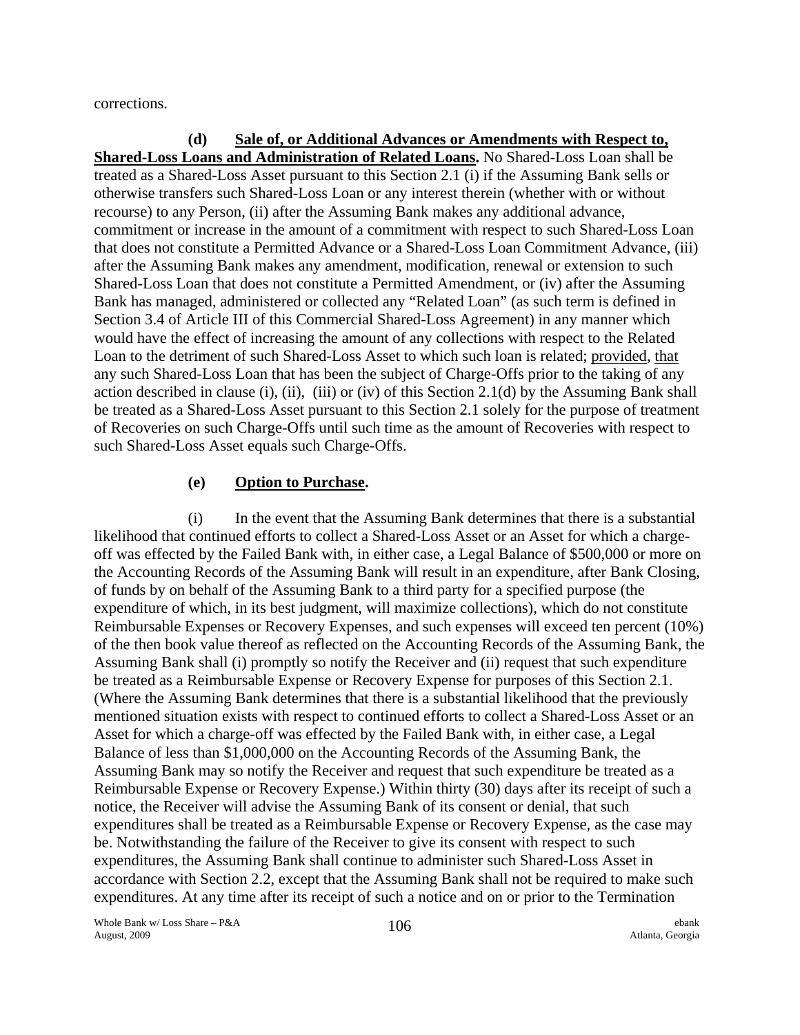corrections.

Loan to the detriment of such Shared-Loss Asset to which such loan is related; provided, that **(d) Sale of, or Additional Advances or Amendments with Respect to, Shared-Loss Loans and Administration of Related Loans.** No Shared-Loss Loan shall be treated as a Shared-Loss Asset pursuant to this Section 2.1 (i) if the Assuming Bank sells or otherwise transfers such Shared-Loss Loan or any interest therein (whether with or without recourse) to any Person, (ii) after the Assuming Bank makes any additional advance, commitment or increase in the amount of a commitment with respect to such Shared-Loss Loan that does not constitute a Permitted Advance or a Shared-Loss Loan Commitment Advance, (iii) after the Assuming Bank makes any amendment, modification, renewal or extension to such Shared-Loss Loan that does not constitute a Permitted Amendment, or (iv) after the Assuming Bank has managed, administered or collected any "Related Loan" (as such term is defined in Section 3.4 of Article III of this Commercial Shared-Loss Agreement) in any manner which would have the effect of increasing the amount of any collections with respect to the Related any such Shared-Loss Loan that has been the subject of Charge-Offs prior to the taking of any action described in clause (i), (ii), (iii) or (iv) of this Section 2.1(d) by the Assuming Bank shall be treated as a Shared-Loss Asset pursuant to this Section 2.1 solely for the purpose of treatment of Recoveries on such Charge-Offs until such time as the amount of Recoveries with respect to such Shared-Loss Asset equals such Charge-Offs.

#### **(e) Option to Purchase.**

(i) In the event that the Assuming Bank determines that there is a substantial likelihood that continued efforts to collect a Shared-Loss Asset or an Asset for which a chargeoff was effected by the Failed Bank with, in either case, a Legal Balance of \$500,000 or more on the Accounting Records of the Assuming Bank will result in an expenditure, after Bank Closing, of funds by on behalf of the Assuming Bank to a third party for a specified purpose (the expenditure of which, in its best judgment, will maximize collections), which do not constitute Reimbursable Expenses or Recovery Expenses, and such expenses will exceed ten percent (10%) of the then book value thereof as reflected on the Accounting Records of the Assuming Bank, the Assuming Bank shall (i) promptly so notify the Receiver and (ii) request that such expenditure be treated as a Reimbursable Expense or Recovery Expense for purposes of this Section 2.1. (Where the Assuming Bank determines that there is a substantial likelihood that the previously mentioned situation exists with respect to continued efforts to collect a Shared-Loss Asset or an Asset for which a charge-off was effected by the Failed Bank with, in either case, a Legal Balance of less than \$1,000,000 on the Accounting Records of the Assuming Bank, the Assuming Bank may so notify the Receiver and request that such expenditure be treated as a Reimbursable Expense or Recovery Expense.) Within thirty (30) days after its receipt of such a notice, the Receiver will advise the Assuming Bank of its consent or denial, that such expenditures shall be treated as a Reimbursable Expense or Recovery Expense, as the case may be. Notwithstanding the failure of the Receiver to give its consent with respect to such expenditures, the Assuming Bank shall continue to administer such Shared-Loss Asset in accordance with Section 2.2, except that the Assuming Bank shall not be required to make such expenditures. At any time after its receipt of such a notice and on or prior to the Termination

Whole Bank w/ Loss Share – P&A ebank 106 ebank 106 ebank 106 ebank August, 2009 ebank August, 2009 ebank August, 2009 ebank August, 2009 ebank August, 2009 ebank August, 2009 ebank August, 2009 ebank August, 2009 ebank Aug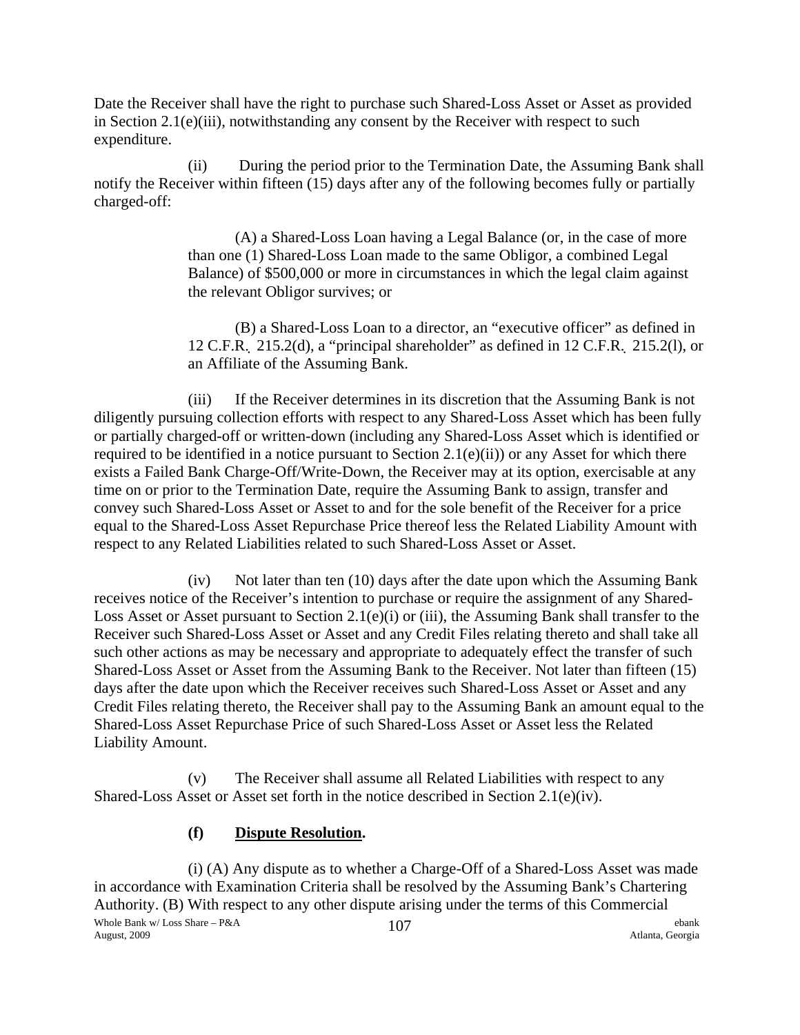Date the Receiver shall have the right to purchase such Shared-Loss Asset or Asset as provided in Section 2.1(e)(iii), notwithstanding any consent by the Receiver with respect to such expenditure.

(ii) During the period prior to the Termination Date, the Assuming Bank shall notify the Receiver within fifteen (15) days after any of the following becomes fully or partially charged-off:

> (A) a Shared-Loss Loan having a Legal Balance (or, in the case of more than one (1) Shared-Loss Loan made to the same Obligor, a combined Legal Balance) of \$500,000 or more in circumstances in which the legal claim against the relevant Obligor survives; or

(B) a Shared-Loss Loan to a director, an "executive officer" as defined in 12 C.F.R. 215.2(d), a "principal shareholder" as defined in 12 C.F.R. 215.2(l), or an Affiliate of the Assuming Bank.

(iii) If the Receiver determines in its discretion that the Assuming Bank is not diligently pursuing collection efforts with respect to any Shared-Loss Asset which has been fully or partially charged-off or written-down (including any Shared-Loss Asset which is identified or required to be identified in a notice pursuant to Section  $2.1(e)(ii)$  or any Asset for which there exists a Failed Bank Charge-Off/Write-Down, the Receiver may at its option, exercisable at any time on or prior to the Termination Date, require the Assuming Bank to assign, transfer and convey such Shared-Loss Asset or Asset to and for the sole benefit of the Receiver for a price equal to the Shared-Loss Asset Repurchase Price thereof less the Related Liability Amount with respect to any Related Liabilities related to such Shared-Loss Asset or Asset.

(iv) Not later than ten (10) days after the date upon which the Assuming Bank receives notice of the Receiver's intention to purchase or require the assignment of any Shared-Loss Asset or Asset pursuant to Section 2.1(e)(i) or (iii), the Assuming Bank shall transfer to the Receiver such Shared-Loss Asset or Asset and any Credit Files relating thereto and shall take all such other actions as may be necessary and appropriate to adequately effect the transfer of such Shared-Loss Asset or Asset from the Assuming Bank to the Receiver. Not later than fifteen (15) days after the date upon which the Receiver receives such Shared-Loss Asset or Asset and any Credit Files relating thereto, the Receiver shall pay to the Assuming Bank an amount equal to the Shared-Loss Asset Repurchase Price of such Shared-Loss Asset or Asset less the Related Liability Amount.

(v) The Receiver shall assume all Related Liabilities with respect to any Shared-Loss Asset or Asset set forth in the notice described in Section 2.1(e)(iv).

#### **(f) Dispute Resolution.**

(i) (A) Any dispute as to whether a Charge-Off of a Shared-Loss Asset was made in accordance with Examination Criteria shall be resolved by the Assuming Bank's Chartering Authority. (B) With respect to any other dispute arising under the terms of this Commercial Whole Bank w/Loss Share – P&A ebank 107 ebank 107 ebank 107 ebank 107 ebank August, 2009 ebank August, 2009 ebank 107 ebank August, 2009 ebank August, 2009 ebank 107 ebank 2009 ebank 2009 ebank August, 2009 ebank 2007 et a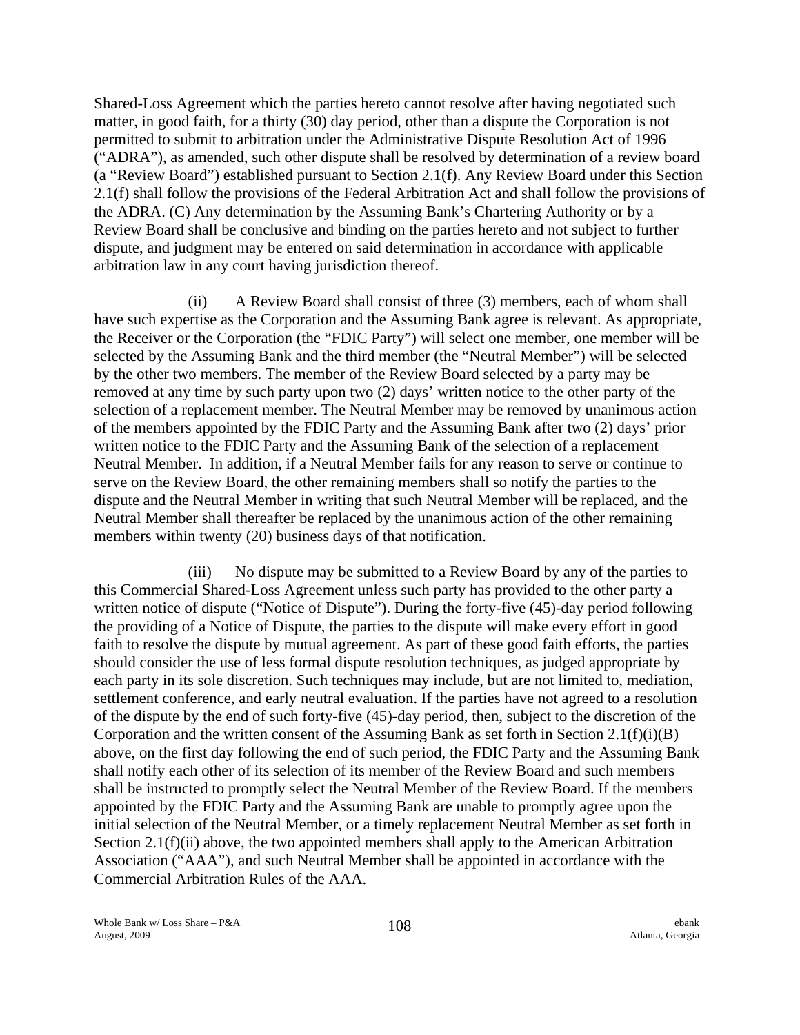Shared-Loss Agreement which the parties hereto cannot resolve after having negotiated such matter, in good faith, for a thirty (30) day period, other than a dispute the Corporation is not permitted to submit to arbitration under the Administrative Dispute Resolution Act of 1996 ("ADRA"), as amended, such other dispute shall be resolved by determination of a review board (a "Review Board") established pursuant to Section 2.1(f). Any Review Board under this Section 2.1(f) shall follow the provisions of the Federal Arbitration Act and shall follow the provisions of the ADRA. (C) Any determination by the Assuming Bank's Chartering Authority or by a Review Board shall be conclusive and binding on the parties hereto and not subject to further dispute, and judgment may be entered on said determination in accordance with applicable arbitration law in any court having jurisdiction thereof.

(ii) A Review Board shall consist of three (3) members, each of whom shall have such expertise as the Corporation and the Assuming Bank agree is relevant. As appropriate, the Receiver or the Corporation (the "FDIC Party") will select one member, one member will be selected by the Assuming Bank and the third member (the "Neutral Member") will be selected by the other two members. The member of the Review Board selected by a party may be removed at any time by such party upon two (2) days' written notice to the other party of the selection of a replacement member. The Neutral Member may be removed by unanimous action of the members appointed by the FDIC Party and the Assuming Bank after two (2) days' prior written notice to the FDIC Party and the Assuming Bank of the selection of a replacement Neutral Member. In addition, if a Neutral Member fails for any reason to serve or continue to serve on the Review Board, the other remaining members shall so notify the parties to the dispute and the Neutral Member in writing that such Neutral Member will be replaced, and the Neutral Member shall thereafter be replaced by the unanimous action of the other remaining members within twenty (20) business days of that notification.

(iii) No dispute may be submitted to a Review Board by any of the parties to this Commercial Shared-Loss Agreement unless such party has provided to the other party a written notice of dispute ("Notice of Dispute"). During the forty-five (45)-day period following the providing of a Notice of Dispute, the parties to the dispute will make every effort in good faith to resolve the dispute by mutual agreement. As part of these good faith efforts, the parties should consider the use of less formal dispute resolution techniques, as judged appropriate by each party in its sole discretion. Such techniques may include, but are not limited to, mediation, settlement conference, and early neutral evaluation. If the parties have not agreed to a resolution of the dispute by the end of such forty-five (45)-day period, then, subject to the discretion of the Corporation and the written consent of the Assuming Bank as set forth in Section 2.1(f)(i)(B) above, on the first day following the end of such period, the FDIC Party and the Assuming Bank shall notify each other of its selection of its member of the Review Board and such members shall be instructed to promptly select the Neutral Member of the Review Board. If the members appointed by the FDIC Party and the Assuming Bank are unable to promptly agree upon the initial selection of the Neutral Member, or a timely replacement Neutral Member as set forth in Section 2.1(f)(ii) above, the two appointed members shall apply to the American Arbitration Association ("AAA"), and such Neutral Member shall be appointed in accordance with the Commercial Arbitration Rules of the AAA.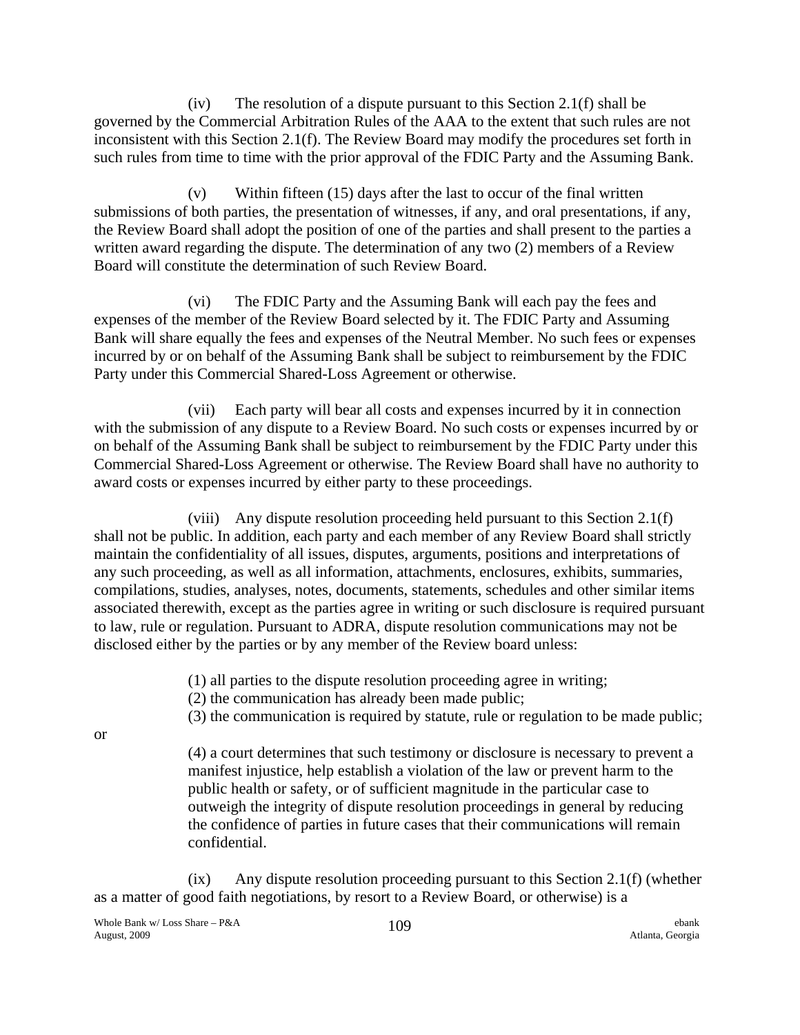(iv) The resolution of a dispute pursuant to this Section 2.1(f) shall be governed by the Commercial Arbitration Rules of the AAA to the extent that such rules are not inconsistent with this Section 2.1(f). The Review Board may modify the procedures set forth in such rules from time to time with the prior approval of the FDIC Party and the Assuming Bank.

(v) Within fifteen (15) days after the last to occur of the final written submissions of both parties, the presentation of witnesses, if any, and oral presentations, if any, the Review Board shall adopt the position of one of the parties and shall present to the parties a written award regarding the dispute. The determination of any two (2) members of a Review Board will constitute the determination of such Review Board.

(vi) The FDIC Party and the Assuming Bank will each pay the fees and expenses of the member of the Review Board selected by it. The FDIC Party and Assuming Bank will share equally the fees and expenses of the Neutral Member. No such fees or expenses incurred by or on behalf of the Assuming Bank shall be subject to reimbursement by the FDIC Party under this Commercial Shared-Loss Agreement or otherwise.

(vii) Each party will bear all costs and expenses incurred by it in connection with the submission of any dispute to a Review Board. No such costs or expenses incurred by or on behalf of the Assuming Bank shall be subject to reimbursement by the FDIC Party under this Commercial Shared-Loss Agreement or otherwise. The Review Board shall have no authority to award costs or expenses incurred by either party to these proceedings.

(viii) Any dispute resolution proceeding held pursuant to this Section 2.1(f) shall not be public. In addition, each party and each member of any Review Board shall strictly maintain the confidentiality of all issues, disputes, arguments, positions and interpretations of any such proceeding, as well as all information, attachments, enclosures, exhibits, summaries, compilations, studies, analyses, notes, documents, statements, schedules and other similar items associated therewith, except as the parties agree in writing or such disclosure is required pursuant to law, rule or regulation. Pursuant to ADRA, dispute resolution communications may not be disclosed either by the parties or by any member of the Review board unless:

(1) all parties to the dispute resolution proceeding agree in writing;

(2) the communication has already been made public;

(3) the communication is required by statute, rule or regulation to be made public;

or

(4) a court determines that such testimony or disclosure is necessary to prevent a manifest injustice, help establish a violation of the law or prevent harm to the public health or safety, or of sufficient magnitude in the particular case to outweigh the integrity of dispute resolution proceedings in general by reducing the confidence of parties in future cases that their communications will remain confidential.

 $(ix)$  Any dispute resolution proceeding pursuant to this Section 2.1(f) (whether as a matter of good faith negotiations, by resort to a Review Board, or otherwise) is a

Whole Bank w/Loss Share – P&A ebank 109 ebank et al. et al. et al. et al. et al. et al. et al. et al. et al. et a<br>August, 2009 Atlanta, Georgia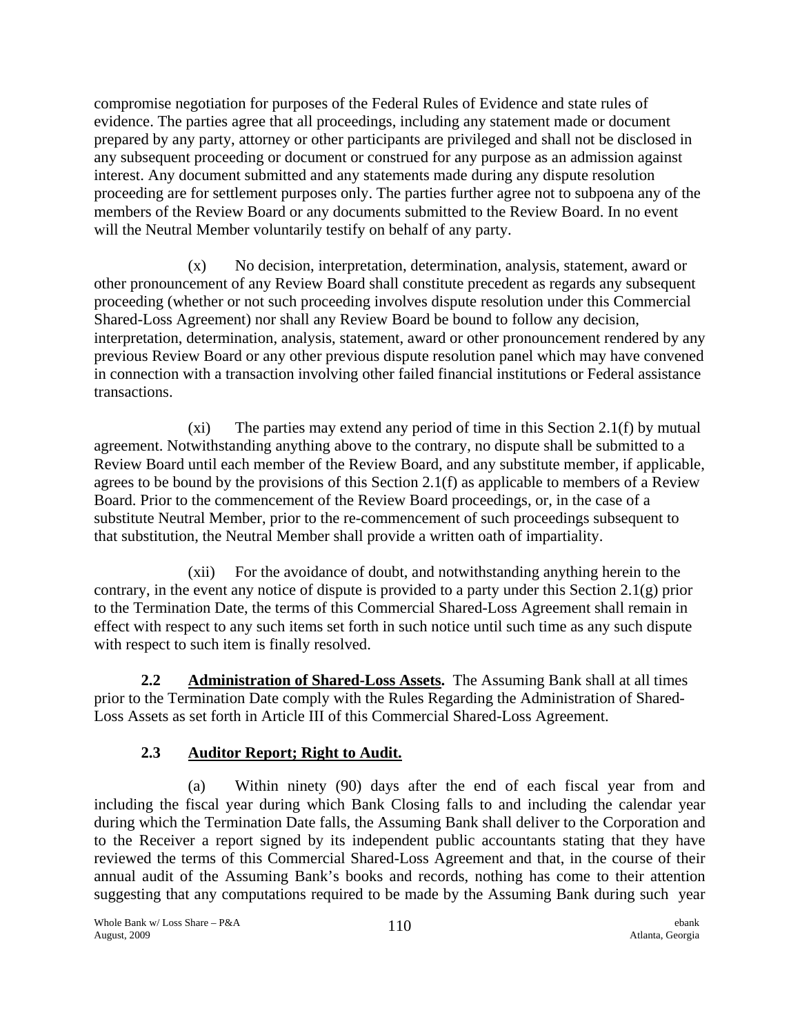compromise negotiation for purposes of the Federal Rules of Evidence and state rules of evidence. The parties agree that all proceedings, including any statement made or document prepared by any party, attorney or other participants are privileged and shall not be disclosed in any subsequent proceeding or document or construed for any purpose as an admission against interest. Any document submitted and any statements made during any dispute resolution proceeding are for settlement purposes only. The parties further agree not to subpoena any of the members of the Review Board or any documents submitted to the Review Board. In no event will the Neutral Member voluntarily testify on behalf of any party.

(x) No decision, interpretation, determination, analysis, statement, award or other pronouncement of any Review Board shall constitute precedent as regards any subsequent proceeding (whether or not such proceeding involves dispute resolution under this Commercial Shared-Loss Agreement) nor shall any Review Board be bound to follow any decision, interpretation, determination, analysis, statement, award or other pronouncement rendered by any previous Review Board or any other previous dispute resolution panel which may have convened in connection with a transaction involving other failed financial institutions or Federal assistance transactions.

(xi) The parties may extend any period of time in this Section 2.1(f) by mutual agreement. Notwithstanding anything above to the contrary, no dispute shall be submitted to a Review Board until each member of the Review Board, and any substitute member, if applicable, agrees to be bound by the provisions of this Section 2.1(f) as applicable to members of a Review Board. Prior to the commencement of the Review Board proceedings, or, in the case of a substitute Neutral Member, prior to the re-commencement of such proceedings subsequent to that substitution, the Neutral Member shall provide a written oath of impartiality.

(xii) For the avoidance of doubt, and notwithstanding anything herein to the contrary, in the event any notice of dispute is provided to a party under this Section 2.1(g) prior to the Termination Date, the terms of this Commercial Shared-Loss Agreement shall remain in effect with respect to any such items set forth in such notice until such time as any such dispute with respect to such item is finally resolved.

**2.2 Administration of Shared-Loss Assets.** The Assuming Bank shall at all times prior to the Termination Date comply with the Rules Regarding the Administration of Shared-Loss Assets as set forth in Article III of this Commercial Shared-Loss Agreement.

# **2.3 Auditor Report; Right to Audit.**

(a) Within ninety (90) days after the end of each fiscal year from and including the fiscal year during which Bank Closing falls to and including the calendar year during which the Termination Date falls, the Assuming Bank shall deliver to the Corporation and to the Receiver a report signed by its independent public accountants stating that they have reviewed the terms of this Commercial Shared-Loss Agreement and that, in the course of their annual audit of the Assuming Bank's books and records, nothing has come to their attention suggesting that any computations required to be made by the Assuming Bank during such year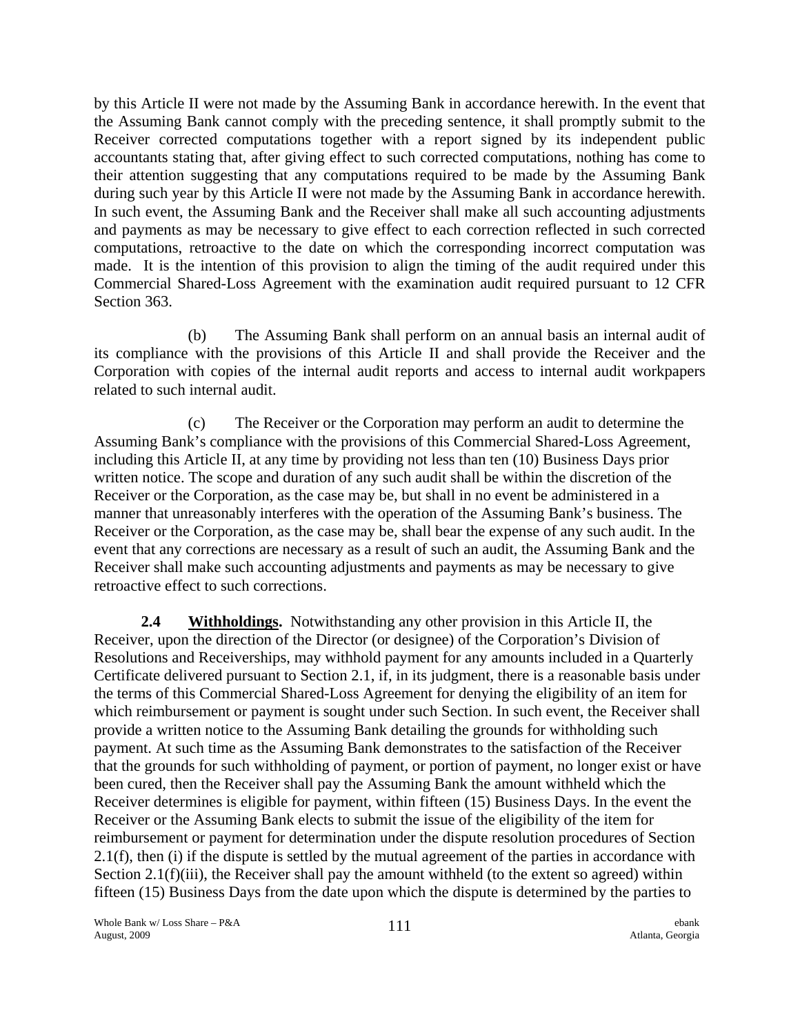by this Article II were not made by the Assuming Bank in accordance herewith. In the event that the Assuming Bank cannot comply with the preceding sentence, it shall promptly submit to the Receiver corrected computations together with a report signed by its independent public accountants stating that, after giving effect to such corrected computations, nothing has come to their attention suggesting that any computations required to be made by the Assuming Bank during such year by this Article II were not made by the Assuming Bank in accordance herewith. In such event, the Assuming Bank and the Receiver shall make all such accounting adjustments and payments as may be necessary to give effect to each correction reflected in such corrected computations, retroactive to the date on which the corresponding incorrect computation was made. It is the intention of this provision to align the timing of the audit required under this Commercial Shared-Loss Agreement with the examination audit required pursuant to 12 CFR Section 363.

(b) The Assuming Bank shall perform on an annual basis an internal audit of its compliance with the provisions of this Article II and shall provide the Receiver and the Corporation with copies of the internal audit reports and access to internal audit workpapers related to such internal audit.

(c) The Receiver or the Corporation may perform an audit to determine the Assuming Bank's compliance with the provisions of this Commercial Shared-Loss Agreement, including this Article II, at any time by providing not less than ten (10) Business Days prior written notice. The scope and duration of any such audit shall be within the discretion of the Receiver or the Corporation, as the case may be, but shall in no event be administered in a manner that unreasonably interferes with the operation of the Assuming Bank's business. The Receiver or the Corporation, as the case may be, shall bear the expense of any such audit. In the event that any corrections are necessary as a result of such an audit, the Assuming Bank and the Receiver shall make such accounting adjustments and payments as may be necessary to give retroactive effect to such corrections.

**2.4 Withholdings.** Notwithstanding any other provision in this Article II, the Receiver, upon the direction of the Director (or designee) of the Corporation's Division of Resolutions and Receiverships, may withhold payment for any amounts included in a Quarterly Certificate delivered pursuant to Section 2.1, if, in its judgment, there is a reasonable basis under the terms of this Commercial Shared-Loss Agreement for denying the eligibility of an item for which reimbursement or payment is sought under such Section. In such event, the Receiver shall provide a written notice to the Assuming Bank detailing the grounds for withholding such payment. At such time as the Assuming Bank demonstrates to the satisfaction of the Receiver that the grounds for such withholding of payment, or portion of payment, no longer exist or have been cured, then the Receiver shall pay the Assuming Bank the amount withheld which the Receiver determines is eligible for payment, within fifteen (15) Business Days. In the event the Receiver or the Assuming Bank elects to submit the issue of the eligibility of the item for reimbursement or payment for determination under the dispute resolution procedures of Section 2.1(f), then (i) if the dispute is settled by the mutual agreement of the parties in accordance with Section 2.1(f)(iii), the Receiver shall pay the amount withheld (to the extent so agreed) within fifteen (15) Business Days from the date upon which the dispute is determined by the parties to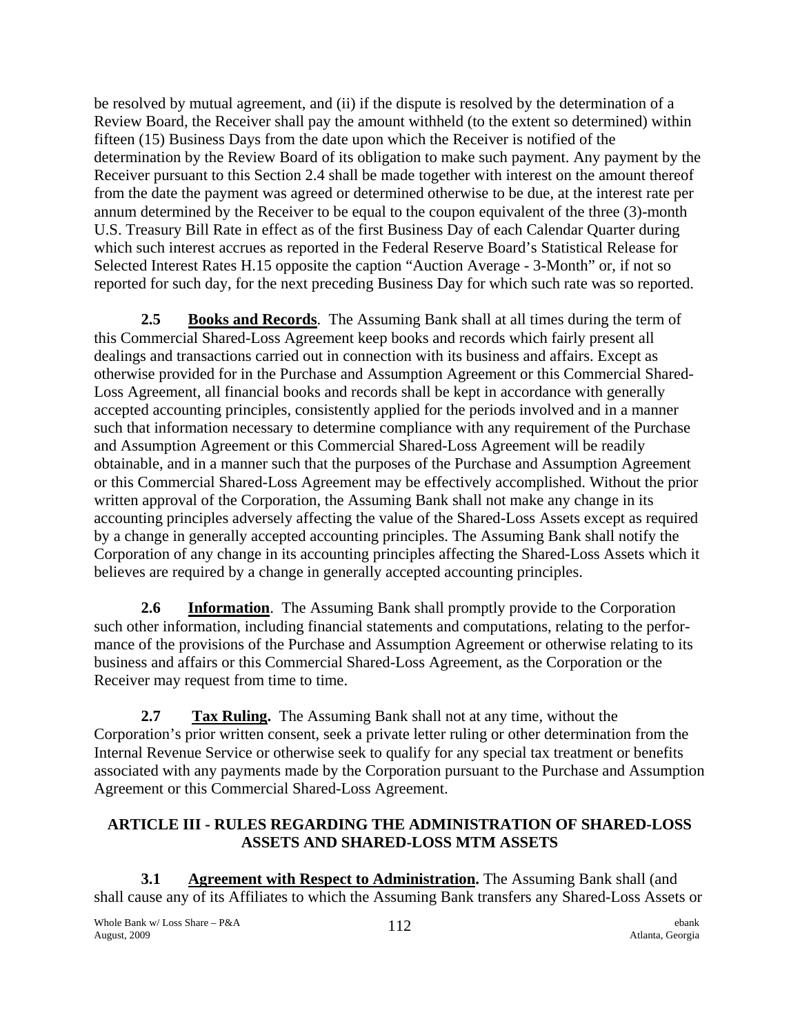be resolved by mutual agreement, and (ii) if the dispute is resolved by the determination of a Review Board, the Receiver shall pay the amount withheld (to the extent so determined) within fifteen (15) Business Days from the date upon which the Receiver is notified of the determination by the Review Board of its obligation to make such payment. Any payment by the Receiver pursuant to this Section 2.4 shall be made together with interest on the amount thereof from the date the payment was agreed or determined otherwise to be due, at the interest rate per annum determined by the Receiver to be equal to the coupon equivalent of the three (3)-month U.S. Treasury Bill Rate in effect as of the first Business Day of each Calendar Quarter during which such interest accrues as reported in the Federal Reserve Board's Statistical Release for Selected Interest Rates H.15 opposite the caption "Auction Average - 3-Month" or, if not so reported for such day, for the next preceding Business Day for which such rate was so reported.

**2.5 Books and Records**. The Assuming Bank shall at all times during the term of this Commercial Shared-Loss Agreement keep books and records which fairly present all dealings and transactions carried out in connection with its business and affairs. Except as otherwise provided for in the Purchase and Assumption Agreement or this Commercial Shared-Loss Agreement, all financial books and records shall be kept in accordance with generally accepted accounting principles, consistently applied for the periods involved and in a manner such that information necessary to determine compliance with any requirement of the Purchase and Assumption Agreement or this Commercial Shared-Loss Agreement will be readily obtainable, and in a manner such that the purposes of the Purchase and Assumption Agreement or this Commercial Shared-Loss Agreement may be effectively accomplished. Without the prior written approval of the Corporation, the Assuming Bank shall not make any change in its accounting principles adversely affecting the value of the Shared-Loss Assets except as required by a change in generally accepted accounting principles. The Assuming Bank shall notify the Corporation of any change in its accounting principles affecting the Shared-Loss Assets which it believes are required by a change in generally accepted accounting principles.

**2.6 Information**. The Assuming Bank shall promptly provide to the Corporation such other information, including financial statements and computations, relating to the performance of the provisions of the Purchase and Assumption Agreement or otherwise relating to its business and affairs or this Commercial Shared-Loss Agreement, as the Corporation or the Receiver may request from time to time.

**2.7 Tax Ruling.** The Assuming Bank shall not at any time, without the Corporation's prior written consent, seek a private letter ruling or other determination from the Internal Revenue Service or otherwise seek to qualify for any special tax treatment or benefits associated with any payments made by the Corporation pursuant to the Purchase and Assumption Agreement or this Commercial Shared-Loss Agreement.

#### **ARTICLE III - RULES REGARDING THE ADMINISTRATION OF SHARED-LOSS ASSETS AND SHARED-LOSS MTM ASSETS**

**3.1 Agreement with Respect to Administration.** The Assuming Bank shall (and shall cause any of its Affiliates to which the Assuming Bank transfers any Shared-Loss Assets or

Whole Bank w/ Loss Share – P&A ebank 412 ebank 41 ebank 41 ebank 41 ebank 41 ebank 41 ebank 41 ebank 41 ebank 41 ebank 41 ebank 41 ebank 41 ebank 41 ebank 41 ebank 41 ebank 41 ebank 41 ebank 41 ebank 41 ebank 41 ebank 41 e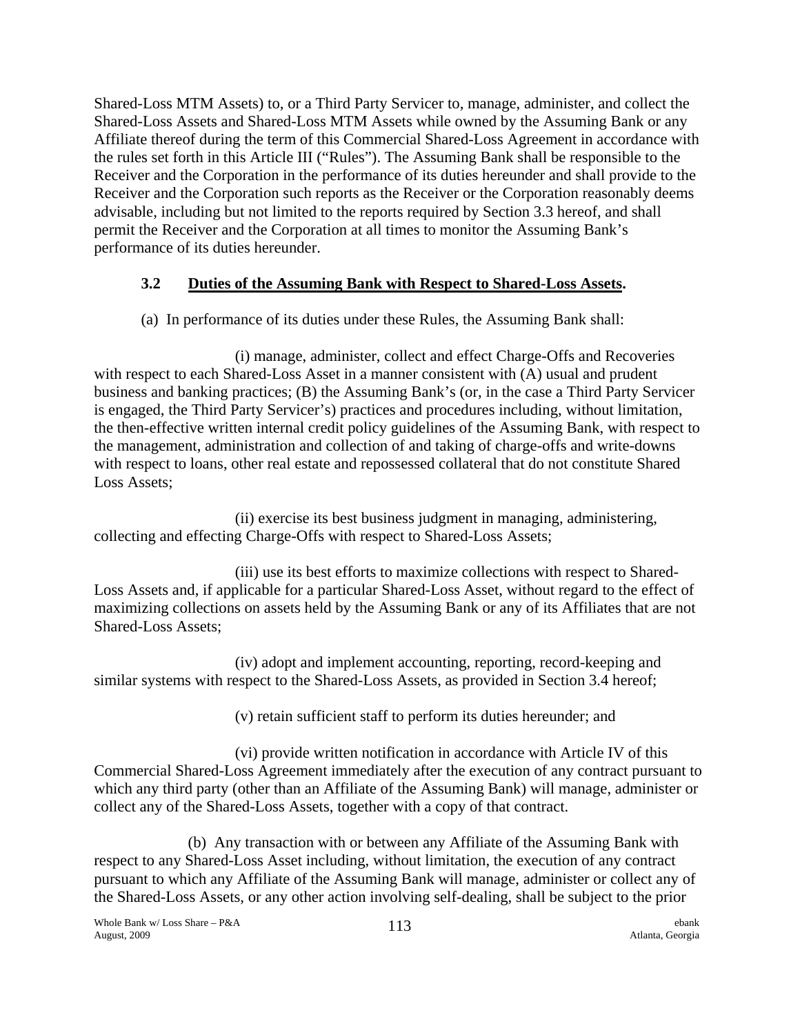Shared-Loss MTM Assets) to, or a Third Party Servicer to, manage, administer, and collect the Shared-Loss Assets and Shared-Loss MTM Assets while owned by the Assuming Bank or any Affiliate thereof during the term of this Commercial Shared-Loss Agreement in accordance with the rules set forth in this Article III ("Rules"). The Assuming Bank shall be responsible to the Receiver and the Corporation in the performance of its duties hereunder and shall provide to the Receiver and the Corporation such reports as the Receiver or the Corporation reasonably deems advisable, including but not limited to the reports required by Section 3.3 hereof, and shall permit the Receiver and the Corporation at all times to monitor the Assuming Bank's performance of its duties hereunder.

### **3.2 Duties of the Assuming Bank with Respect to Shared-Loss Assets.**

(a) In performance of its duties under these Rules, the Assuming Bank shall:

(i) manage, administer, collect and effect Charge-Offs and Recoveries with respect to each Shared-Loss Asset in a manner consistent with (A) usual and prudent business and banking practices; (B) the Assuming Bank's (or, in the case a Third Party Servicer is engaged, the Third Party Servicer's) practices and procedures including, without limitation, the then-effective written internal credit policy guidelines of the Assuming Bank, with respect to the management, administration and collection of and taking of charge-offs and write-downs with respect to loans, other real estate and repossessed collateral that do not constitute Shared Loss Assets;

(ii) exercise its best business judgment in managing, administering, collecting and effecting Charge-Offs with respect to Shared-Loss Assets;

(iii) use its best efforts to maximize collections with respect to Shared-Loss Assets and, if applicable for a particular Shared-Loss Asset, without regard to the effect of maximizing collections on assets held by the Assuming Bank or any of its Affiliates that are not Shared-Loss Assets;

(iv) adopt and implement accounting, reporting, record-keeping and similar systems with respect to the Shared-Loss Assets, as provided in Section 3.4 hereof;

(v) retain sufficient staff to perform its duties hereunder; and

(vi) provide written notification in accordance with Article IV of this Commercial Shared-Loss Agreement immediately after the execution of any contract pursuant to which any third party (other than an Affiliate of the Assuming Bank) will manage, administer or collect any of the Shared-Loss Assets, together with a copy of that contract.

(b) Any transaction with or between any Affiliate of the Assuming Bank with respect to any Shared-Loss Asset including, without limitation, the execution of any contract pursuant to which any Affiliate of the Assuming Bank will manage, administer or collect any of the Shared-Loss Assets, or any other action involving self-dealing, shall be subject to the prior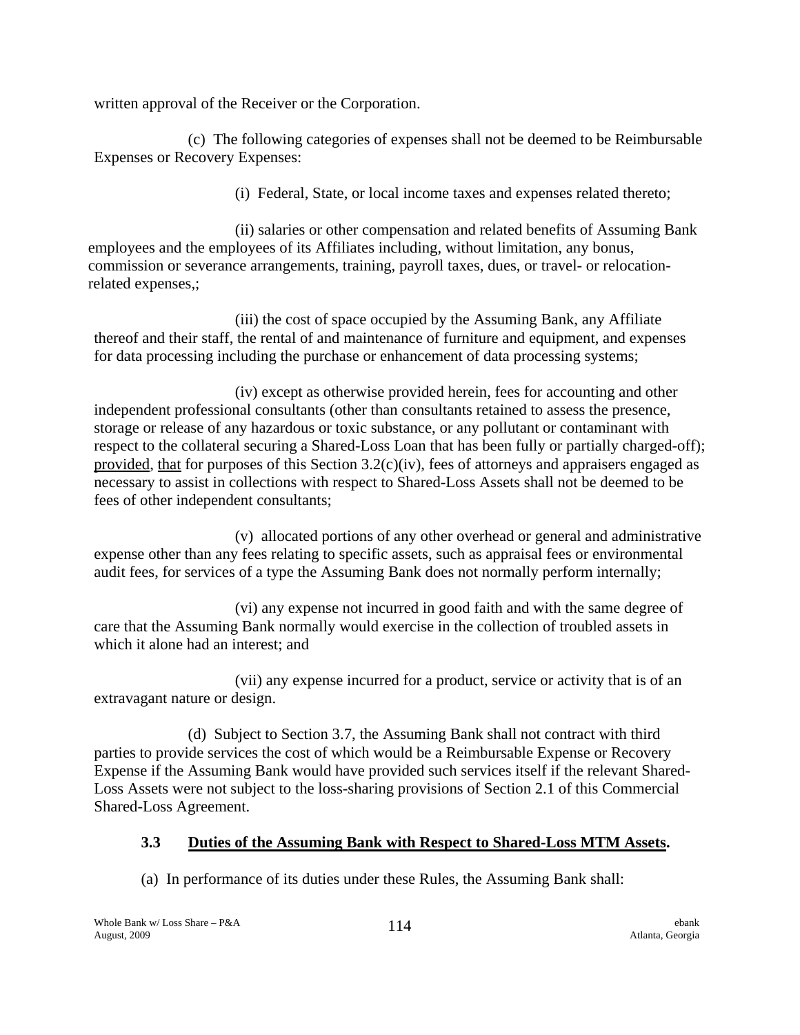written approval of the Receiver or the Corporation.

(c) The following categories of expenses shall not be deemed to be Reimbursable Expenses or Recovery Expenses:

(i) Federal, State, or local income taxes and expenses related thereto;

(ii) salaries or other compensation and related benefits of Assuming Bank employees and the employees of its Affiliates including, without limitation, any bonus, commission or severance arrangements, training, payroll taxes, dues, or travel- or relocationrelated expenses,;

(iii) the cost of space occupied by the Assuming Bank, any Affiliate thereof and their staff, the rental of and maintenance of furniture and equipment, and expenses for data processing including the purchase or enhancement of data processing systems;

(iv) except as otherwise provided herein, fees for accounting and other independent professional consultants (other than consultants retained to assess the presence, storage or release of any hazardous or toxic substance, or any pollutant or contaminant with respect to the collateral securing a Shared-Loss Loan that has been fully or partially charged-off); provided, that for purposes of this Section 3.2(c)(iv), fees of attorneys and appraisers engaged as necessary to assist in collections with respect to Shared-Loss Assets shall not be deemed to be fees of other independent consultants;

(v) allocated portions of any other overhead or general and administrative expense other than any fees relating to specific assets, such as appraisal fees or environmental audit fees, for services of a type the Assuming Bank does not normally perform internally;

(vi) any expense not incurred in good faith and with the same degree of care that the Assuming Bank normally would exercise in the collection of troubled assets in which it alone had an interest; and

(vii) any expense incurred for a product, service or activity that is of an extravagant nature or design.

(d) Subject to Section 3.7, the Assuming Bank shall not contract with third parties to provide services the cost of which would be a Reimbursable Expense or Recovery Expense if the Assuming Bank would have provided such services itself if the relevant Shared-Loss Assets were not subject to the loss-sharing provisions of Section 2.1 of this Commercial Shared-Loss Agreement.

#### **3.3 Duties of the Assuming Bank with Respect to Shared-Loss MTM Assets.**

(a) In performance of its duties under these Rules, the Assuming Bank shall:

Whole Bank w/Loss Share – P&A ebank 4009 ebank 412 ebank 412 ebank 412 ebank 412 ebank 412 ebank 412 ebank 412 ebank 412 ebank 412 ebank 412 ebank 412 ebank 412 ebank 412 ebank 412 ebank 412 ebank 412 ebank 412 ebank 412 e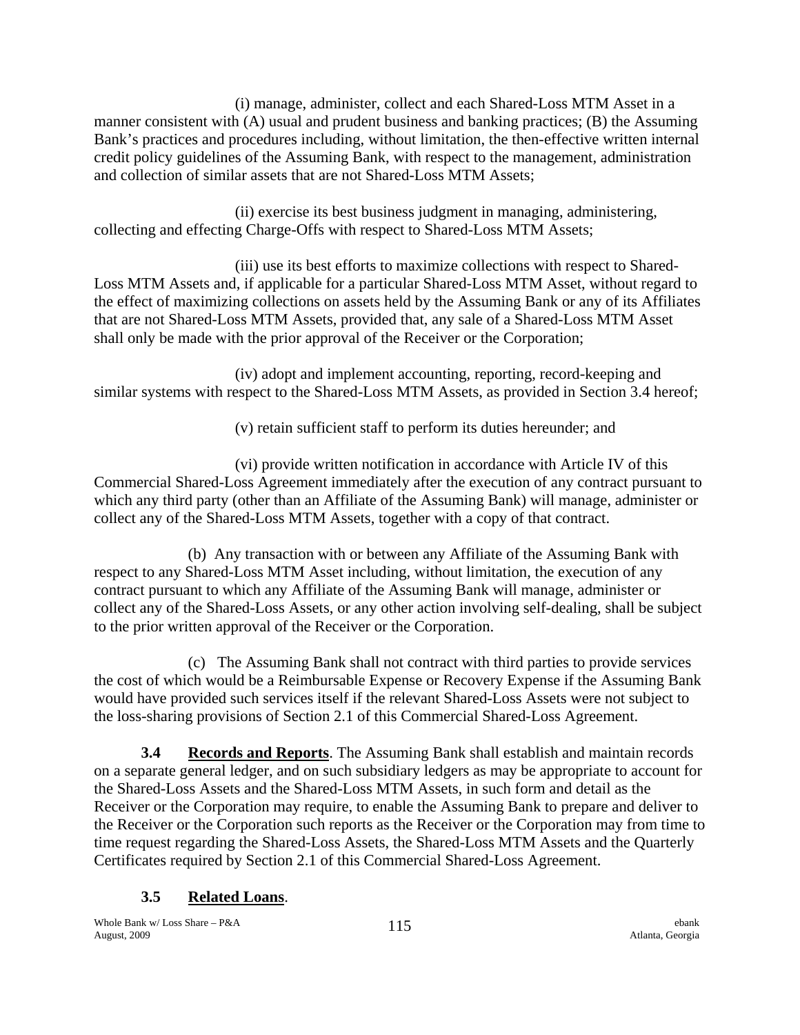(i) manage, administer, collect and each Shared-Loss MTM Asset in a manner consistent with (A) usual and prudent business and banking practices; (B) the Assuming Bank's practices and procedures including, without limitation, the then-effective written internal credit policy guidelines of the Assuming Bank, with respect to the management, administration and collection of similar assets that are not Shared-Loss MTM Assets;

(ii) exercise its best business judgment in managing, administering, collecting and effecting Charge-Offs with respect to Shared-Loss MTM Assets;

(iii) use its best efforts to maximize collections with respect to Shared-Loss MTM Assets and, if applicable for a particular Shared-Loss MTM Asset, without regard to the effect of maximizing collections on assets held by the Assuming Bank or any of its Affiliates that are not Shared-Loss MTM Assets, provided that, any sale of a Shared-Loss MTM Asset shall only be made with the prior approval of the Receiver or the Corporation;

(iv) adopt and implement accounting, reporting, record-keeping and similar systems with respect to the Shared-Loss MTM Assets, as provided in Section 3.4 hereof;

(v) retain sufficient staff to perform its duties hereunder; and

(vi) provide written notification in accordance with Article IV of this Commercial Shared-Loss Agreement immediately after the execution of any contract pursuant to which any third party (other than an Affiliate of the Assuming Bank) will manage, administer or collect any of the Shared-Loss MTM Assets, together with a copy of that contract.

(b) Any transaction with or between any Affiliate of the Assuming Bank with respect to any Shared-Loss MTM Asset including, without limitation, the execution of any contract pursuant to which any Affiliate of the Assuming Bank will manage, administer or collect any of the Shared-Loss Assets, or any other action involving self-dealing, shall be subject to the prior written approval of the Receiver or the Corporation.

(c) The Assuming Bank shall not contract with third parties to provide services the cost of which would be a Reimbursable Expense or Recovery Expense if the Assuming Bank would have provided such services itself if the relevant Shared-Loss Assets were not subject to the loss-sharing provisions of Section 2.1 of this Commercial Shared-Loss Agreement.

**3.4 Records and Reports**. The Assuming Bank shall establish and maintain records on a separate general ledger, and on such subsidiary ledgers as may be appropriate to account for the Shared-Loss Assets and the Shared-Loss MTM Assets, in such form and detail as the Receiver or the Corporation may require, to enable the Assuming Bank to prepare and deliver to the Receiver or the Corporation such reports as the Receiver or the Corporation may from time to time request regarding the Shared-Loss Assets, the Shared-Loss MTM Assets and the Quarterly Certificates required by Section 2.1 of this Commercial Shared-Loss Agreement.

# **3.5 Related Loans**.

Whole Bank w/Loss Share – P&A ebank 115 ebank 4ugust, 2009 ebank 4ugust, 2009 ebank 4ugust, 2009 ebank 4ugust, 2009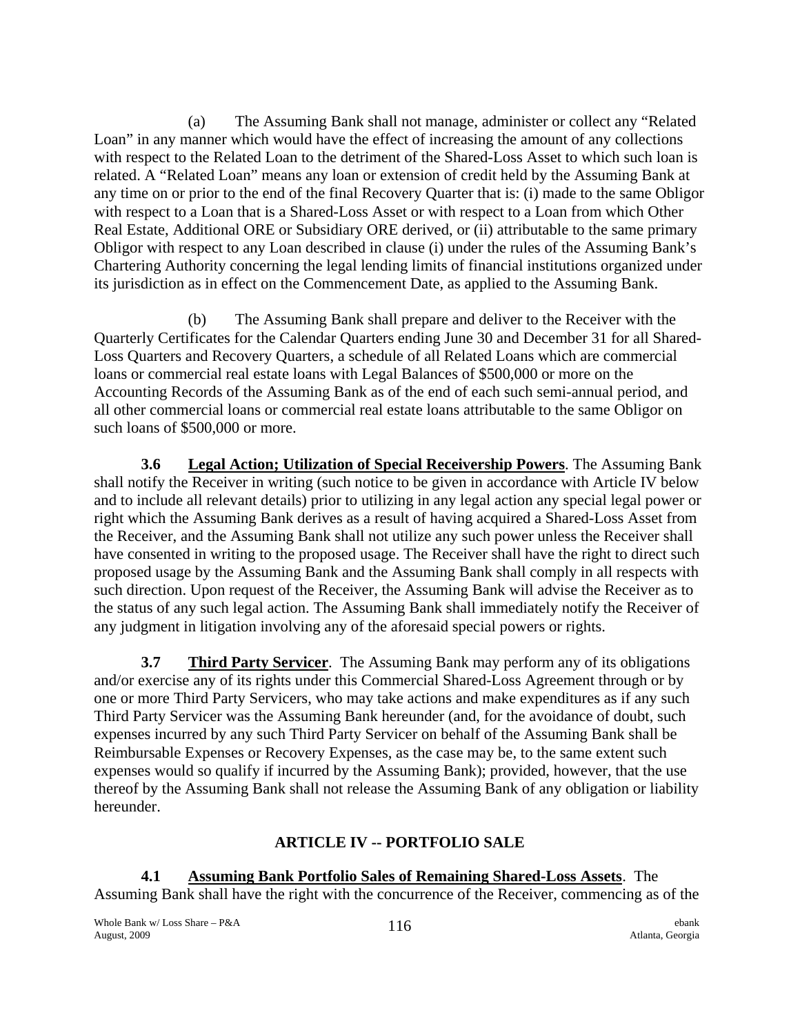(a) The Assuming Bank shall not manage, administer or collect any "Related Loan" in any manner which would have the effect of increasing the amount of any collections with respect to the Related Loan to the detriment of the Shared-Loss Asset to which such loan is related. A "Related Loan" means any loan or extension of credit held by the Assuming Bank at any time on or prior to the end of the final Recovery Quarter that is: (i) made to the same Obligor with respect to a Loan that is a Shared-Loss Asset or with respect to a Loan from which Other Real Estate, Additional ORE or Subsidiary ORE derived, or (ii) attributable to the same primary Obligor with respect to any Loan described in clause (i) under the rules of the Assuming Bank's Chartering Authority concerning the legal lending limits of financial institutions organized under its jurisdiction as in effect on the Commencement Date, as applied to the Assuming Bank.

(b) The Assuming Bank shall prepare and deliver to the Receiver with the Quarterly Certificates for the Calendar Quarters ending June 30 and December 31 for all Shared-Loss Quarters and Recovery Quarters, a schedule of all Related Loans which are commercial loans or commercial real estate loans with Legal Balances of \$500,000 or more on the Accounting Records of the Assuming Bank as of the end of each such semi-annual period, and all other commercial loans or commercial real estate loans attributable to the same Obligor on such loans of \$500,000 or more.

**3.6 Legal Action; Utilization of Special Receivership Powers**. The Assuming Bank shall notify the Receiver in writing (such notice to be given in accordance with Article IV below and to include all relevant details) prior to utilizing in any legal action any special legal power or right which the Assuming Bank derives as a result of having acquired a Shared-Loss Asset from the Receiver, and the Assuming Bank shall not utilize any such power unless the Receiver shall have consented in writing to the proposed usage. The Receiver shall have the right to direct such proposed usage by the Assuming Bank and the Assuming Bank shall comply in all respects with such direction. Upon request of the Receiver, the Assuming Bank will advise the Receiver as to the status of any such legal action. The Assuming Bank shall immediately notify the Receiver of any judgment in litigation involving any of the aforesaid special powers or rights.

**3.7** Third Party Servicer. The Assuming Bank may perform any of its obligations and/or exercise any of its rights under this Commercial Shared-Loss Agreement through or by one or more Third Party Servicers, who may take actions and make expenditures as if any such Third Party Servicer was the Assuming Bank hereunder (and, for the avoidance of doubt, such expenses incurred by any such Third Party Servicer on behalf of the Assuming Bank shall be Reimbursable Expenses or Recovery Expenses, as the case may be, to the same extent such expenses would so qualify if incurred by the Assuming Bank); provided, however, that the use thereof by the Assuming Bank shall not release the Assuming Bank of any obligation or liability hereunder.

#### **ARTICLE IV -- PORTFOLIO SALE**

**4.1 Assuming Bank Portfolio Sales of Remaining Shared-Loss Assets**. The Assuming Bank shall have the right with the concurrence of the Receiver, commencing as of the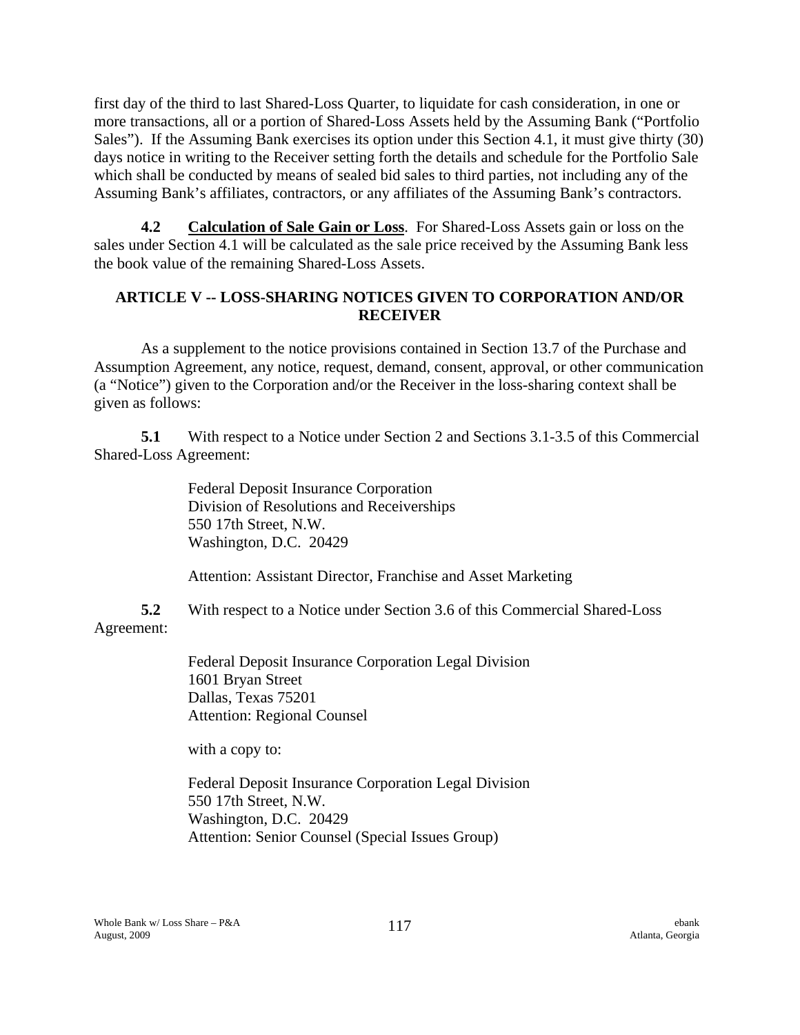first day of the third to last Shared-Loss Quarter, to liquidate for cash consideration, in one or more transactions, all or a portion of Shared-Loss Assets held by the Assuming Bank ("Portfolio Sales"). If the Assuming Bank exercises its option under this Section 4.1, it must give thirty (30) days notice in writing to the Receiver setting forth the details and schedule for the Portfolio Sale which shall be conducted by means of sealed bid sales to third parties, not including any of the Assuming Bank's affiliates, contractors, or any affiliates of the Assuming Bank's contractors.

**4.2 Calculation of Sale Gain or Loss**. For Shared-Loss Assets gain or loss on the sales under Section 4.1 will be calculated as the sale price received by the Assuming Bank less the book value of the remaining Shared-Loss Assets.

### **ARTICLE V -- LOSS-SHARING NOTICES GIVEN TO CORPORATION AND/OR RECEIVER**

As a supplement to the notice provisions contained in Section 13.7 of the Purchase and Assumption Agreement, any notice, request, demand, consent, approval, or other communication (a "Notice") given to the Corporation and/or the Receiver in the loss-sharing context shall be given as follows:

**5.1** With respect to a Notice under Section 2 and Sections 3.1-3.5 of this Commercial Shared-Loss Agreement:

> Federal Deposit Insurance Corporation Division of Resolutions and Receiverships 550 17th Street, N.W. Washington, D.C. 20429

Attention: Assistant Director, Franchise and Asset Marketing

**5.2** With respect to a Notice under Section 3.6 of this Commercial Shared-Loss Agreement:

> Federal Deposit Insurance Corporation Legal Division 1601 Bryan Street Dallas, Texas 75201 Attention: Regional Counsel

with a copy to:

Federal Deposit Insurance Corporation Legal Division 550 17th Street, N.W. Washington, D.C. 20429 Attention: Senior Counsel (Special Issues Group)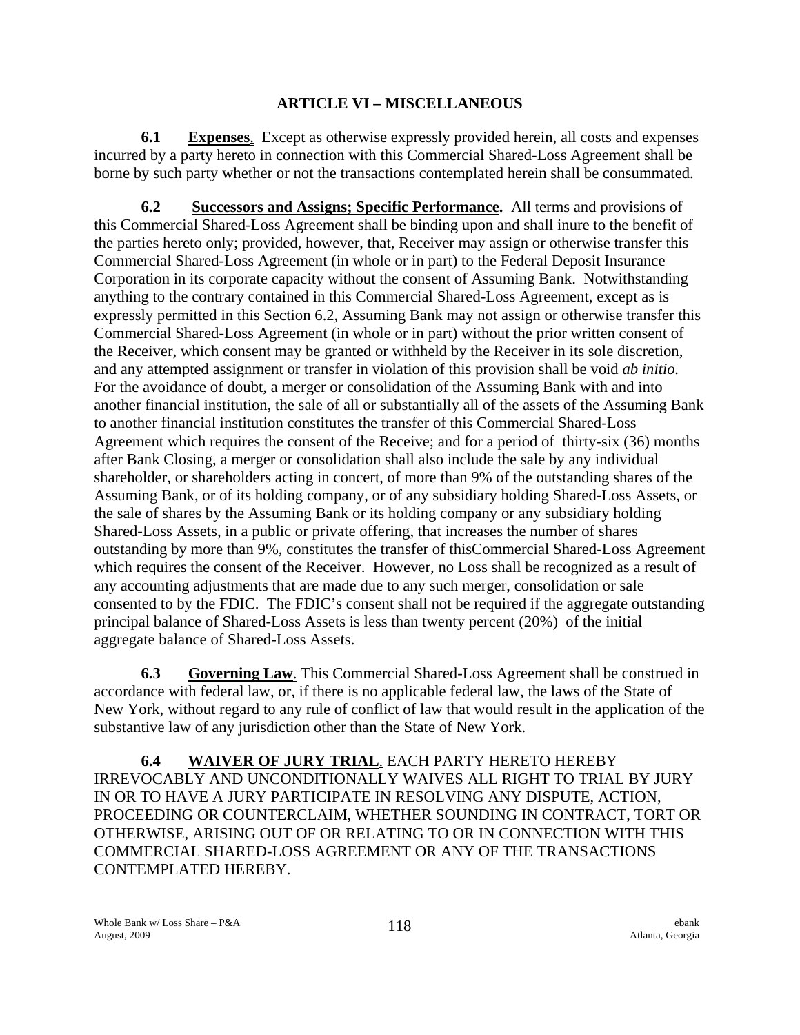#### **ARTICLE VI – MISCELLANEOUS**

 **6.1 Expenses**. Except as otherwise expressly provided herein, all costs and expenses incurred by a party hereto in connection with this Commercial Shared-Loss Agreement shall be borne by such party whether or not the transactions contemplated herein shall be consummated.

**6.2 Successors and Assigns; Specific Performance.** All terms and provisions of this Commercial Shared-Loss Agreement shall be binding upon and shall inure to the benefit of the parties hereto only; provided, however, that, Receiver may assign or otherwise transfer this Commercial Shared-Loss Agreement (in whole or in part) to the Federal Deposit Insurance Corporation in its corporate capacity without the consent of Assuming Bank. Notwithstanding anything to the contrary contained in this Commercial Shared-Loss Agreement, except as is expressly permitted in this Section 6.2, Assuming Bank may not assign or otherwise transfer this Commercial Shared-Loss Agreement (in whole or in part) without the prior written consent of the Receiver, which consent may be granted or withheld by the Receiver in its sole discretion, and any attempted assignment or transfer in violation of this provision shall be void *ab initio.*  For the avoidance of doubt, a merger or consolidation of the Assuming Bank with and into another financial institution, the sale of all or substantially all of the assets of the Assuming Bank to another financial institution constitutes the transfer of this Commercial Shared-Loss Agreement which requires the consent of the Receive; and for a period of thirty-six (36) months after Bank Closing, a merger or consolidation shall also include the sale by any individual shareholder, or shareholders acting in concert, of more than 9% of the outstanding shares of the Assuming Bank, or of its holding company, or of any subsidiary holding Shared-Loss Assets, or the sale of shares by the Assuming Bank or its holding company or any subsidiary holding Shared-Loss Assets, in a public or private offering, that increases the number of shares outstanding by more than 9%, constitutes the transfer of thisCommercial Shared-Loss Agreement which requires the consent of the Receiver. However, no Loss shall be recognized as a result of any accounting adjustments that are made due to any such merger, consolidation or sale consented to by the FDIC. The FDIC's consent shall not be required if the aggregate outstanding principal balance of Shared-Loss Assets is less than twenty percent (20%) of the initial aggregate balance of Shared-Loss Assets.

**6.3 Governing Law**. This Commercial Shared-Loss Agreement shall be construed in accordance with federal law, or, if there is no applicable federal law, the laws of the State of New York, without regard to any rule of conflict of law that would result in the application of the substantive law of any jurisdiction other than the State of New York.

**6.4 WAIVER OF JURY TRIAL**. EACH PARTY HERETO HEREBY IRREVOCABLY AND UNCONDITIONALLY WAIVES ALL RIGHT TO TRIAL BY JURY IN OR TO HAVE A JURY PARTICIPATE IN RESOLVING ANY DISPUTE, ACTION, PROCEEDING OR COUNTERCLAIM, WHETHER SOUNDING IN CONTRACT, TORT OR OTHERWISE, ARISING OUT OF OR RELATING TO OR IN CONNECTION WITH THIS COMMERCIAL SHARED-LOSS AGREEMENT OR ANY OF THE TRANSACTIONS CONTEMPLATED HEREBY.